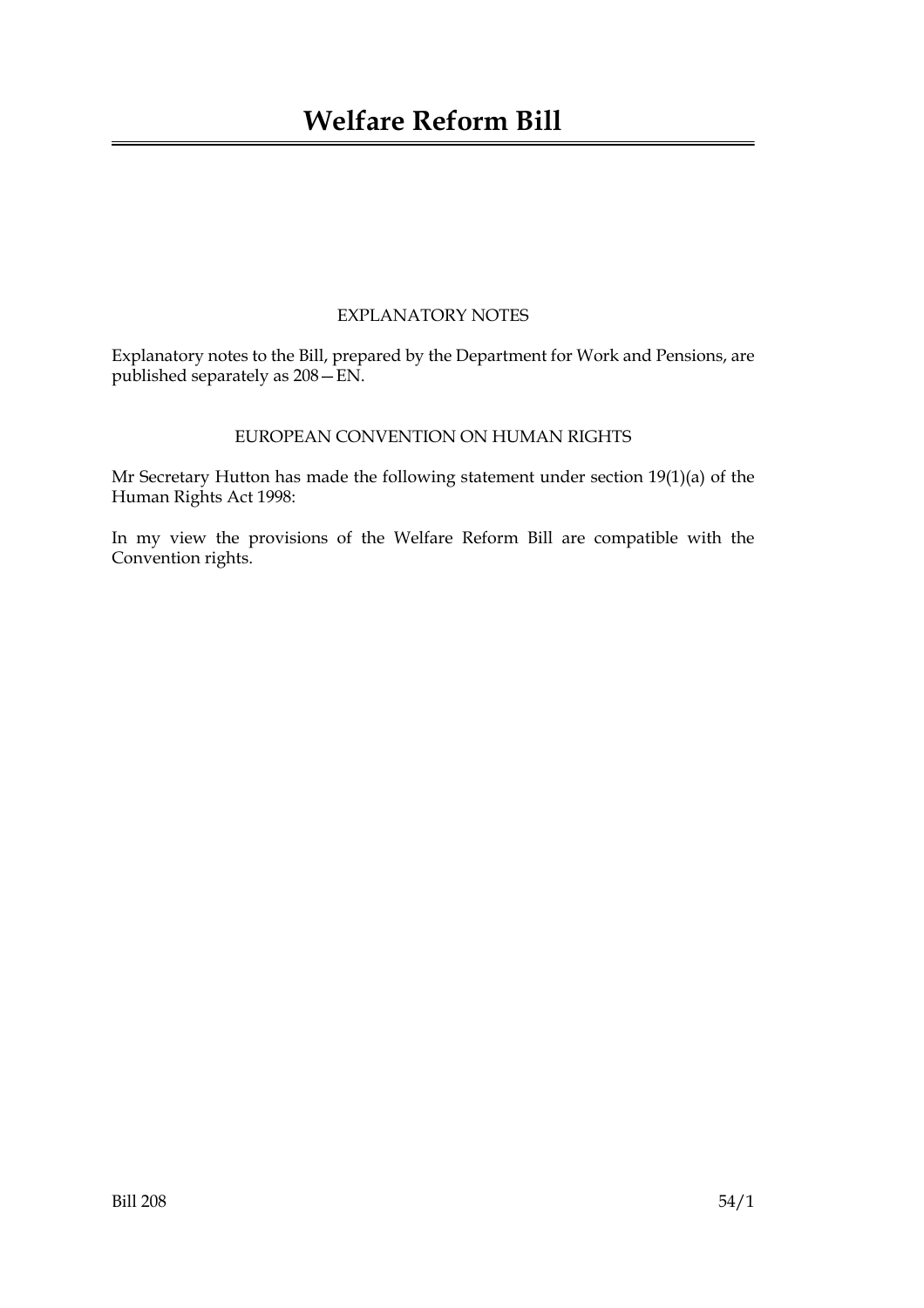# EXPLANATORY NOTES

Explanatory notes to the Bill, prepared by the Department for Work and Pensions, are published separately as 208—EN.

# EUROPEAN CONVENTION ON HUMAN RIGHTS

Mr Secretary Hutton has made the following statement under section 19(1)(a) of the Human Rights Act 1998:

In my view the provisions of the Welfare Reform Bill are compatible with the Convention rights.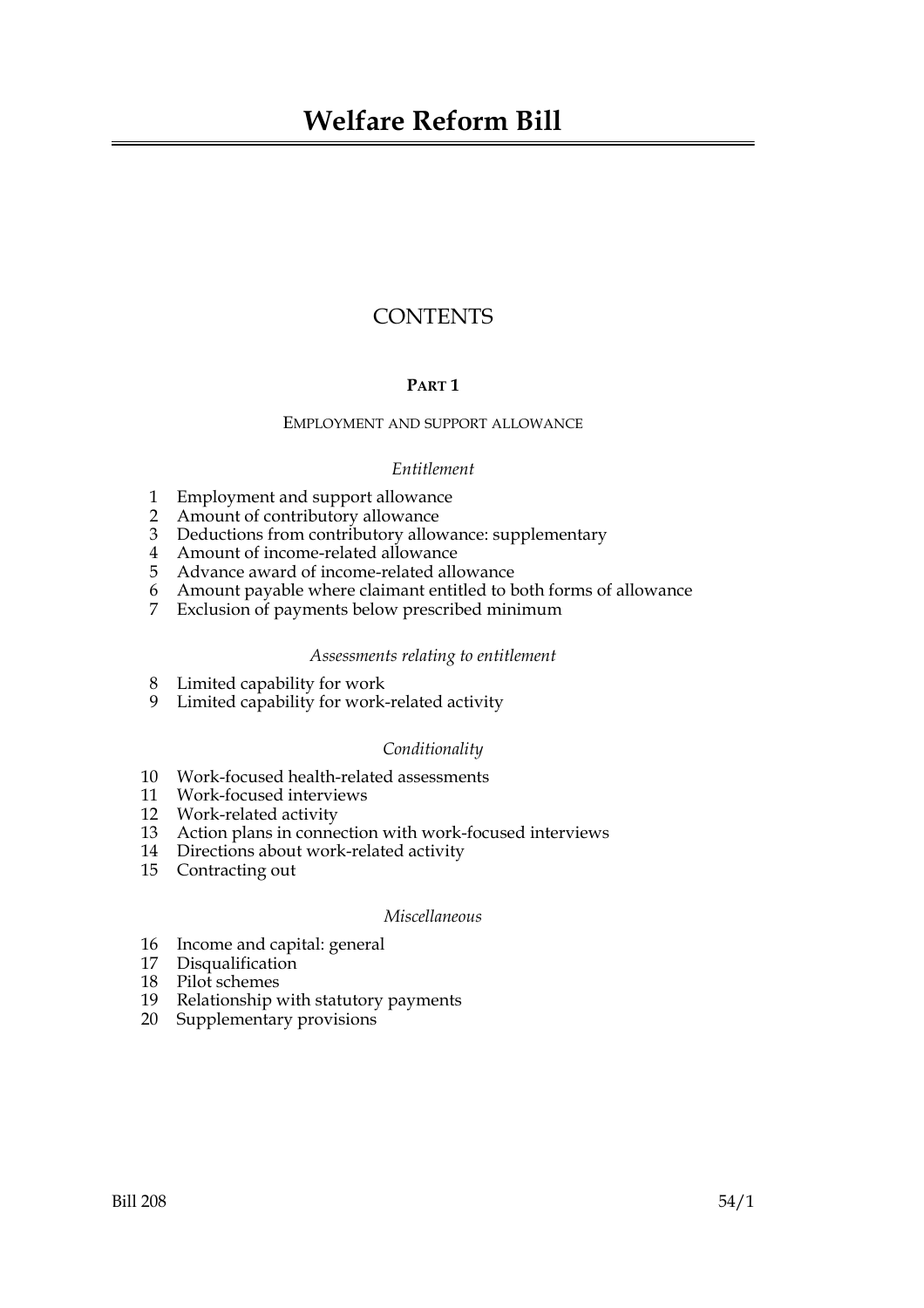# **CONTENTS**

# **PART 1**

### EMPLOYMENT AND SUPPORT ALLOWANCE

### *Entitlement*

- 1 Employment and support allowance
- 2 Amount of contributory allowance
- 3 Deductions from contributory allowance: supplementary
- 4 Amount of income-related allowance
- 5 Advance award of income-related allowance
- 6 Amount payable where claimant entitled to both forms of allowance
- 7 Exclusion of payments below prescribed minimum

#### *Assessments relating to entitlement*

- 8 Limited capability for work
- 9 Limited capability for work-related activity

#### *Conditionality*

- 10 Work-focused health-related assessments
- 11 Work-focused interviews
- 12 Work-related activity
- 13 Action plans in connection with work-focused interviews
- 14 Directions about work-related activity
- 15 Contracting out

#### *Miscellaneous*

- 16 Income and capital: general
- 17 Disqualification
- 18 Pilot schemes
- 19 Relationship with statutory payments
- 20 Supplementary provisions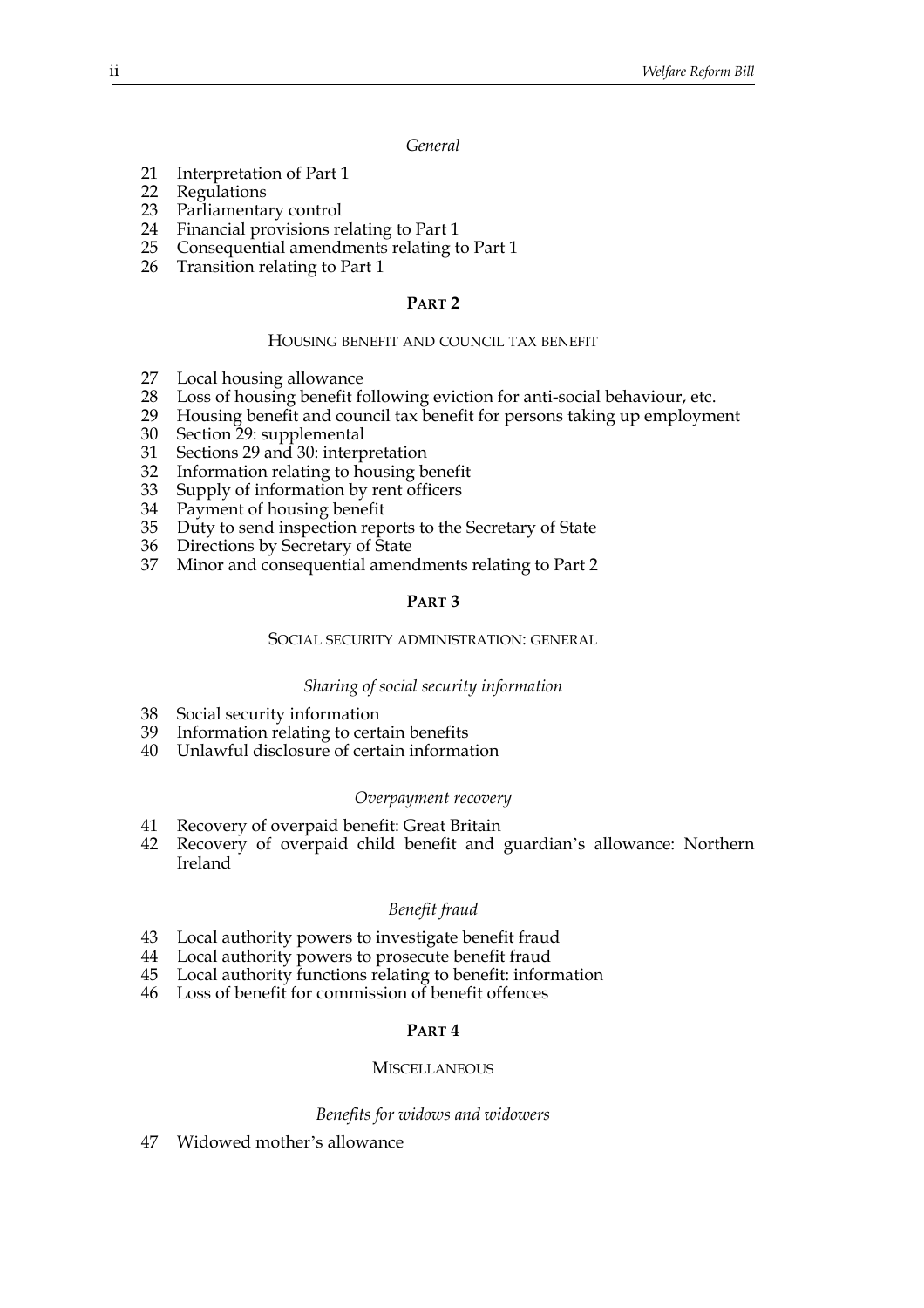#### *General*

- 21 Interpretation of Part 1
- 22 Regulations
- 23 Parliamentary control
- 24 Financial provisions relating to Part 1
- 25 Consequential amendments relating to Part 1
- 26 Transition relating to Part 1

#### **PART 2**

#### HOUSING BENEFIT AND COUNCIL TAX BENEFIT

- 27 Local housing allowance
- 28 Loss of housing benefit following eviction for anti-social behaviour, etc.<br>29 Housing benefit and council tax benefit for persons taking up employm
- 29 Housing benefit and council tax benefit for persons taking up employment
- 30 Section 29: supplemental<br>31 Sections 29 and 30: interp
- Sections 29 and 30: interpretation
- 32 Information relating to housing benefit
- 33 Supply of information by rent officers
- 34 Payment of housing benefit
- 35 Duty to send inspection reports to the Secretary of State
- 36 Directions by Secretary of State
- 37 Minor and consequential amendments relating to Part 2

#### **PART 3**

#### SOCIAL SECURITY ADMINISTRATION: GENERAL

#### *Sharing of social security information*

- 38 Social security information
- 39 Information relating to certain benefits
- 40 Unlawful disclosure of certain information

#### *Overpayment recovery*

- 41 Recovery of overpaid benefit: Great Britain
- 42 Recovery of overpaid child benefit and guardian's allowance: Northern Ireland

#### *Benefit fraud*

- 43 Local authority powers to investigate benefit fraud
- 44 Local authority powers to prosecute benefit fraud
- 45 Local authority functions relating to benefit: information
- 46 Loss of benefit for commission of benefit offences

#### **PART 4**

#### **MISCELLANEOUS**

#### *Benefits for widows and widowers*

47 Widowed mother's allowance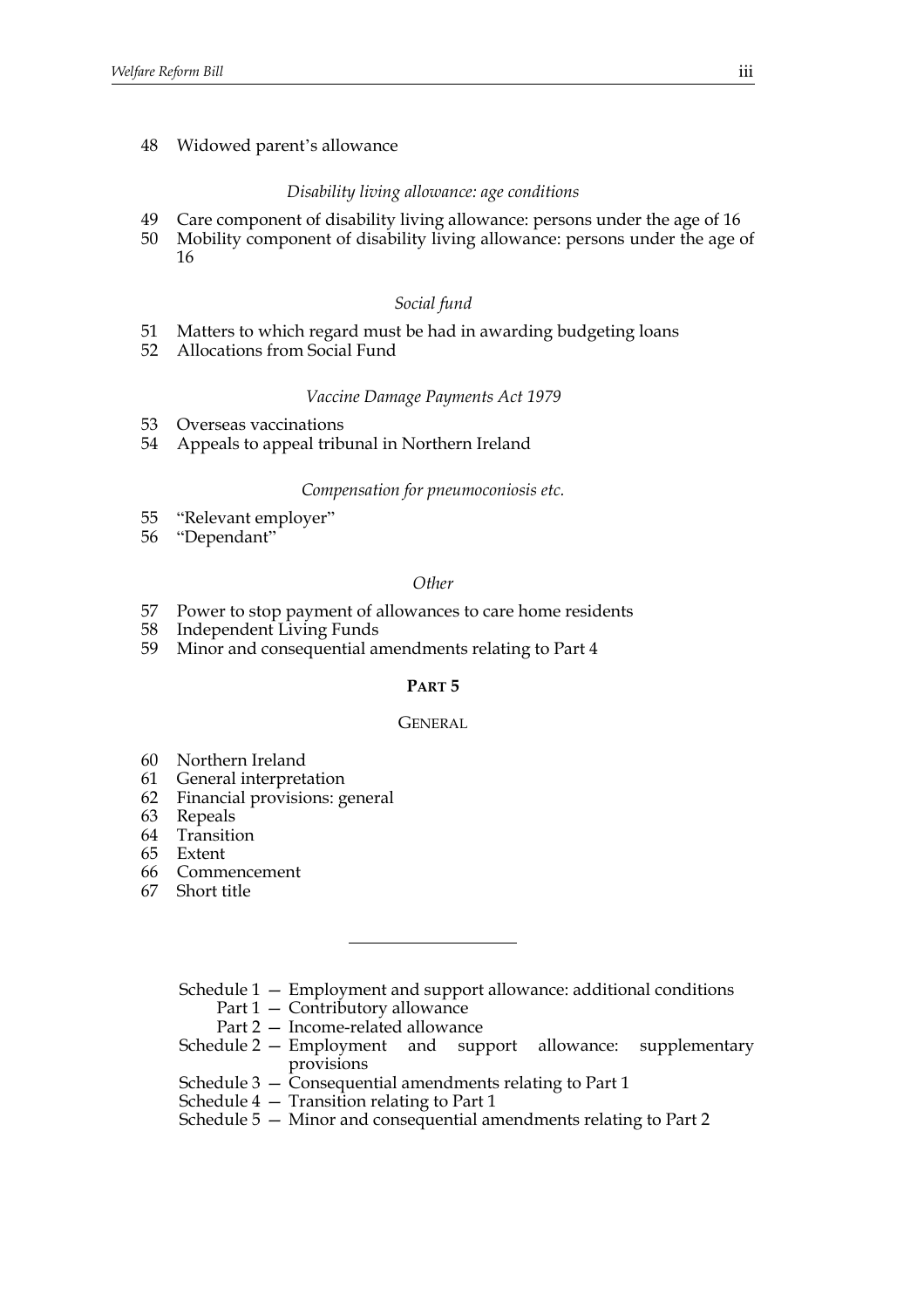# 48 Widowed parent's allowance

# *Disability living allowance: age conditions*

- 49 Care component of disability living allowance: persons under the age of 16
- 50 Mobility component of disability living allowance: persons under the age of 16

#### *Social fund*

- 51 Matters to which regard must be had in awarding budgeting loans
- 52 Allocations from Social Fund

#### *Vaccine Damage Payments Act 1979*

- 53 Overseas vaccinations
- 54 Appeals to appeal tribunal in Northern Ireland

#### *Compensation for pneumoconiosis etc.*

- 55 "Relevant employer"
- 56 "Dependant"

#### *Other*

- 57 Power to stop payment of allowances to care home residents
- 58 Independent Living Funds
- 59 Minor and consequential amendments relating to Part 4

# **PART 5**

#### **GENERAL**

- 60 Northern Ireland
- 61 General interpretation
- 62 Financial provisions: general
- 63 Repeals
- 64 Transition
- 65 Extent
- 66 Commencement
- Short title

Schedule 1 — Employment and support allowance: additional conditions

- Part 1 Contributory allowance
- Part 2 Income-related allowance
- Schedule 2 Employment and support allowance: supplementary provisions
- Schedule 3 Consequential amendments relating to Part 1
- Schedule 4 Transition relating to Part 1
- Schedule 5 Minor and consequential amendments relating to Part 2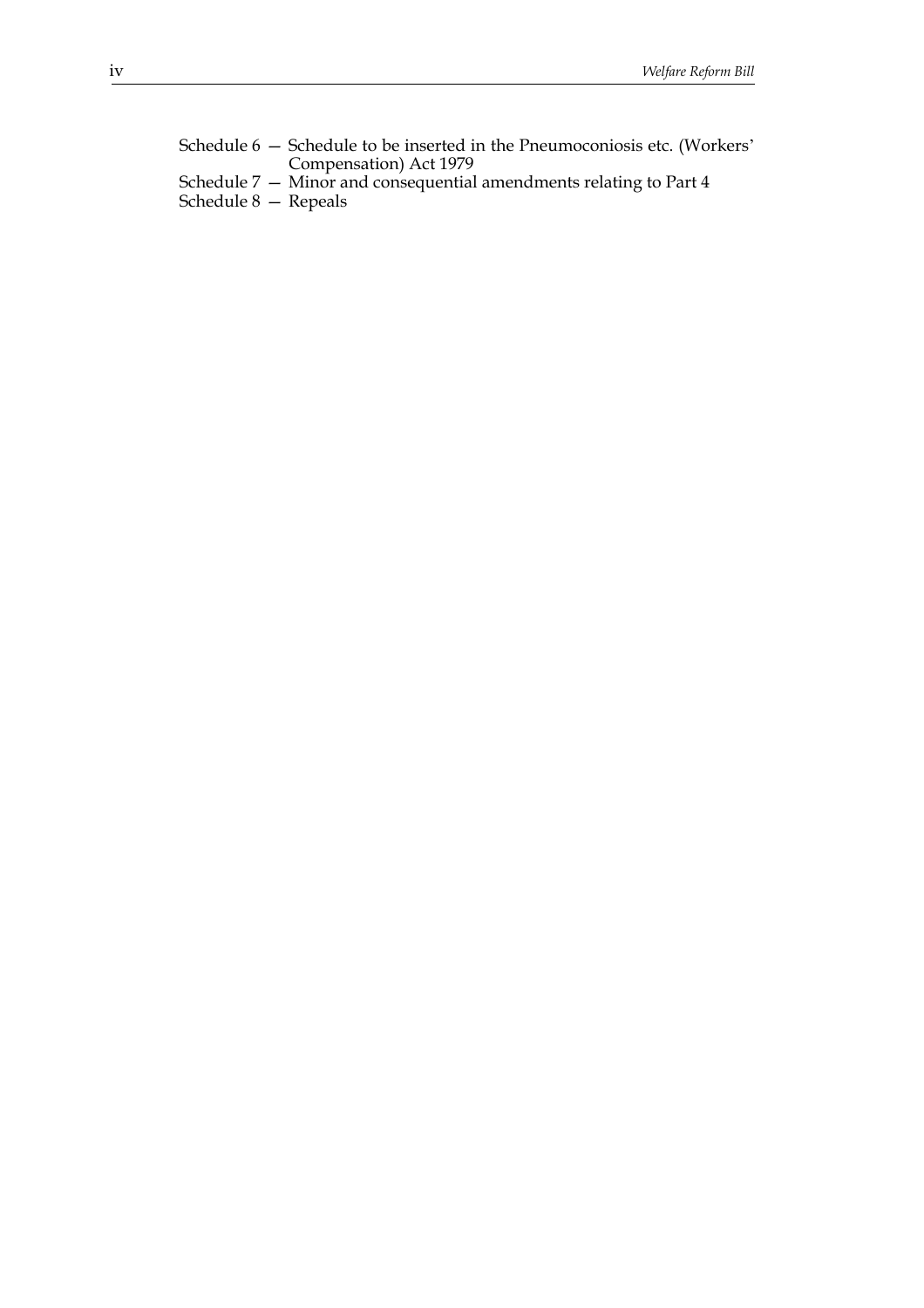- Schedule 6 Schedule to be inserted in the Pneumoconiosis etc. (Workers' Compensation) Act 1979
- Schedule 7 Minor and consequential amendments relating to Part 4
- Schedule 8 Repeals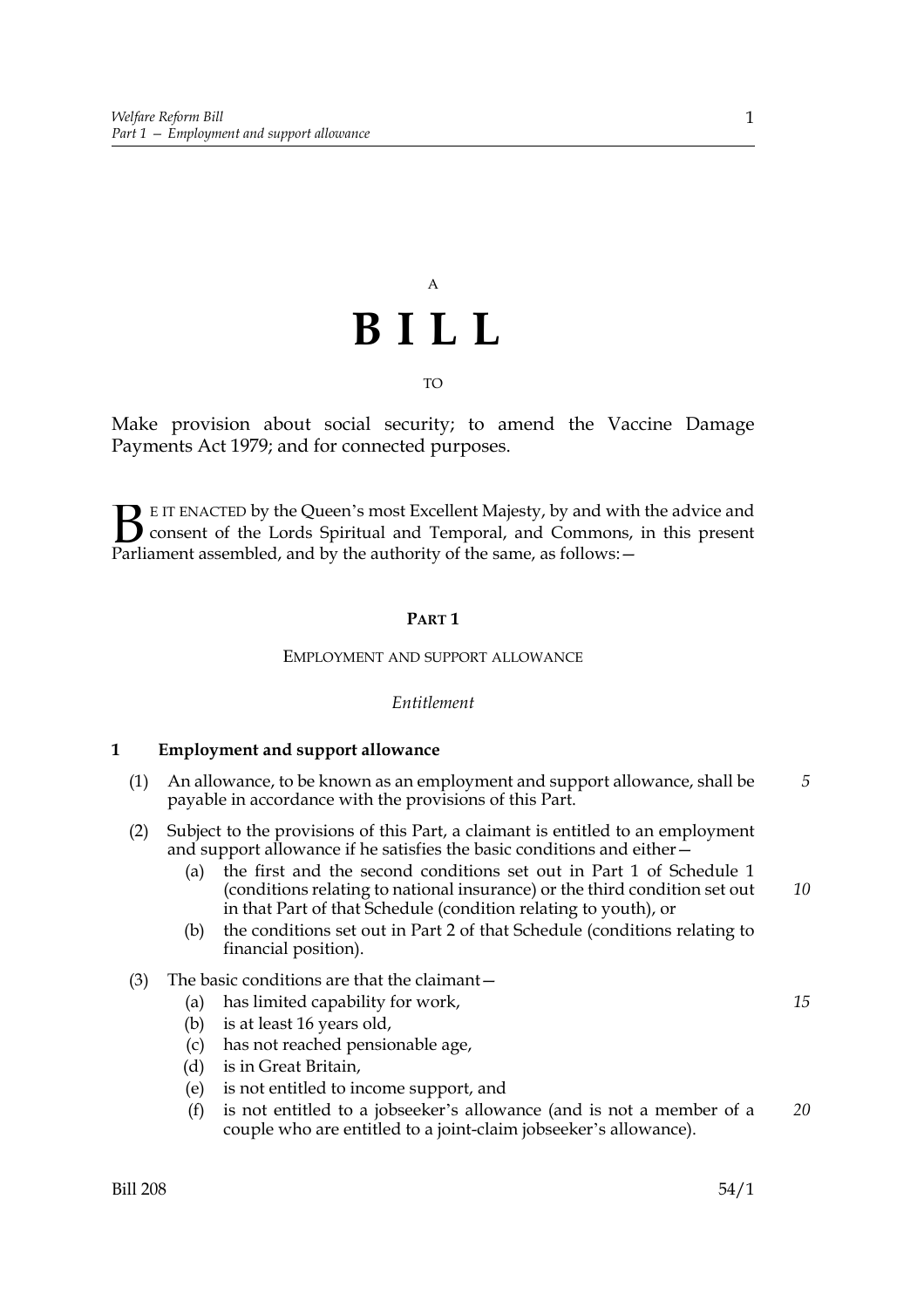# A **BILL**

TO

Make provision about social security; to amend the Vaccine Damage Payments Act 1979; and for connected purposes.

E IT ENACTED by the Queen's most Excellent Majesty, by and with the advice and consent of the Lords Spiritual and Temporal, and Commons, in this present **B** E IT ENACTED by the Queen's most Excellent Majesty, by and with consent of the Lords Spiritual and Temporal, and Commons, Parliament assembled, and by the authority of the same, as follows:  $-$ 

### **PART 1**

#### EMPLOYMENT AND SUPPORT ALLOWANCE

#### *Entitlement*

#### **1 Employment and support allowance**

| (1) An allowance, to be known as an employment and support allowance, shall be |  |
|--------------------------------------------------------------------------------|--|
| payable in accordance with the provisions of this Part.                        |  |

- (2) Subject to the provisions of this Part, a claimant is entitled to an employment and support allowance if he satisfies the basic conditions and either—
	- (a) the first and the second conditions set out in Part 1 of Schedule 1 (conditions relating to national insurance) or the third condition set out in that Part of that Schedule (condition relating to youth), or *10*
	- (b) the conditions set out in Part 2 of that Schedule (conditions relating to financial position).

(3) The basic conditions are that the claimant—

- (a) has limited capability for work,
- (b) is at least 16 years old,
- (c) has not reached pensionable age,
- (d) is in Great Britain,
- (e) is not entitled to income support, and
- (f) is not entitled to a jobseeker's allowance (and is not a member of a couple who are entitled to a joint-claim jobseeker's allowance). *20*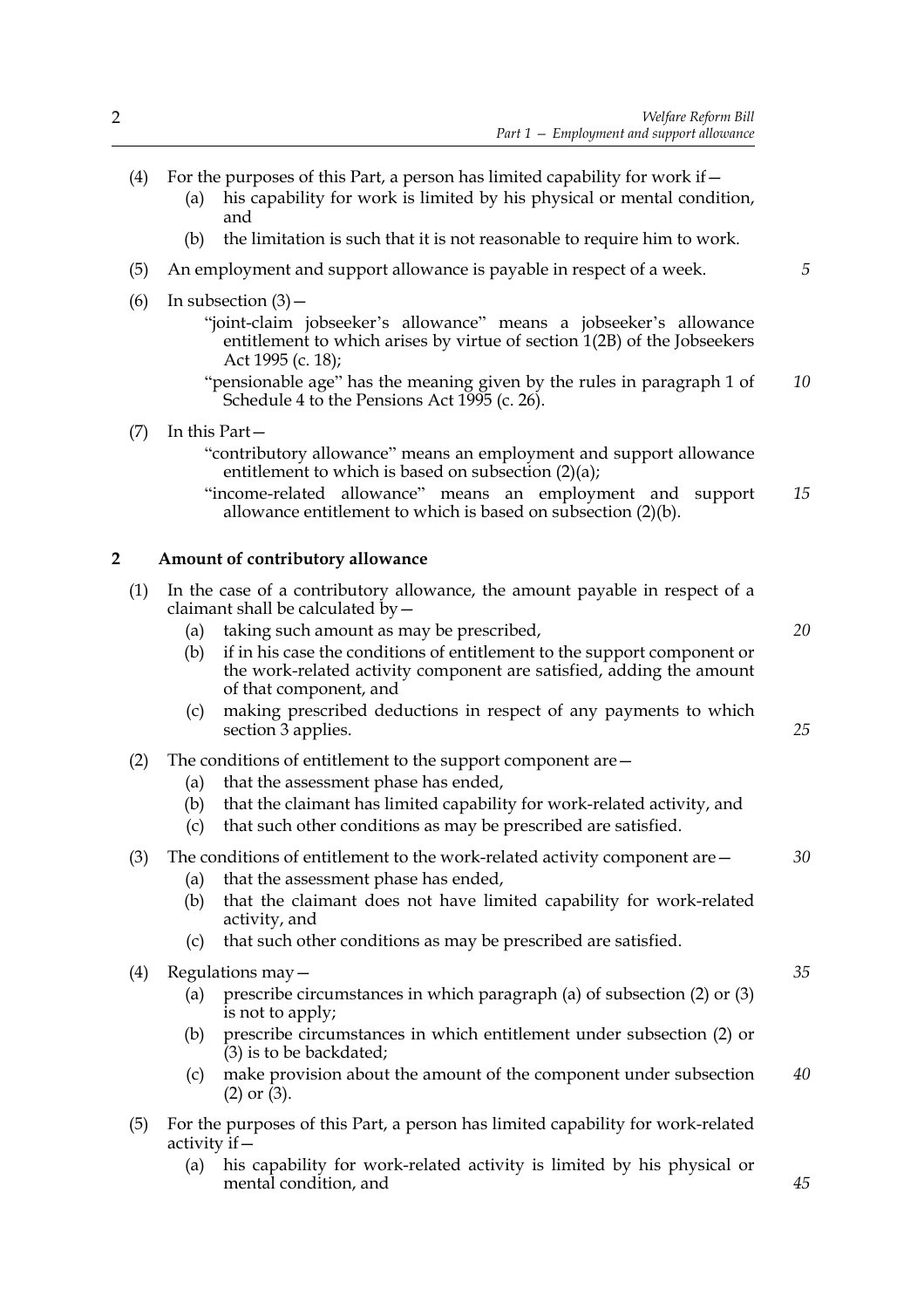| (4) | (a)                                                                  | For the purposes of this Part, a person has limited capability for work if $-$<br>his capability for work is limited by his physical or mental condition,<br>and                                                                                                                                                      |    |  |
|-----|----------------------------------------------------------------------|-----------------------------------------------------------------------------------------------------------------------------------------------------------------------------------------------------------------------------------------------------------------------------------------------------------------------|----|--|
|     | (b)                                                                  | the limitation is such that it is not reasonable to require him to work.                                                                                                                                                                                                                                              |    |  |
| (5) | An employment and support allowance is payable in respect of a week. |                                                                                                                                                                                                                                                                                                                       |    |  |
| (6) |                                                                      | In subsection $(3)$ –<br>"joint-claim jobseeker's allowance" means a jobseeker's allowance<br>entitlement to which arises by virtue of section 1(2B) of the Jobseekers<br>Act 1995 (c. 18);<br>"pensionable age" has the meaning given by the rules in paragraph 1 of<br>Schedule 4 to the Pensions Act 1995 (c. 26). | 10 |  |
| (7) |                                                                      | In this Part-<br>"contributory allowance" means an employment and support allowance<br>entitlement to which is based on subsection $(2)(a)$ ;<br>"income-related allowance" means an employment and support<br>allowance entitlement to which is based on subsection (2)(b).                                          | 15 |  |
| 2   |                                                                      | Amount of contributory allowance                                                                                                                                                                                                                                                                                      |    |  |
| (1) | (a)<br>(b)                                                           | In the case of a contributory allowance, the amount payable in respect of a<br>claimant shall be calculated by $-$<br>taking such amount as may be prescribed,<br>if in his case the conditions of entitlement to the support component or                                                                            | 20 |  |
|     | (c)                                                                  | the work-related activity component are satisfied, adding the amount<br>of that component, and<br>making prescribed deductions in respect of any payments to which<br>section 3 applies.                                                                                                                              | 25 |  |
| (2) | (a)<br>(b)<br>(c)                                                    | The conditions of entitlement to the support component are -<br>that the assessment phase has ended,<br>that the claimant has limited capability for work-related activity, and<br>that such other conditions as may be prescribed are satisfied.                                                                     |    |  |
| (3) | (a)<br>(b)<br>(c)                                                    | The conditions of entitlement to the work-related activity component are -<br>that the assessment phase has ended,<br>that the claimant does not have limited capability for work-related<br>activity, and<br>that such other conditions as may be prescribed are satisfied.                                          | 30 |  |
| (4) | (a)                                                                  | Regulations $may -$<br>prescribe circumstances in which paragraph (a) of subsection $(2)$ or $(3)$<br>is not to apply;                                                                                                                                                                                                | 35 |  |
|     | (b)<br>(c)                                                           | prescribe circumstances in which entitlement under subsection (2) or<br>(3) is to be backdated;<br>make provision about the amount of the component under subsection<br>$(2)$ or $(3)$ .                                                                                                                              | 40 |  |
| (5) | activity if –                                                        | For the purposes of this Part, a person has limited capability for work-related                                                                                                                                                                                                                                       |    |  |
|     | (a)                                                                  | his capability for work-related activity is limited by his physical or<br>mental condition, and                                                                                                                                                                                                                       | 45 |  |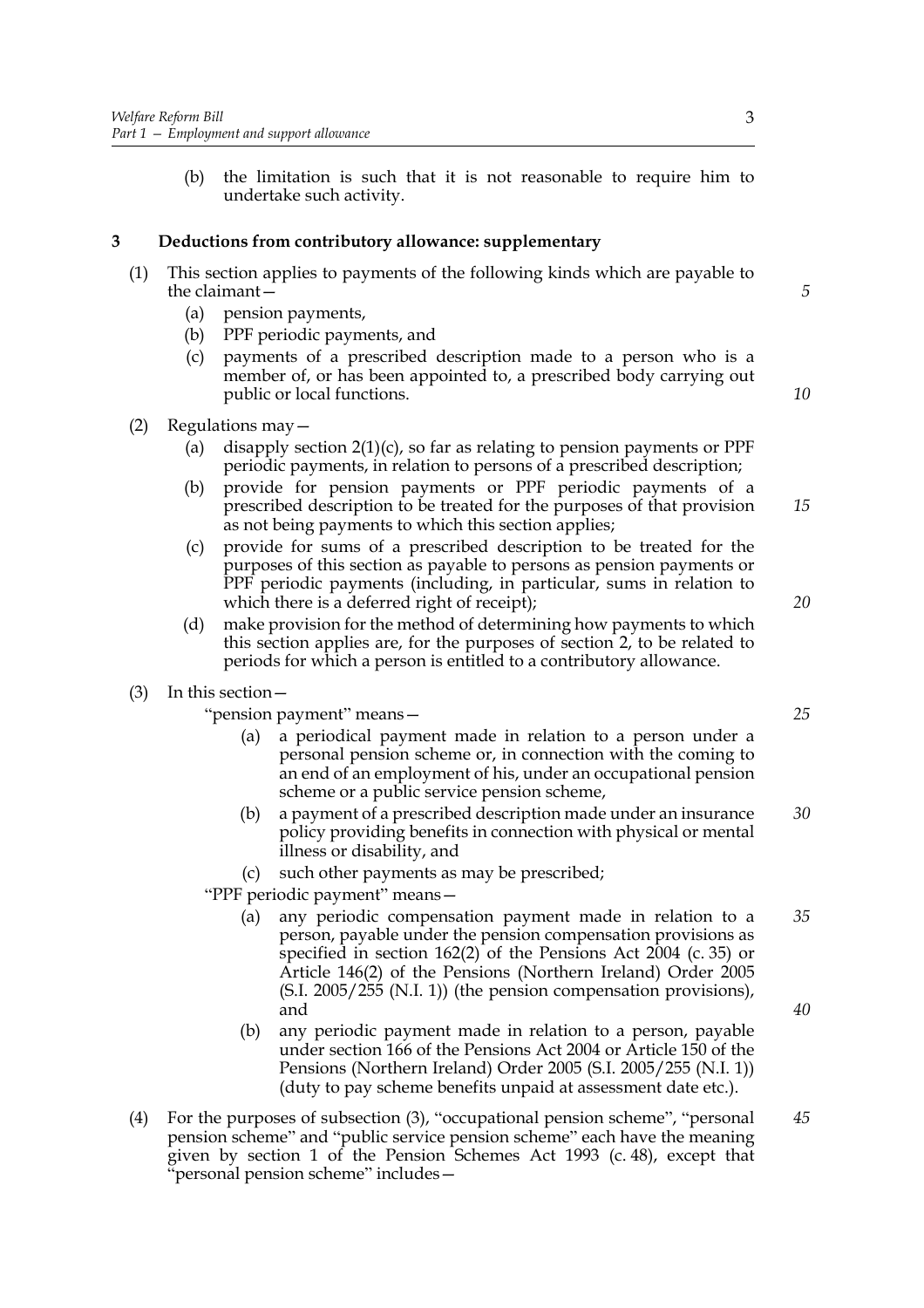(b) the limitation is such that it is not reasonable to require him to undertake such activity.

# **3 Deductions from contributory allowance: supplementary**

- (1) This section applies to payments of the following kinds which are payable to the claimant—
	- (a) pension payments,
	- (b) PPF periodic payments, and
	- (c) payments of a prescribed description made to a person who is a member of, or has been appointed to, a prescribed body carrying out public or local functions.

*10*

*20*

*25*

*35*

*40*

*5*

- (2) Regulations may—
	- (a) disapply section  $2(1)(c)$ , so far as relating to pension payments or PPF periodic payments, in relation to persons of a prescribed description;
	- (b) provide for pension payments or PPF periodic payments of a prescribed description to be treated for the purposes of that provision as not being payments to which this section applies; *15*
	- (c) provide for sums of a prescribed description to be treated for the purposes of this section as payable to persons as pension payments or PPF periodic payments (including, in particular, sums in relation to which there is a deferred right of receipt);
	- (d) make provision for the method of determining how payments to which this section applies are, for the purposes of section 2, to be related to periods for which a person is entitled to a contributory allowance.
- (3) In this section—

"pension payment" means—

- a periodical payment made in relation to a person under a personal pension scheme or, in connection with the coming to an end of an employment of his, under an occupational pension scheme or a public service pension scheme,
- (b) a payment of a prescribed description made under an insurance policy providing benefits in connection with physical or mental illness or disability, and *30*
- (c) such other payments as may be prescribed;

"PPF periodic payment" means—

- (a) any periodic compensation payment made in relation to a person, payable under the pension compensation provisions as specified in section 162(2) of the Pensions Act 2004 (c. 35) or Article 146(2) of the Pensions (Northern Ireland) Order 2005 (S.I. 2005/255 (N.I. 1)) (the pension compensation provisions), and
- (b) any periodic payment made in relation to a person, payable under section 166 of the Pensions Act 2004 or Article 150 of the Pensions (Northern Ireland) Order 2005 (S.I. 2005/255 (N.I. 1)) (duty to pay scheme benefits unpaid at assessment date etc.).
- (4) For the purposes of subsection (3), "occupational pension scheme", "personal pension scheme" and "public service pension scheme" each have the meaning given by section 1 of the Pension Schemes Act 1993 (c. 48), except that "personal pension scheme" includes— *45*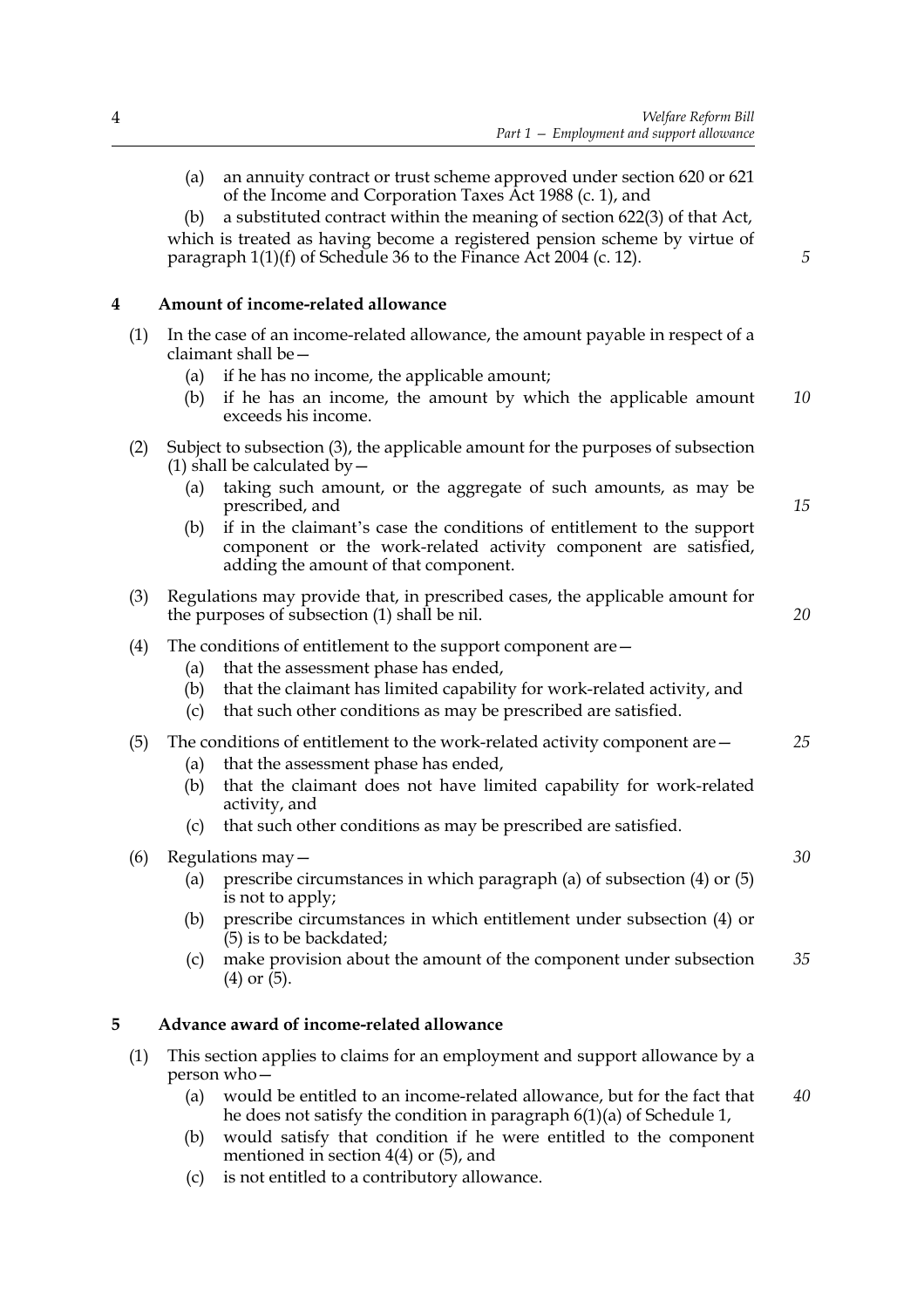- (a) an annuity contract or trust scheme approved under section 620 or 621 of the Income and Corporation Taxes Act 1988 (c. 1), and
- (b) a substituted contract within the meaning of section 622(3) of that Act,

which is treated as having become a registered pension scheme by virtue of paragraph 1(1)(f) of Schedule 36 to the Finance Act 2004 (c. 12).

# **4 Amount of income-related allowance**

- (1) In the case of an income-related allowance, the amount payable in respect of a claimant shall be—
	- (a) if he has no income, the applicable amount;
	- (b) if he has an income, the amount by which the applicable amount exceeds his income. *10*
- (2) Subject to subsection (3), the applicable amount for the purposes of subsection (1) shall be calculated by  $-$ 
	- (a) taking such amount, or the aggregate of such amounts, as may be prescribed, and
	- (b) if in the claimant's case the conditions of entitlement to the support component or the work-related activity component are satisfied, adding the amount of that component.
- (3) Regulations may provide that, in prescribed cases, the applicable amount for the purposes of subsection (1) shall be nil.

*20*

*30*

*40*

*15*

*5*

# (4) The conditions of entitlement to the support component are—

- (a) that the assessment phase has ended,
- (b) that the claimant has limited capability for work-related activity, and
- (c) that such other conditions as may be prescribed are satisfied.

#### (5) The conditions of entitlement to the work-related activity component are— *25*

- (a) that the assessment phase has ended,
- (b) that the claimant does not have limited capability for work-related activity, and
- (c) that such other conditions as may be prescribed are satisfied.
- (6) Regulations may—
	- (a) prescribe circumstances in which paragraph (a) of subsection (4) or (5) is not to apply;
	- (b) prescribe circumstances in which entitlement under subsection (4) or (5) is to be backdated;
	- (c) make provision about the amount of the component under subsection (4) or (5). *35*

#### **5 Advance award of income-related allowance**

- (1) This section applies to claims for an employment and support allowance by a person who—
	- (a) would be entitled to an income-related allowance, but for the fact that he does not satisfy the condition in paragraph 6(1)(a) of Schedule 1,
	- (b) would satisfy that condition if he were entitled to the component mentioned in section 4(4) or (5), and
	- (c) is not entitled to a contributory allowance.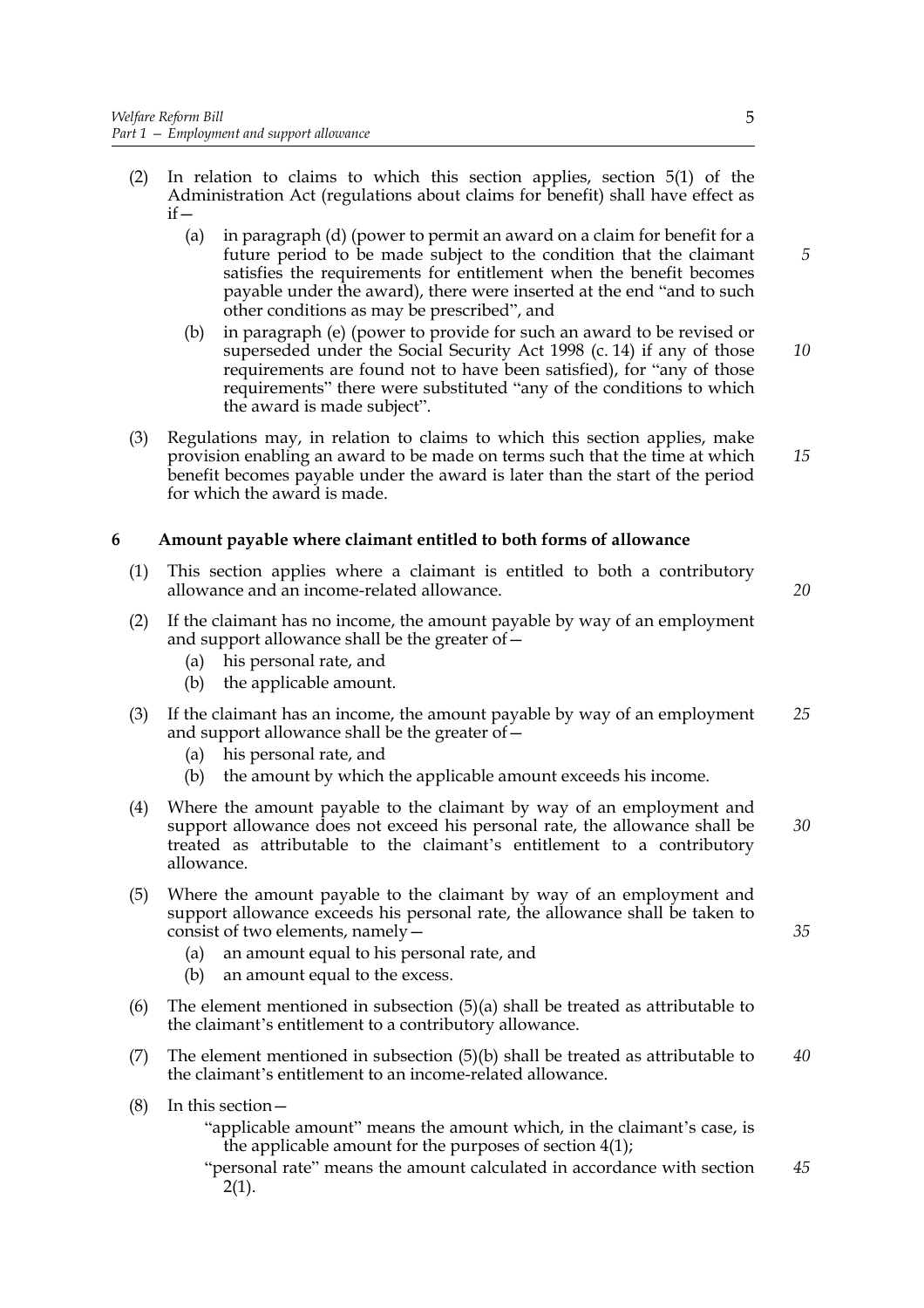- (2) In relation to claims to which this section applies, section 5(1) of the Administration Act (regulations about claims for benefit) shall have effect as  $if -$ 
	- (a) in paragraph (d) (power to permit an award on a claim for benefit for a future period to be made subject to the condition that the claimant satisfies the requirements for entitlement when the benefit becomes payable under the award), there were inserted at the end "and to such other conditions as may be prescribed", and
	- (b) in paragraph (e) (power to provide for such an award to be revised or superseded under the Social Security Act 1998 (c. 14) if any of those requirements are found not to have been satisfied), for "any of those requirements" there were substituted "any of the conditions to which the award is made subject". *10*
- (3) Regulations may, in relation to claims to which this section applies, make provision enabling an award to be made on terms such that the time at which benefit becomes payable under the award is later than the start of the period for which the award is made.

# **6 Amount payable where claimant entitled to both forms of allowance**

- (1) This section applies where a claimant is entitled to both a contributory allowance and an income-related allowance.
- (2) If the claimant has no income, the amount payable by way of an employment and support allowance shall be the greater of—
	- (a) his personal rate, and
	- (b) the applicable amount.
- (3) If the claimant has an income, the amount payable by way of an employment and support allowance shall be the greater of— *25*
	- (a) his personal rate, and
	- (b) the amount by which the applicable amount exceeds his income.
- (4) Where the amount payable to the claimant by way of an employment and support allowance does not exceed his personal rate, the allowance shall be treated as attributable to the claimant's entitlement to a contributory allowance. *30*
- (5) Where the amount payable to the claimant by way of an employment and support allowance exceeds his personal rate, the allowance shall be taken to consist of two elements, namely—
	- (a) an amount equal to his personal rate, and
	- (b) an amount equal to the excess.
- (6) The element mentioned in subsection (5)(a) shall be treated as attributable to the claimant's entitlement to a contributory allowance.
- (7) The element mentioned in subsection (5)(b) shall be treated as attributable to the claimant's entitlement to an income-related allowance. *40*
- (8) In this section—

"applicable amount" means the amount which, in the claimant's case, is the applicable amount for the purposes of section  $4(1)$ ;

"personal rate" means the amount calculated in accordance with section 2(1). *45*

*5*

*15*

*20*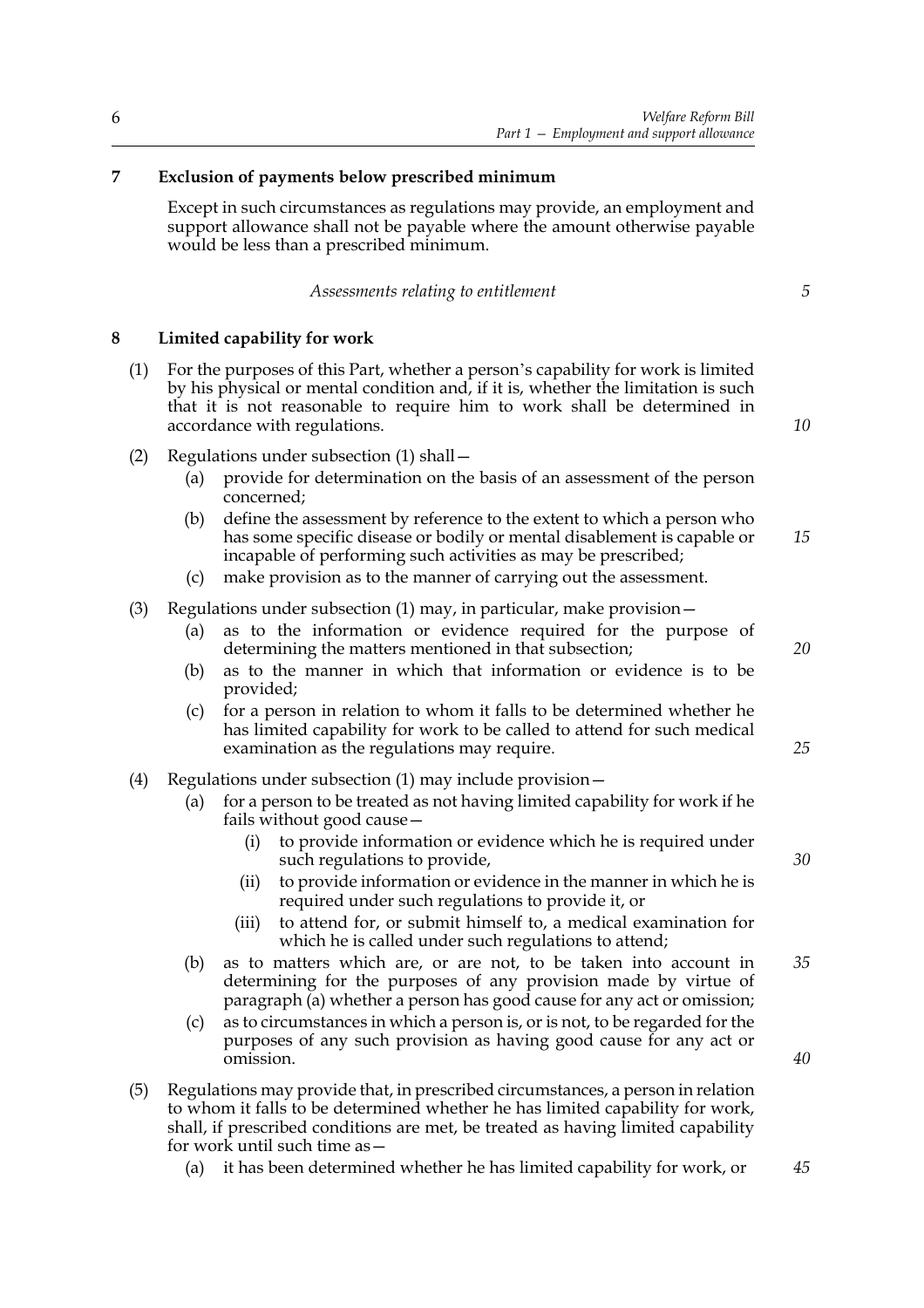# **7 Exclusion of payments below prescribed minimum**

Except in such circumstances as regulations may provide, an employment and support allowance shall not be payable where the amount otherwise payable would be less than a prescribed minimum.

*Assessments relating to entitlement*

#### *5*

# **8 Limited capability for work**

- (1) For the purposes of this Part, whether a person's capability for work is limited by his physical or mental condition and, if it is, whether the limitation is such that it is not reasonable to require him to work shall be determined in accordance with regulations.
- (2) Regulations under subsection (1) shall—
	- (a) provide for determination on the basis of an assessment of the person concerned;
	- (b) define the assessment by reference to the extent to which a person who has some specific disease or bodily or mental disablement is capable or incapable of performing such activities as may be prescribed; *15*
	- (c) make provision as to the manner of carrying out the assessment.
- (3) Regulations under subsection (1) may, in particular, make provision—
	- (a) as to the information or evidence required for the purpose of determining the matters mentioned in that subsection;
	- (b) as to the manner in which that information or evidence is to be provided;
	- (c) for a person in relation to whom it falls to be determined whether he has limited capability for work to be called to attend for such medical examination as the regulations may require.
- (4) Regulations under subsection (1) may include provision—
	- (a) for a person to be treated as not having limited capability for work if he fails without good cause—
		- (i) to provide information or evidence which he is required under such regulations to provide,
		- (ii) to provide information or evidence in the manner in which he is required under such regulations to provide it, or
		- (iii) to attend for, or submit himself to, a medical examination for which he is called under such regulations to attend;
	- (b) as to matters which are, or are not, to be taken into account in determining for the purposes of any provision made by virtue of paragraph (a) whether a person has good cause for any act or omission; *35*
	- (c) as to circumstances in which a person is, or is not, to be regarded for the purposes of any such provision as having good cause for any act or omission.
- (5) Regulations may provide that, in prescribed circumstances, a person in relation to whom it falls to be determined whether he has limited capability for work, shall, if prescribed conditions are met, be treated as having limited capability for work until such time as—
	- (a) it has been determined whether he has limited capability for work, or *45*

*10*

*20*

*25*

*40*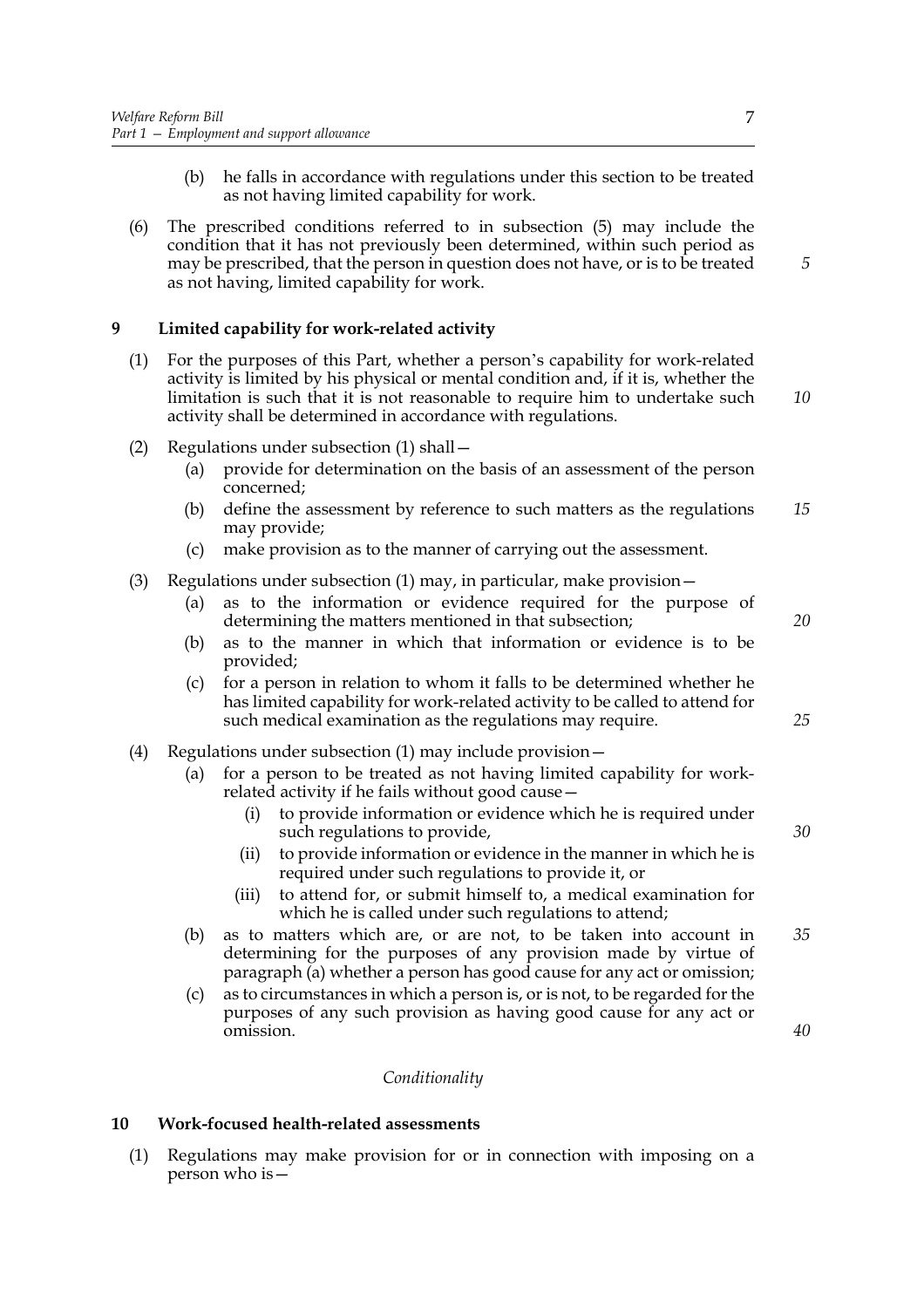- (b) he falls in accordance with regulations under this section to be treated as not having limited capability for work.
- (6) The prescribed conditions referred to in subsection (5) may include the condition that it has not previously been determined, within such period as may be prescribed, that the person in question does not have, or is to be treated as not having, limited capability for work.

# **9 Limited capability for work-related activity**

- (1) For the purposes of this Part, whether a person's capability for work-related activity is limited by his physical or mental condition and, if it is, whether the limitation is such that it is not reasonable to require him to undertake such activity shall be determined in accordance with regulations.
- (2) Regulations under subsection (1) shall—
	- (a) provide for determination on the basis of an assessment of the person concerned;
	- (b) define the assessment by reference to such matters as the regulations may provide; *15*
	- (c) make provision as to the manner of carrying out the assessment.
- (3) Regulations under subsection (1) may, in particular, make provision—
	- (a) as to the information or evidence required for the purpose of determining the matters mentioned in that subsection;
	- (b) as to the manner in which that information or evidence is to be provided;
	- (c) for a person in relation to whom it falls to be determined whether he has limited capability for work-related activity to be called to attend for such medical examination as the regulations may require.
- (4) Regulations under subsection (1) may include provision—
	- (a) for a person to be treated as not having limited capability for workrelated activity if he fails without good cause
		- to provide information or evidence which he is required under such regulations to provide,
		- (ii) to provide information or evidence in the manner in which he is required under such regulations to provide it, or
		- (iii) to attend for, or submit himself to, a medical examination for which he is called under such regulations to attend;
	- (b) as to matters which are, or are not, to be taken into account in determining for the purposes of any provision made by virtue of paragraph (a) whether a person has good cause for any act or omission; *35*
	- (c) as to circumstances in which a person is, or is not, to be regarded for the purposes of any such provision as having good cause for any act or omission.

#### *Conditionality*

#### **10 Work-focused health-related assessments**

(1) Regulations may make provision for or in connection with imposing on a person who is*5*

*10*

*20*

*25*

*30*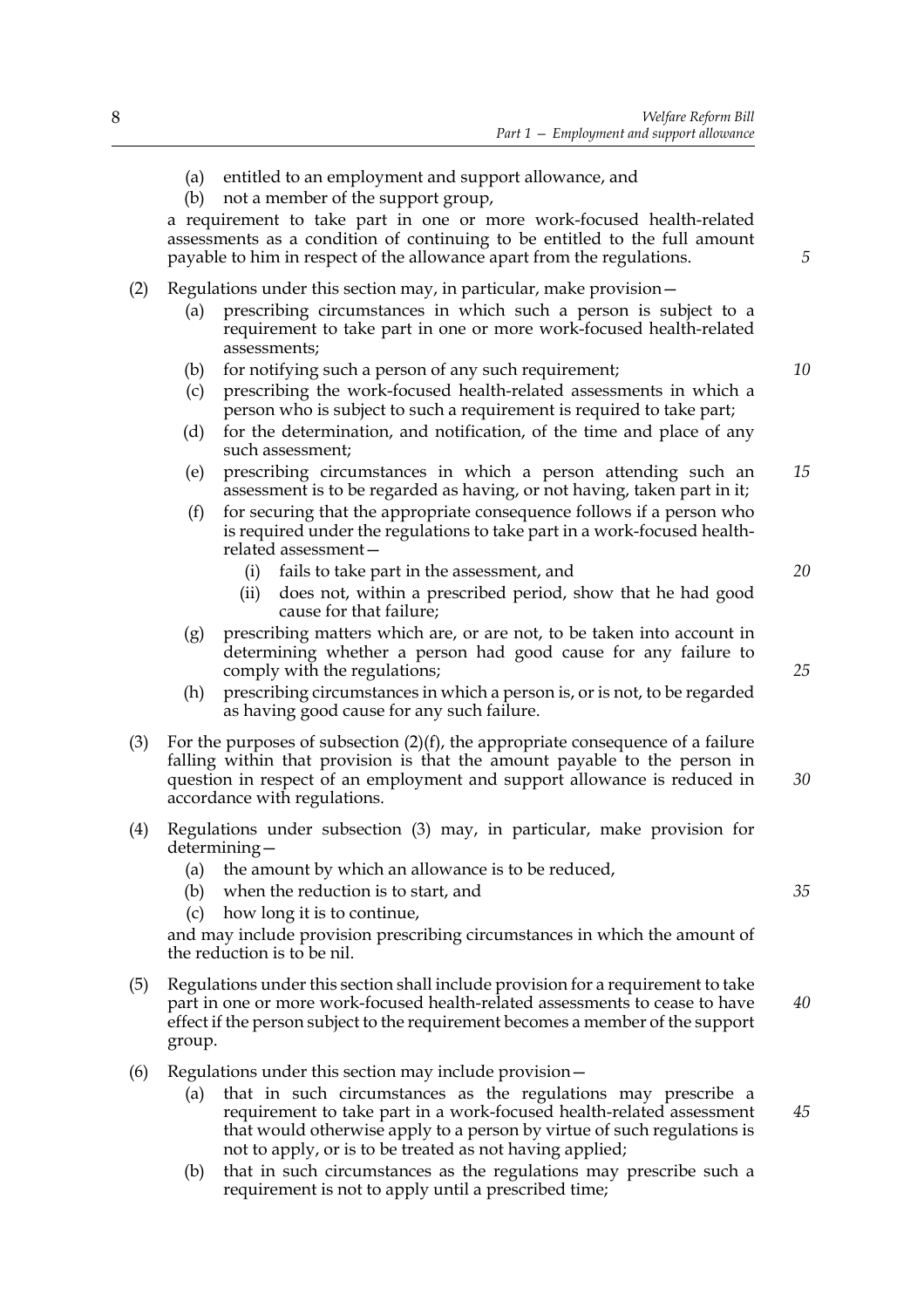- (a) entitled to an employment and support allowance, and
- (b) not a member of the support group,

a requirement to take part in one or more work-focused health-related assessments as a condition of continuing to be entitled to the full amount payable to him in respect of the allowance apart from the regulations.

- (2) Regulations under this section may, in particular, make provision—
	- (a) prescribing circumstances in which such a person is subject to a requirement to take part in one or more work-focused health-related assessments;
	- (b) for notifying such a person of any such requirement;
	- (c) prescribing the work-focused health-related assessments in which a person who is subject to such a requirement is required to take part;
	- (d) for the determination, and notification, of the time and place of any such assessment;
	- (e) prescribing circumstances in which a person attending such an assessment is to be regarded as having, or not having, taken part in it; *15*
	- (f) for securing that the appropriate consequence follows if a person who is required under the regulations to take part in a work-focused healthrelated assessment—
		- (i) fails to take part in the assessment, and
		- (ii) does not, within a prescribed period, show that he had good cause for that failure;
	- (g) prescribing matters which are, or are not, to be taken into account in determining whether a person had good cause for any failure to comply with the regulations;
	- (h) prescribing circumstances in which a person is, or is not, to be regarded as having good cause for any such failure.
- (3) For the purposes of subsection  $(2)(f)$ , the appropriate consequence of a failure falling within that provision is that the amount payable to the person in question in respect of an employment and support allowance is reduced in accordance with regulations. *30*
- (4) Regulations under subsection (3) may, in particular, make provision for determining—
	- (a) the amount by which an allowance is to be reduced,
	- (b) when the reduction is to start, and
	- (c) how long it is to continue,

and may include provision prescribing circumstances in which the amount of the reduction is to be nil.

- (5) Regulations under this section shall include provision for a requirement to take part in one or more work-focused health-related assessments to cease to have effect if the person subject to the requirement becomes a member of the support group. *40*
- (6) Regulations under this section may include provision—
	- (a) that in such circumstances as the regulations may prescribe a requirement to take part in a work-focused health-related assessment that would otherwise apply to a person by virtue of such regulations is not to apply, or is to be treated as not having applied;
	- (b) that in such circumstances as the regulations may prescribe such a requirement is not to apply until a prescribed time;

*10*

*5*

*25*

*20*

*35*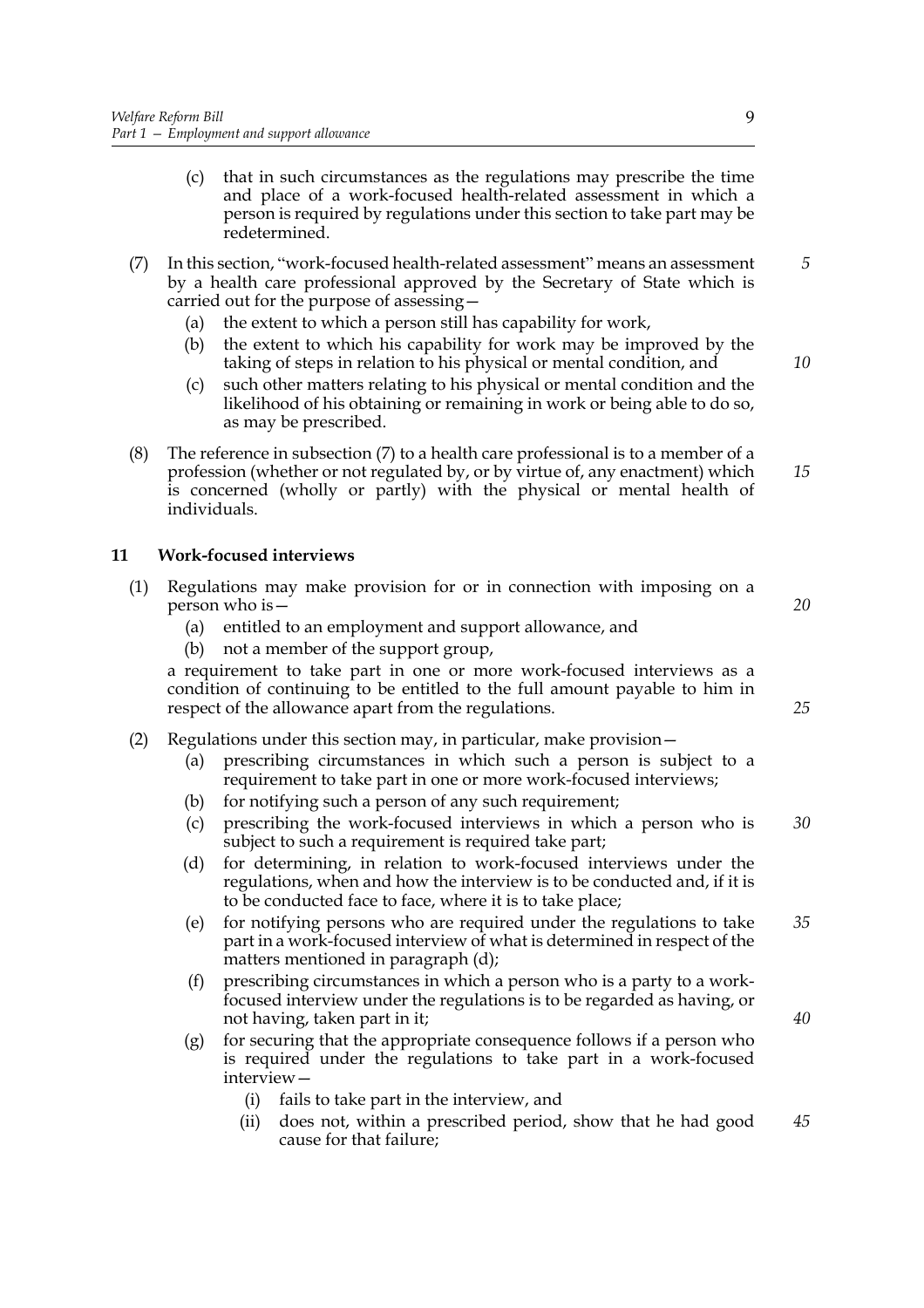- (c) that in such circumstances as the regulations may prescribe the time and place of a work-focused health-related assessment in which a person is required by regulations under this section to take part may be redetermined.
- (7) In this section, "work-focused health-related assessment" means an assessment by a health care professional approved by the Secretary of State which is carried out for the purpose of assessing—
	- (a) the extent to which a person still has capability for work,
	- (b) the extent to which his capability for work may be improved by the taking of steps in relation to his physical or mental condition, and
	- (c) such other matters relating to his physical or mental condition and the likelihood of his obtaining or remaining in work or being able to do so, as may be prescribed.
- (8) The reference in subsection (7) to a health care professional is to a member of a profession (whether or not regulated by, or by virtue of, any enactment) which is concerned (wholly or partly) with the physical or mental health of individuals.

# **11 Work-focused interviews**

- (1) Regulations may make provision for or in connection with imposing on a person who is—
	- (a) entitled to an employment and support allowance, and
	- (b) not a member of the support group,

a requirement to take part in one or more work-focused interviews as a condition of continuing to be entitled to the full amount payable to him in respect of the allowance apart from the regulations.

#### (2) Regulations under this section may, in particular, make provision—

- (a) prescribing circumstances in which such a person is subject to a requirement to take part in one or more work-focused interviews;
- (b) for notifying such a person of any such requirement;
- (c) prescribing the work-focused interviews in which a person who is subject to such a requirement is required take part; *30*
- (d) for determining, in relation to work-focused interviews under the regulations, when and how the interview is to be conducted and, if it is to be conducted face to face, where it is to take place;
- (e) for notifying persons who are required under the regulations to take part in a work-focused interview of what is determined in respect of the matters mentioned in paragraph (d); *35*
- (f) prescribing circumstances in which a person who is a party to a workfocused interview under the regulations is to be regarded as having, or not having, taken part in it;
- (g) for securing that the appropriate consequence follows if a person who is required under the regulations to take part in a work-focused interview—
	- (i) fails to take part in the interview, and
	- (ii) does not, within a prescribed period, show that he had good cause for that failure; *45*

*10*

*15*

*5*

*20*

*25*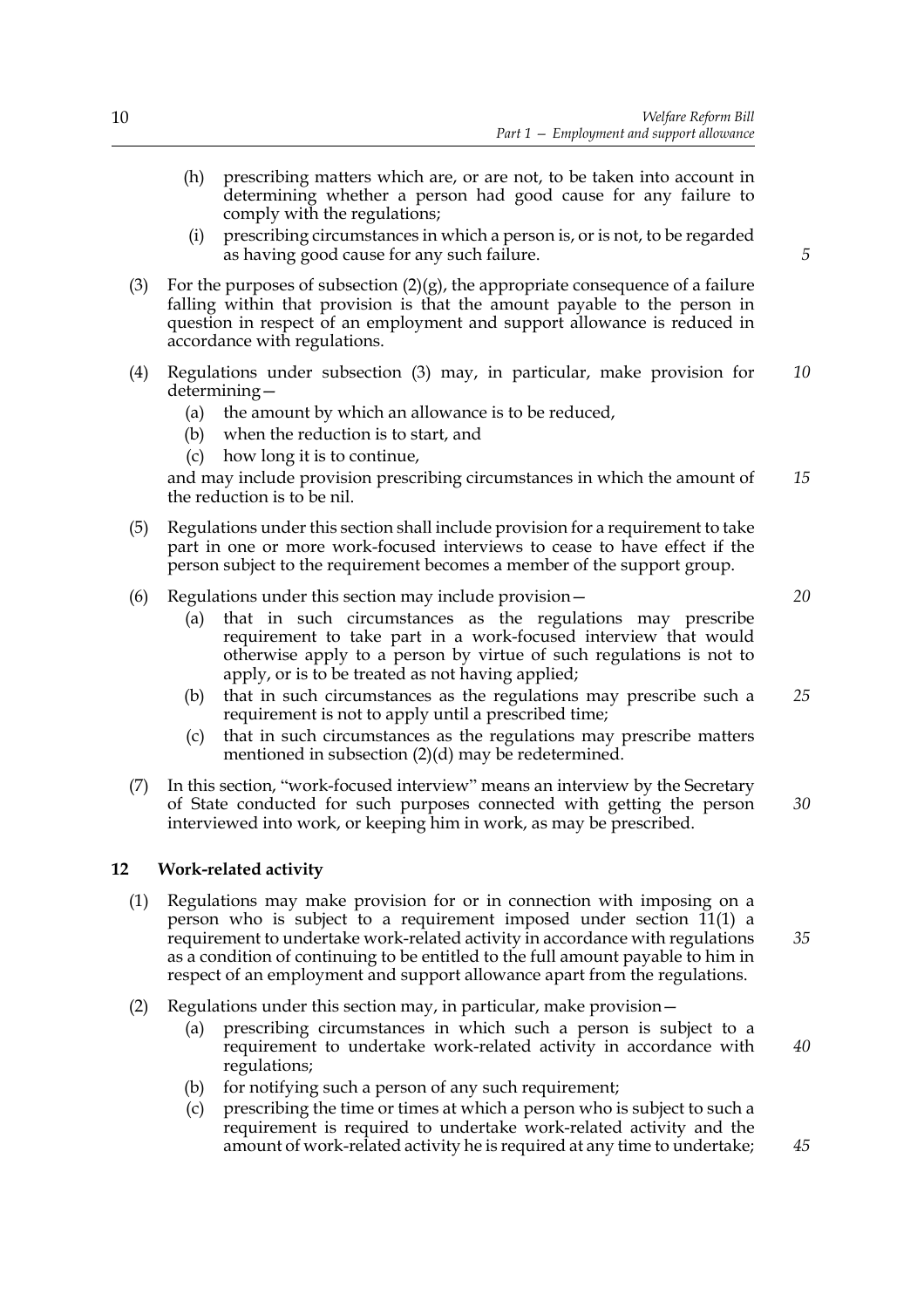- (h) prescribing matters which are, or are not, to be taken into account in determining whether a person had good cause for any failure to comply with the regulations;
- (i) prescribing circumstances in which a person is, or is not, to be regarded as having good cause for any such failure.
- (3) For the purposes of subsection  $(2)(g)$ , the appropriate consequence of a failure falling within that provision is that the amount payable to the person in question in respect of an employment and support allowance is reduced in accordance with regulations.
- (4) Regulations under subsection (3) may, in particular, make provision for determining— *10*
	- (a) the amount by which an allowance is to be reduced,
	- (b) when the reduction is to start, and
	- (c) how long it is to continue,

and may include provision prescribing circumstances in which the amount of the reduction is to be nil. *15*

- (5) Regulations under this section shall include provision for a requirement to take part in one or more work-focused interviews to cease to have effect if the person subject to the requirement becomes a member of the support group.
- (6) Regulations under this section may include provision—
	- (a) that in such circumstances as the regulations may prescribe requirement to take part in a work-focused interview that would otherwise apply to a person by virtue of such regulations is not to apply, or is to be treated as not having applied;
	- (b) that in such circumstances as the regulations may prescribe such a requirement is not to apply until a prescribed time; *25*
	- (c) that in such circumstances as the regulations may prescribe matters mentioned in subsection (2)(d) may be redetermined.
- (7) In this section, "work-focused interview" means an interview by the Secretary of State conducted for such purposes connected with getting the person interviewed into work, or keeping him in work, as may be prescribed. *30*

#### **12 Work-related activity**

- (1) Regulations may make provision for or in connection with imposing on a person who is subject to a requirement imposed under section 11(1) a requirement to undertake work-related activity in accordance with regulations as a condition of continuing to be entitled to the full amount payable to him in respect of an employment and support allowance apart from the regulations.
- (2) Regulations under this section may, in particular, make provision—
	- (a) prescribing circumstances in which such a person is subject to a requirement to undertake work-related activity in accordance with regulations;
	- (b) for notifying such a person of any such requirement;
	- (c) prescribing the time or times at which a person who is subject to such a requirement is required to undertake work-related activity and the amount of work-related activity he is required at any time to undertake;

*5*

*20*

*35*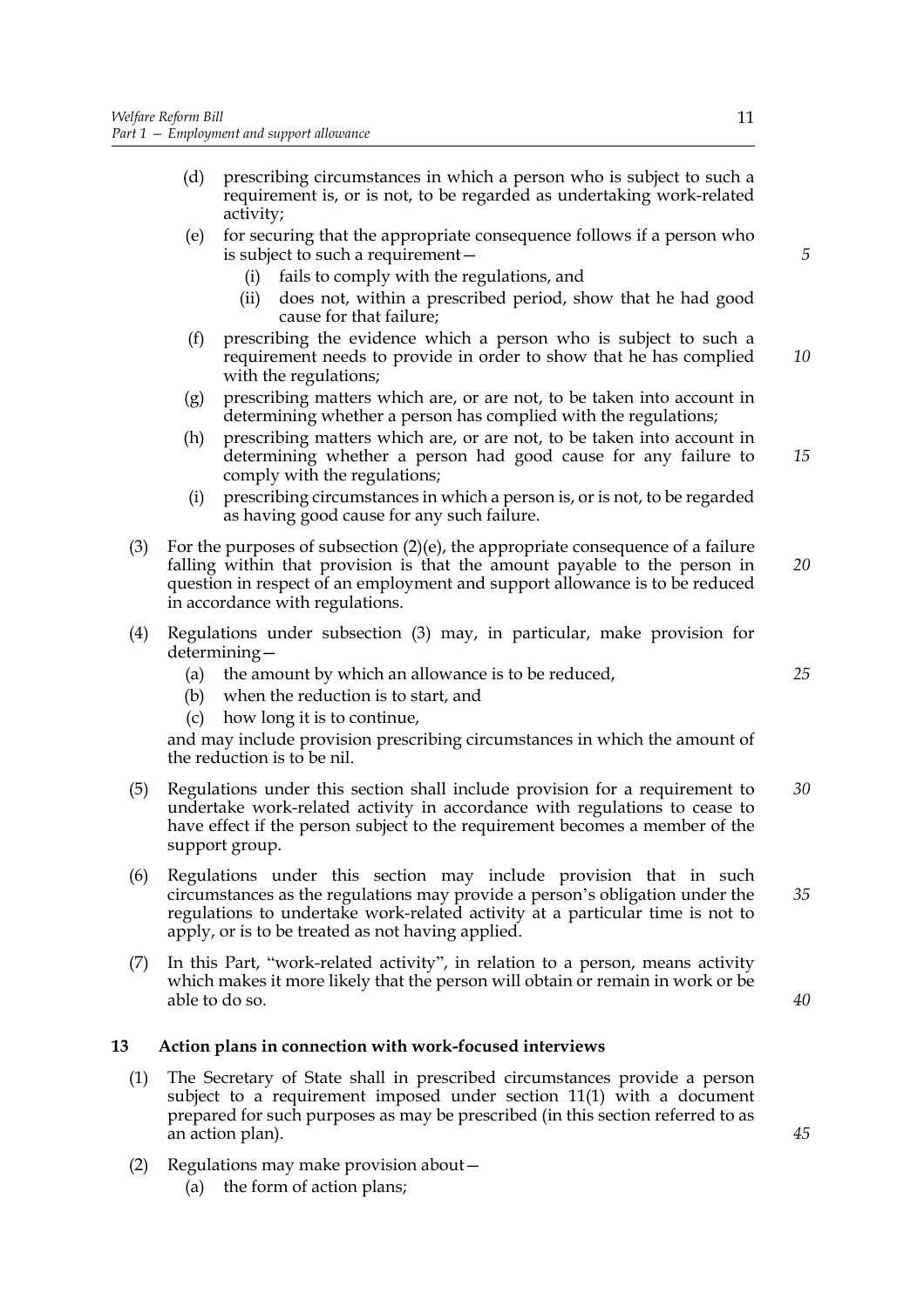- (d) prescribing circumstances in which a person who is subject to such a requirement is, or is not, to be regarded as undertaking work-related activity;
- (e) for securing that the appropriate consequence follows if a person who is subject to such a requirement—
	- (i) fails to comply with the regulations, and
	- (ii) does not, within a prescribed period, show that he had good cause for that failure;
- (f) prescribing the evidence which a person who is subject to such a requirement needs to provide in order to show that he has complied with the regulations; *10*
- (g) prescribing matters which are, or are not, to be taken into account in determining whether a person has complied with the regulations;
- (h) prescribing matters which are, or are not, to be taken into account in determining whether a person had good cause for any failure to comply with the regulations; *15*
- (i) prescribing circumstances in which a person is, or is not, to be regarded as having good cause for any such failure.
- (3) For the purposes of subsection (2)(e), the appropriate consequence of a failure falling within that provision is that the amount payable to the person in question in respect of an employment and support allowance is to be reduced in accordance with regulations. *20*
- (4) Regulations under subsection (3) may, in particular, make provision for determining—
	- (a) the amount by which an allowance is to be reduced,
	- (b) when the reduction is to start, and
	- (c) how long it is to continue,

and may include provision prescribing circumstances in which the amount of the reduction is to be nil.

- (5) Regulations under this section shall include provision for a requirement to undertake work-related activity in accordance with regulations to cease to have effect if the person subject to the requirement becomes a member of the support group. *30*
- (6) Regulations under this section may include provision that in such circumstances as the regulations may provide a person's obligation under the regulations to undertake work-related activity at a particular time is not to apply, or is to be treated as not having applied.
- (7) In this Part, "work-related activity", in relation to a person, means activity which makes it more likely that the person will obtain or remain in work or be able to do so.

# **13 Action plans in connection with work-focused interviews**

- (1) The Secretary of State shall in prescribed circumstances provide a person subject to a requirement imposed under section 11(1) with a document prepared for such purposes as may be prescribed (in this section referred to as an action plan).
- (2) Regulations may make provision about—
	- (a) the form of action plans;

*5*

*25*

*40*

*35*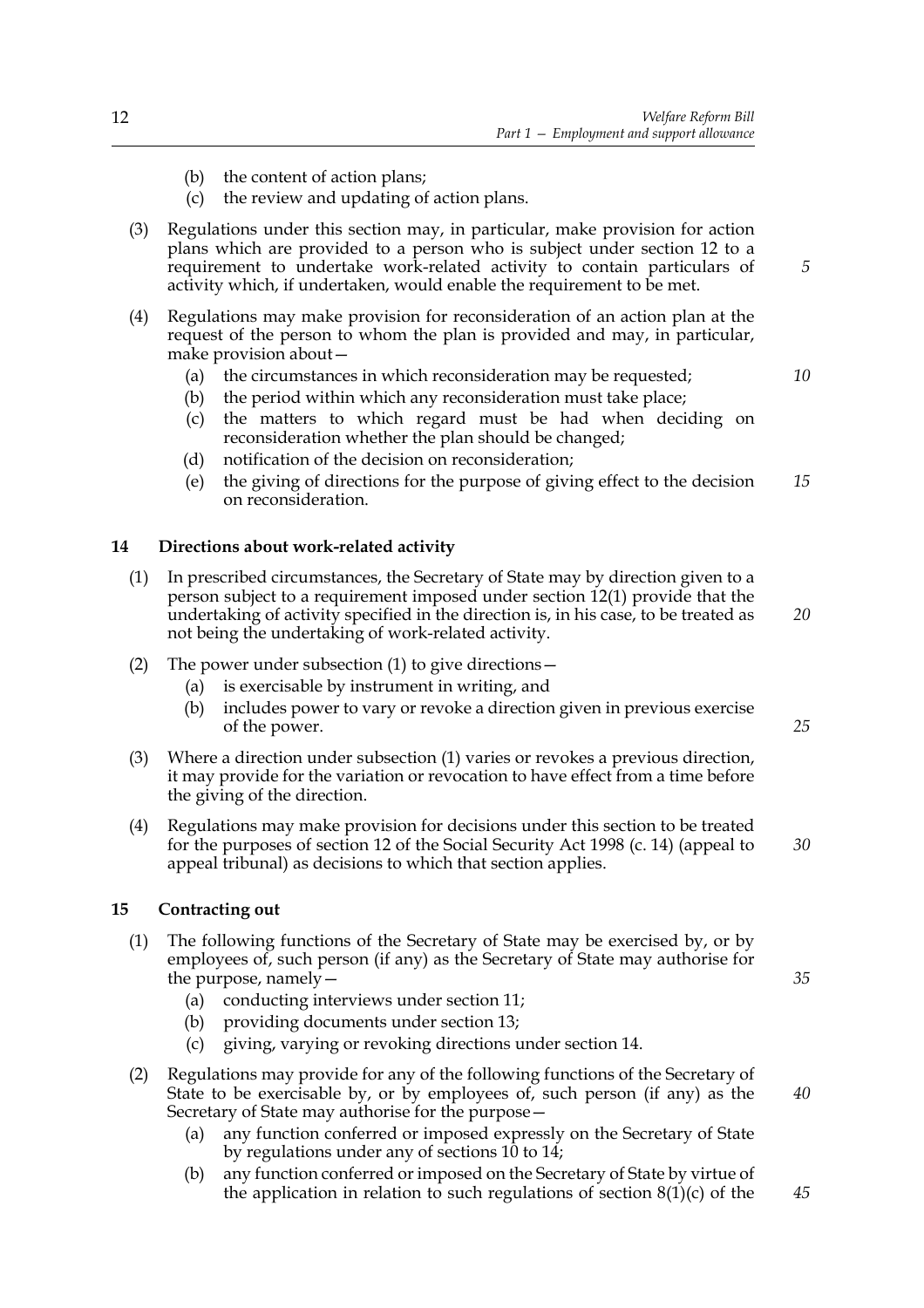- (b) the content of action plans;
- (c) the review and updating of action plans.
- (3) Regulations under this section may, in particular, make provision for action plans which are provided to a person who is subject under section 12 to a requirement to undertake work-related activity to contain particulars of activity which, if undertaken, would enable the requirement to be met.
- (4) Regulations may make provision for reconsideration of an action plan at the request of the person to whom the plan is provided and may, in particular, make provision about—
	- (a) the circumstances in which reconsideration may be requested;
	- (b) the period within which any reconsideration must take place;
	- (c) the matters to which regard must be had when deciding on reconsideration whether the plan should be changed;
	- (d) notification of the decision on reconsideration;
	- (e) the giving of directions for the purpose of giving effect to the decision on reconsideration. *15*

#### **14 Directions about work-related activity**

- (1) In prescribed circumstances, the Secretary of State may by direction given to a person subject to a requirement imposed under section 12(1) provide that the undertaking of activity specified in the direction is, in his case, to be treated as not being the undertaking of work-related activity.
- (2) The power under subsection (1) to give directions—
	- (a) is exercisable by instrument in writing, and
	- (b) includes power to vary or revoke a direction given in previous exercise of the power.
- (3) Where a direction under subsection (1) varies or revokes a previous direction, it may provide for the variation or revocation to have effect from a time before the giving of the direction.
- (4) Regulations may make provision for decisions under this section to be treated for the purposes of section 12 of the Social Security Act 1998 (c. 14) (appeal to appeal tribunal) as decisions to which that section applies. *30*

#### **15 Contracting out**

- (1) The following functions of the Secretary of State may be exercised by, or by employees of, such person (if any) as the Secretary of State may authorise for the purpose, namely—
	- (a) conducting interviews under section 11;
	- (b) providing documents under section 13;
	- (c) giving, varying or revoking directions under section 14.
- (2) Regulations may provide for any of the following functions of the Secretary of State to be exercisable by, or by employees of, such person (if any) as the Secretary of State may authorise for the purpose— *40*
	- (a) any function conferred or imposed expressly on the Secretary of State by regulations under any of sections  $1\overline{0}$  to  $14$ ;
	- (b) any function conferred or imposed on the Secretary of State by virtue of the application in relation to such regulations of section  $8(1)(c)$  of the *45*

*10*

*5*

*20*

*25*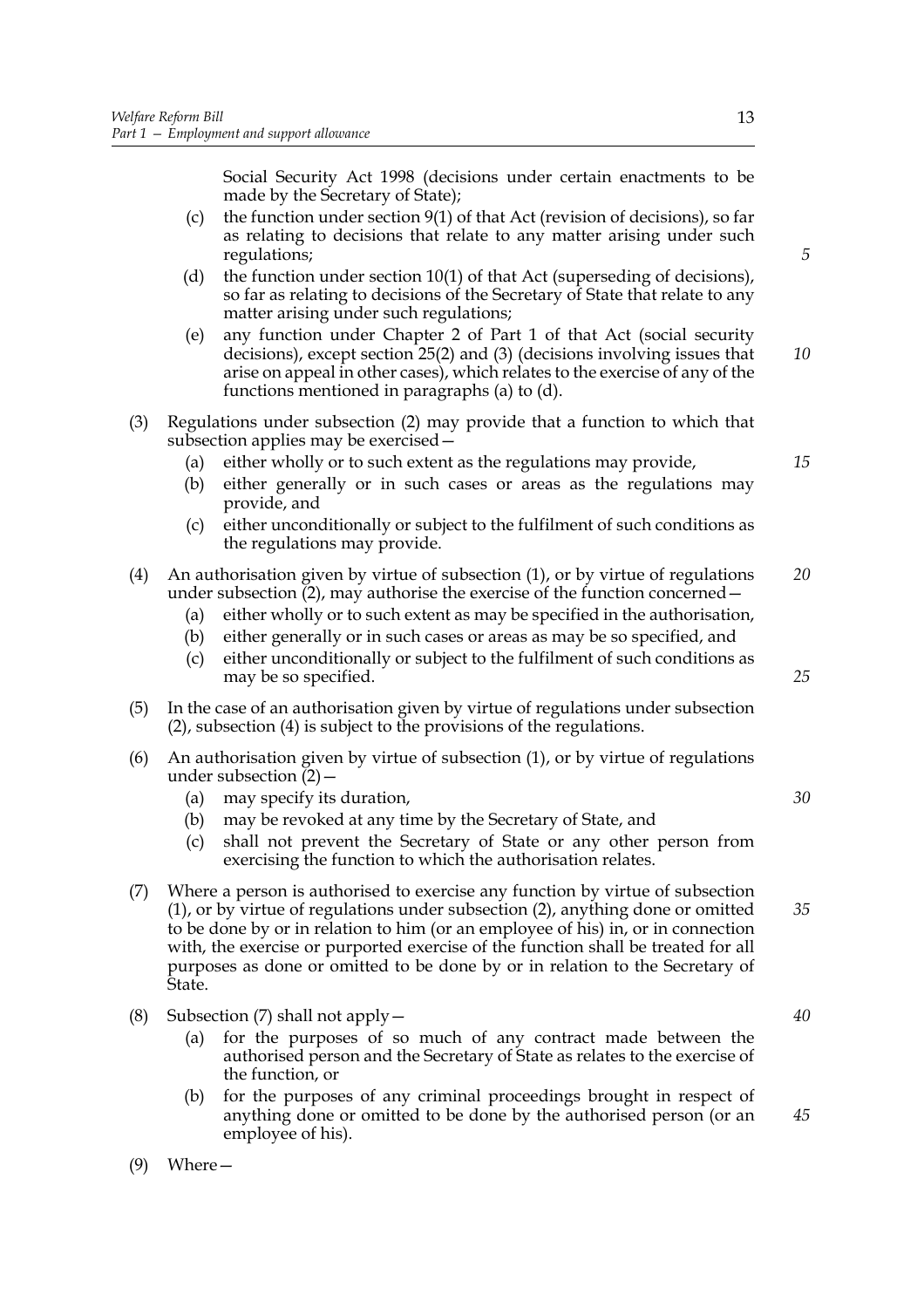Social Security Act 1998 (decisions under certain enactments to be made by the Secretary of State);

- (c) the function under section  $9(1)$  of that Act (revision of decisions), so far as relating to decisions that relate to any matter arising under such regulations;
- (d) the function under section 10(1) of that Act (superseding of decisions), so far as relating to decisions of the Secretary of State that relate to any matter arising under such regulations;
- (e) any function under Chapter 2 of Part 1 of that Act (social security decisions), except section 25(2) and (3) (decisions involving issues that arise on appeal in other cases), which relates to the exercise of any of the functions mentioned in paragraphs (a) to (d). *10*
- (3) Regulations under subsection (2) may provide that a function to which that subsection applies may be exercised—
	- (a) either wholly or to such extent as the regulations may provide,
	- (b) either generally or in such cases or areas as the regulations may provide, and
	- (c) either unconditionally or subject to the fulfilment of such conditions as the regulations may provide.
- (4) An authorisation given by virtue of subsection (1), or by virtue of regulations under subsection  $(2)$ , may authorise the exercise of the function concerned – *20*
	- (a) either wholly or to such extent as may be specified in the authorisation,
	- (b) either generally or in such cases or areas as may be so specified, and
	- (c) either unconditionally or subject to the fulfilment of such conditions as may be so specified.
- (5) In the case of an authorisation given by virtue of regulations under subsection (2), subsection (4) is subject to the provisions of the regulations.
- (6) An authorisation given by virtue of subsection (1), or by virtue of regulations under subsection  $(2)$  –
	- (a) may specify its duration,
	- (b) may be revoked at any time by the Secretary of State, and
	- (c) shall not prevent the Secretary of State or any other person from exercising the function to which the authorisation relates.
- (7) Where a person is authorised to exercise any function by virtue of subsection (1), or by virtue of regulations under subsection (2), anything done or omitted to be done by or in relation to him (or an employee of his) in, or in connection with, the exercise or purported exercise of the function shall be treated for all purposes as done or omitted to be done by or in relation to the Secretary of State. *35*
- (8) Subsection (7) shall not apply  $-$ 
	- (a) for the purposes of so much of any contract made between the authorised person and the Secretary of State as relates to the exercise of the function, or
	- (b) for the purposes of any criminal proceedings brought in respect of anything done or omitted to be done by the authorised person (or an employee of his).
- (9) Where—

*5*

*15*

*25*

*30*

*45*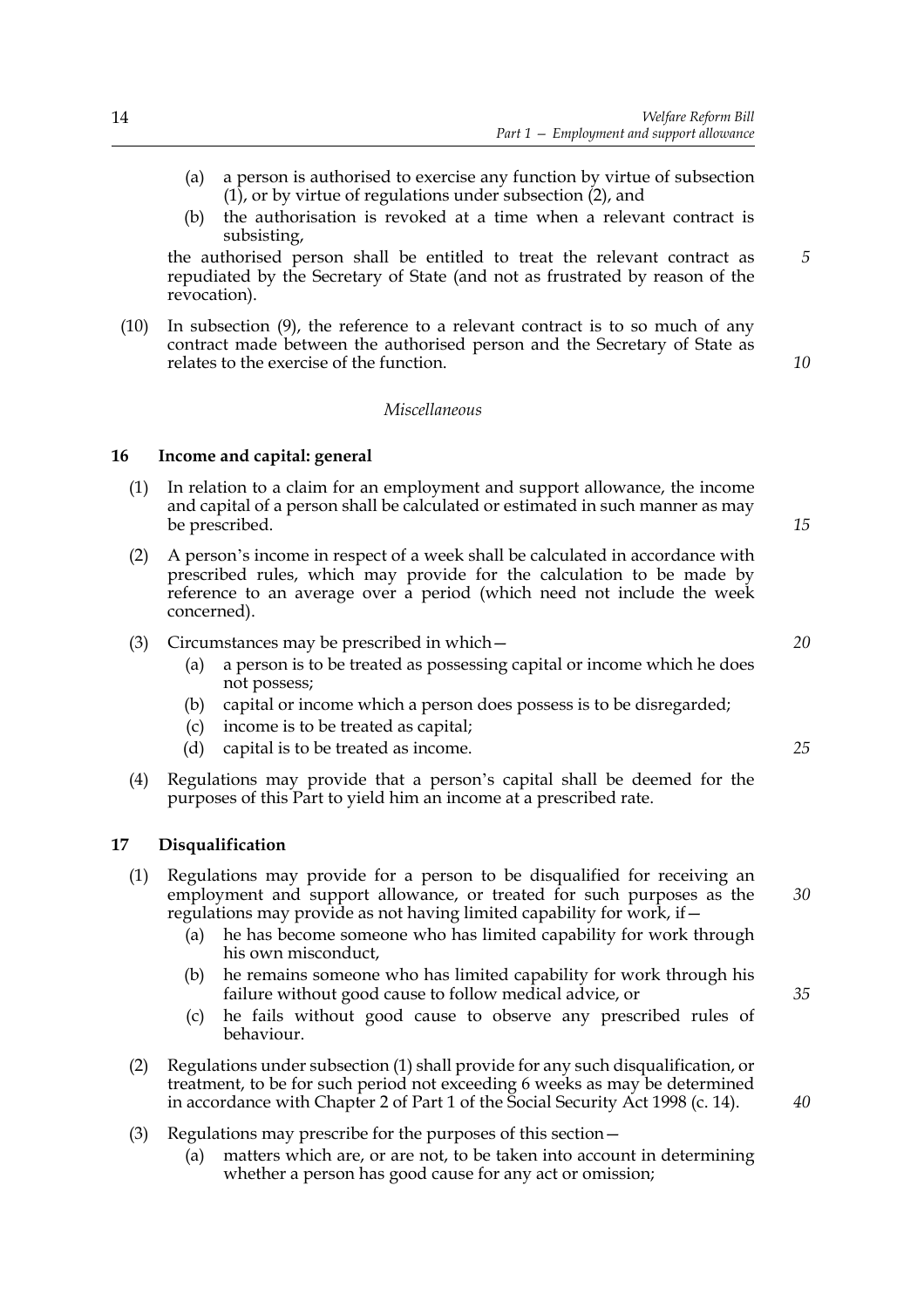- (a) a person is authorised to exercise any function by virtue of subsection (1), or by virtue of regulations under subsection (2), and
- (b) the authorisation is revoked at a time when a relevant contract is subsisting,

the authorised person shall be entitled to treat the relevant contract as repudiated by the Secretary of State (and not as frustrated by reason of the revocation).

(10) In subsection (9), the reference to a relevant contract is to so much of any contract made between the authorised person and the Secretary of State as relates to the exercise of the function.

#### *10*

*5*

#### *Miscellaneous*

#### **16 Income and capital: general**

- (1) In relation to a claim for an employment and support allowance, the income and capital of a person shall be calculated or estimated in such manner as may be prescribed.
- (2) A person's income in respect of a week shall be calculated in accordance with prescribed rules, which may provide for the calculation to be made by reference to an average over a period (which need not include the week concerned).

#### (3) Circumstances may be prescribed in which—

- (a) a person is to be treated as possessing capital or income which he does not possess;
- (b) capital or income which a person does possess is to be disregarded;
- (c) income is to be treated as capital;
- (d) capital is to be treated as income.
- (4) Regulations may provide that a person's capital shall be deemed for the purposes of this Part to yield him an income at a prescribed rate.

# **17 Disqualification**

- (1) Regulations may provide for a person to be disqualified for receiving an employment and support allowance, or treated for such purposes as the regulations may provide as not having limited capability for work, if—
	- (a) he has become someone who has limited capability for work through his own misconduct,
	- (b) he remains someone who has limited capability for work through his failure without good cause to follow medical advice, or
	- (c) he fails without good cause to observe any prescribed rules of behaviour.
- (2) Regulations under subsection (1) shall provide for any such disqualification, or treatment, to be for such period not exceeding 6 weeks as may be determined in accordance with Chapter 2 of Part 1 of the Social Security Act 1998 (c. 14).
- (3) Regulations may prescribe for the purposes of this section—
	- (a) matters which are, or are not, to be taken into account in determining whether a person has good cause for any act or omission;

*20*

*15*

*25*

*35*

*40*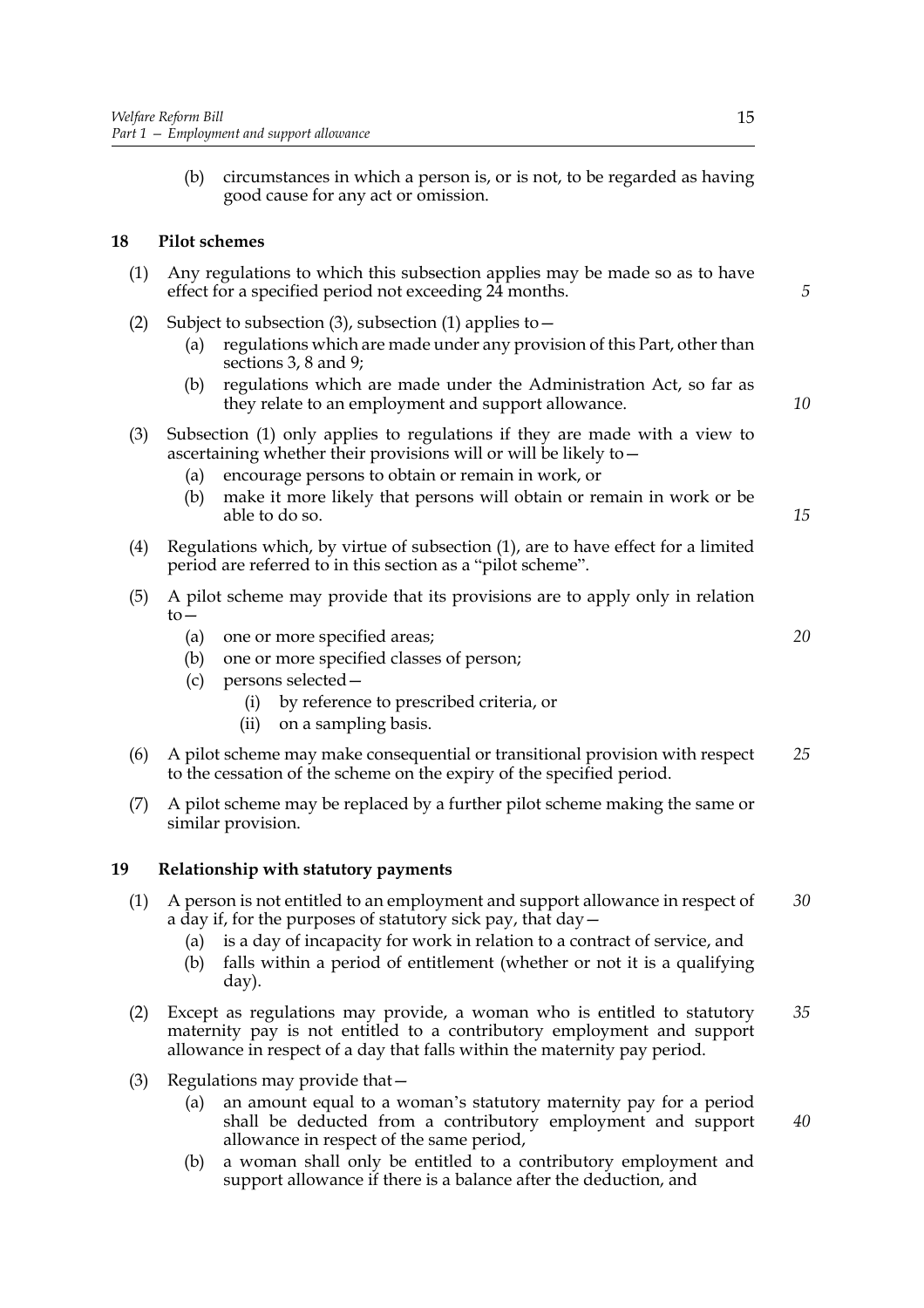(b) circumstances in which a person is, or is not, to be regarded as having good cause for any act or omission.

# **18 Pilot schemes**

- (1) Any regulations to which this subsection applies may be made so as to have effect for a specified period not exceeding 24 months.
- (2) Subject to subsection (3), subsection (1) applies to  $-$ 
	- (a) regulations which are made under any provision of this Part, other than sections 3, 8 and 9;
	- (b) regulations which are made under the Administration Act, so far as they relate to an employment and support allowance.
- (3) Subsection (1) only applies to regulations if they are made with a view to ascertaining whether their provisions will or will be likely to—
	- (a) encourage persons to obtain or remain in work, or
	- (b) make it more likely that persons will obtain or remain in work or be able to do so.
- (4) Regulations which, by virtue of subsection (1), are to have effect for a limited period are referred to in this section as a "pilot scheme".
- (5) A pilot scheme may provide that its provisions are to apply only in relation to—
	- (a) one or more specified areas;
	- (b) one or more specified classes of person;
	- (c) persons selected—
		- (i) by reference to prescribed criteria, or
			- (ii) on a sampling basis.
- (6) A pilot scheme may make consequential or transitional provision with respect to the cessation of the scheme on the expiry of the specified period. *25*
- (7) A pilot scheme may be replaced by a further pilot scheme making the same or similar provision.

# **19 Relationship with statutory payments**

- (1) A person is not entitled to an employment and support allowance in respect of a day if, for the purposes of statutory sick pay, that day— *30*
	- (a) is a day of incapacity for work in relation to a contract of service, and
	- (b) falls within a period of entitlement (whether or not it is a qualifying day).
- (2) Except as regulations may provide, a woman who is entitled to statutory maternity pay is not entitled to a contributory employment and support allowance in respect of a day that falls within the maternity pay period. *35*
- (3) Regulations may provide that—
	- (a) an amount equal to a woman's statutory maternity pay for a period shall be deducted from a contributory employment and support allowance in respect of the same period,
	- (b) a woman shall only be entitled to a contributory employment and support allowance if there is a balance after the deduction, and

*5*

*10*

*15*

*20*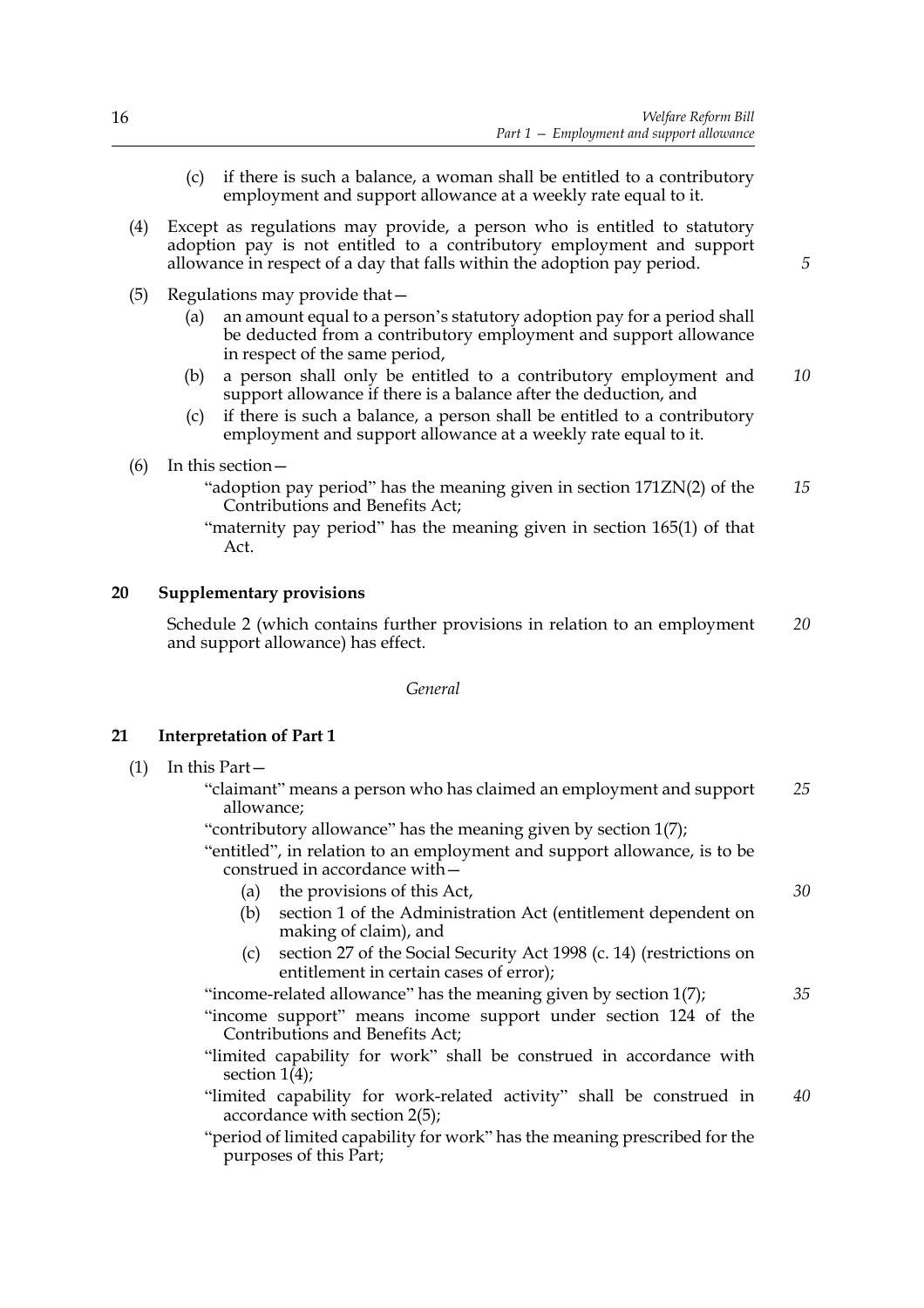- (c) if there is such a balance, a woman shall be entitled to a contributory employment and support allowance at a weekly rate equal to it.
- (4) Except as regulations may provide, a person who is entitled to statutory adoption pay is not entitled to a contributory employment and support allowance in respect of a day that falls within the adoption pay period.
- (5) Regulations may provide that—
	- (a) an amount equal to a person's statutory adoption pay for a period shall be deducted from a contributory employment and support allowance in respect of the same period,
	- (b) a person shall only be entitled to a contributory employment and support allowance if there is a balance after the deduction, and *10*
	- (c) if there is such a balance, a person shall be entitled to a contributory employment and support allowance at a weekly rate equal to it.
- (6) In this section—
	- "adoption pay period" has the meaning given in section 171ZN(2) of the Contributions and Benefits Act; *15*
	- "maternity pay period" has the meaning given in section 165(1) of that Act.

#### **20 Supplementary provisions**

Schedule 2 (which contains further provisions in relation to an employment and support allowance) has effect. *20*

#### *General*

#### **21 Interpretation of Part 1**

"claimant" means a person who has claimed an employment and support allowance; *25*

"contributory allowance" has the meaning given by section 1(7);

- "entitled", in relation to an employment and support allowance, is to be construed in accordance with—
	- (a) the provisions of this Act,
	- (b) section 1 of the Administration Act (entitlement dependent on making of claim), and
	- (c) section 27 of the Social Security Act 1998 (c. 14) (restrictions on entitlement in certain cases of error);

"income-related allowance" has the meaning given by section 1(7);

- "income support" means income support under section 124 of the Contributions and Benefits Act;
- "limited capability for work" shall be construed in accordance with section  $1(\overline{4})$ ;
- "limited capability for work-related activity" shall be construed in accordance with section 2(5);
- "period of limited capability for work" has the meaning prescribed for the purposes of this Part;

*5*

*35*

*40*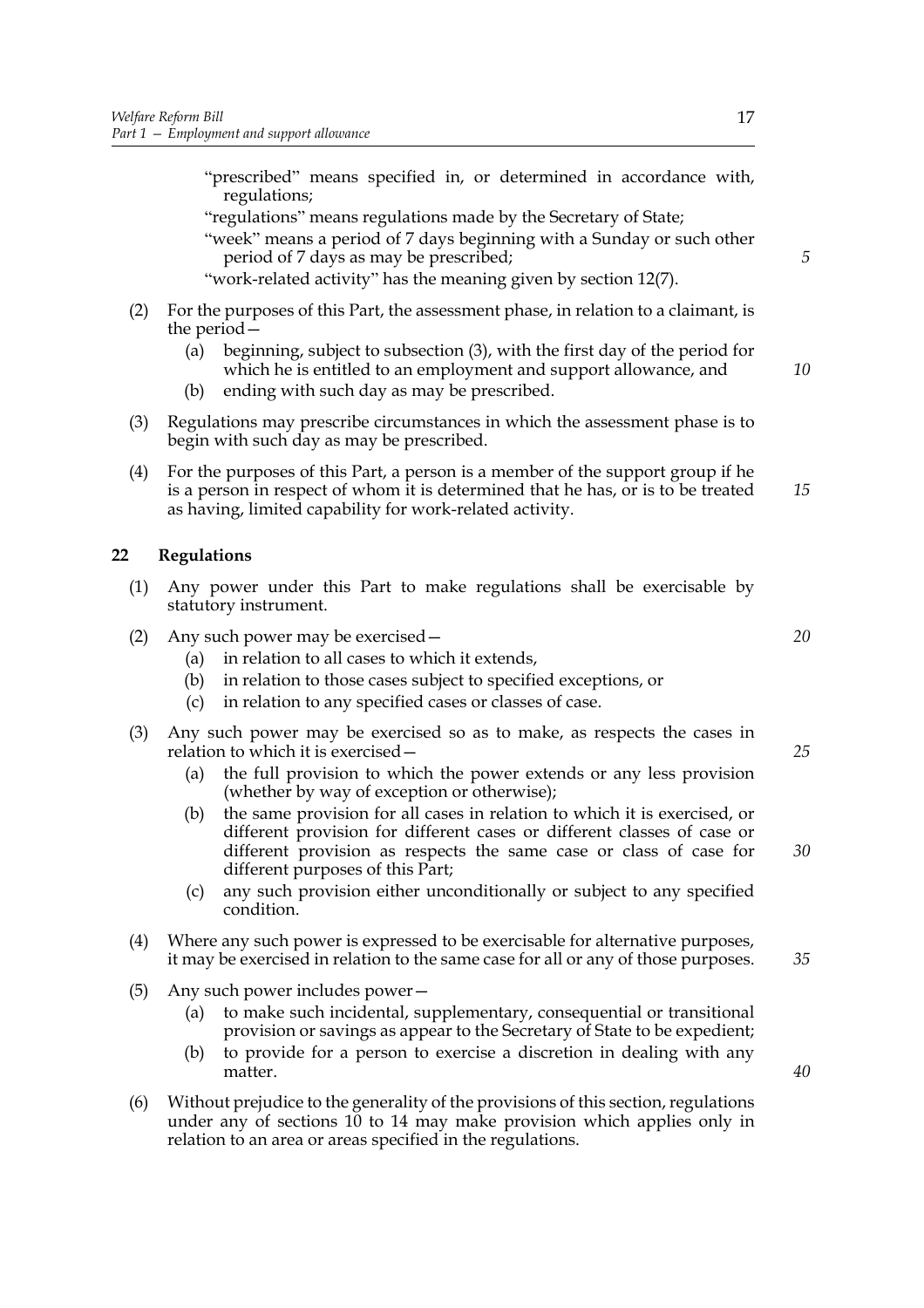"prescribed" means specified in, or determined in accordance with, regulations;

"regulations" means regulations made by the Secretary of State;

"week" means a period of 7 days beginning with a Sunday or such other period of 7 days as may be prescribed;

"work-related activity" has the meaning given by section 12(7).

- (2) For the purposes of this Part, the assessment phase, in relation to a claimant, is the period—
	- (a) beginning, subject to subsection (3), with the first day of the period for which he is entitled to an employment and support allowance, and
	- (b) ending with such day as may be prescribed.
- (3) Regulations may prescribe circumstances in which the assessment phase is to begin with such day as may be prescribed.
- (4) For the purposes of this Part, a person is a member of the support group if he is a person in respect of whom it is determined that he has, or is to be treated as having, limited capability for work-related activity. *15*

# **22 Regulations**

- (1) Any power under this Part to make regulations shall be exercisable by statutory instrument.
- (2) Any such power may be exercised—
	- (a) in relation to all cases to which it extends,
	- (b) in relation to those cases subject to specified exceptions, or
	- (c) in relation to any specified cases or classes of case.
- (3) Any such power may be exercised so as to make, as respects the cases in relation to which it is exercised—
	- (a) the full provision to which the power extends or any less provision (whether by way of exception or otherwise);
	- (b) the same provision for all cases in relation to which it is exercised, or different provision for different cases or different classes of case or different provision as respects the same case or class of case for different purposes of this Part;
	- (c) any such provision either unconditionally or subject to any specified condition.
- (4) Where any such power is expressed to be exercisable for alternative purposes, it may be exercised in relation to the same case for all or any of those purposes.
- (5) Any such power includes power—
	- (a) to make such incidental, supplementary, consequential or transitional provision or savings as appear to the Secretary of State to be expedient;
	- (b) to provide for a person to exercise a discretion in dealing with any matter.
- (6) Without prejudice to the generality of the provisions of this section, regulations under any of sections 10 to 14 may make provision which applies only in relation to an area or areas specified in the regulations.

*5*

*10*

*30*

*35*

*20*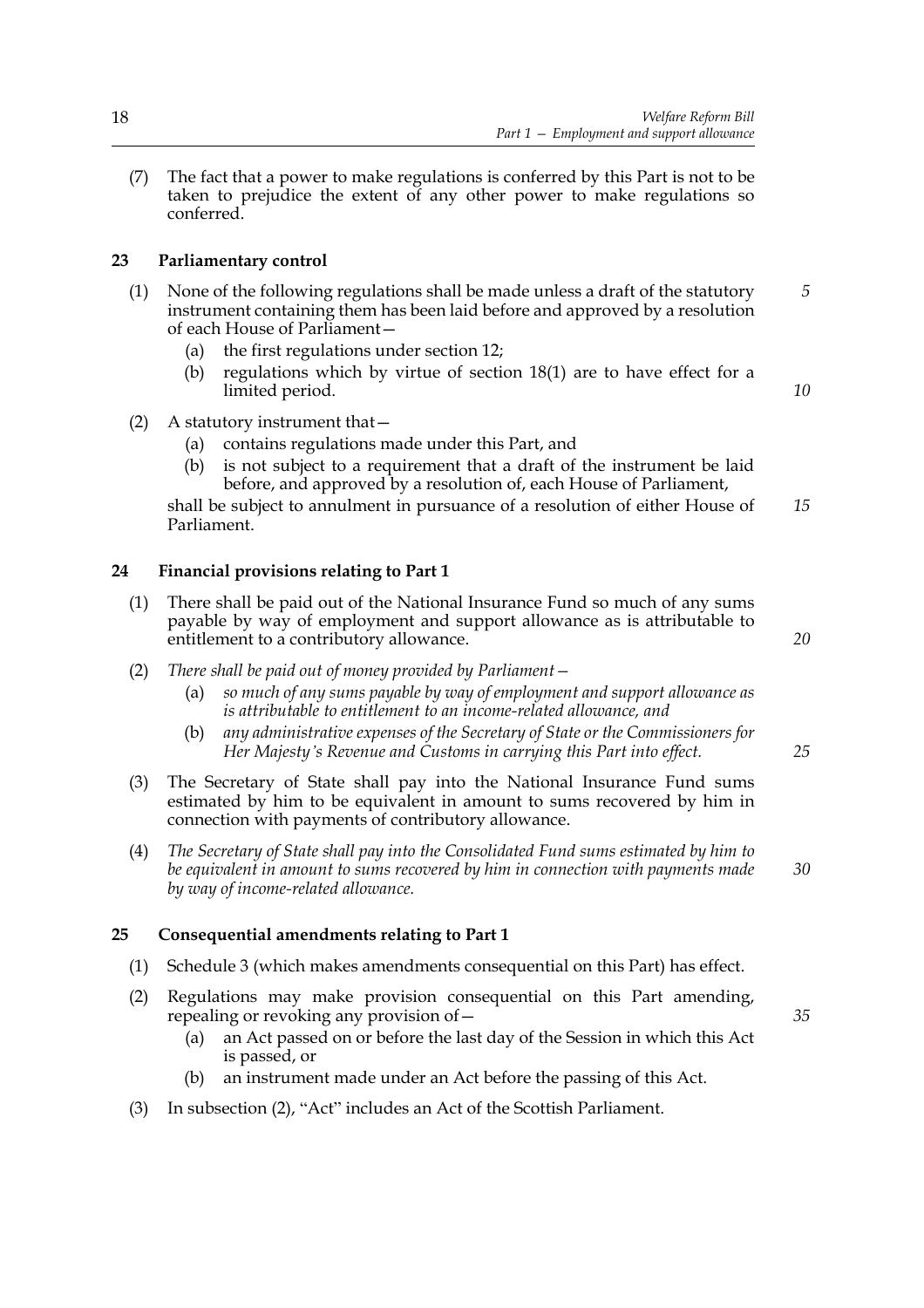(7) The fact that a power to make regulations is conferred by this Part is not to be taken to prejudice the extent of any other power to make regulations so conferred.

# **23 Parliamentary control**

- (1) None of the following regulations shall be made unless a draft of the statutory instrument containing them has been laid before and approved by a resolution of each House of Parliament— *5*
	- (a) the first regulations under section 12;
	- (b) regulations which by virtue of section 18(1) are to have effect for a limited period.

*10*

*20*

*25*

*30*

# (2) A statutory instrument that—

- (a) contains regulations made under this Part, and
- (b) is not subject to a requirement that a draft of the instrument be laid before, and approved by a resolution of, each House of Parliament,

shall be subject to annulment in pursuance of a resolution of either House of Parliament. *15*

### **24 Financial provisions relating to Part 1**

- (1) There shall be paid out of the National Insurance Fund so much of any sums payable by way of employment and support allowance as is attributable to entitlement to a contributory allowance.
- (2) *There shall be paid out of money provided by Parliament—*
	- (a) *so much of any sums payable by way of employment and support allowance as is attributable to entitlement to an income-related allowance, and*
	- (b) *any administrative expenses of the Secretary of State or the Commissioners for Her Majesty's Revenue and Customs in carrying this Part into effect.*
- (3) The Secretary of State shall pay into the National Insurance Fund sums estimated by him to be equivalent in amount to sums recovered by him in connection with payments of contributory allowance.
- (4) *The Secretary of State shall pay into the Consolidated Fund sums estimated by him to be equivalent in amount to sums recovered by him in connection with payments made by way of income-related allowance.*

#### **25 Consequential amendments relating to Part 1**

- (1) Schedule 3 (which makes amendments consequential on this Part) has effect.
- (2) Regulations may make provision consequential on this Part amending, repealing or revoking any provision of—
	- (a) an Act passed on or before the last day of the Session in which this Act is passed, or
	- (b) an instrument made under an Act before the passing of this Act.
- (3) In subsection (2), "Act" includes an Act of the Scottish Parliament.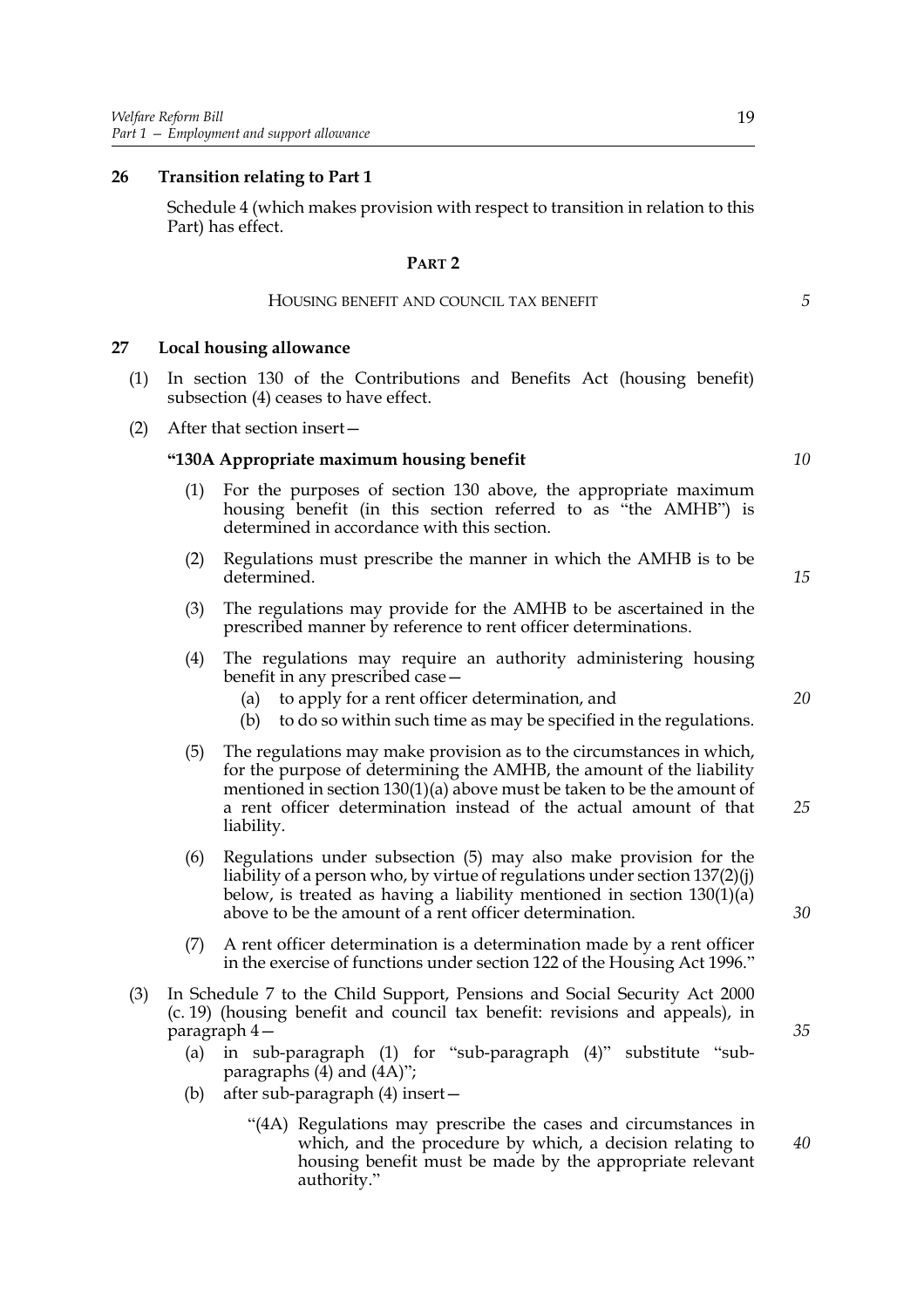# **26 Transition relating to Part 1**

Schedule 4 (which makes provision with respect to transition in relation to this Part) has effect.

#### **PART 2**

#### HOUSING BENEFIT AND COUNCIL TAX BENEFIT

## **27 Local housing allowance**

- (1) In section 130 of the Contributions and Benefits Act (housing benefit) subsection (4) ceases to have effect.
- (2) After that section insert—

# **"130A Appropriate maximum housing benefit**

- (1) For the purposes of section 130 above, the appropriate maximum housing benefit (in this section referred to as "the AMHB") is determined in accordance with this section.
- (2) Regulations must prescribe the manner in which the AMHB is to be determined.
- (3) The regulations may provide for the AMHB to be ascertained in the prescribed manner by reference to rent officer determinations.
- (4) The regulations may require an authority administering housing benefit in any prescribed case—
	- (a) to apply for a rent officer determination, and
	- (b) to do so within such time as may be specified in the regulations.
- (5) The regulations may make provision as to the circumstances in which, for the purpose of determining the AMHB, the amount of the liability mentioned in section 130(1)(a) above must be taken to be the amount of a rent officer determination instead of the actual amount of that liability.
- (6) Regulations under subsection (5) may also make provision for the liability of a person who, by virtue of regulations under section 137(2)(j) below, is treated as having a liability mentioned in section  $130(1)(a)$ above to be the amount of a rent officer determination.
- (7) A rent officer determination is a determination made by a rent officer in the exercise of functions under section 122 of the Housing Act 1996."
- (3) In Schedule 7 to the Child Support, Pensions and Social Security Act 2000 (c. 19) (housing benefit and council tax benefit: revisions and appeals), in paragraph 4—
	- (a) in sub-paragraph (1) for "sub-paragraph (4)" substitute "subparagraphs (4) and (4A)";
	- (b) after sub-paragraph (4) insert—
		- "(4A) Regulations may prescribe the cases and circumstances in which, and the procedure by which, a decision relating to housing benefit must be made by the appropriate relevant authority."

*30*

*35*

*40*

*10*

*15*

*20*

*25*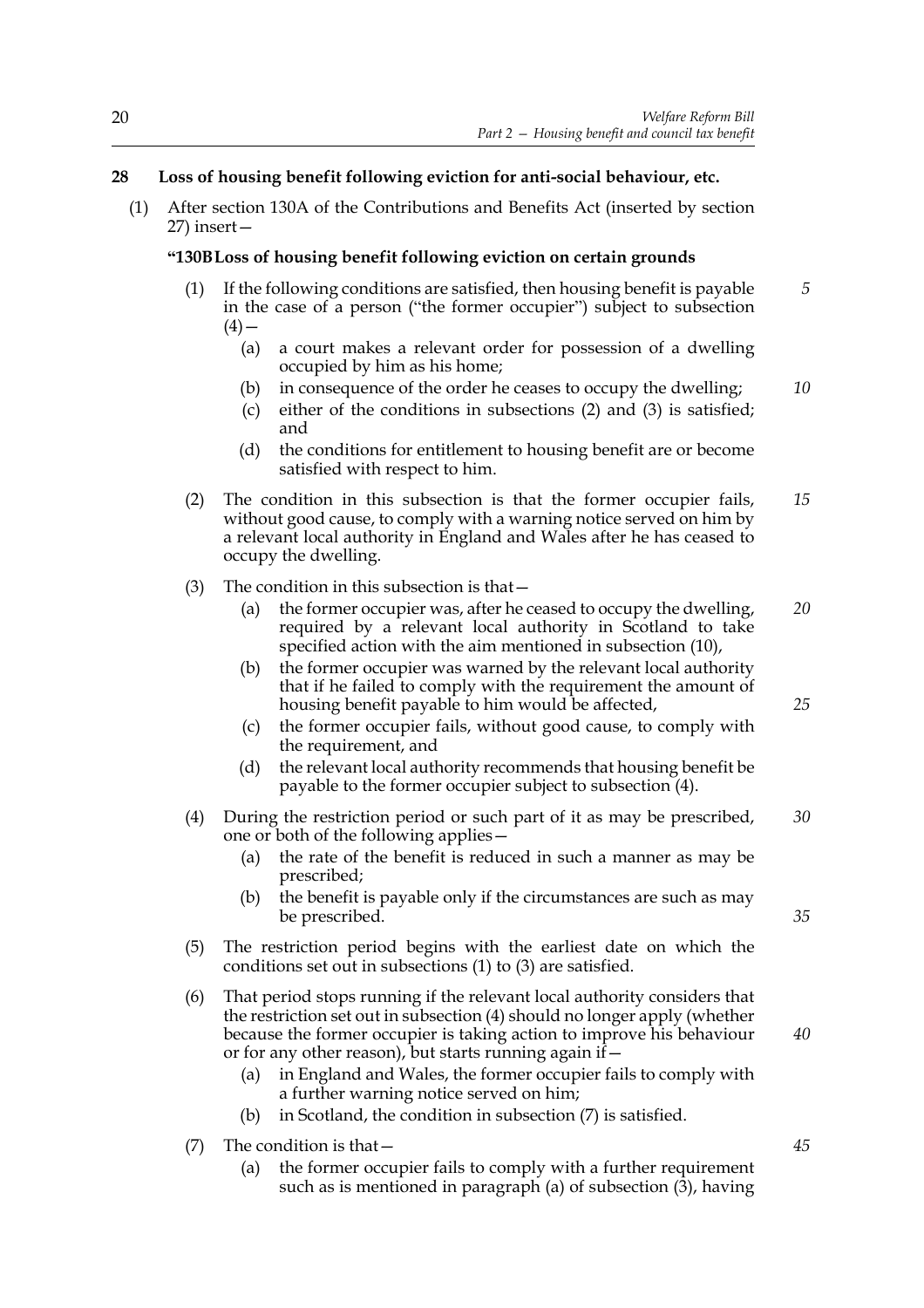# **28 Loss of housing benefit following eviction for anti-social behaviour, etc.**

(1) After section 130A of the Contributions and Benefits Act (inserted by section 27) insert—

#### **"130BLoss of housing benefit following eviction on certain grounds**

- (1) If the following conditions are satisfied, then housing benefit is payable in the case of a person ("the former occupier") subject to subsection  $(4)$  — *5*
	- (a) a court makes a relevant order for possession of a dwelling occupied by him as his home;
	- (b) in consequence of the order he ceases to occupy the dwelling; *10*
	- (c) either of the conditions in subsections (2) and (3) is satisfied; and
	- (d) the conditions for entitlement to housing benefit are or become satisfied with respect to him.
- (2) The condition in this subsection is that the former occupier fails, without good cause, to comply with a warning notice served on him by a relevant local authority in England and Wales after he has ceased to occupy the dwelling. *15*
- (3) The condition in this subsection is that—
	- (a) the former occupier was, after he ceased to occupy the dwelling, required by a relevant local authority in Scotland to take specified action with the aim mentioned in subsection (10), *20*
	- (b) the former occupier was warned by the relevant local authority that if he failed to comply with the requirement the amount of housing benefit payable to him would be affected,
	- (c) the former occupier fails, without good cause, to comply with the requirement, and
	- (d) the relevant local authority recommends that housing benefit be payable to the former occupier subject to subsection (4).
- (4) During the restriction period or such part of it as may be prescribed, one or both of the following applies— *30*
	- (a) the rate of the benefit is reduced in such a manner as may be prescribed;
	- (b) the benefit is payable only if the circumstances are such as may be prescribed.
- (5) The restriction period begins with the earliest date on which the conditions set out in subsections (1) to (3) are satisfied.
- (6) That period stops running if the relevant local authority considers that the restriction set out in subsection (4) should no longer apply (whether because the former occupier is taking action to improve his behaviour or for any other reason), but starts running again if—
	- (a) in England and Wales, the former occupier fails to comply with a further warning notice served on him;
	- (b) in Scotland, the condition in subsection (7) is satisfied.
- (7) The condition is that—
	- (a) the former occupier fails to comply with a further requirement such as is mentioned in paragraph (a) of subsection  $(\overline{3})$ , having

*25*

*35*

*40*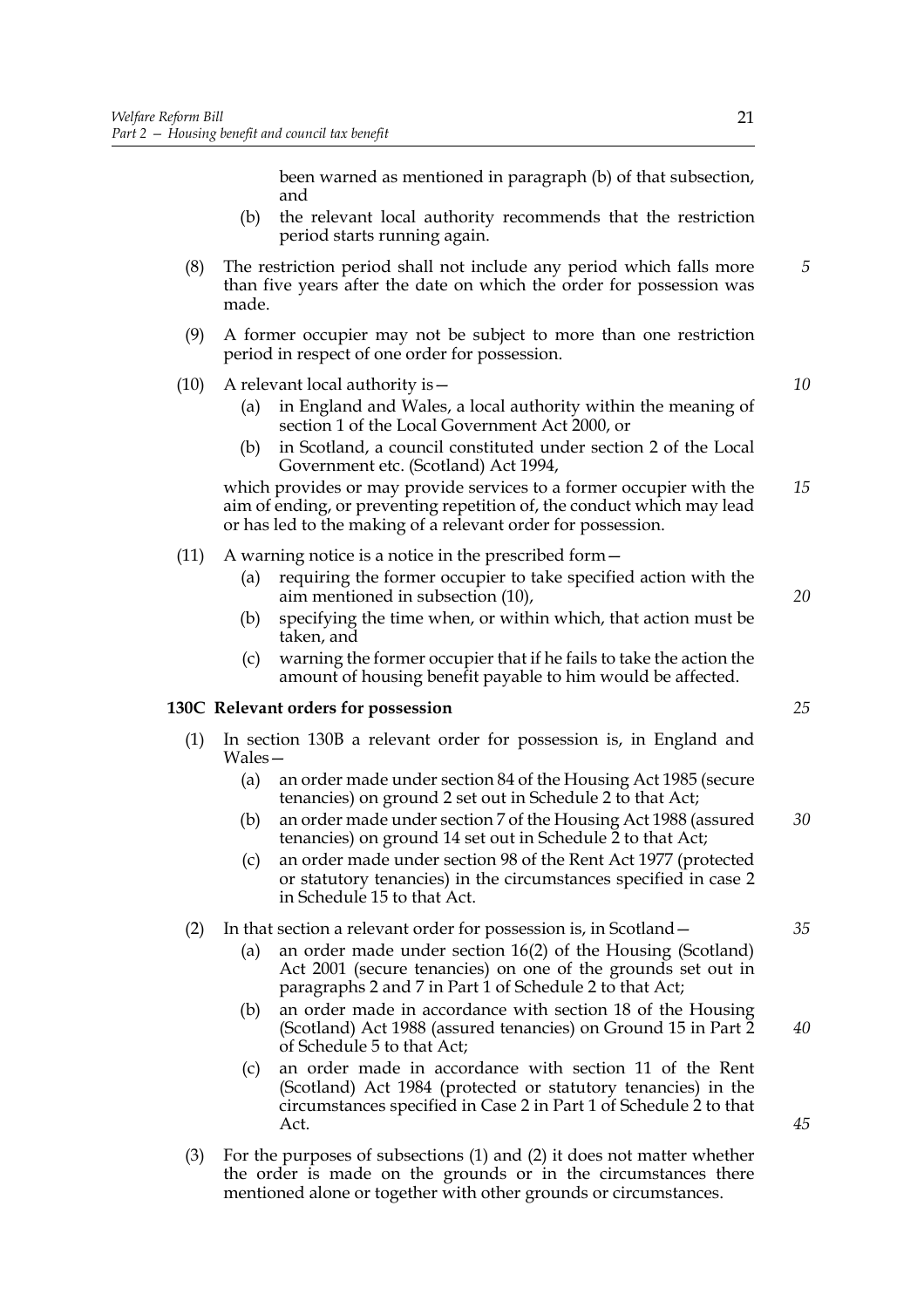been warned as mentioned in paragraph (b) of that subsection, and

- (b) the relevant local authority recommends that the restriction period starts running again.
- (8) The restriction period shall not include any period which falls more than five years after the date on which the order for possession was made.
- (9) A former occupier may not be subject to more than one restriction period in respect of one order for possession.
- (10) A relevant local authority is—
	- (a) in England and Wales, a local authority within the meaning of section 1 of the Local Government Act 2000, or
	- (b) in Scotland, a council constituted under section 2 of the Local Government etc. (Scotland) Act 1994,

which provides or may provide services to a former occupier with the aim of ending, or preventing repetition of, the conduct which may lead or has led to the making of a relevant order for possession. *15*

- (11) A warning notice is a notice in the prescribed form—
	- (a) requiring the former occupier to take specified action with the aim mentioned in subsection (10),
	- (b) specifying the time when, or within which, that action must be taken, and
	- (c) warning the former occupier that if he fails to take the action the amount of housing benefit payable to him would be affected.

# **130C Relevant orders for possession**

- (1) In section 130B a relevant order for possession is, in England and Wales—
	- (a) an order made under section 84 of the Housing Act 1985 (secure tenancies) on ground 2 set out in Schedule 2 to that Act;
	- (b) an order made under section 7 of the Housing Act 1988 (assured tenancies) on ground 14 set out in Schedule 2 to that Act;
	- (c) an order made under section 98 of the Rent Act 1977 (protected or statutory tenancies) in the circumstances specified in case 2 in Schedule 15 to that Act.
- (2) In that section a relevant order for possession is, in Scotland—
	- (a) an order made under section 16(2) of the Housing (Scotland) Act 2001 (secure tenancies) on one of the grounds set out in paragraphs 2 and 7 in Part 1 of Schedule 2 to that Act;
	- (b) an order made in accordance with section 18 of the Housing (Scotland) Act 1988 (assured tenancies) on Ground 15 in Part 2 of Schedule 5 to that Act;
	- (c) an order made in accordance with section 11 of the Rent (Scotland) Act 1984 (protected or statutory tenancies) in the circumstances specified in Case 2 in Part 1 of Schedule 2 to that Act.
- (3) For the purposes of subsections (1) and (2) it does not matter whether the order is made on the grounds or in the circumstances there mentioned alone or together with other grounds or circumstances.

*5*

*10*

*25*

*30*

*20*

*35*

*40*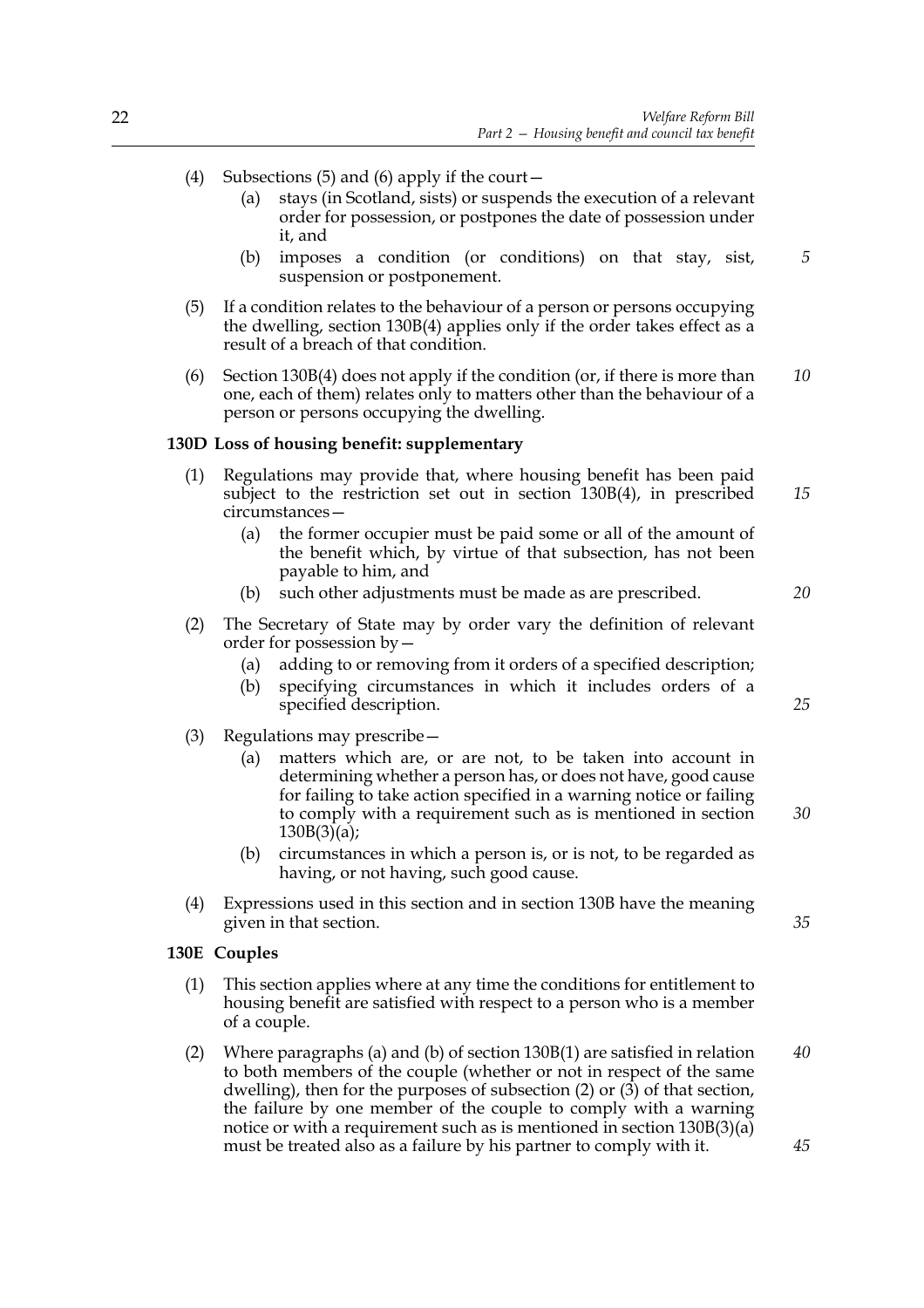- (4) Subsections (5) and (6) apply if the court—
	- (a) stays (in Scotland, sists) or suspends the execution of a relevant order for possession, or postpones the date of possession under it, and
	- (b) imposes a condition (or conditions) on that stay, sist, suspension or postponement.
- (5) If a condition relates to the behaviour of a person or persons occupying the dwelling, section 130B(4) applies only if the order takes effect as a result of a breach of that condition.
- (6) Section 130B(4) does not apply if the condition (or, if there is more than one, each of them) relates only to matters other than the behaviour of a person or persons occupying the dwelling. *10*

#### **130D Loss of housing benefit: supplementary**

- (1) Regulations may provide that, where housing benefit has been paid subject to the restriction set out in section 130B(4), in prescribed circumstances—
	- (a) the former occupier must be paid some or all of the amount of the benefit which, by virtue of that subsection, has not been payable to him, and
	- (b) such other adjustments must be made as are prescribed.

(2) The Secretary of State may by order vary the definition of relevant order for possession by—

- (a) adding to or removing from it orders of a specified description;
- (b) specifying circumstances in which it includes orders of a specified description.
- (3) Regulations may prescribe—
	- (a) matters which are, or are not, to be taken into account in determining whether a person has, or does not have, good cause for failing to take action specified in a warning notice or failing to comply with a requirement such as is mentioned in section 130B(3)(a);
	- (b) circumstances in which a person is, or is not, to be regarded as having, or not having, such good cause.
- (4) Expressions used in this section and in section 130B have the meaning given in that section.

#### **130E Couples**

- (1) This section applies where at any time the conditions for entitlement to housing benefit are satisfied with respect to a person who is a member of a couple.
- (2) Where paragraphs (a) and (b) of section 130B(1) are satisfied in relation to both members of the couple (whether or not in respect of the same dwelling), then for the purposes of subsection (2) or (3) of that section, the failure by one member of the couple to comply with a warning notice or with a requirement such as is mentioned in section 130B(3)(a) must be treated also as a failure by his partner to comply with it. *40 45*

*20*

*15*

*5*

*25*

*35*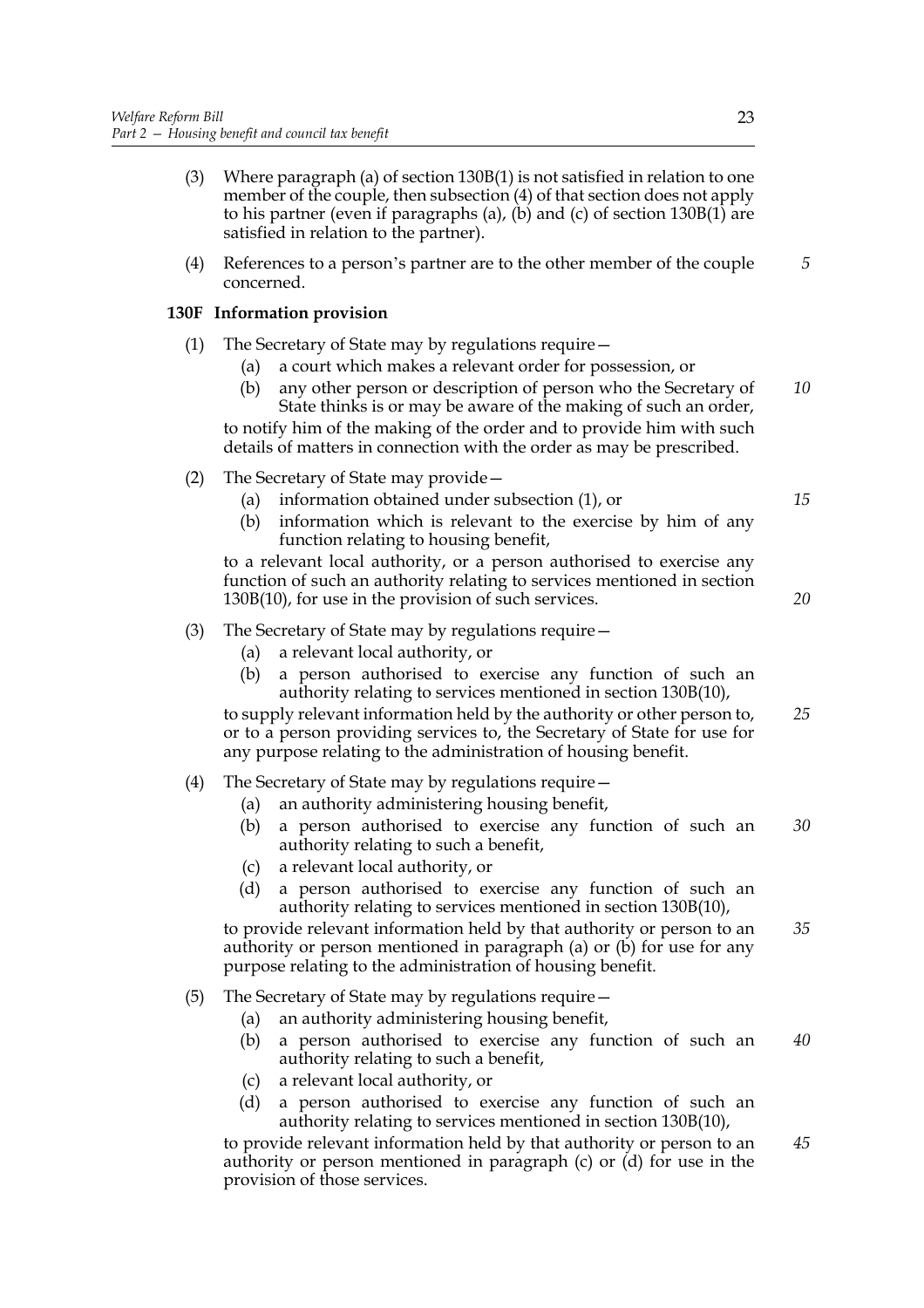- (3) Where paragraph (a) of section 130B(1) is not satisfied in relation to one member of the couple, then subsection (4) of that section does not apply to his partner (even if paragraphs (a), (b) and (c) of section 130B(1) are satisfied in relation to the partner).
- (4) References to a person's partner are to the other member of the couple concerned.

# **130F Information provision**

- (1) The Secretary of State may by regulations require—
	- (a) a court which makes a relevant order for possession, or
	- (b) any other person or description of person who the Secretary of State thinks is or may be aware of the making of such an order, *10*

to notify him of the making of the order and to provide him with such details of matters in connection with the order as may be prescribed.

- (2) The Secretary of State may provide—
	- (a) information obtained under subsection (1), or
	- (b) information which is relevant to the exercise by him of any function relating to housing benefit,

to a relevant local authority, or a person authorised to exercise any function of such an authority relating to services mentioned in section 130B(10), for use in the provision of such services.

# (3) The Secretary of State may by regulations require—

- (a) a relevant local authority, or
- (b) a person authorised to exercise any function of such an authority relating to services mentioned in section 130B(10),

to supply relevant information held by the authority or other person to, or to a person providing services to, the Secretary of State for use for any purpose relating to the administration of housing benefit. *25*

- (4) The Secretary of State may by regulations require—
	- (a) an authority administering housing benefit,
	- (b) a person authorised to exercise any function of such an authority relating to such a benefit, *30*
	- (c) a relevant local authority, or
	- (d) a person authorised to exercise any function of such an authority relating to services mentioned in section 130B(10),

to provide relevant information held by that authority or person to an authority or person mentioned in paragraph (a) or (b) for use for any purpose relating to the administration of housing benefit. *35*

# (5) The Secretary of State may by regulations require—

- (a) an authority administering housing benefit,
- (b) a person authorised to exercise any function of such an authority relating to such a benefit, *40*
- (c) a relevant local authority, or
- (d) a person authorised to exercise any function of such an authority relating to services mentioned in section 130B(10),

to provide relevant information held by that authority or person to an authority or person mentioned in paragraph (c) or (d) for use in the provision of those services.

*5*

*15*

*20*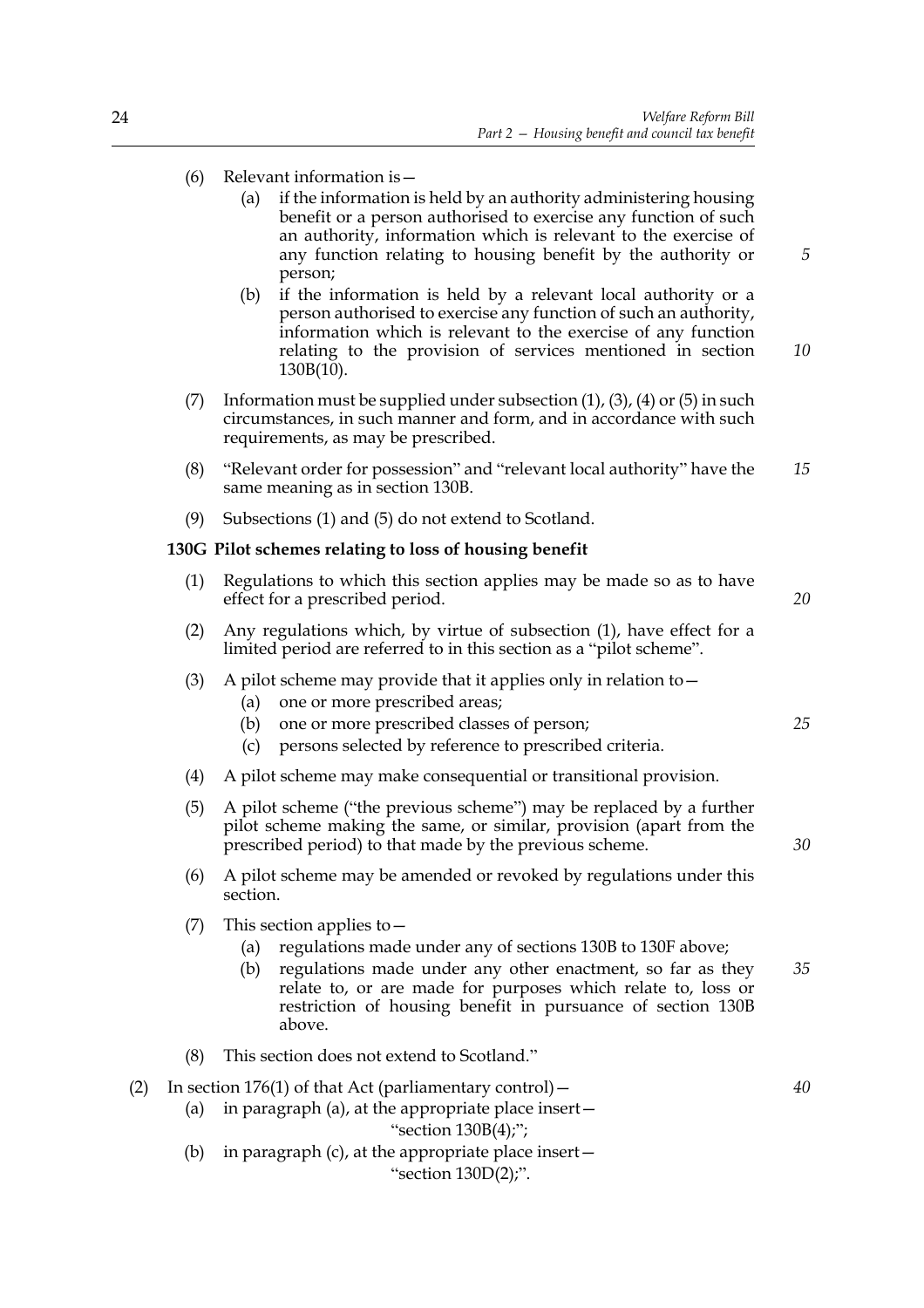*5*

*10*

*20*

*25*

*30*

*40*

- (6) Relevant information is  $-$ 
	- (a) if the information is held by an authority administering housing benefit or a person authorised to exercise any function of such an authority, information which is relevant to the exercise of any function relating to housing benefit by the authority or person;
	- (b) if the information is held by a relevant local authority or a person authorised to exercise any function of such an authority, information which is relevant to the exercise of any function relating to the provision of services mentioned in section 130B(10).
- (7) Information must be supplied under subsection  $(1)$ ,  $(3)$ ,  $(4)$  or  $(5)$  in such circumstances, in such manner and form, and in accordance with such requirements, as may be prescribed.
- (8) "Relevant order for possession" and "relevant local authority" have the same meaning as in section 130B. *15*
- (9) Subsections (1) and (5) do not extend to Scotland.

# **130G Pilot schemes relating to loss of housing benefit**

- (1) Regulations to which this section applies may be made so as to have effect for a prescribed period.
- (2) Any regulations which, by virtue of subsection (1), have effect for a limited period are referred to in this section as a "pilot scheme".
- (3) A pilot scheme may provide that it applies only in relation to—
	- (a) one or more prescribed areas;
	- (b) one or more prescribed classes of person;
	- (c) persons selected by reference to prescribed criteria.
- (4) A pilot scheme may make consequential or transitional provision.
- (5) A pilot scheme ("the previous scheme") may be replaced by a further pilot scheme making the same, or similar, provision (apart from the prescribed period) to that made by the previous scheme.
- (6) A pilot scheme may be amended or revoked by regulations under this section.
- (7) This section applies to—
	- (a) regulations made under any of sections 130B to 130F above;
	- (b) regulations made under any other enactment, so far as they relate to, or are made for purposes which relate to, loss or restriction of housing benefit in pursuance of section 130B above. *35*
- (8) This section does not extend to Scotland."

(2) In section 176(1) of that Act (parliamentary control)  $-$ 

- (a) in paragraph (a), at the appropriate place insert—
	- "section 130B(4);";
	- (b) in paragraph (c), at the appropriate place insert— "section 130D(2);".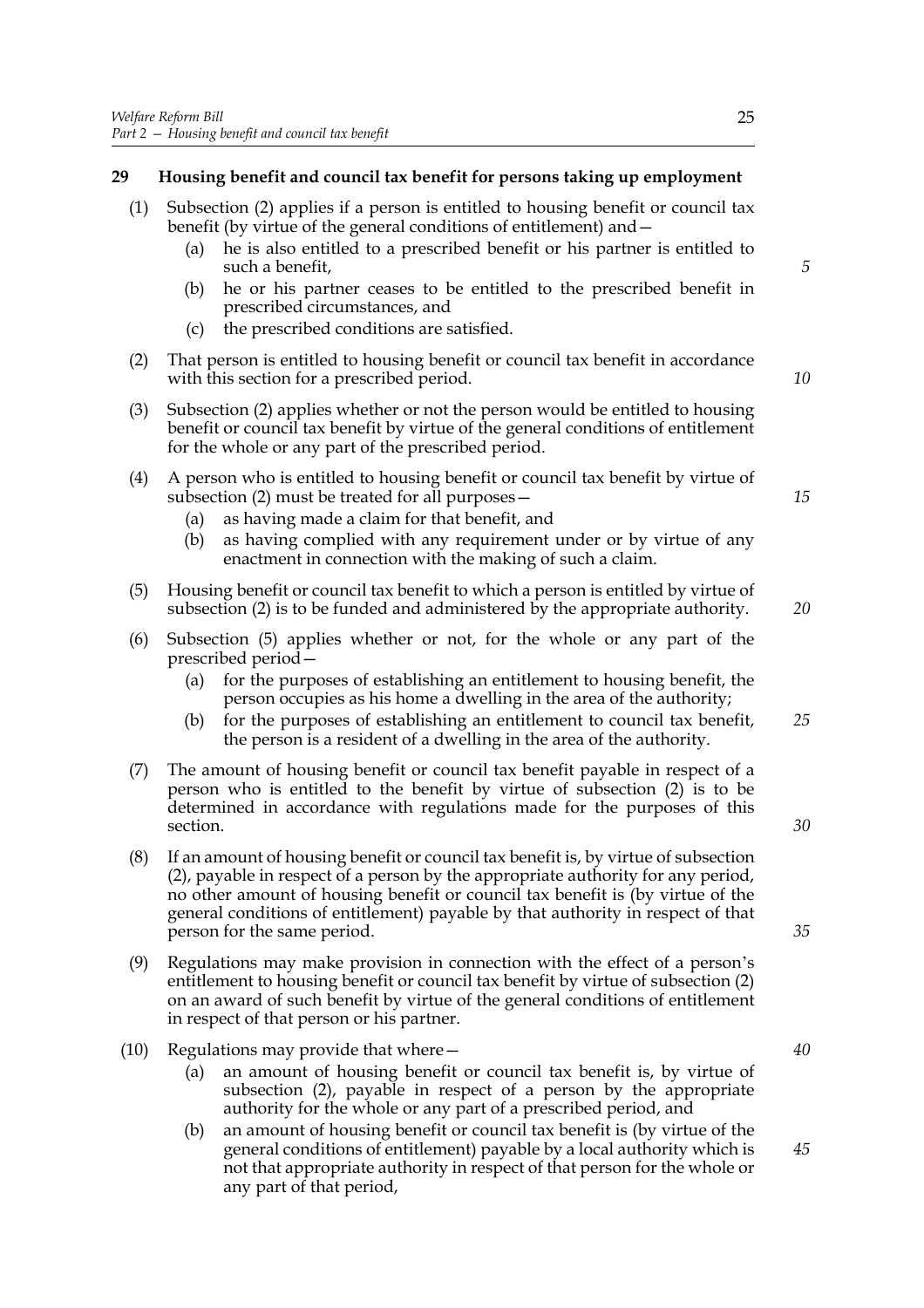# **29 Housing benefit and council tax benefit for persons taking up employment**

- (1) Subsection (2) applies if a person is entitled to housing benefit or council tax benefit (by virtue of the general conditions of entitlement) and—
	- (a) he is also entitled to a prescribed benefit or his partner is entitled to such a benefit,
	- (b) he or his partner ceases to be entitled to the prescribed benefit in prescribed circumstances, and
	- (c) the prescribed conditions are satisfied.
- (2) That person is entitled to housing benefit or council tax benefit in accordance with this section for a prescribed period.
- (3) Subsection (2) applies whether or not the person would be entitled to housing benefit or council tax benefit by virtue of the general conditions of entitlement for the whole or any part of the prescribed period.
- (4) A person who is entitled to housing benefit or council tax benefit by virtue of subsection (2) must be treated for all purposes—
	- (a) as having made a claim for that benefit, and
	- (b) as having complied with any requirement under or by virtue of any enactment in connection with the making of such a claim.
- (5) Housing benefit or council tax benefit to which a person is entitled by virtue of subsection (2) is to be funded and administered by the appropriate authority.
- (6) Subsection (5) applies whether or not, for the whole or any part of the prescribed period—
	- (a) for the purposes of establishing an entitlement to housing benefit, the person occupies as his home a dwelling in the area of the authority;
	- (b) for the purposes of establishing an entitlement to council tax benefit, the person is a resident of a dwelling in the area of the authority. *25*
- (7) The amount of housing benefit or council tax benefit payable in respect of a person who is entitled to the benefit by virtue of subsection (2) is to be determined in accordance with regulations made for the purposes of this section.
- (8) If an amount of housing benefit or council tax benefit is, by virtue of subsection (2), payable in respect of a person by the appropriate authority for any period, no other amount of housing benefit or council tax benefit is (by virtue of the general conditions of entitlement) payable by that authority in respect of that person for the same period.
- (9) Regulations may make provision in connection with the effect of a person's entitlement to housing benefit or council tax benefit by virtue of subsection (2) on an award of such benefit by virtue of the general conditions of entitlement in respect of that person or his partner.
- (10) Regulations may provide that where—
	- (a) an amount of housing benefit or council tax benefit is, by virtue of subsection (2), payable in respect of a person by the appropriate authority for the whole or any part of a prescribed period, and
	- (b) an amount of housing benefit or council tax benefit is (by virtue of the general conditions of entitlement) payable by a local authority which is not that appropriate authority in respect of that person for the whole or any part of that period,

*5*

*10*

*15*

*20*

*35*

*30*

*40*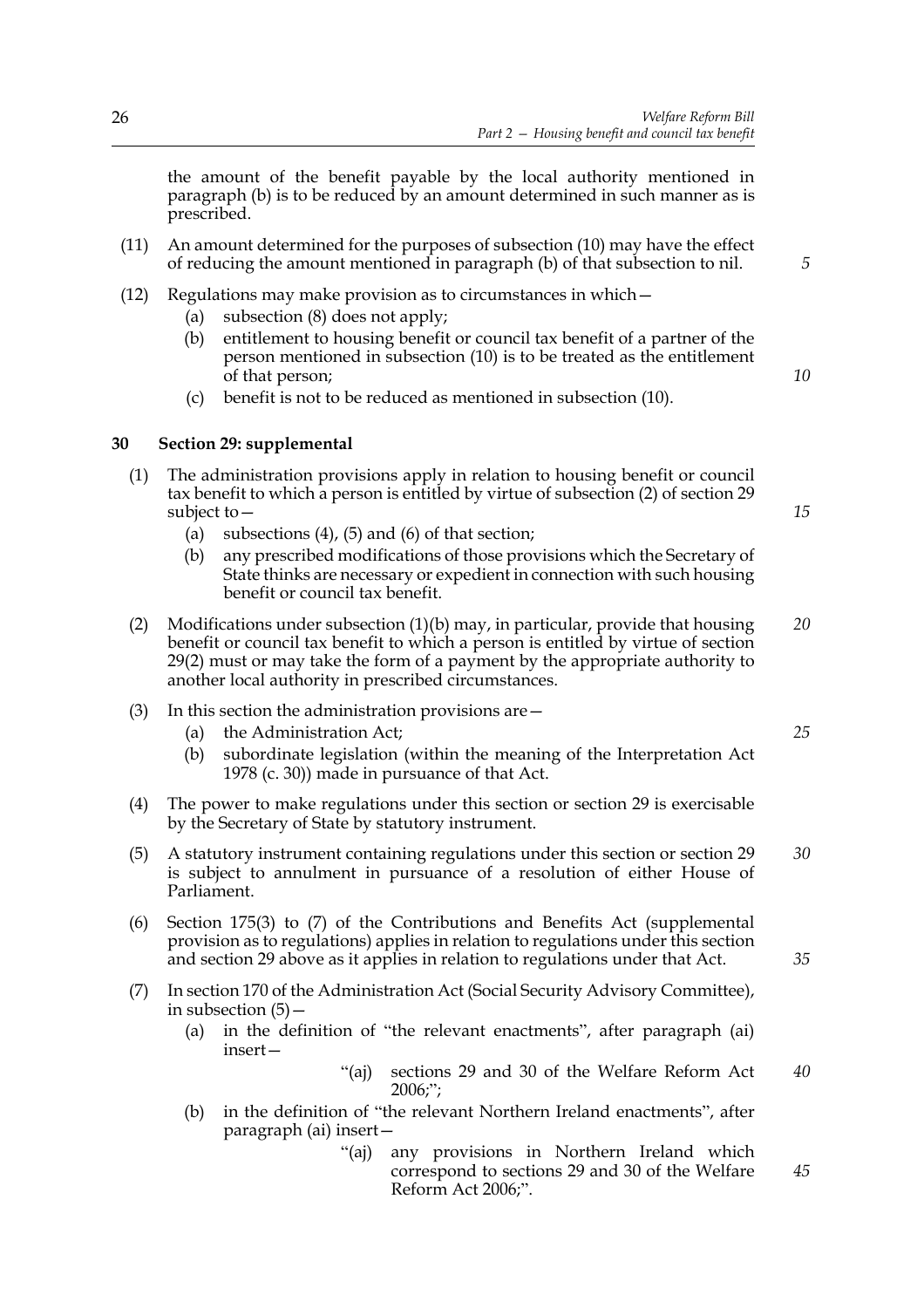the amount of the benefit payable by the local authority mentioned in paragraph (b) is to be reduced by an amount determined in such manner as is prescribed.

- (11) An amount determined for the purposes of subsection (10) may have the effect of reducing the amount mentioned in paragraph (b) of that subsection to nil.
- (12) Regulations may make provision as to circumstances in which—
	- (a) subsection (8) does not apply;
	- (b) entitlement to housing benefit or council tax benefit of a partner of the person mentioned in subsection (10) is to be treated as the entitlement of that person;
	- (c) benefit is not to be reduced as mentioned in subsection (10).

# **30 Section 29: supplemental**

- (1) The administration provisions apply in relation to housing benefit or council tax benefit to which a person is entitled by virtue of subsection (2) of section 29 subject to—
	- (a) subsections  $(4)$ ,  $(5)$  and  $(6)$  of that section;
	- (b) any prescribed modifications of those provisions which the Secretary of State thinks are necessary or expedient in connection with such housing benefit or council tax benefit.
- (2) Modifications under subsection (1)(b) may, in particular, provide that housing benefit or council tax benefit to which a person is entitled by virtue of section 29(2) must or may take the form of a payment by the appropriate authority to another local authority in prescribed circumstances. *20*
- (3) In this section the administration provisions are—
	- (a) the Administration Act;
	- (b) subordinate legislation (within the meaning of the Interpretation Act 1978 (c. 30)) made in pursuance of that Act.
- (4) The power to make regulations under this section or section 29 is exercisable by the Secretary of State by statutory instrument.
- (5) A statutory instrument containing regulations under this section or section 29 is subject to annulment in pursuance of a resolution of either House of Parliament. *30*
- (6) Section 175(3) to (7) of the Contributions and Benefits Act (supplemental provision as to regulations) applies in relation to regulations under this section and section 29 above as it applies in relation to regulations under that Act.
- (7) In section 170 of the Administration Act (Social Security Advisory Committee), in subsection (5)—
	- (a) in the definition of "the relevant enactments", after paragraph (ai) insert—
		- "(aj) sections 29 and 30 of the Welfare Reform Act 2006;"; *40*
	- (b) in the definition of "the relevant Northern Ireland enactments", after paragraph (ai) insert—
		- "(aj) any provisions in Northern Ireland which correspond to sections 29 and 30 of the Welfare Reform Act 2006;". *45*

*25*

*5*

*10*

*15*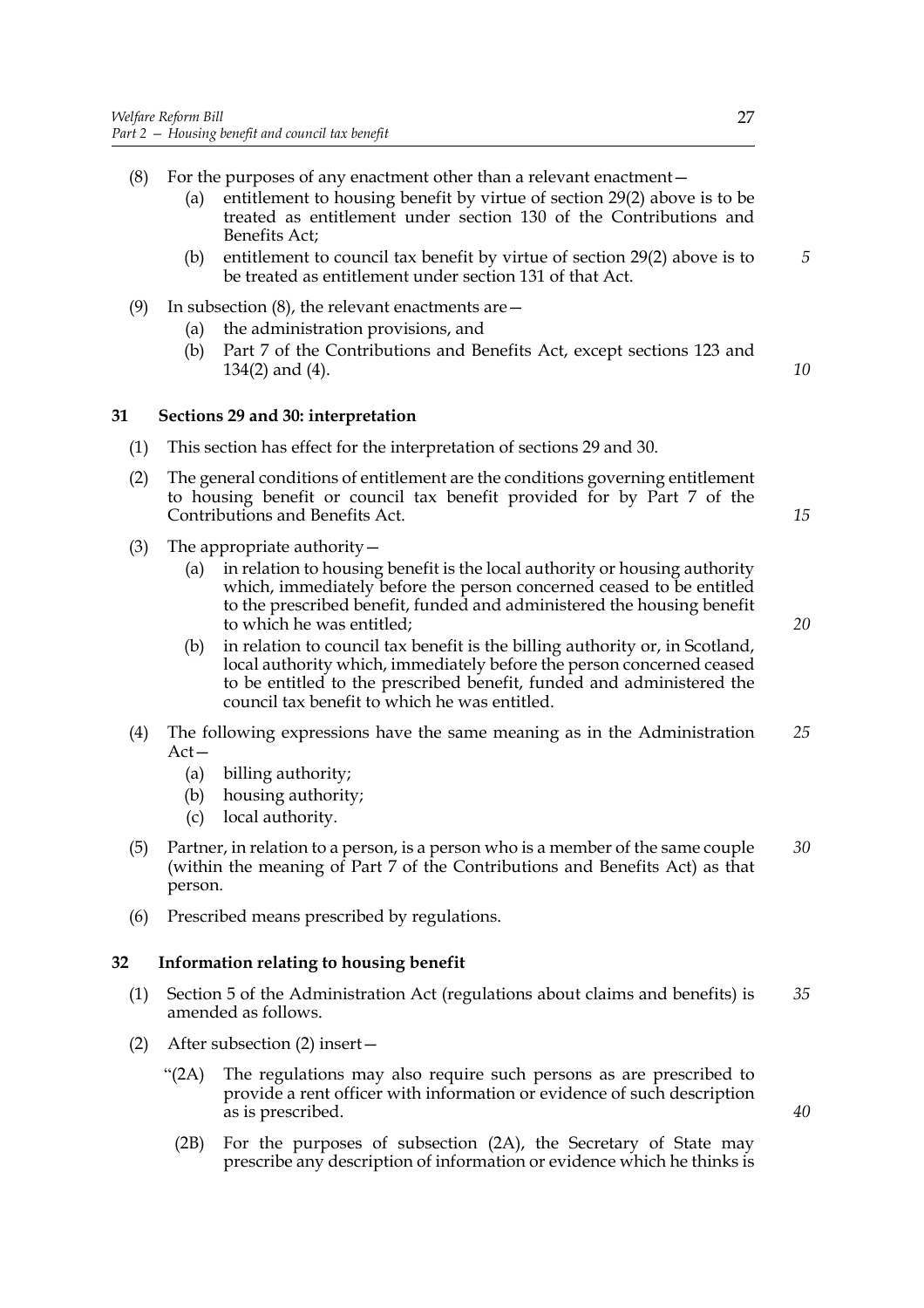- (8) For the purposes of any enactment other than a relevant enactment—
	- (a) entitlement to housing benefit by virtue of section 29(2) above is to be treated as entitlement under section 130 of the Contributions and Benefits Act;
	- (b) entitlement to council tax benefit by virtue of section 29(2) above is to be treated as entitlement under section 131 of that Act.
- (9) In subsection  $(8)$ , the relevant enactments are  $-$ 
	- (a) the administration provisions, and
	- (b) Part 7 of the Contributions and Benefits Act, except sections 123 and 134(2) and (4).

**31 Sections 29 and 30: interpretation**

- (1) This section has effect for the interpretation of sections 29 and 30.
- (2) The general conditions of entitlement are the conditions governing entitlement to housing benefit or council tax benefit provided for by Part 7 of the Contributions and Benefits Act.
- (3) The appropriate authority—
	- (a) in relation to housing benefit is the local authority or housing authority which, immediately before the person concerned ceased to be entitled to the prescribed benefit, funded and administered the housing benefit to which he was entitled;
	- (b) in relation to council tax benefit is the billing authority or, in Scotland, local authority which, immediately before the person concerned ceased to be entitled to the prescribed benefit, funded and administered the council tax benefit to which he was entitled.
- (4) The following expressions have the same meaning as in the Administration Act— *25*
	- (a) billing authority;
	- (b) housing authority;
	- (c) local authority.
- (5) Partner, in relation to a person, is a person who is a member of the same couple (within the meaning of Part 7 of the Contributions and Benefits Act) as that person. *30*
- (6) Prescribed means prescribed by regulations.

# **32 Information relating to housing benefit**

- (1) Section 5 of the Administration Act (regulations about claims and benefits) is amended as follows. *35*
- (2) After subsection (2) insert—
	- "(2A) The regulations may also require such persons as are prescribed to provide a rent officer with information or evidence of such description as is prescribed.
		- (2B) For the purposes of subsection (2A), the Secretary of State may prescribe any description of information or evidence which he thinks is

*5*

*10*

*15*

*20*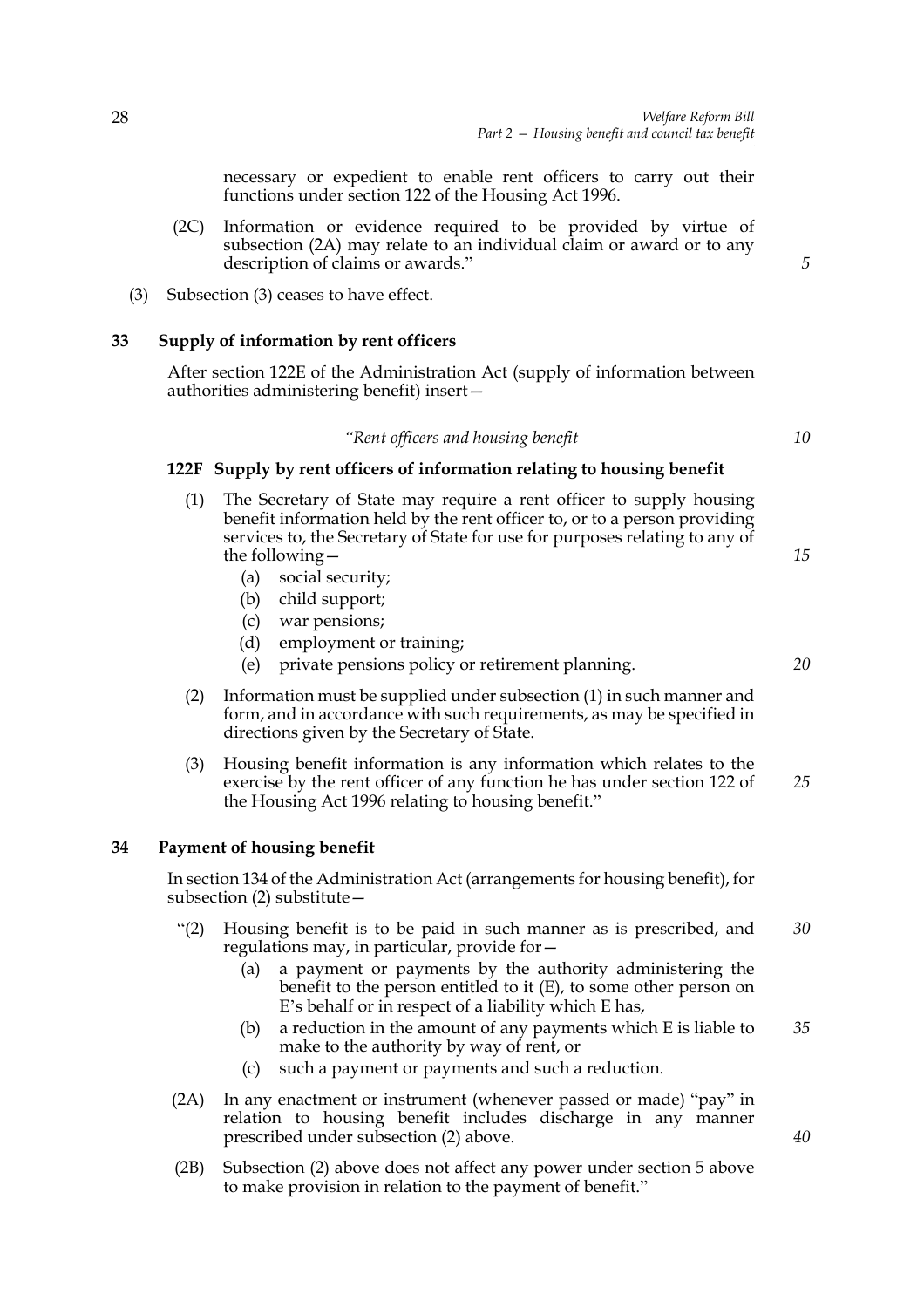necessary or expedient to enable rent officers to carry out their functions under section 122 of the Housing Act 1996.

- (2C) Information or evidence required to be provided by virtue of subsection (2A) may relate to an individual claim or award or to any description of claims or awards."
- (3) Subsection (3) ceases to have effect.

### **33 Supply of information by rent officers**

After section 122E of the Administration Act (supply of information between authorities administering benefit) insert—

*"Rent officers and housing benefit*

# **122F Supply by rent officers of information relating to housing benefit**

- (1) The Secretary of State may require a rent officer to supply housing benefit information held by the rent officer to, or to a person providing services to, the Secretary of State for use for purposes relating to any of the following—
	- (a) social security;
	- (b) child support;
	- (c) war pensions;
	- (d) employment or training;
	- (e) private pensions policy or retirement planning.
- (2) Information must be supplied under subsection (1) in such manner and form, and in accordance with such requirements, as may be specified in directions given by the Secretary of State.
- (3) Housing benefit information is any information which relates to the exercise by the rent officer of any function he has under section 122 of the Housing Act 1996 relating to housing benefit." *25*

# **34 Payment of housing benefit**

In section 134 of the Administration Act (arrangements for housing benefit), for subsection (2) substitute—

- "(2) Housing benefit is to be paid in such manner as is prescribed, and regulations may, in particular, provide for— *30*
	- (a) a payment or payments by the authority administering the benefit to the person entitled to it (E), to some other person on E's behalf or in respect of a liability which E has,
	- (b) a reduction in the amount of any payments which E is liable to make to the authority by way of rent, or *35*
	- (c) such a payment or payments and such a reduction.
- (2A) In any enactment or instrument (whenever passed or made) "pay" in relation to housing benefit includes discharge in any manner prescribed under subsection (2) above.
- (2B) Subsection (2) above does not affect any power under section 5 above to make provision in relation to the payment of benefit."

*20*

*15*

*5*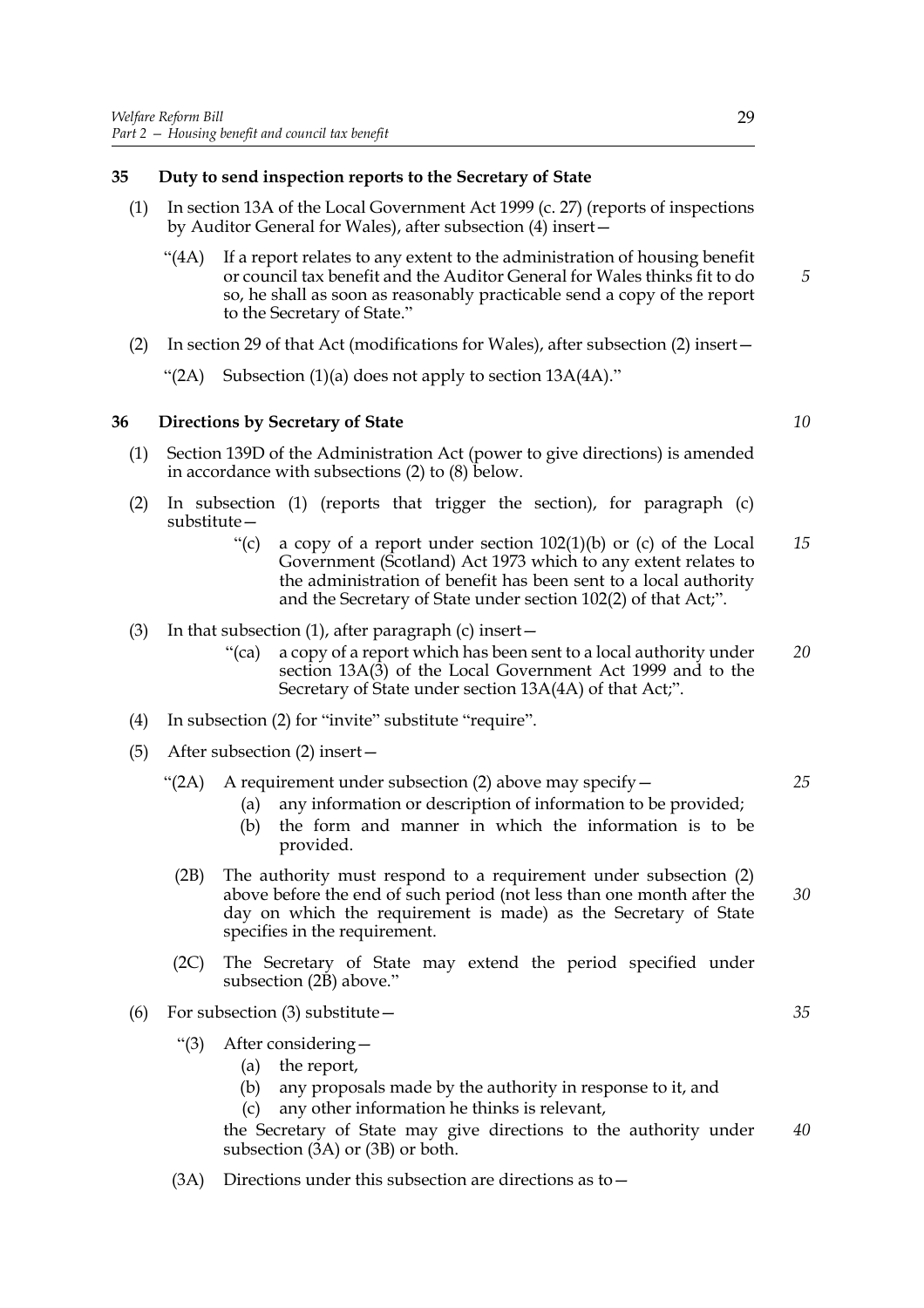# **35 Duty to send inspection reports to the Secretary of State**

- (1) In section 13A of the Local Government Act 1999 (c. 27) (reports of inspections by Auditor General for Wales), after subsection (4) insert—
	- "(4A) If a report relates to any extent to the administration of housing benefit or council tax benefit and the Auditor General for Wales thinks fit to do so, he shall as soon as reasonably practicable send a copy of the report to the Secretary of State."
- (2) In section 29 of that Act (modifications for Wales), after subsection (2) insert—
	- "(2A) Subsection (1)(a) does not apply to section 13A(4A)."

### **36 Directions by Secretary of State**

- (1) Section 139D of the Administration Act (power to give directions) is amended in accordance with subsections (2) to (8) below.
- (2) In subsection (1) (reports that trigger the section), for paragraph (c) substitute—
	- "(c) a copy of a report under section  $102(1)(b)$  or (c) of the Local Government (Scotland) Act 1973 which to any extent relates to the administration of benefit has been sent to a local authority and the Secretary of State under section 102(2) of that Act;". *15*
- (3) In that subsection  $(1)$ , after paragraph  $(c)$  insert  $-$ 
	- "(ca) a copy of a report which has been sent to a local authority under section 13A(3) of the Local Government Act 1999 and to the Secretary of State under section 13A(4A) of that Act;". *20*
- (4) In subsection (2) for "invite" substitute "require".
- (5) After subsection (2) insert—

#### "(2A) A requirement under subsection (2) above may specify  $-$ *25*

- (a) any information or description of information to be provided;
- (b) the form and manner in which the information is to be provided.
- (2B) The authority must respond to a requirement under subsection (2) above before the end of such period (not less than one month after the day on which the requirement is made) as the Secretary of State specifies in the requirement.
- (2C) The Secretary of State may extend the period specified under subsection (2B) above."
- (6) For subsection (3) substitute  $-$ 
	- "(3) After considering—
		- (a) the report,
		- (b) any proposals made by the authority in response to it, and
		- (c) any other information he thinks is relevant,

the Secretary of State may give directions to the authority under subsection (3A) or (3B) or both. *40*

(3A) Directions under this subsection are directions as to—

*10*

*30*

*35*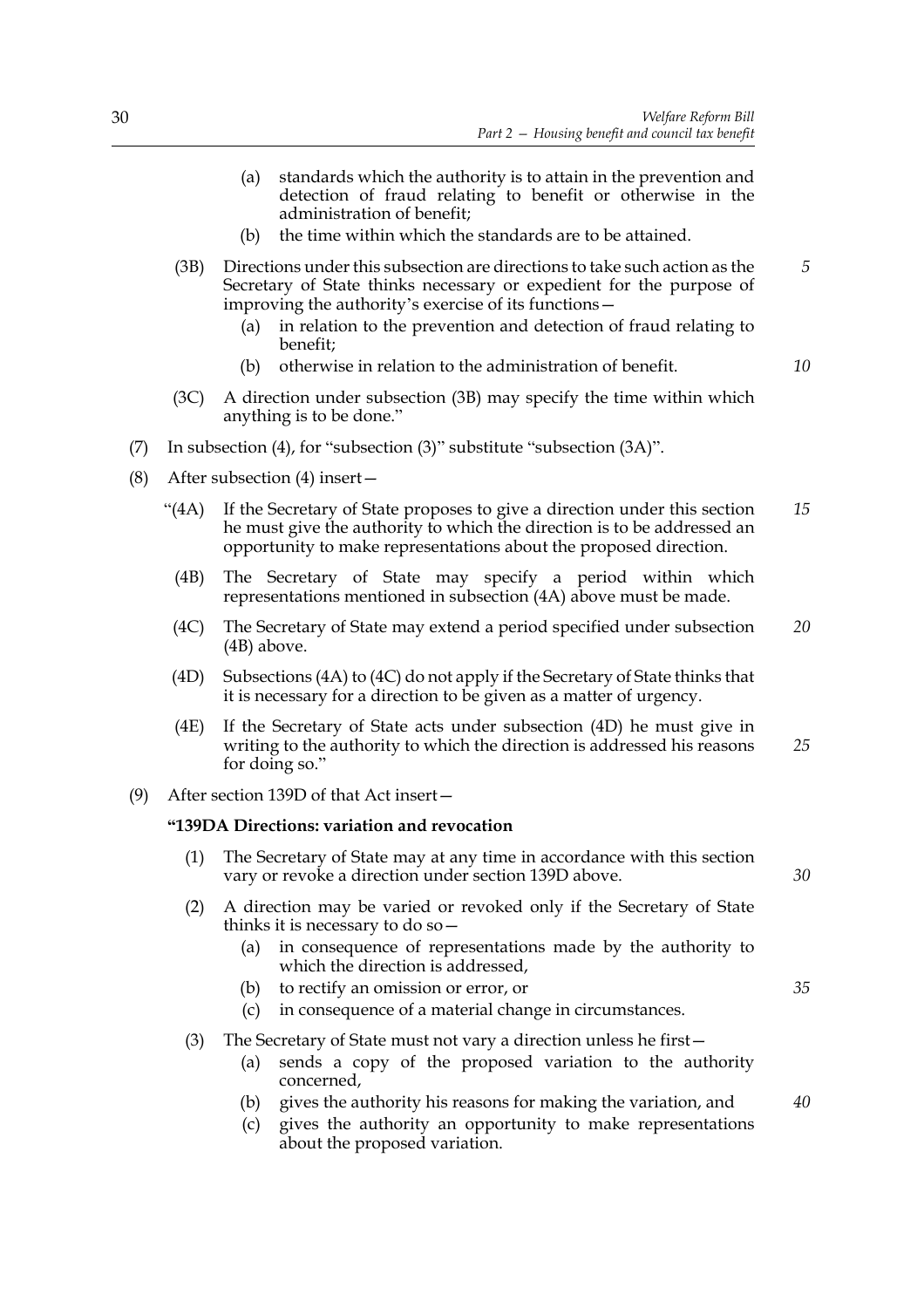- (a) standards which the authority is to attain in the prevention and detection of fraud relating to benefit or otherwise in the administration of benefit;
- (b) the time within which the standards are to be attained.
- (3B) Directions under this subsection are directions to take such action as the Secretary of State thinks necessary or expedient for the purpose of improving the authority's exercise of its functions—
	- (a) in relation to the prevention and detection of fraud relating to benefit;
	- (b) otherwise in relation to the administration of benefit.
- (3C) A direction under subsection (3B) may specify the time within which anything is to be done."
- (7) In subsection (4), for "subsection (3)" substitute "subsection (3A)".
- (8) After subsection (4) insert—
	- "(4A) If the Secretary of State proposes to give a direction under this section he must give the authority to which the direction is to be addressed an opportunity to make representations about the proposed direction. *15*
		- (4B) The Secretary of State may specify a period within which representations mentioned in subsection (4A) above must be made.
	- (4C) The Secretary of State may extend a period specified under subsection (4B) above. *20*
	- (4D) Subsections (4A) to (4C) do not apply if the Secretary of State thinks that it is necessary for a direction to be given as a matter of urgency.
	- (4E) If the Secretary of State acts under subsection (4D) he must give in writing to the authority to which the direction is addressed his reasons for doing so." *25*
- (9) After section 139D of that Act insert—

#### **"139DA Directions: variation and revocation**

- (1) The Secretary of State may at any time in accordance with this section vary or revoke a direction under section 139D above.
- (2) A direction may be varied or revoked only if the Secretary of State thinks it is necessary to do so—
	- (a) in consequence of representations made by the authority to which the direction is addressed,
	- (b) to rectify an omission or error, or
	- (c) in consequence of a material change in circumstances.
- (3) The Secretary of State must not vary a direction unless he first—
	- (a) sends a copy of the proposed variation to the authority concerned,
	- (b) gives the authority his reasons for making the variation, and
	- (c) gives the authority an opportunity to make representations about the proposed variation.

*30*

*5*

*10*

*40*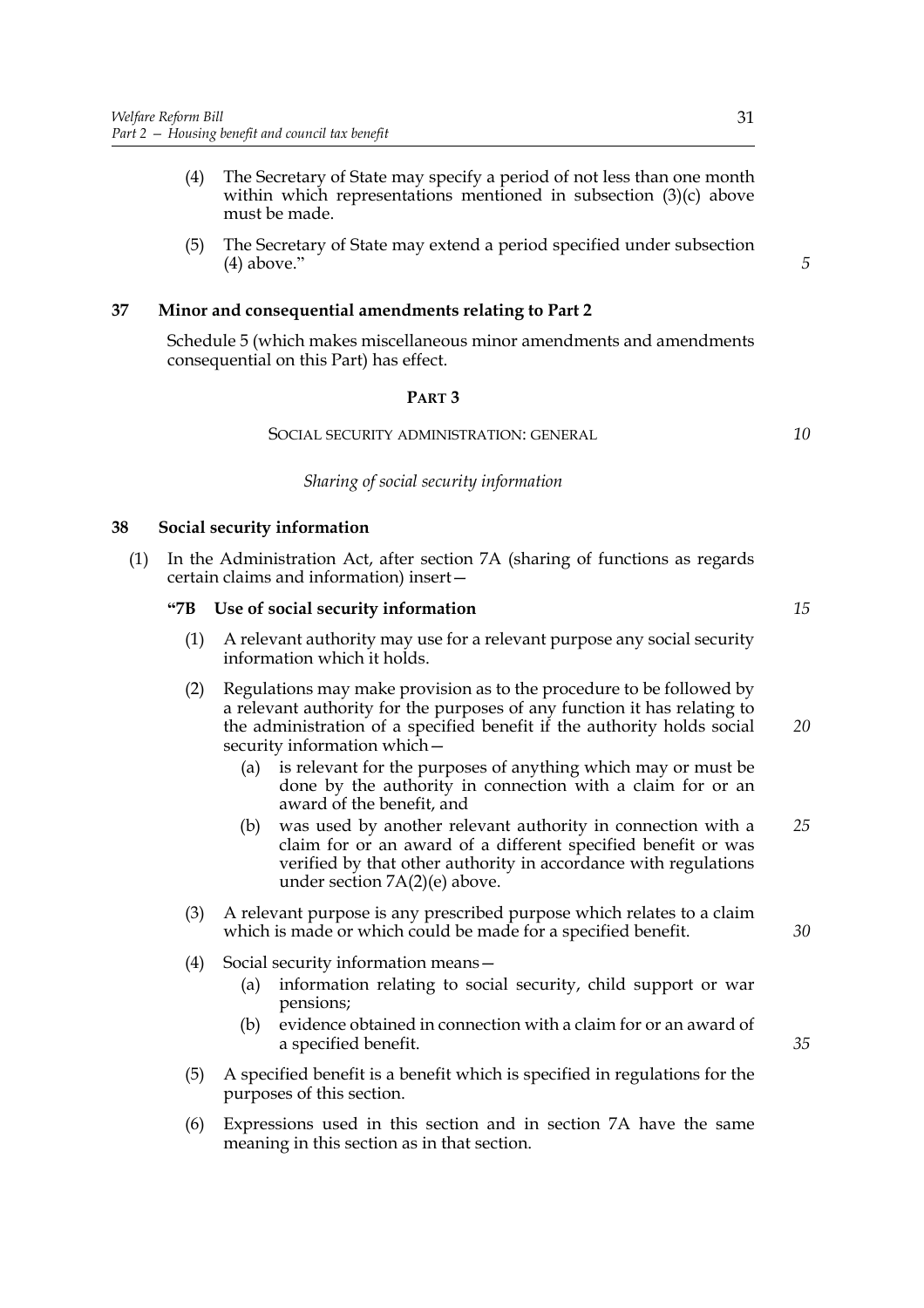- (4) The Secretary of State may specify a period of not less than one month within which representations mentioned in subsection (3)(c) above must be made.
- (5) The Secretary of State may extend a period specified under subsection (4) above."

# **37 Minor and consequential amendments relating to Part 2**

Schedule 5 (which makes miscellaneous minor amendments and amendments consequential on this Part) has effect.

#### **PART 3**

# SOCIAL SECURITY ADMINISTRATION: GENERAL

*Sharing of social security information*

### **38 Social security information**

(1) In the Administration Act, after section 7A (sharing of functions as regards certain claims and information) insert—

# **"7B Use of social security information**

- (1) A relevant authority may use for a relevant purpose any social security information which it holds.
- (2) Regulations may make provision as to the procedure to be followed by a relevant authority for the purposes of any function it has relating to the administration of a specified benefit if the authority holds social security information which—
	- (a) is relevant for the purposes of anything which may or must be done by the authority in connection with a claim for or an award of the benefit, and
	- (b) was used by another relevant authority in connection with a claim for or an award of a different specified benefit or was verified by that other authority in accordance with regulations under section 7A(2)(e) above. *25*
- (3) A relevant purpose is any prescribed purpose which relates to a claim which is made or which could be made for a specified benefit.
- (4) Social security information means—
	- (a) information relating to social security, child support or war pensions;
	- (b) evidence obtained in connection with a claim for or an award of a specified benefit.
- (5) A specified benefit is a benefit which is specified in regulations for the purposes of this section.
- (6) Expressions used in this section and in section 7A have the same meaning in this section as in that section.

*15*

*20*

*30*

*35*

*10*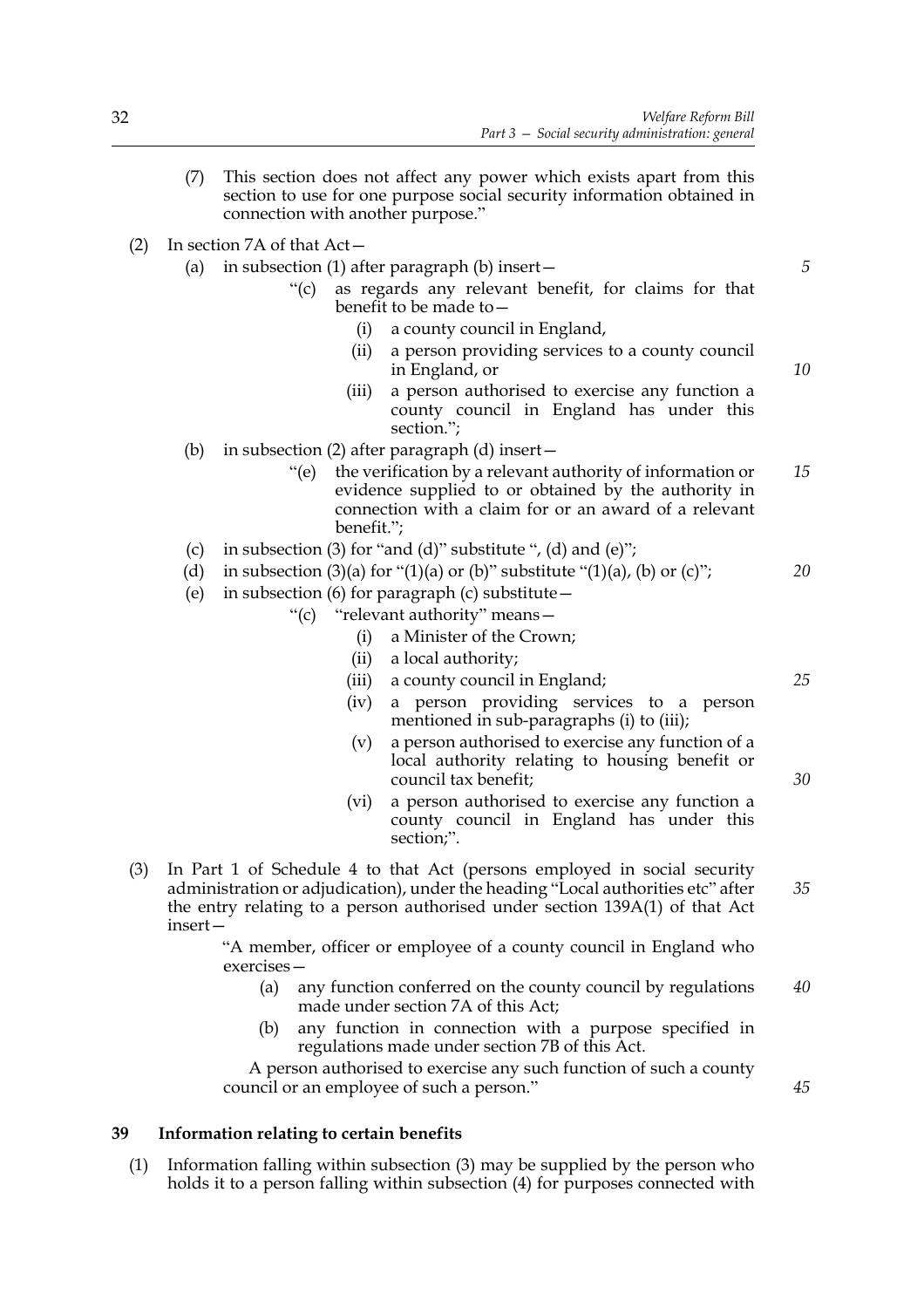*5*

*10*

*20*

*25*

*30*

*35*

*45*

- (7) This section does not affect any power which exists apart from this section to use for one purpose social security information obtained in connection with another purpose."
- (2) In section 7A of that Act—
	- (a) in subsection (1) after paragraph (b) insert—
		- "(c) as regards any relevant benefit, for claims for that benefit to be made to—
			- (i) a county council in England,
			- (ii) a person providing services to a county council in England, or
			- (iii) a person authorised to exercise any function a county council in England has under this section.";
	- (b) in subsection (2) after paragraph (d) insert—
		- "(e) the verification by a relevant authority of information or evidence supplied to or obtained by the authority in connection with a claim for or an award of a relevant benefit."; *15*
	- (c) in subsection (3) for "and (d)" substitute ", (d) and (e)";
	- (d) in subsection  $(3)(a)$  for " $(1)(a)$  or  $(b)$ " substitute " $(1)(a)$ ,  $(b)$  or  $(c)$ ";
	- (e) in subsection (6) for paragraph (c) substitute  $-$ 
		- "(c) "relevant authority" means—
			- (i) a Minister of the Crown;
			- (ii) a local authority;
			- (iii) a county council in England;
			- (iv) a person providing services to a person mentioned in sub-paragraphs (i) to (iii);
			- (v) a person authorised to exercise any function of a local authority relating to housing benefit or council tax benefit;
			- (vi) a person authorised to exercise any function a county council in England has under this section;".
- (3) In Part 1 of Schedule 4 to that Act (persons employed in social security administration or adjudication), under the heading "Local authorities etc" after the entry relating to a person authorised under section 139A(1) of that Act insert—

 "A member, officer or employee of a county council in England who exercises—

- (a) any function conferred on the county council by regulations made under section 7A of this Act; *40*
- (b) any function in connection with a purpose specified in regulations made under section 7B of this Act.

 A person authorised to exercise any such function of such a county council or an employee of such a person."

#### **39 Information relating to certain benefits**

(1) Information falling within subsection (3) may be supplied by the person who holds it to a person falling within subsection (4) for purposes connected with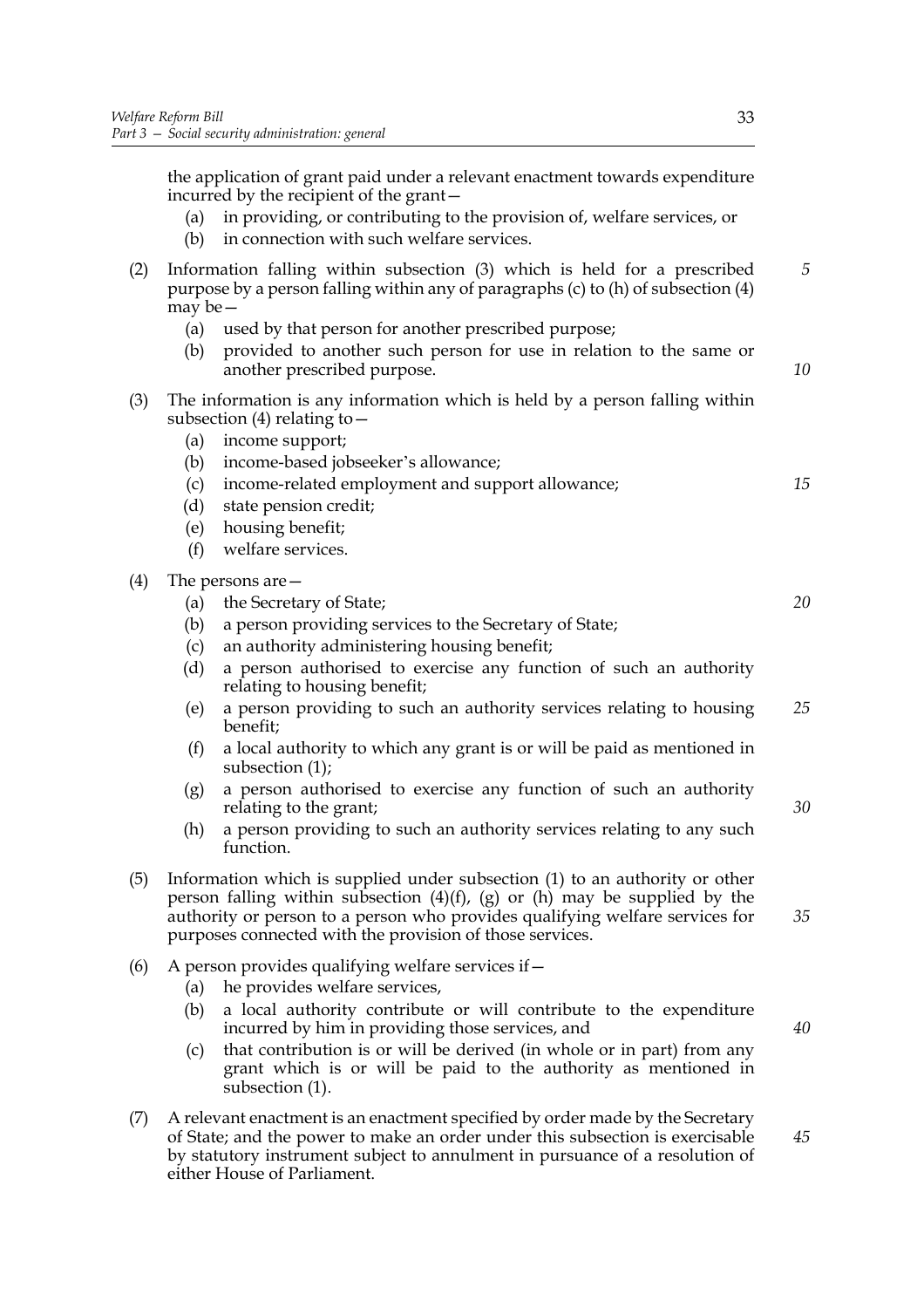either House of Parliament.

the application of grant paid under a relevant enactment towards expenditure incurred by the recipient of the grant—

|     | (a)<br>(b)               | in providing, or contributing to the provision of, welfare services, or<br>in connection with such welfare services.                                                                                                                                                                                                                                                             |    |
|-----|--------------------------|----------------------------------------------------------------------------------------------------------------------------------------------------------------------------------------------------------------------------------------------------------------------------------------------------------------------------------------------------------------------------------|----|
| (2) | may be-                  | Information falling within subsection (3) which is held for a prescribed<br>purpose by a person falling within any of paragraphs (c) to (h) of subsection (4)                                                                                                                                                                                                                    | 5  |
|     | (a)<br>(b)               | used by that person for another prescribed purpose;<br>provided to another such person for use in relation to the same or<br>another prescribed purpose.                                                                                                                                                                                                                         | 10 |
| (3) | (a)<br>(b)<br>(c)<br>(d) | The information is any information which is held by a person falling within<br>subsection $(4)$ relating to $-$<br>income support;<br>income-based jobseeker's allowance;<br>income-related employment and support allowance;<br>state pension credit;                                                                                                                           | 15 |
|     | (e)<br>(f)               | housing benefit;<br>welfare services.                                                                                                                                                                                                                                                                                                                                            |    |
| (4) | (a)<br>(b)               | The persons are $-$<br>the Secretary of State;<br>a person providing services to the Secretary of State;                                                                                                                                                                                                                                                                         | 20 |
|     | (c)<br>(d)               | an authority administering housing benefit;<br>a person authorised to exercise any function of such an authority<br>relating to housing benefit;                                                                                                                                                                                                                                 |    |
|     | (e)<br>(f)               | a person providing to such an authority services relating to housing<br>benefit;<br>a local authority to which any grant is or will be paid as mentioned in                                                                                                                                                                                                                      | 25 |
|     | (g)                      | subsection $(1)$ ;<br>a person authorised to exercise any function of such an authority<br>relating to the grant;                                                                                                                                                                                                                                                                | 30 |
|     | (h)                      | a person providing to such an authority services relating to any such<br>function.                                                                                                                                                                                                                                                                                               |    |
| (5) |                          | Information which is supplied under subsection (1) to an authority or other<br>person falling within subsection $(4)(f)$ , $(g)$ or $(h)$ may be supplied by the<br>authority or person to a person who provides qualifying welfare services for<br>purposes connected with the provision of those services.                                                                     | 35 |
| (6) | (a)<br>(b)<br>(c)        | A person provides qualifying welfare services if –<br>he provides welfare services,<br>a local authority contribute or will contribute to the expenditure<br>incurred by him in providing those services, and<br>that contribution is or will be derived (in whole or in part) from any<br>grant which is or will be paid to the authority as mentioned in<br>subsection $(1)$ . | 40 |
| (7) |                          | A relevant enactment is an enactment specified by order made by the Secretary<br>of State; and the power to make an order under this subsection is exercisable<br>by statutory instrument subject to annulment in pursuance of a resolution of                                                                                                                                   | 45 |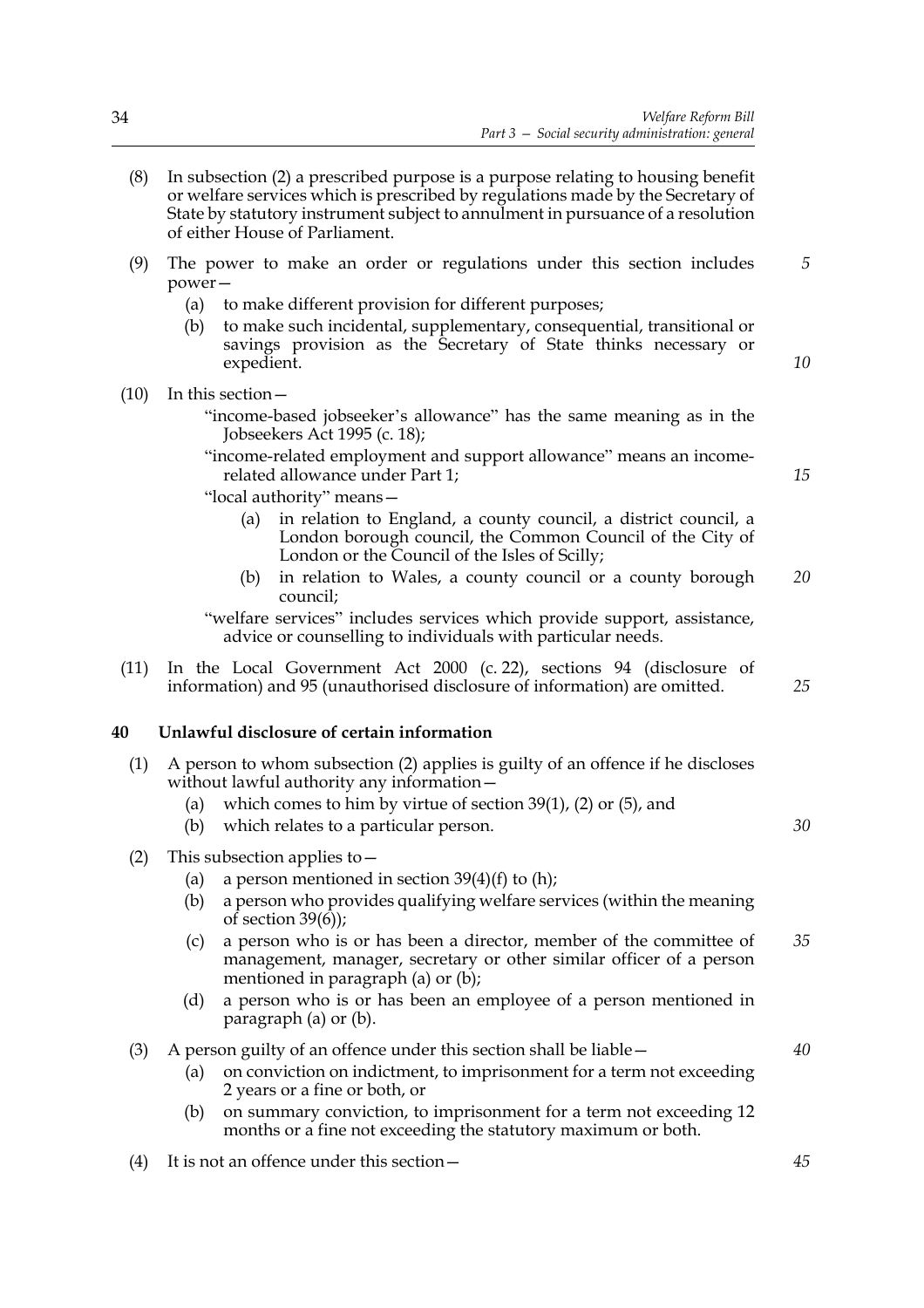- (8) In subsection (2) a prescribed purpose is a purpose relating to housing benefit or welfare services which is prescribed by regulations made by the Secretary of State by statutory instrument subject to annulment in pursuance of a resolution of either House of Parliament.
- (9) The power to make an order or regulations under this section includes power—
	- (a) to make different provision for different purposes;
	- (b) to make such incidental, supplementary, consequential, transitional or savings provision as the Secretary of State thinks necessary or expedient.
- (10) In this section—
	- "income-based jobseeker's allowance" has the same meaning as in the Jobseekers Act 1995 (c. 18);
	- "income-related employment and support allowance" means an incomerelated allowance under Part 1;

"local authority" means—

- (a) in relation to England, a county council, a district council, a London borough council, the Common Council of the City of London or the Council of the Isles of Scilly;
- (b) in relation to Wales, a county council or a county borough council; *20*

(11) In the Local Government Act 2000 (c. 22), sections 94 (disclosure of information) and 95 (unauthorised disclosure of information) are omitted.

#### **40 Unlawful disclosure of certain information**

- (1) A person to whom subsection (2) applies is guilty of an offence if he discloses without lawful authority any information—
	- (a) which comes to him by virtue of section  $39(1)$ , (2) or (5), and
	- (b) which relates to a particular person.
- (2) This subsection applies to  $-$ 
	- (a) a person mentioned in section  $39(4)(f)$  to (h);
	- (b) a person who provides qualifying welfare services (within the meaning of section 39(6));
	- (c) a person who is or has been a director, member of the committee of management, manager, secretary or other similar officer of a person mentioned in paragraph (a) or (b); *35*
	- (d) a person who is or has been an employee of a person mentioned in paragraph (a) or (b).

#### (3) A person guilty of an offence under this section shall be liable—

- (a) on conviction on indictment, to imprisonment for a term not exceeding 2 years or a fine or both, or
- (b) on summary conviction, to imprisonment for a term not exceeding 12 months or a fine not exceeding the statutory maximum or both.
- (4) It is not an offence under this section—

*45*

*40*

*30*

*25*

*5*

*10*

<sup>&</sup>quot;welfare services" includes services which provide support, assistance, advice or counselling to individuals with particular needs.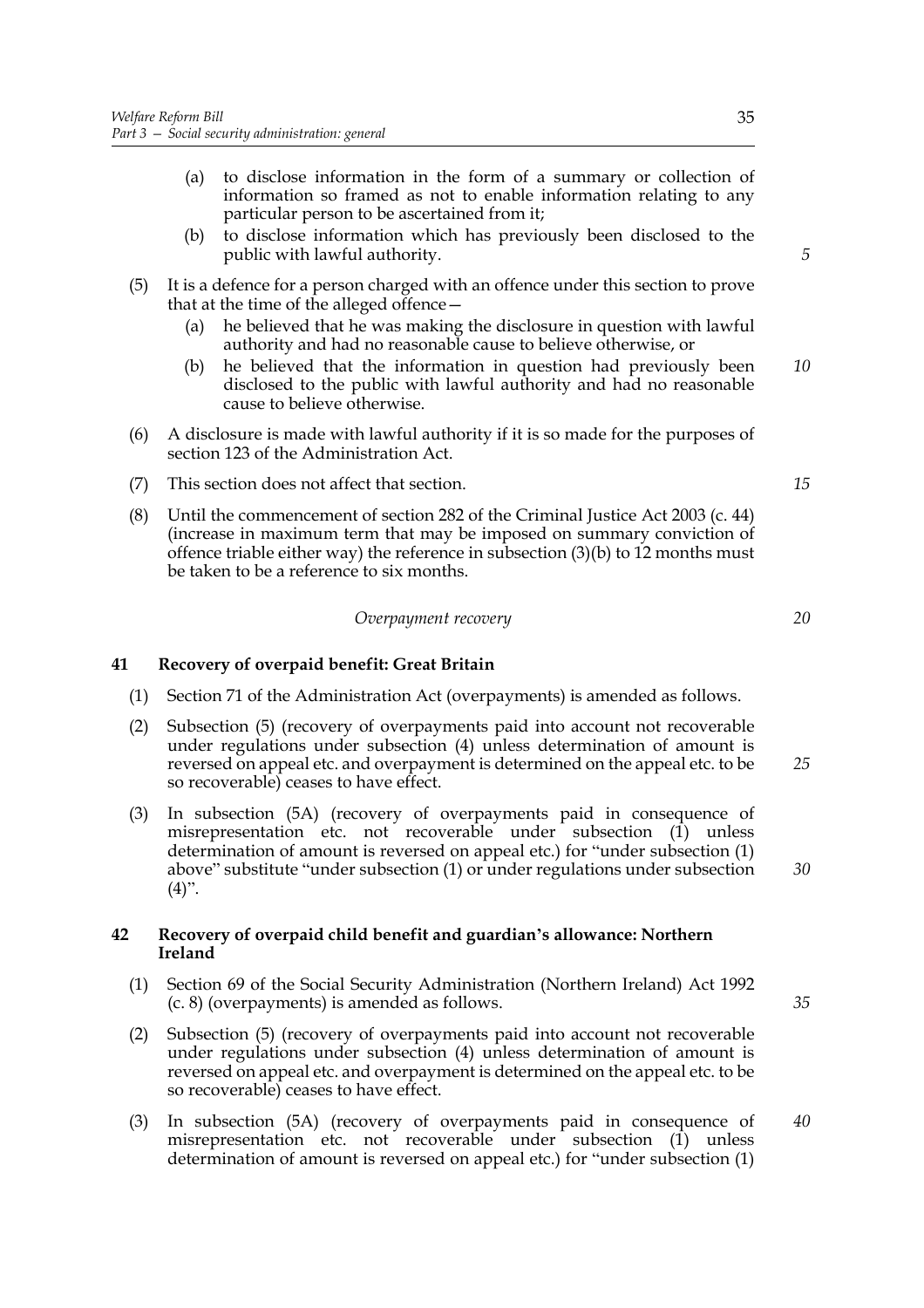- (a) to disclose information in the form of a summary or collection of information so framed as not to enable information relating to any particular person to be ascertained from it;
- (b) to disclose information which has previously been disclosed to the public with lawful authority.
- (5) It is a defence for a person charged with an offence under this section to prove that at the time of the alleged offence—
	- (a) he believed that he was making the disclosure in question with lawful authority and had no reasonable cause to believe otherwise, or
	- (b) he believed that the information in question had previously been disclosed to the public with lawful authority and had no reasonable cause to believe otherwise. *10*
- (6) A disclosure is made with lawful authority if it is so made for the purposes of section 123 of the Administration Act.
- (7) This section does not affect that section.
- (8) Until the commencement of section 282 of the Criminal Justice Act 2003 (c. 44) (increase in maximum term that may be imposed on summary conviction of offence triable either way) the reference in subsection  $(3)(b)$  to 12 months must be taken to be a reference to six months.

#### *Overpayment recovery*

# **41 Recovery of overpaid benefit: Great Britain**

- (1) Section 71 of the Administration Act (overpayments) is amended as follows.
- (2) Subsection (5) (recovery of overpayments paid into account not recoverable under regulations under subsection (4) unless determination of amount is reversed on appeal etc. and overpayment is determined on the appeal etc. to be so recoverable) ceases to have effect. *25*
- (3) In subsection (5A) (recovery of overpayments paid in consequence of misrepresentation etc. not recoverable under subsection (1) unless determination of amount is reversed on appeal etc.) for "under subsection (1) above" substitute "under subsection (1) or under regulations under subsection  $(4)$ ". *30*

# **42 Recovery of overpaid child benefit and guardian's allowance: Northern Ireland**

- (1) Section 69 of the Social Security Administration (Northern Ireland) Act 1992 (c. 8) (overpayments) is amended as follows.
- (2) Subsection (5) (recovery of overpayments paid into account not recoverable under regulations under subsection (4) unless determination of amount is reversed on appeal etc. and overpayment is determined on the appeal etc. to be so recoverable) ceases to have effect.
- (3) In subsection (5A) (recovery of overpayments paid in consequence of misrepresentation etc. not recoverable under subsection (1) unless determination of amount is reversed on appeal etc.) for "under subsection (1) *40*

*5*

*15*

*20*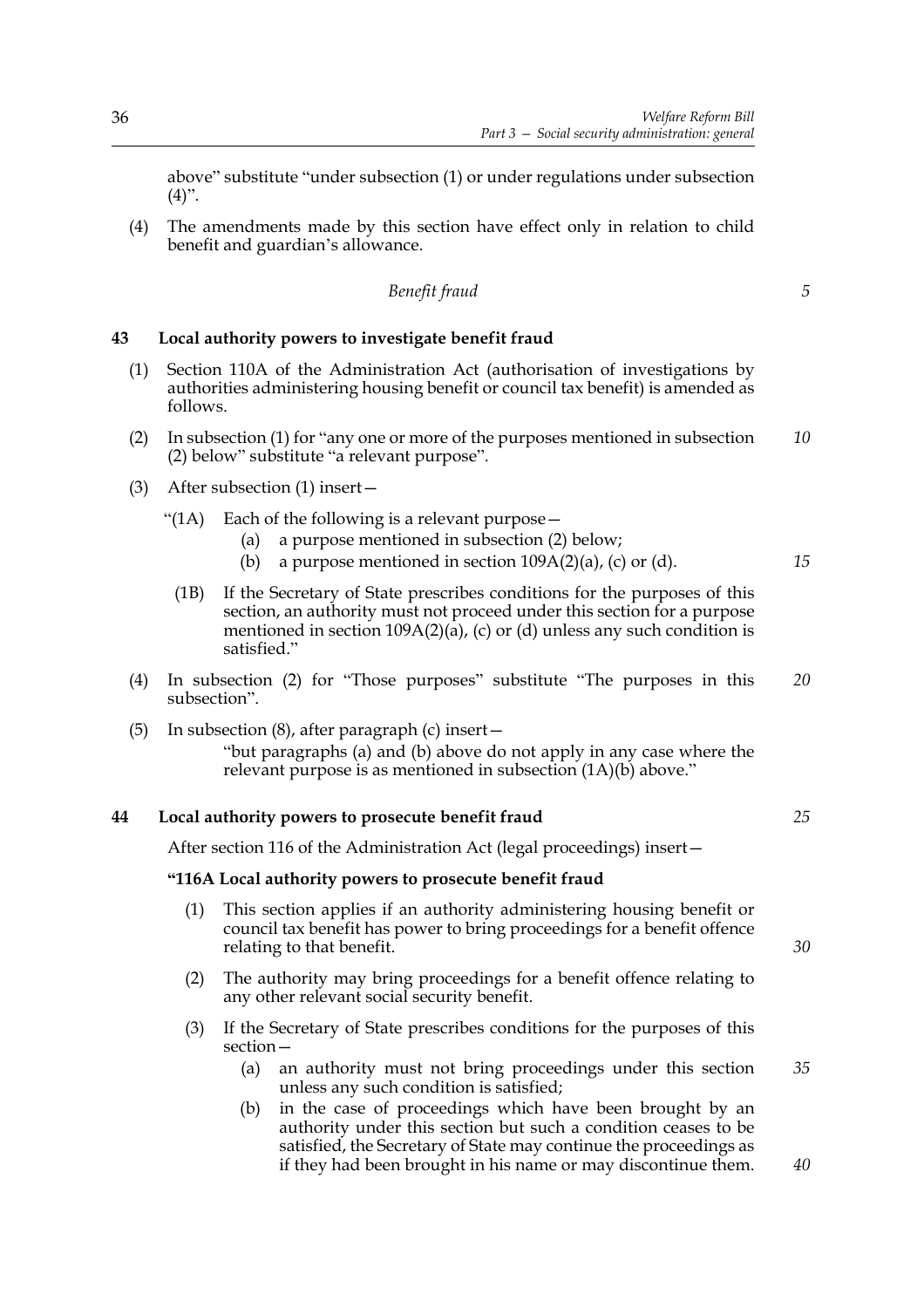above" substitute "under subsection (1) or under regulations under subsection  $(4)$ ".

(4) The amendments made by this section have effect only in relation to child benefit and guardian's allowance.

|     |                                                                                                                                                                                                    | benent and guarantee sanowance.                                                                                                                                                                                                                   |  |  |  |  |  |
|-----|----------------------------------------------------------------------------------------------------------------------------------------------------------------------------------------------------|---------------------------------------------------------------------------------------------------------------------------------------------------------------------------------------------------------------------------------------------------|--|--|--|--|--|
|     | Benefit fraud                                                                                                                                                                                      |                                                                                                                                                                                                                                                   |  |  |  |  |  |
| 43  | Local authority powers to investigate benefit fraud                                                                                                                                                |                                                                                                                                                                                                                                                   |  |  |  |  |  |
| (1) | Section 110A of the Administration Act (authorisation of investigations by<br>authorities administering housing benefit or council tax benefit) is amended as<br>follows.                          |                                                                                                                                                                                                                                                   |  |  |  |  |  |
| (2) | In subsection (1) for "any one or more of the purposes mentioned in subsection<br>(2) below" substitute "a relevant purpose".                                                                      |                                                                                                                                                                                                                                                   |  |  |  |  |  |
| (3) |                                                                                                                                                                                                    | After subsection $(1)$ insert –                                                                                                                                                                                                                   |  |  |  |  |  |
|     | "(1A)                                                                                                                                                                                              | Each of the following is a relevant purpose –<br>a purpose mentioned in subsection (2) below;<br>(a)<br>a purpose mentioned in section $109A(2)(a)$ , (c) or (d).<br>(b)                                                                          |  |  |  |  |  |
|     | (1B)                                                                                                                                                                                               | If the Secretary of State prescribes conditions for the purposes of this<br>section, an authority must not proceed under this section for a purpose<br>mentioned in section $109A(2)(a)$ , (c) or (d) unless any such condition is<br>satisfied." |  |  |  |  |  |
| (4) | subsection".                                                                                                                                                                                       | In subsection (2) for "Those purposes" substitute "The purposes in this                                                                                                                                                                           |  |  |  |  |  |
| (5) | In subsection $(8)$ , after paragraph $(c)$ insert $-$<br>"but paragraphs (a) and (b) above do not apply in any case where the<br>relevant purpose is as mentioned in subsection $(1A)(b)$ above." |                                                                                                                                                                                                                                                   |  |  |  |  |  |
| 44  |                                                                                                                                                                                                    | Local authority powers to prosecute benefit fraud                                                                                                                                                                                                 |  |  |  |  |  |
|     |                                                                                                                                                                                                    | After section 116 of the Administration Act (legal proceedings) insert-                                                                                                                                                                           |  |  |  |  |  |
|     |                                                                                                                                                                                                    | "116A Local authority powers to prosecute benefit fraud                                                                                                                                                                                           |  |  |  |  |  |
|     | (1)                                                                                                                                                                                                | This section applies if an authority administering housing benefit or<br>council tax benefit has power to bring proceedings for a benefit offence<br>relating to that benefit.                                                                    |  |  |  |  |  |
|     | (2)                                                                                                                                                                                                | The authority may bring proceedings for a benefit offence relating to<br>any other relevant social security benefit.                                                                                                                              |  |  |  |  |  |
|     | (3)                                                                                                                                                                                                | If the Secretary of State prescribes conditions for the purposes of this<br>section-<br>(a)<br>an authority must not bring proceedings under this section<br>unless any such condition is satisfied;                                              |  |  |  |  |  |

(b) in the case of proceedings which have been brought by an authority under this section but such a condition ceases to be satisfied, the Secretary of State may continue the proceedings as if they had been brought in his name or may discontinue them. *5*

*10*

*15*

*20*

*25*

*35*

*40*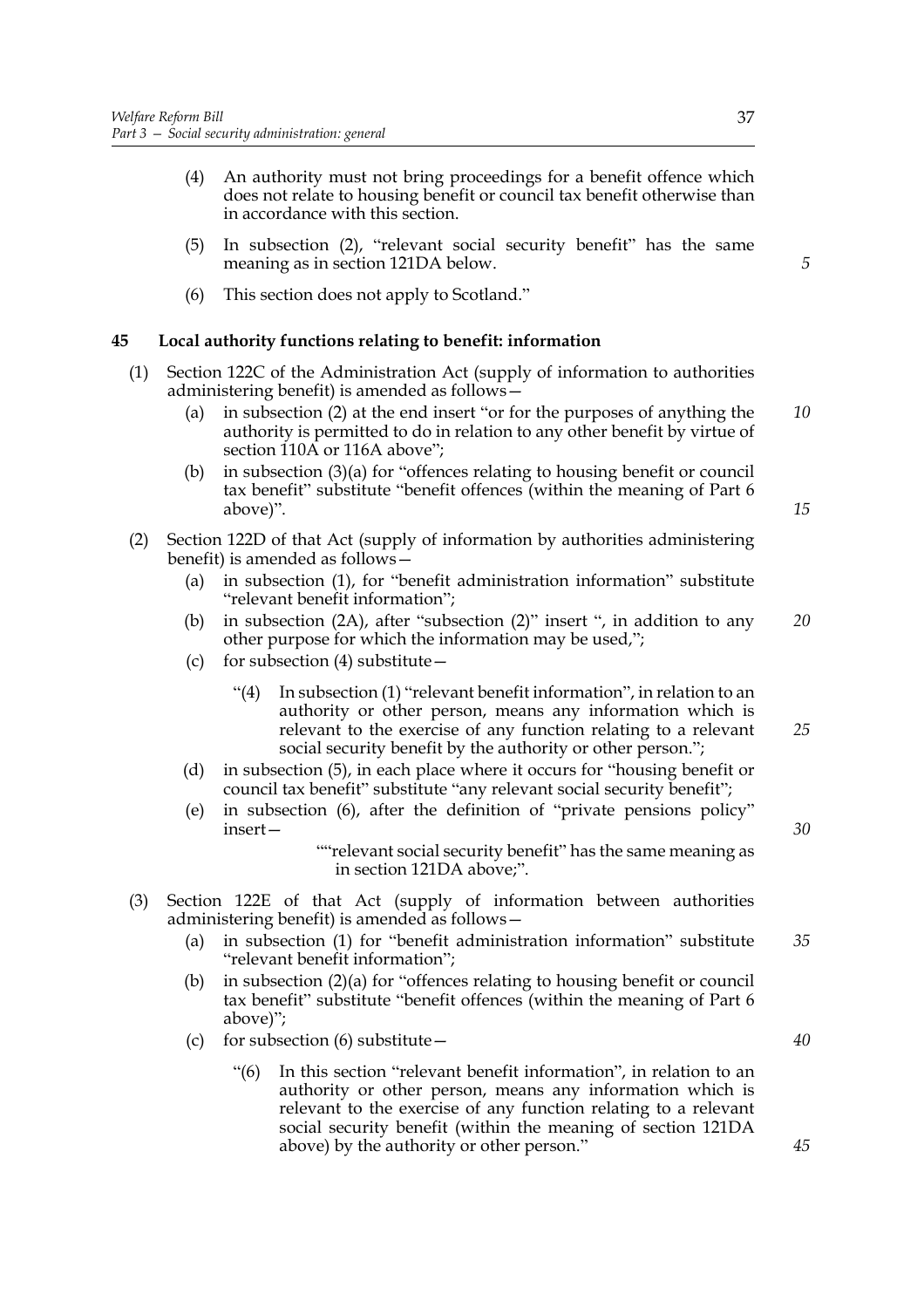- (4) An authority must not bring proceedings for a benefit offence which does not relate to housing benefit or council tax benefit otherwise than in accordance with this section.
- (5) In subsection (2), "relevant social security benefit" has the same meaning as in section 121DA below.
- (6) This section does not apply to Scotland."

# **45 Local authority functions relating to benefit: information**

- (1) Section 122C of the Administration Act (supply of information to authorities administering benefit) is amended as follows—
	- (a) in subsection (2) at the end insert "or for the purposes of anything the authority is permitted to do in relation to any other benefit by virtue of section 110A or 116A above"; *10*
	- (b) in subsection (3)(a) for "offences relating to housing benefit or council tax benefit" substitute "benefit offences (within the meaning of Part 6 above)".
- (2) Section 122D of that Act (supply of information by authorities administering benefit) is amended as follows—
	- (a) in subsection (1), for "benefit administration information" substitute "relevant benefit information";
	- (b) in subsection (2A), after "subsection (2)" insert ", in addition to any other purpose for which the information may be used,"; *20*
	- (c) for subsection (4) substitute  $-$ 
		- "(4) In subsection (1) "relevant benefit information", in relation to an authority or other person, means any information which is relevant to the exercise of any function relating to a relevant social security benefit by the authority or other person.";
	- (d) in subsection (5), in each place where it occurs for "housing benefit or council tax benefit" substitute "any relevant social security benefit";
	- (e) in subsection (6), after the definition of "private pensions policy" insert—

""relevant social security benefit" has the same meaning as in section 121DA above;".

- (3) Section 122E of that Act (supply of information between authorities administering benefit) is amended as follows—
	- (a) in subsection (1) for "benefit administration information" substitute "relevant benefit information"; *35*
	- (b) in subsection (2)(a) for "offences relating to housing benefit or council tax benefit" substitute "benefit offences (within the meaning of Part 6 above)";
	- (c) for subsection  $(6)$  substitute  $-$ 
		- "(6) In this section "relevant benefit information", in relation to an authority or other person, means any information which is relevant to the exercise of any function relating to a relevant social security benefit (within the meaning of section 121DA above) by the authority or other person."

*5*

*15*

*30*

*25*

*45*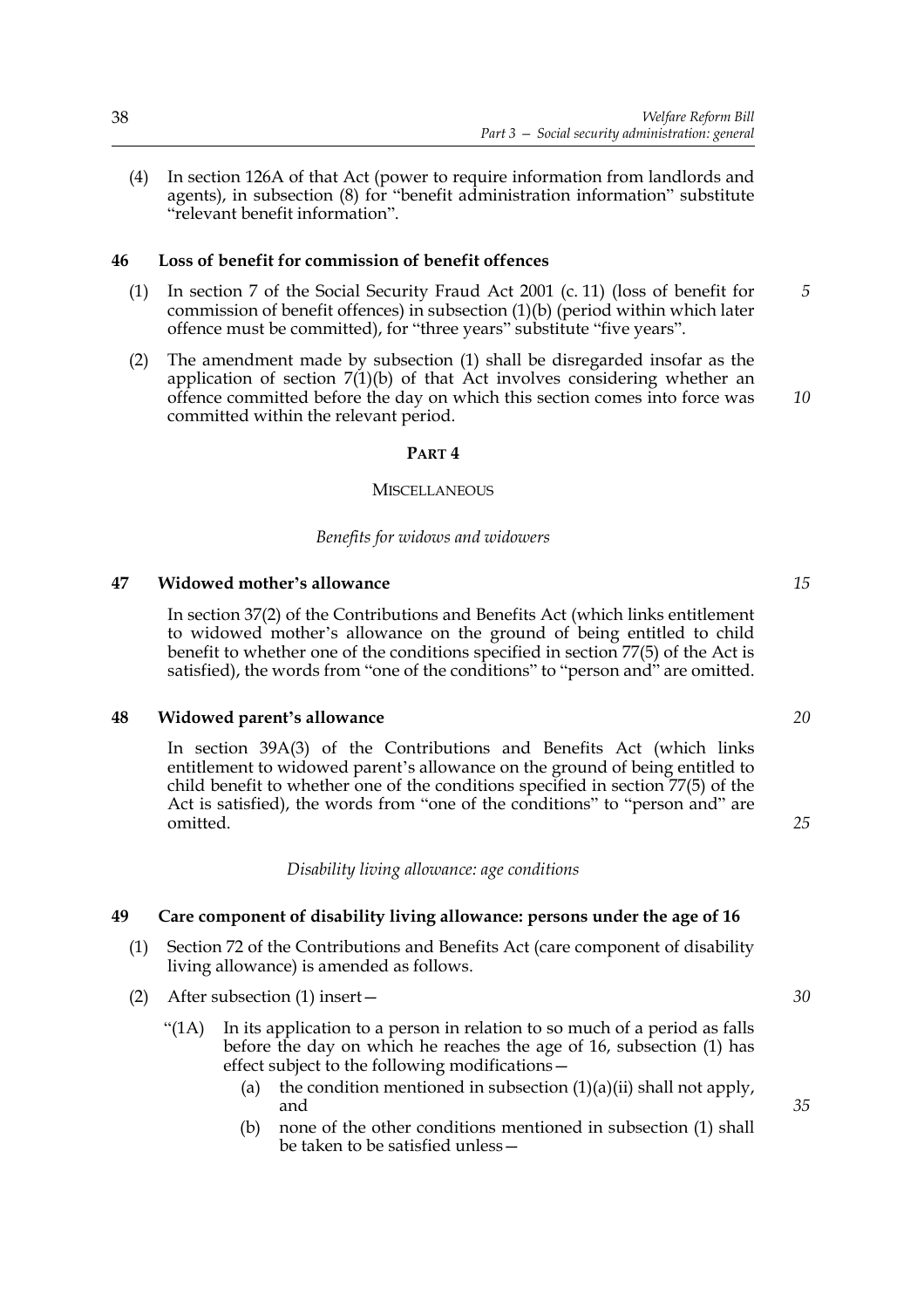(4) In section 126A of that Act (power to require information from landlords and agents), in subsection (8) for "benefit administration information" substitute "relevant benefit information".

### **46 Loss of benefit for commission of benefit offences**

- (1) In section 7 of the Social Security Fraud Act 2001 (c. 11) (loss of benefit for commission of benefit offences) in subsection (1)(b) (period within which later offence must be committed), for "three years" substitute "five years". *5*
- (2) The amendment made by subsection (1) shall be disregarded insofar as the application of section  $7(1)(b)$  of that Act involves considering whether an offence committed before the day on which this section comes into force was committed within the relevant period.

#### **PART 4**

#### **MISCELLANEOUS**

#### *Benefits for widows and widowers*

#### **47 Widowed mother's allowance**

In section 37(2) of the Contributions and Benefits Act (which links entitlement to widowed mother's allowance on the ground of being entitled to child benefit to whether one of the conditions specified in section 77(5) of the Act is satisfied), the words from "one of the conditions" to "person and" are omitted.

#### **48 Widowed parent's allowance**

In section 39A(3) of the Contributions and Benefits Act (which links entitlement to widowed parent's allowance on the ground of being entitled to child benefit to whether one of the conditions specified in section 77(5) of the Act is satisfied), the words from "one of the conditions" to "person and" are omitted.

*Disability living allowance: age conditions*

#### **49 Care component of disability living allowance: persons under the age of 16**

- (1) Section 72 of the Contributions and Benefits Act (care component of disability living allowance) is amended as follows.
- (2) After subsection (1) insert—
	- "( $1A$ ) In its application to a person in relation to so much of a period as falls before the day on which he reaches the age of 16, subsection (1) has effect subject to the following modifications—
		- (a) the condition mentioned in subsection  $(1)(a)(ii)$  shall not apply, and
		- (b) none of the other conditions mentioned in subsection (1) shall be taken to be satisfied unless—

*20*

*15*

*10*

*25*

*35*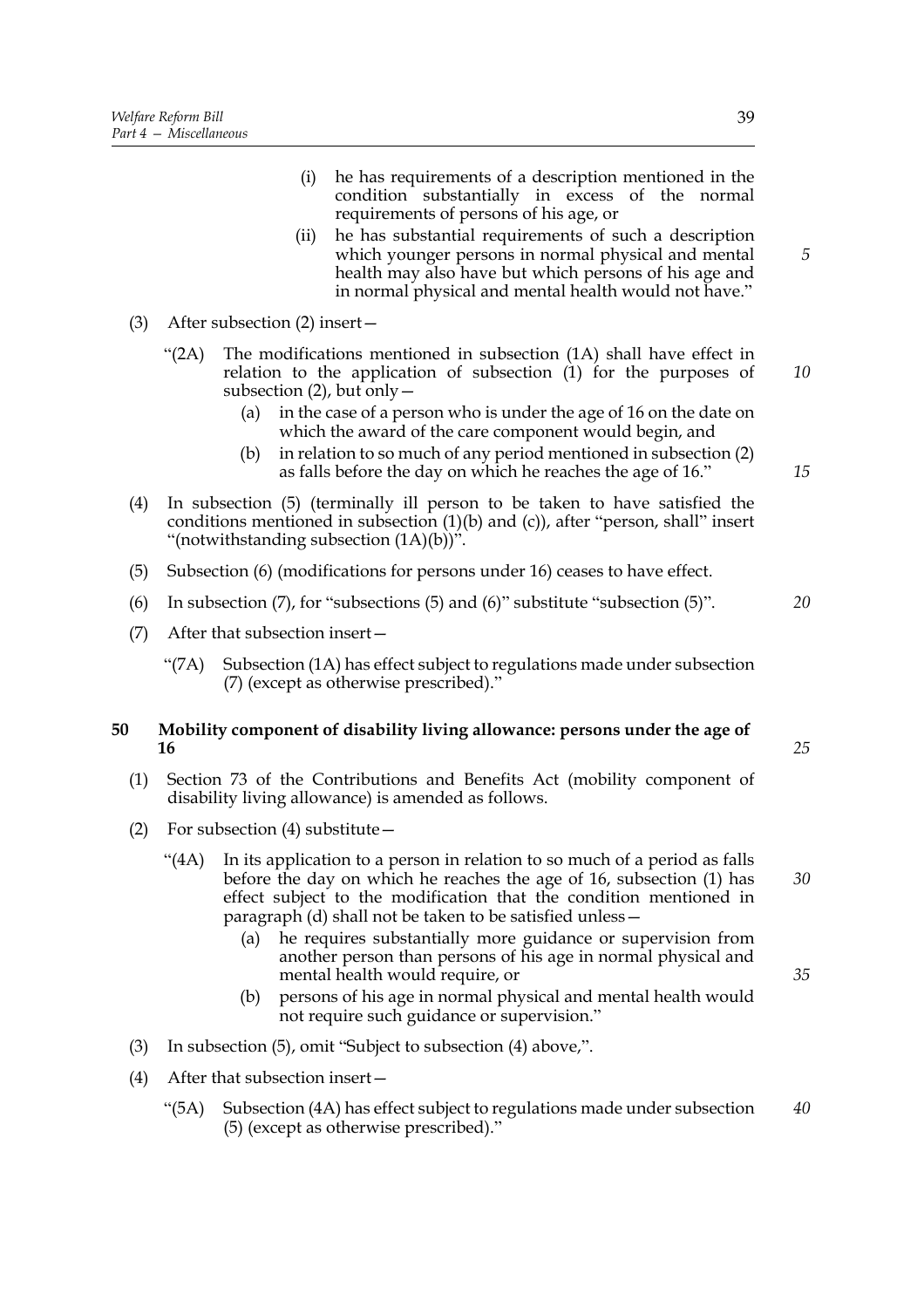| 5  | he has requirements of a description mentioned in the<br>(i)<br>condition substantially in excess of the normal<br>requirements of persons of his age, or<br>he has substantial requirements of such a description<br>(ii)<br>which younger persons in normal physical and mental<br>health may also have but which persons of his age and<br>in normal physical and mental health would not have." |     |  |  |  |
|----|-----------------------------------------------------------------------------------------------------------------------------------------------------------------------------------------------------------------------------------------------------------------------------------------------------------------------------------------------------------------------------------------------------|-----|--|--|--|
|    | After subsection (2) insert -                                                                                                                                                                                                                                                                                                                                                                       | (3) |  |  |  |
| 10 | The modifications mentioned in subsection (1A) shall have effect in<br>" $(2A)$<br>relation to the application of subsection (1) for the purposes of<br>subsection $(2)$ , but only –                                                                                                                                                                                                               |     |  |  |  |
| 15 | in the case of a person who is under the age of 16 on the date on<br>(a)<br>which the award of the care component would begin, and<br>in relation to so much of any period mentioned in subsection (2)<br>(b)<br>as falls before the day on which he reaches the age of 16."                                                                                                                        |     |  |  |  |
|    | In subsection (5) (terminally ill person to be taken to have satisfied the<br>(4)<br>conditions mentioned in subsection $(1)(b)$ and $(c)$ ), after "person, shall" insert<br>"(notwithstanding subsection $(1A)(b)$ )".                                                                                                                                                                            |     |  |  |  |
|    | Subsection (6) (modifications for persons under 16) ceases to have effect.<br>(5)                                                                                                                                                                                                                                                                                                                   |     |  |  |  |
| 20 | (6)<br>In subsection $(7)$ , for "subsections $(5)$ and $(6)$ " substitute "subsection $(5)$ ".                                                                                                                                                                                                                                                                                                     |     |  |  |  |
|    | After that subsection insert-<br>(7)                                                                                                                                                                                                                                                                                                                                                                |     |  |  |  |
|    | Subsection (1A) has effect subject to regulations made under subsection<br>"(7A)<br>(7) (except as otherwise prescribed)."                                                                                                                                                                                                                                                                          |     |  |  |  |
| 25 | Mobility component of disability living allowance: persons under the age of<br>16                                                                                                                                                                                                                                                                                                                   | 50  |  |  |  |
|    | (1)<br>Section 73 of the Contributions and Benefits Act (mobility component of<br>disability living allowance) is amended as follows.                                                                                                                                                                                                                                                               |     |  |  |  |
|    | For subsection $(4)$ substitute $-$                                                                                                                                                                                                                                                                                                                                                                 | (2) |  |  |  |
| 30 | " $(4A)$<br>In its application to a person in relation to so much of a period as falls<br>before the day on which he reaches the age of 16, subsection (1) has<br>effect subject to the modification that the condition mentioned in<br>paragraph (d) shall not be taken to be satisfied unless -                                                                                                   |     |  |  |  |
| 35 | he requires substantially more guidance or supervision from<br>(a)<br>another person than persons of his age in normal physical and<br>mental health would require, or<br>persons of his age in normal physical and mental health would<br>(b)                                                                                                                                                      |     |  |  |  |

- (3) In subsection (5), omit "Subject to subsection (4) above,".
- (4) After that subsection insert—
	- "(5A) Subsection (4A) has effect subject to regulations made under subsection (5) (except as otherwise prescribed)." *40*

not require such guidance or supervision."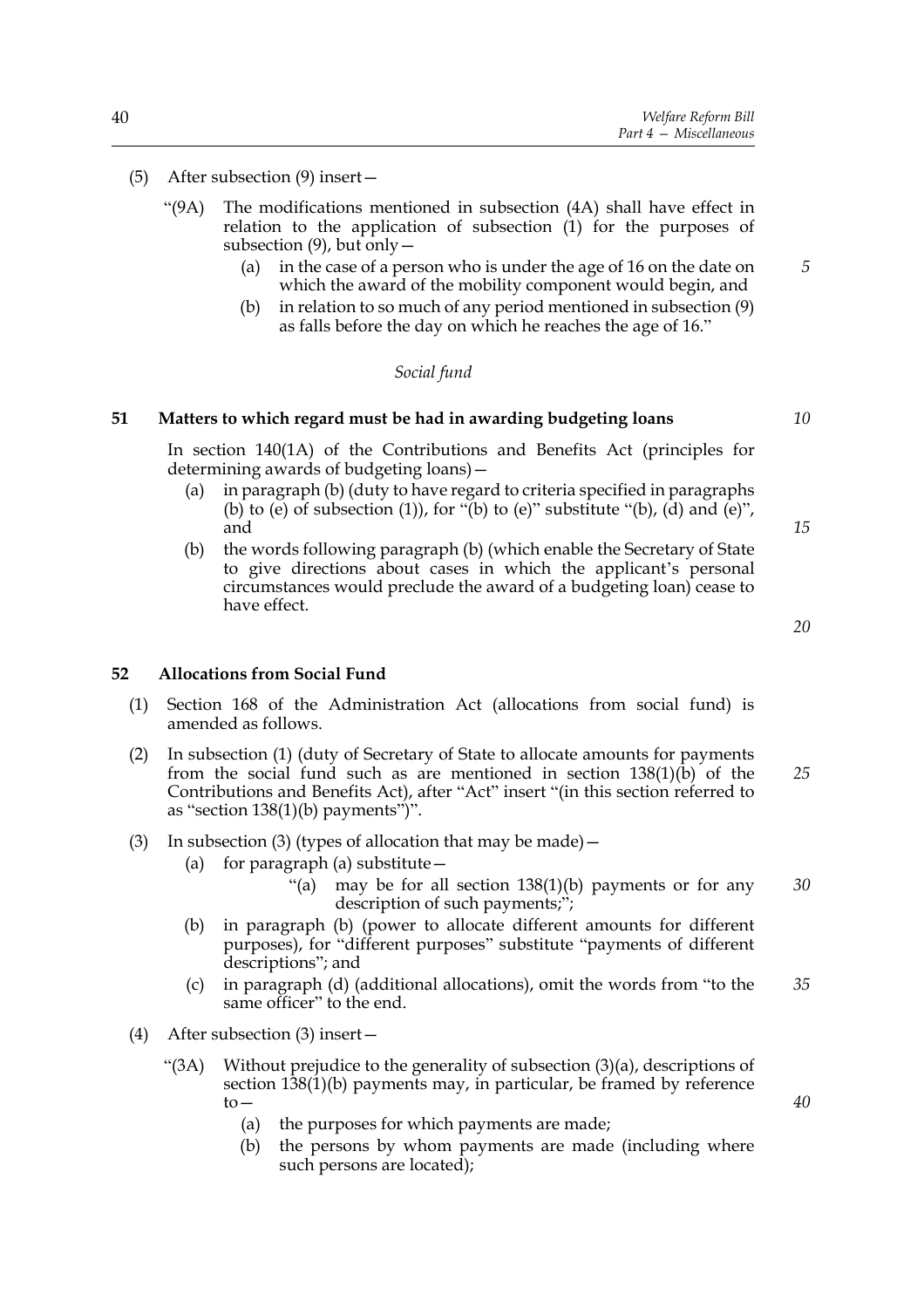- (5) After subsection (9) insert—
	- "(9A) The modifications mentioned in subsection (4A) shall have effect in relation to the application of subsection (1) for the purposes of subsection  $(9)$ , but only  $-$ 
		- (a) in the case of a person who is under the age of 16 on the date on which the award of the mobility component would begin, and
		- (b) in relation to so much of any period mentioned in subsection (9) as falls before the day on which he reaches the age of 16."

#### *Social fund*

# **51 Matters to which regard must be had in awarding budgeting loans**

In section 140(1A) of the Contributions and Benefits Act (principles for determining awards of budgeting loans)—

- (a) in paragraph (b) (duty to have regard to criteria specified in paragraphs (b) to (e) of subsection (1)), for "(b) to (e)" substitute "(b), (d) and (e)", and
- (b) the words following paragraph (b) (which enable the Secretary of State to give directions about cases in which the applicant's personal circumstances would preclude the award of a budgeting loan) cease to have effect.

# **52 Allocations from Social Fund**

- (1) Section 168 of the Administration Act (allocations from social fund) is amended as follows.
- (2) In subsection (1) (duty of Secretary of State to allocate amounts for payments from the social fund such as are mentioned in section  $138(1)(b)$  of the Contributions and Benefits Act), after "Act" insert "(in this section referred to as "section  $138(1)(b)$  payments")". *25*
- (3) In subsection (3) (types of allocation that may be made)  $-$ 
	- (a) for paragraph (a) substitute  $-$ 
		- "(a) may be for all section 138(1)(b) payments or for any description of such payments;"; *30*
	- (b) in paragraph (b) (power to allocate different amounts for different purposes), for "different purposes" substitute "payments of different descriptions"; and
	- (c) in paragraph (d) (additional allocations), omit the words from "to the same officer" to the end. *35*
- (4) After subsection (3) insert—
	- "(3A) Without prejudice to the generality of subsection  $(3)(a)$ , descriptions of section  $1\overline{38(1)}$ (b) payments may, in particular, be framed by reference to—
		- (a) the purposes for which payments are made;
		- (b) the persons by whom payments are made (including where such persons are located);

*10*

*15*

*5*

*20*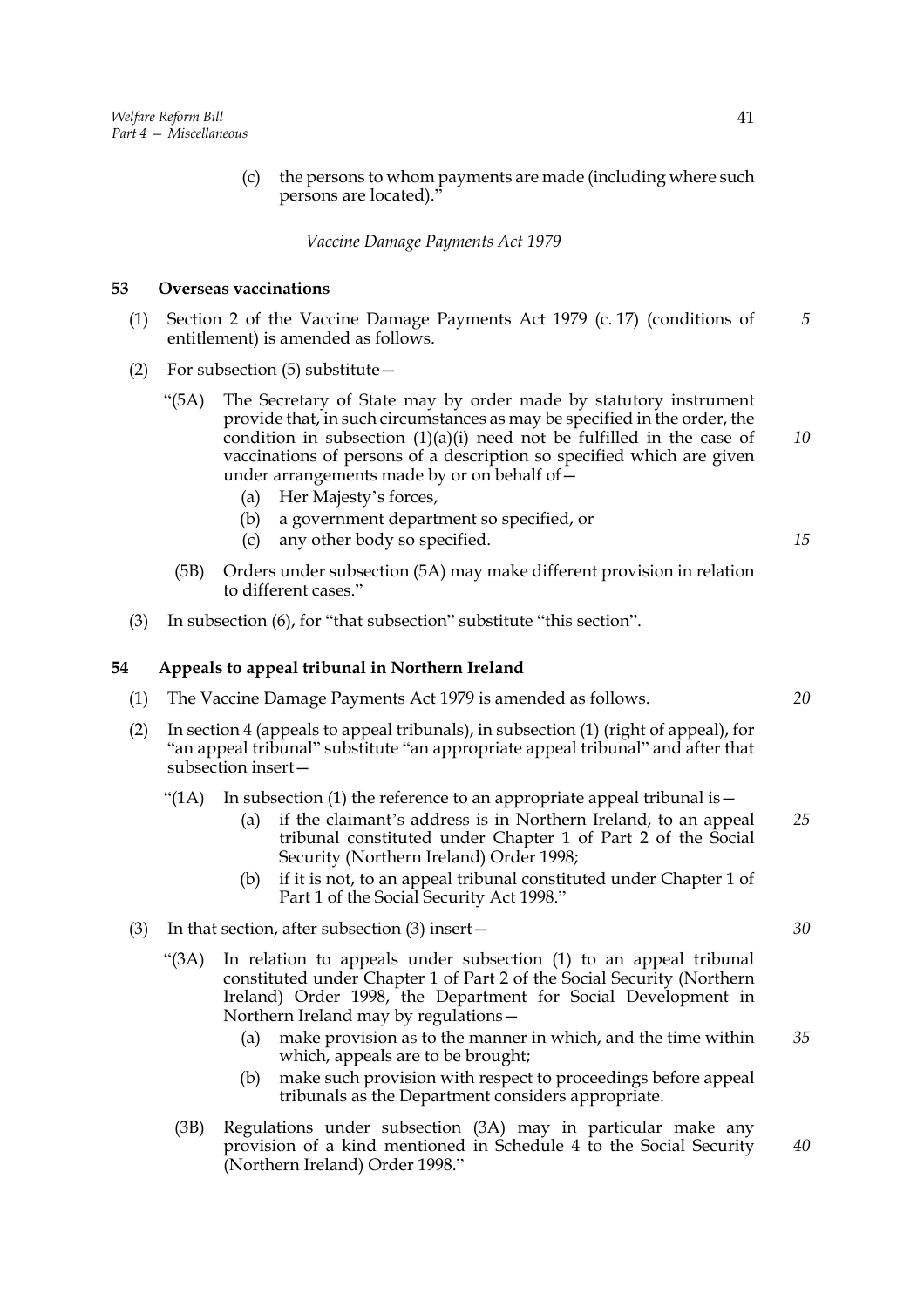(c) the persons to whom payments are made (including where such persons are located)."

#### *Vaccine Damage Payments Act 1979*

# **53 Overseas vaccinations**

- (1) Section 2 of the Vaccine Damage Payments Act 1979 (c. 17) (conditions of entitlement) is amended as follows. *5*
- (2) For subsection  $(5)$  substitute  $-$ 
	- "(5A) The Secretary of State may by order made by statutory instrument provide that, in such circumstances as may be specified in the order, the condition in subsection  $(1)(a)(i)$  need not be fulfilled in the case of vaccinations of persons of a description so specified which are given under arrangements made by or on behalf of— *10*
		- (a) Her Majesty's forces,
		- (b) a government department so specified, or
		- (c) any other body so specified.
	- (5B) Orders under subsection (5A) may make different provision in relation to different cases."
- (3) In subsection (6), for "that subsection" substitute "this section".

#### **54 Appeals to appeal tribunal in Northern Ireland**

- (1) The Vaccine Damage Payments Act 1979 is amended as follows.
- (2) In section 4 (appeals to appeal tribunals), in subsection (1) (right of appeal), for "an appeal tribunal" substitute "an appropriate appeal tribunal" and after that subsection insert—
	- "(1A) In subsection (1) the reference to an appropriate appeal tribunal is  $-$ 
		- (a) if the claimant's address is in Northern Ireland, to an appeal tribunal constituted under Chapter 1 of Part 2 of the Social Security (Northern Ireland) Order 1998;
		- (b) if it is not, to an appeal tribunal constituted under Chapter 1 of Part 1 of the Social Security Act 1998."
- (3) In that section, after subsection (3) insert—
	- "(3A) In relation to appeals under subsection (1) to an appeal tribunal constituted under Chapter 1 of Part 2 of the Social Security (Northern Ireland) Order 1998, the Department for Social Development in Northern Ireland may by regulations—
		- (a) make provision as to the manner in which, and the time within which, appeals are to be brought; *35*
		- (b) make such provision with respect to proceedings before appeal tribunals as the Department considers appropriate.
	- (3B) Regulations under subsection (3A) may in particular make any provision of a kind mentioned in Schedule 4 to the Social Security (Northern Ireland) Order 1998."

*30*

*25*

*15*

*20*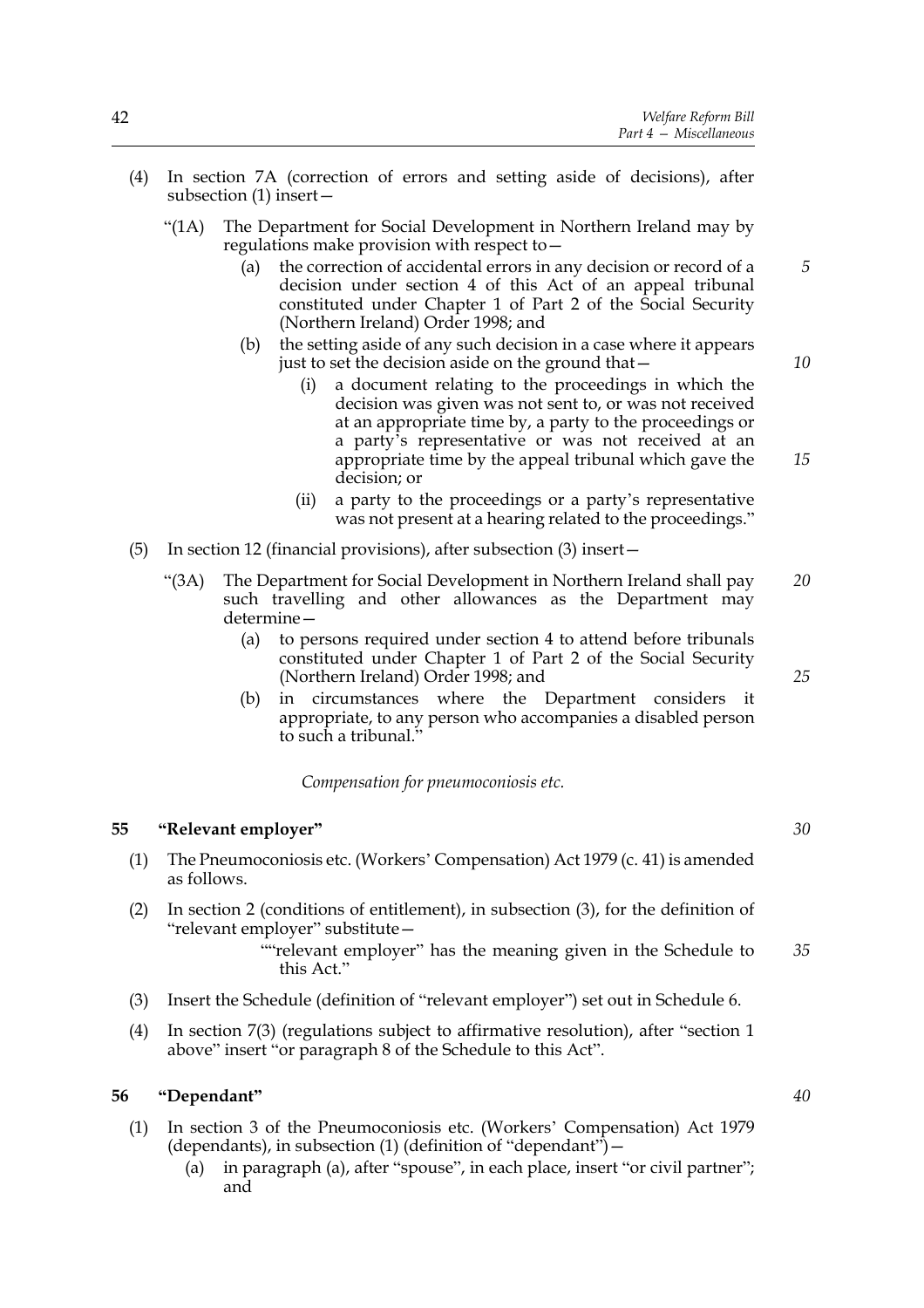- (4) In section 7A (correction of errors and setting aside of decisions), after subsection (1) insert—
	- "(1A) The Department for Social Development in Northern Ireland may by regulations make provision with respect to—
		- (a) the correction of accidental errors in any decision or record of a decision under section 4 of this Act of an appeal tribunal constituted under Chapter 1 of Part 2 of the Social Security (Northern Ireland) Order 1998; and
		- (b) the setting aside of any such decision in a case where it appears just to set the decision aside on the ground that—
			- (i) a document relating to the proceedings in which the decision was given was not sent to, or was not received at an appropriate time by, a party to the proceedings or a party's representative or was not received at an appropriate time by the appeal tribunal which gave the decision; or
			- (ii) a party to the proceedings or a party's representative was not present at a hearing related to the proceedings."
- (5) In section 12 (financial provisions), after subsection (3) insert—
	- "(3A) The Department for Social Development in Northern Ireland shall pay such travelling and other allowances as the Department may determine— *20*
		- (a) to persons required under section 4 to attend before tribunals constituted under Chapter 1 of Part 2 of the Social Security (Northern Ireland) Order 1998; and
		- (b) in circumstances where the Department considers it appropriate, to any person who accompanies a disabled person to such a tribunal."

*Compensation for pneumoconiosis etc.*

#### **55 "Relevant employer"**

- (1) The Pneumoconiosis etc. (Workers' Compensation) Act 1979 (c. 41) is amended as follows.
- (2) In section 2 (conditions of entitlement), in subsection (3), for the definition of "relevant employer" substitute—
	- ""relevant employer" has the meaning given in the Schedule to this Act." *35*
- (3) Insert the Schedule (definition of "relevant employer") set out in Schedule 6.
- (4) In section 7(3) (regulations subject to affirmative resolution), after "section 1 above" insert "or paragraph 8 of the Schedule to this Act".

# **56 "Dependant"**

- (1) In section 3 of the Pneumoconiosis etc. (Workers' Compensation) Act 1979 (dependants), in subsection (1) (definition of "dependant" $\overline{)}$  –
	- (a) in paragraph (a), after "spouse", in each place, insert "or civil partner"; and

*30*

*25*

*15*

*10*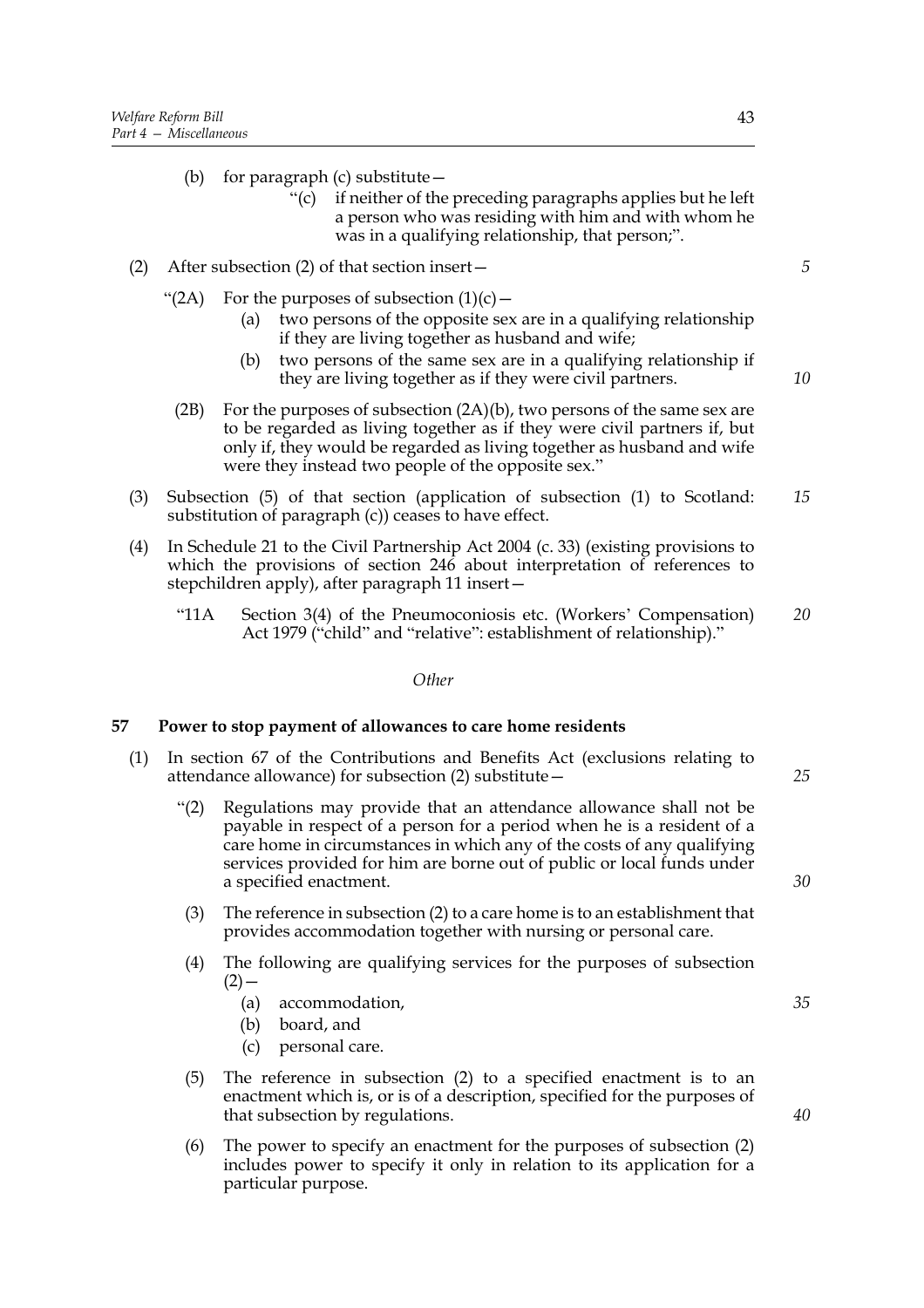- (b) for paragraph (c) substitute—
	- "(c) if neither of the preceding paragraphs applies but he left a person who was residing with him and with whom he was in a qualifying relationship, that person;".
- (2) After subsection (2) of that section insert—
	- "(2A) For the purposes of subsection  $(1)(c)$ 
		- (a) two persons of the opposite sex are in a qualifying relationship if they are living together as husband and wife;
		- (b) two persons of the same sex are in a qualifying relationship if they are living together as if they were civil partners.
	- (2B) For the purposes of subsection (2A)(b), two persons of the same sex are to be regarded as living together as if they were civil partners if, but only if, they would be regarded as living together as husband and wife were they instead two people of the opposite sex."
- (3) Subsection (5) of that section (application of subsection (1) to Scotland: substitution of paragraph (c)) ceases to have effect. *15*
- (4) In Schedule 21 to the Civil Partnership Act 2004 (c. 33) (existing provisions to which the provisions of section 246 about interpretation of references to stepchildren apply), after paragraph 11 insert—
	- "11A Section 3(4) of the Pneumoconiosis etc. (Workers' Compensation) Act 1979 ("child" and "relative": establishment of relationship)." *20*

# *Other*

#### **57 Power to stop payment of allowances to care home residents**

- (1) In section 67 of the Contributions and Benefits Act (exclusions relating to attendance allowance) for subsection (2) substitute—
	- "(2) Regulations may provide that an attendance allowance shall not be payable in respect of a person for a period when he is a resident of a care home in circumstances in which any of the costs of any qualifying services provided for him are borne out of public or local funds under a specified enactment.
	- (3) The reference in subsection (2) to a care home is to an establishment that provides accommodation together with nursing or personal care.
	- (4) The following are qualifying services for the purposes of subsection  $(2)$  —
		- (a) accommodation,
		- (b) board, and
		- (c) personal care.
	- (5) The reference in subsection (2) to a specified enactment is to an enactment which is, or is of a description, specified for the purposes of that subsection by regulations.
	- (6) The power to specify an enactment for the purposes of subsection (2) includes power to specify it only in relation to its application for a particular purpose.

*5*

*10*

*30*

*25*

*35*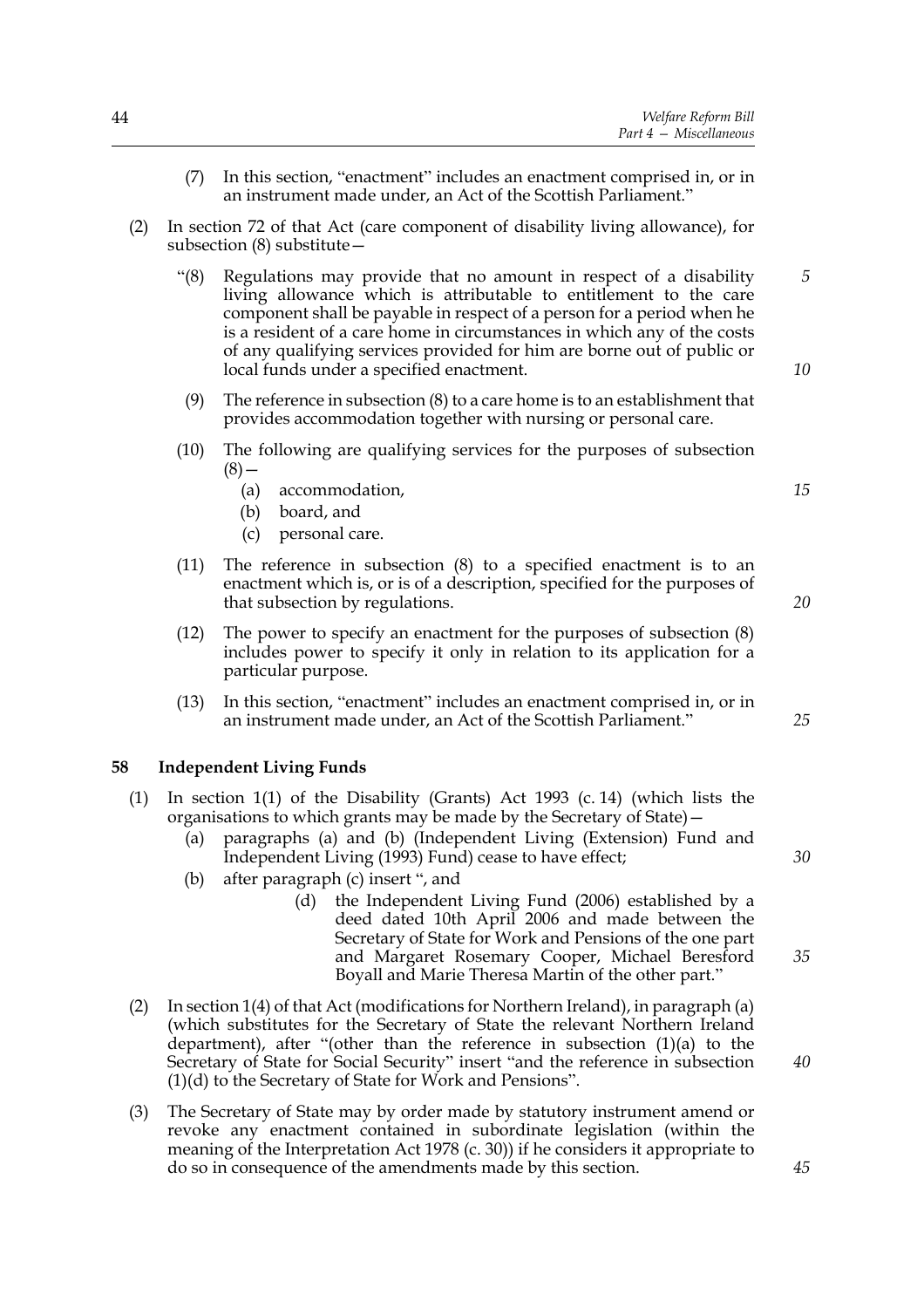- (7) In this section, "enactment" includes an enactment comprised in, or in an instrument made under, an Act of the Scottish Parliament."
- (2) In section 72 of that Act (care component of disability living allowance), for subsection (8) substitute—
	- "(8) Regulations may provide that no amount in respect of a disability living allowance which is attributable to entitlement to the care component shall be payable in respect of a person for a period when he is a resident of a care home in circumstances in which any of the costs of any qualifying services provided for him are borne out of public or local funds under a specified enactment.
	- (9) The reference in subsection (8) to a care home is to an establishment that provides accommodation together with nursing or personal care.
	- (10) The following are qualifying services for the purposes of subsection  $(8)$  —
		- (a) accommodation,
		- (b) board, and
		- (c) personal care.
	- (11) The reference in subsection (8) to a specified enactment is to an enactment which is, or is of a description, specified for the purposes of that subsection by regulations.
	- (12) The power to specify an enactment for the purposes of subsection (8) includes power to specify it only in relation to its application for a particular purpose.
	- (13) In this section, "enactment" includes an enactment comprised in, or in an instrument made under, an Act of the Scottish Parliament."

#### **58 Independent Living Funds**

#### (1) In section 1(1) of the Disability (Grants) Act 1993 (c. 14) (which lists the organisations to which grants may be made by the Secretary of State)—

- (a) paragraphs (a) and (b) (Independent Living (Extension) Fund and Independent Living (1993) Fund) cease to have effect;
- (b) after paragraph (c) insert ", and
	- (d) the Independent Living Fund (2006) established by a deed dated 10th April 2006 and made between the Secretary of State for Work and Pensions of the one part and Margaret Rosemary Cooper, Michael Beresford Boyall and Marie Theresa Martin of the other part."
- (2) In section 1(4) of that Act (modifications for Northern Ireland), in paragraph (a) (which substitutes for the Secretary of State the relevant Northern Ireland department), after "(other than the reference in subsection (1)(a) to the Secretary of State for Social Security" insert "and the reference in subsection (1)(d) to the Secretary of State for Work and Pensions".
- (3) The Secretary of State may by order made by statutory instrument amend or revoke any enactment contained in subordinate legislation (within the meaning of the Interpretation Act 1978 (c. 30)) if he considers it appropriate to do so in consequence of the amendments made by this section.

*10*

*5*

*20*

*25*

*15*

*30*

*35*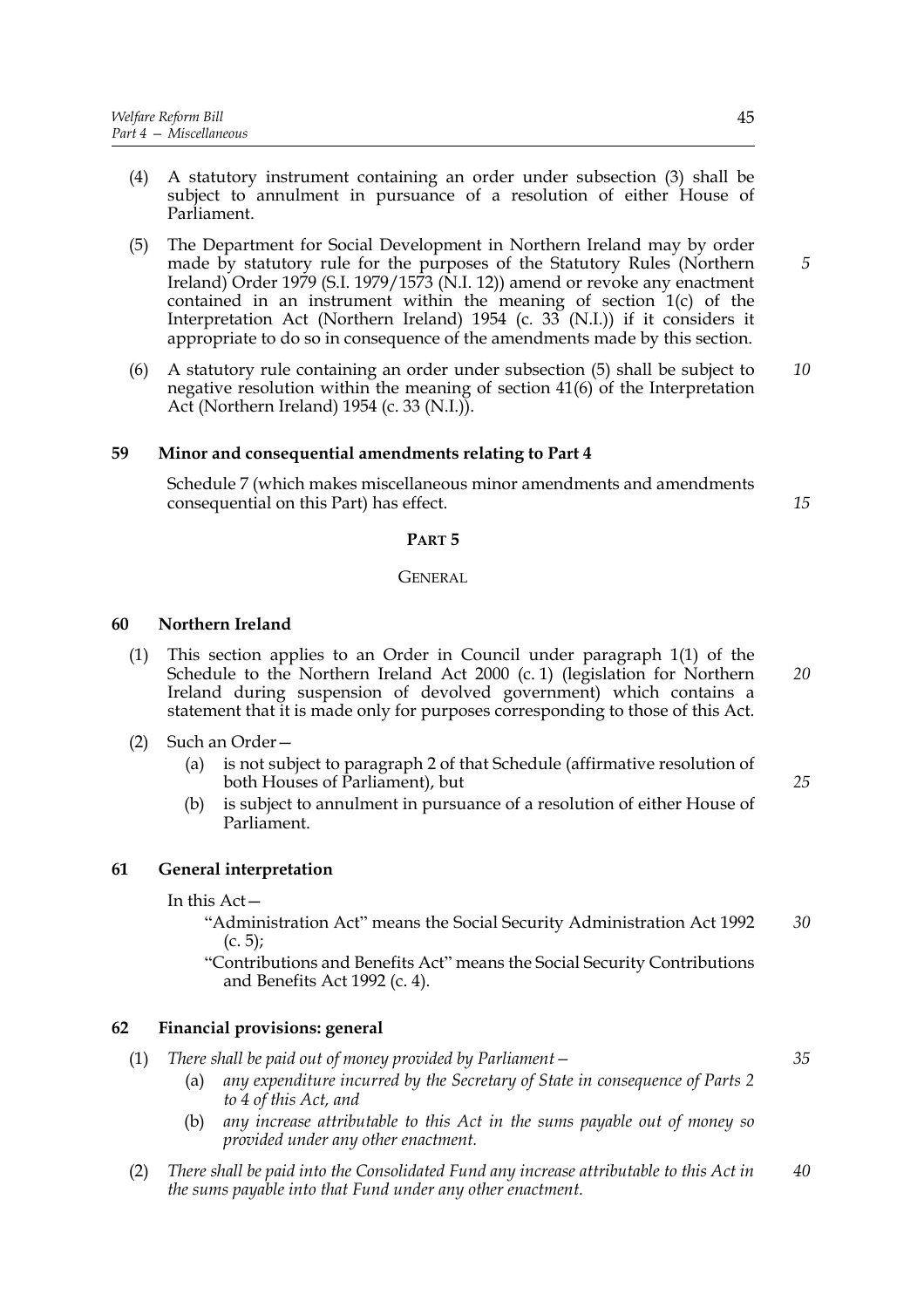- (4) A statutory instrument containing an order under subsection (3) shall be subject to annulment in pursuance of a resolution of either House of Parliament.
- (5) The Department for Social Development in Northern Ireland may by order made by statutory rule for the purposes of the Statutory Rules (Northern Ireland) Order 1979 (S.I. 1979/1573 (N.I. 12)) amend or revoke any enactment contained in an instrument within the meaning of section 1(c) of the Interpretation Act (Northern Ireland) 1954 (c. 33 (N.I.)) if it considers it appropriate to do so in consequence of the amendments made by this section.
- (6) A statutory rule containing an order under subsection (5) shall be subject to negative resolution within the meaning of section 41(6) of the Interpretation Act (Northern Ireland) 1954 (c. 33 (N.I.)). *10*

# **59 Minor and consequential amendments relating to Part 4**

Schedule 7 (which makes miscellaneous minor amendments and amendments consequential on this Part) has effect.

*15*

*20*

*25*

*35*

*5*

# **PART 5**

#### **GENERAL**

# **60 Northern Ireland**

- (1) This section applies to an Order in Council under paragraph 1(1) of the Schedule to the Northern Ireland Act 2000 (c. 1) (legislation for Northern Ireland during suspension of devolved government) which contains a statement that it is made only for purposes corresponding to those of this Act.
- (2) Such an Order—
	- (a) is not subject to paragraph 2 of that Schedule (affirmative resolution of both Houses of Parliament), but
	- (b) is subject to annulment in pursuance of a resolution of either House of Parliament.

# **61 General interpretation**

In this Act—

- "Administration Act" means the Social Security Administration Act 1992  $(c. 5);$ *30*
- "Contributions and Benefits Act" means the Social Security Contributions and Benefits Act 1992 (c. 4).

# **62 Financial provisions: general**

- (1) *There shall be paid out of money provided by Parliament—*
	- (a) *any expenditure incurred by the Secretary of State in consequence of Parts 2 to 4 of this Act, and*
	- (b) *any increase attributable to this Act in the sums payable out of money so provided under any other enactment.*
- (2) *There shall be paid into the Consolidated Fund any increase attributable to this Act in the sums payable into that Fund under any other enactment. 40*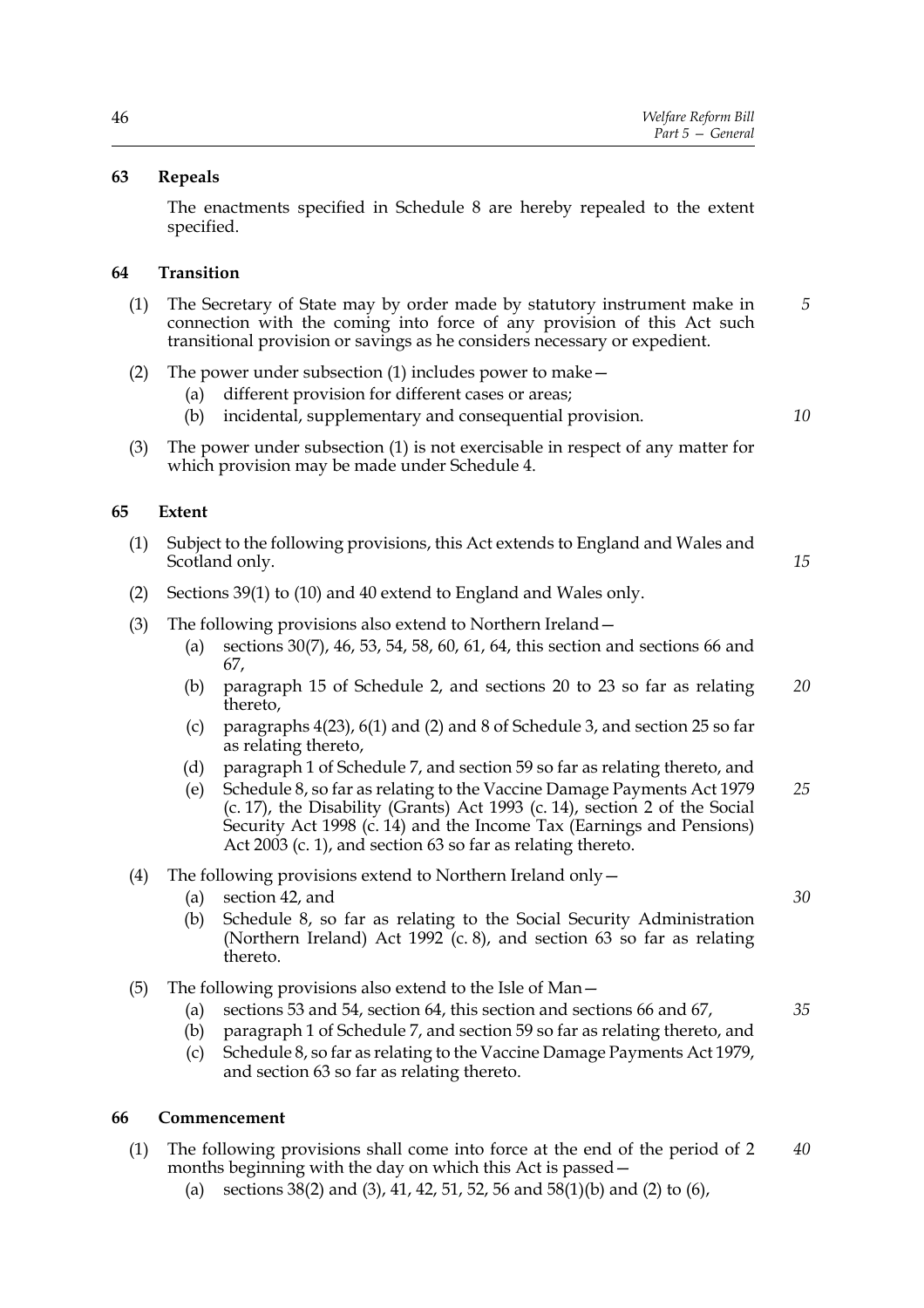# **63 Repeals**

The enactments specified in Schedule 8 are hereby repealed to the extent specified.

# **64 Transition**

- (1) The Secretary of State may by order made by statutory instrument make in connection with the coming into force of any provision of this Act such transitional provision or savings as he considers necessary or expedient. *5*
- (2) The power under subsection (1) includes power to make—
	- (a) different provision for different cases or areas;
	- (b) incidental, supplementary and consequential provision.
- (3) The power under subsection (1) is not exercisable in respect of any matter for which provision may be made under Schedule 4.

# **65 Extent**

(1) Subject to the following provisions, this Act extends to England and Wales and Scotland only.

*15*

*10*

- (2) Sections 39(1) to (10) and 40 extend to England and Wales only.
- (3) The following provisions also extend to Northern Ireland—
	- (a) sections 30(7), 46, 53, 54, 58, 60, 61, 64, this section and sections 66 and 67,
	- (b) paragraph 15 of Schedule 2, and sections 20 to 23 so far as relating thereto, *20*
	- (c) paragraphs 4(23), 6(1) and (2) and 8 of Schedule 3, and section 25 so far as relating thereto,
	- (d) paragraph 1 of Schedule 7, and section 59 so far as relating thereto, and
	- (e) Schedule 8, so far as relating to the Vaccine Damage Payments Act 1979 (c. 17), the Disability (Grants) Act 1993 (c. 14), section 2 of the Social Security Act 1998 (c. 14) and the Income Tax (Earnings and Pensions) Act 2003 (c. 1), and section 63 so far as relating thereto. *25*
- (4) The following provisions extend to Northern Ireland only—
	- (a) section 42, and
	- (b) Schedule 8, so far as relating to the Social Security Administration (Northern Ireland) Act 1992 (c. 8), and section 63 so far as relating thereto.
- (5) The following provisions also extend to the Isle of Man—
	- (a) sections 53 and 54, section 64, this section and sections 66 and 67,
	- (b) paragraph 1 of Schedule 7, and section 59 so far as relating thereto, and
	- (c) Schedule 8, so far as relating to the Vaccine Damage Payments Act 1979, and section 63 so far as relating thereto.

# **66 Commencement**

- (1) The following provisions shall come into force at the end of the period of 2 months beginning with the day on which this Act is passed— *40*
	- (a) sections 38(2) and (3), 41, 42, 51, 52, 56 and 58(1)(b) and (2) to (6),

*30*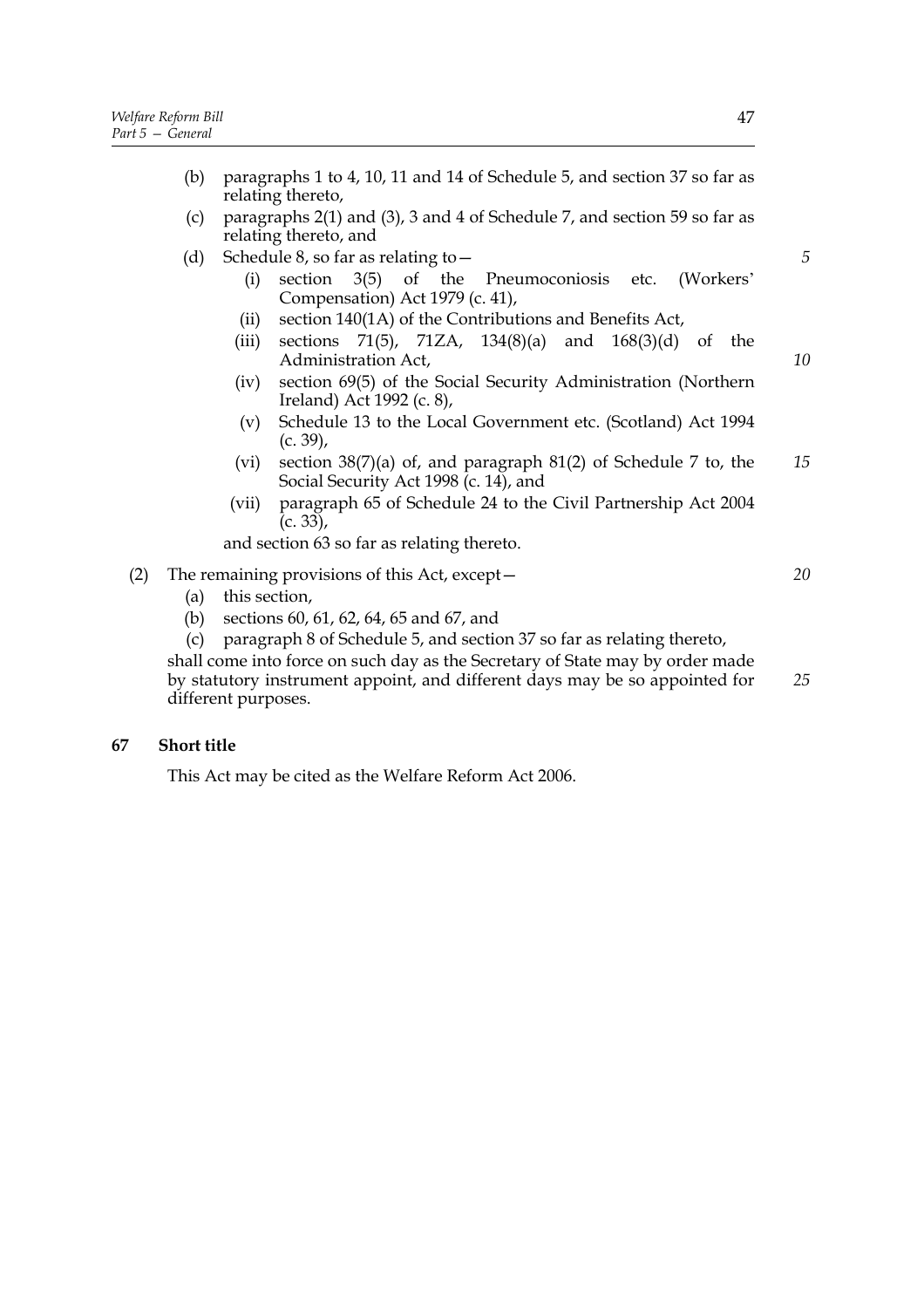|     | (b)                                                                           |                                                                       | paragraphs 1 to 4, 10, 11 and 14 of Schedule 5, and section 37 so far as                                    |    |  |  |  |
|-----|-------------------------------------------------------------------------------|-----------------------------------------------------------------------|-------------------------------------------------------------------------------------------------------------|----|--|--|--|
|     |                                                                               |                                                                       | relating thereto,                                                                                           |    |  |  |  |
|     | (c)                                                                           |                                                                       | paragraphs $2(1)$ and $(3)$ , 3 and 4 of Schedule 7, and section 59 so far as<br>relating thereto, and      |    |  |  |  |
|     | (d)                                                                           |                                                                       | Schedule 8, so far as relating to $-$                                                                       | 5  |  |  |  |
|     |                                                                               | (i)                                                                   | section 3(5) of the Pneumoconiosis etc.<br>(Workers'<br>Compensation) Act 1979 (c. 41),                     |    |  |  |  |
|     |                                                                               | (ii)                                                                  | section 140(1A) of the Contributions and Benefits Act,                                                      |    |  |  |  |
|     |                                                                               | (iii)                                                                 | sections 71(5), 71ZA, 134(8)(a) and $168(3)(d)$ of<br>the<br>Administration Act,                            | 10 |  |  |  |
|     |                                                                               | (iv)                                                                  | section 69(5) of the Social Security Administration (Northern<br>Ireland) Act 1992 (c. 8),                  |    |  |  |  |
|     |                                                                               | (v)                                                                   | Schedule 13 to the Local Government etc. (Scotland) Act 1994<br>$(c. 39)$ ,                                 |    |  |  |  |
|     |                                                                               | (vi)                                                                  | section $38(7)(a)$ of, and paragraph $81(2)$ of Schedule 7 to, the<br>Social Security Act 1998 (c. 14), and | 15 |  |  |  |
|     |                                                                               | (vii)                                                                 | paragraph 65 of Schedule 24 to the Civil Partnership Act 2004<br>$(c. 33)$ ,                                |    |  |  |  |
|     |                                                                               |                                                                       | and section 63 so far as relating thereto.                                                                  |    |  |  |  |
| (2) | The remaining provisions of this Act, except –                                |                                                                       |                                                                                                             |    |  |  |  |
|     | (a)                                                                           | this section,                                                         |                                                                                                             |    |  |  |  |
|     | (b)                                                                           | sections 60, 61, 62, 64, 65 and 67, and                               |                                                                                                             |    |  |  |  |
|     | (c)                                                                           | paragraph 8 of Schedule 5, and section 37 so far as relating thereto, |                                                                                                             |    |  |  |  |
|     | shall come into force on such day as the Secretary of State may by order made |                                                                       |                                                                                                             |    |  |  |  |

shall come into force on such day as the Secretary of State may by order made by statutory instrument appoint, and different days may be so appointed for different purposes. *25*

# **67 Short title**

This Act may be cited as the Welfare Reform Act 2006.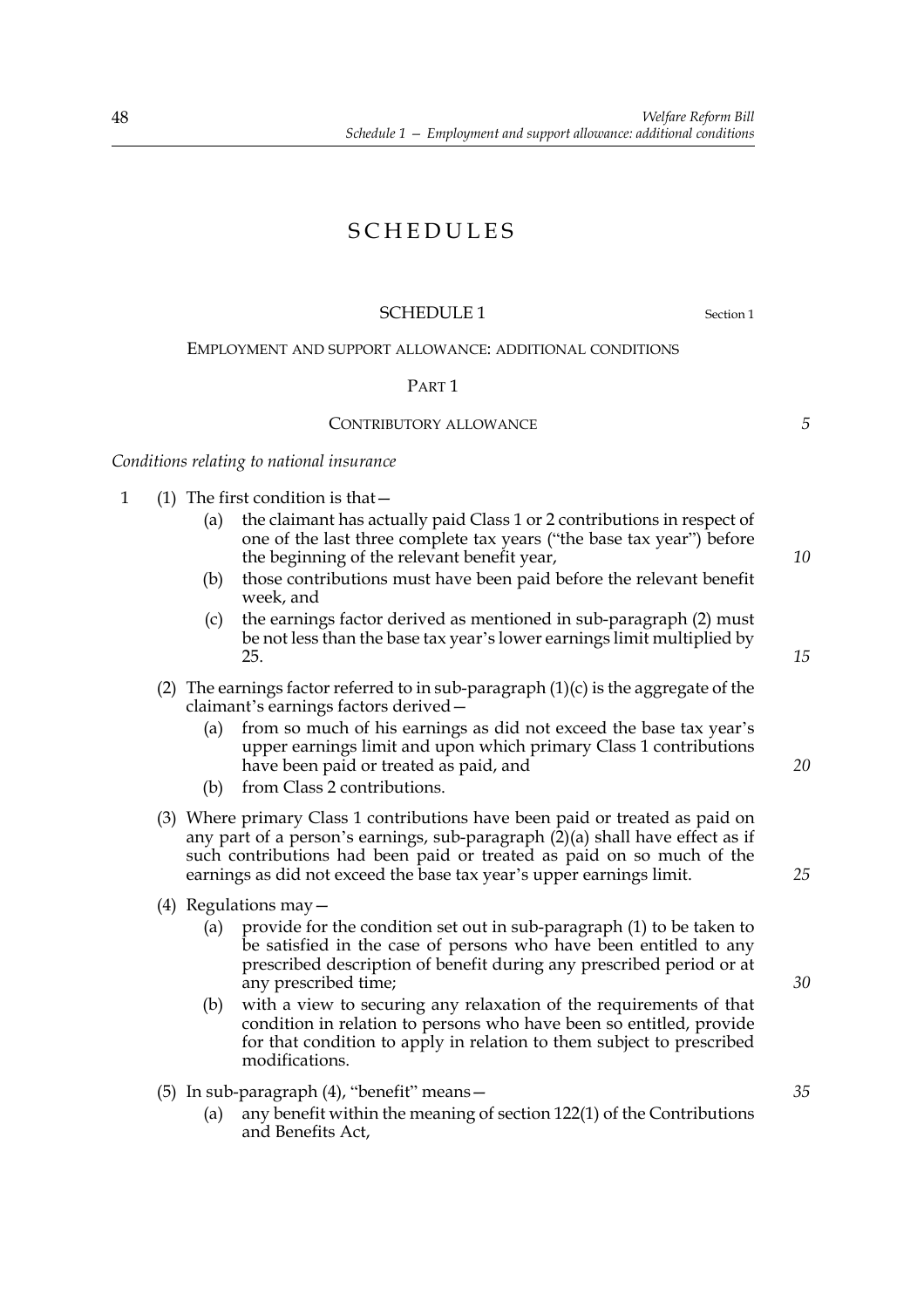# SCHEDULES

# SCHEDULE 1 Section 1

#### EMPLOYMENT AND SUPPORT ALLOWANCE: ADDITIONAL CONDITIONS

#### PART 1

# CONTRIBUTORY ALLOWANCE

*5*

*10*

*15*

*20*

*25*

# *Conditions relating to national insurance*

- 1 (1) The first condition is that—
	- (a) the claimant has actually paid Class 1 or 2 contributions in respect of one of the last three complete tax years ("the base tax year") before the beginning of the relevant benefit year,
	- (b) those contributions must have been paid before the relevant benefit week, and
	- (c) the earnings factor derived as mentioned in sub-paragraph (2) must be not less than the base tax year's lower earnings limit multiplied by 25.
	- (2) The earnings factor referred to in sub-paragraph  $(1)(c)$  is the aggregate of the claimant's earnings factors derived—
		- (a) from so much of his earnings as did not exceed the base tax year's upper earnings limit and upon which primary Class 1 contributions have been paid or treated as paid, and
		- (b) from Class 2 contributions.
	- (3) Where primary Class 1 contributions have been paid or treated as paid on any part of a person's earnings, sub-paragraph (2)(a) shall have effect as if such contributions had been paid or treated as paid on so much of the earnings as did not exceed the base tax year's upper earnings limit.
	- (4) Regulations may—
		- (a) provide for the condition set out in sub-paragraph (1) to be taken to be satisfied in the case of persons who have been entitled to any prescribed description of benefit during any prescribed period or at any prescribed time;
		- (b) with a view to securing any relaxation of the requirements of that condition in relation to persons who have been so entitled, provide for that condition to apply in relation to them subject to prescribed modifications.
	- (5) In sub-paragraph (4), "benefit" means—
		- (a) any benefit within the meaning of section 122(1) of the Contributions and Benefits Act,

*35*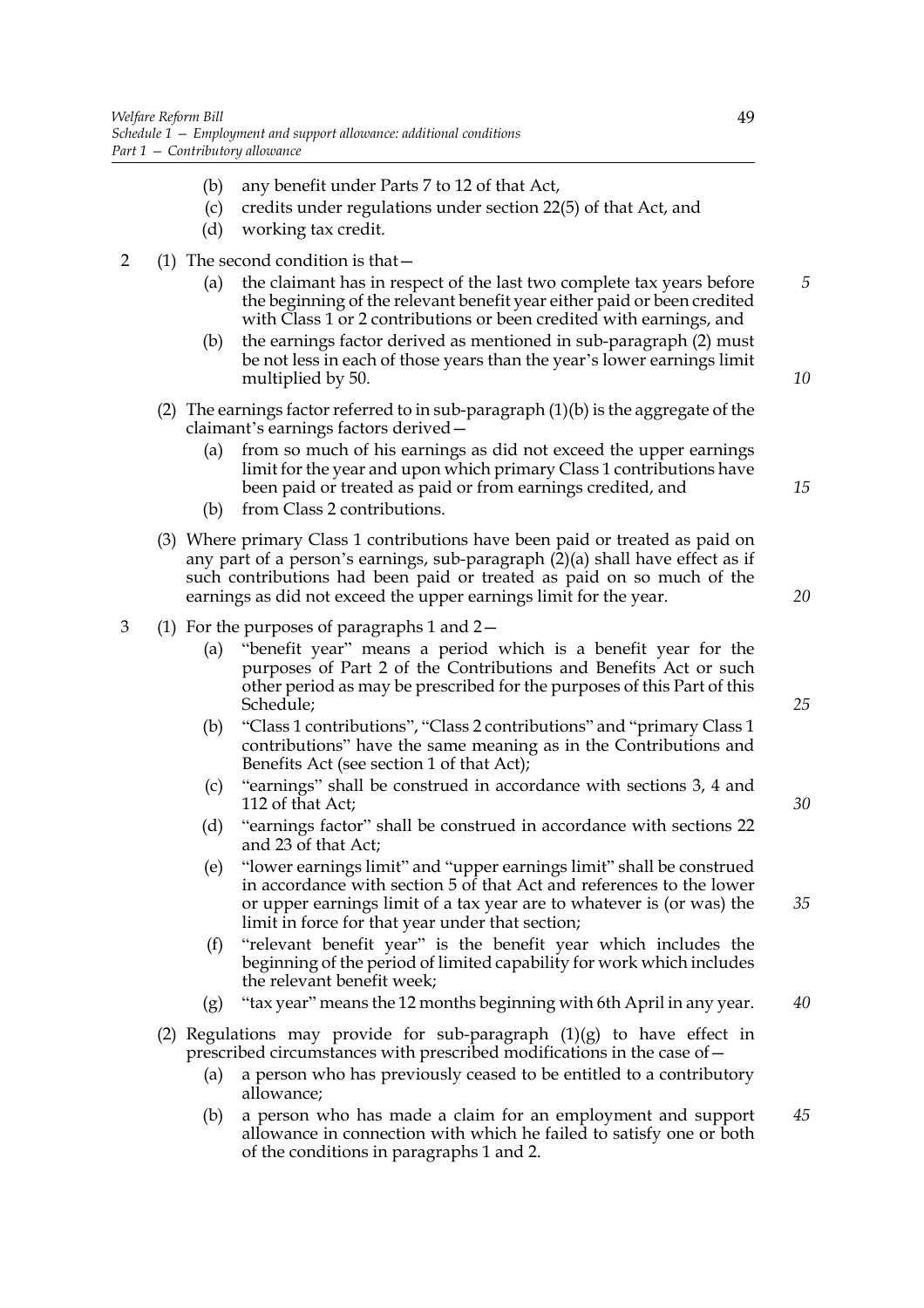- (b) any benefit under Parts 7 to 12 of that Act,
- (c) credits under regulations under section 22(5) of that Act, and
- (d) working tax credit.
- 2 (1) The second condition is that—
	- (a) the claimant has in respect of the last two complete tax years before the beginning of the relevant benefit year either paid or been credited with Class 1 or 2 contributions or been credited with earnings, and *5*
	- (b) the earnings factor derived as mentioned in sub-paragraph (2) must be not less in each of those years than the year's lower earnings limit multiplied by 50.
	- (2) The earnings factor referred to in sub-paragraph (1)(b) is the aggregate of the claimant's earnings factors derived—
		- (a) from so much of his earnings as did not exceed the upper earnings limit for the year and upon which primary Class 1 contributions have been paid or treated as paid or from earnings credited, and
		- (b) from Class 2 contributions.
	- (3) Where primary Class 1 contributions have been paid or treated as paid on any part of a person's earnings, sub-paragraph (2)(a) shall have effect as if such contributions had been paid or treated as paid on so much of the earnings as did not exceed the upper earnings limit for the year.
- 3 (1) For the purposes of paragraphs 1 and 2—
	- (a) "benefit year" means a period which is a benefit year for the purposes of Part 2 of the Contributions and Benefits Act or such other period as may be prescribed for the purposes of this Part of this Schedule;
	- (b) "Class 1 contributions", "Class 2 contributions" and "primary Class 1 contributions" have the same meaning as in the Contributions and Benefits Act (see section 1 of that Act);
	- (c) "earnings" shall be construed in accordance with sections 3, 4 and 112 of that Act;
	- (d) "earnings factor" shall be construed in accordance with sections 22 and 23 of that Act;
	- (e) "lower earnings limit" and "upper earnings limit" shall be construed in accordance with section 5 of that Act and references to the lower or upper earnings limit of a tax year are to whatever is (or was) the limit in force for that year under that section;
	- (f) "relevant benefit year" is the benefit year which includes the beginning of the period of limited capability for work which includes the relevant benefit week;
	- (g) "tax year" means the 12 months beginning with 6th April in any year. *40*
	- (2) Regulations may provide for sub-paragraph  $(1)(g)$  to have effect in prescribed circumstances with prescribed modifications in the case of—
		- (a) a person who has previously ceased to be entitled to a contributory allowance;
		- (b) a person who has made a claim for an employment and support allowance in connection with which he failed to satisfy one or both of the conditions in paragraphs 1 and 2. *45*

*25*

*10*

*15*

*20*

*30*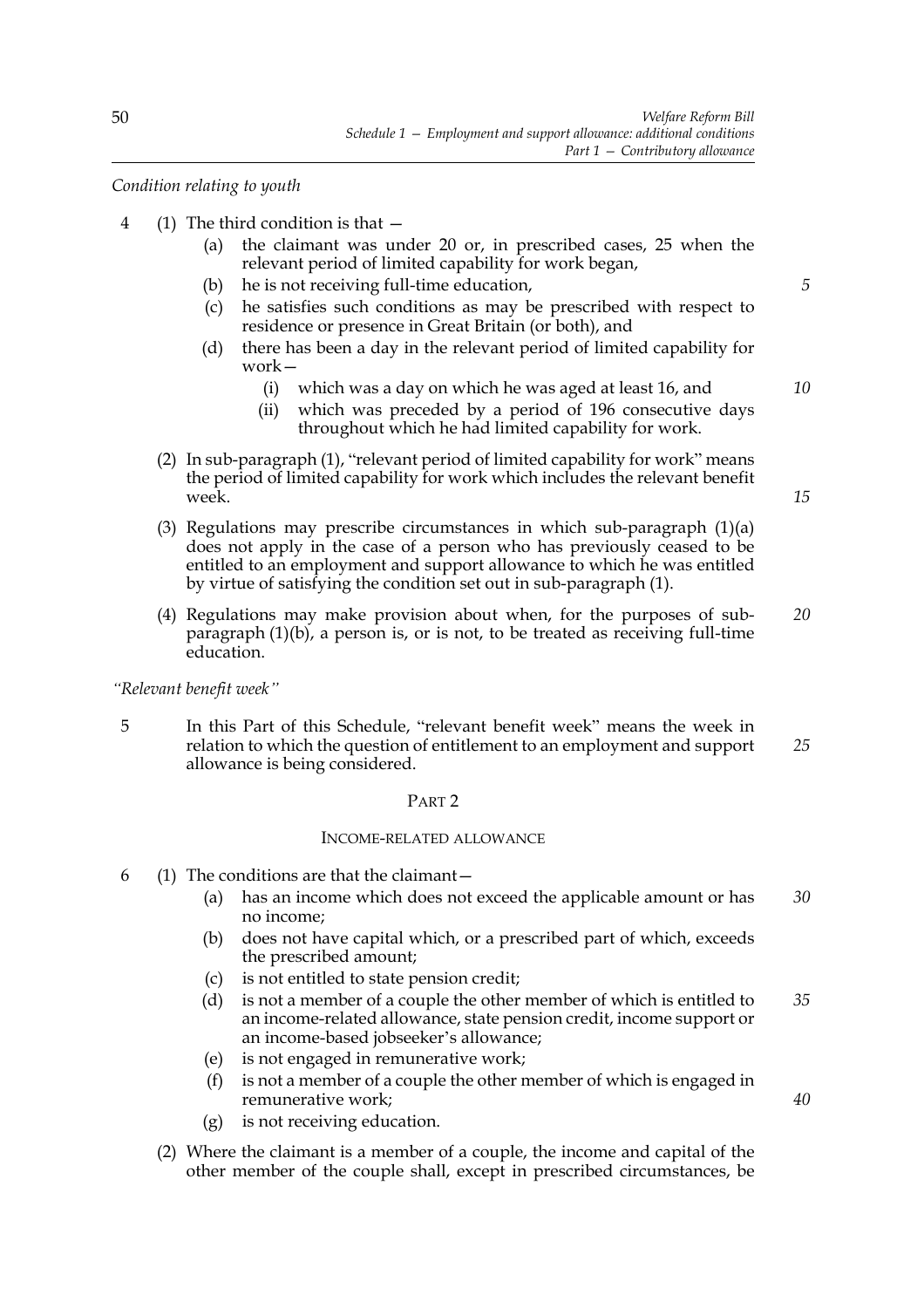*Condition relating to youth*

- 4 (1) The third condition is that
	- (a) the claimant was under 20 or, in prescribed cases, 25 when the relevant period of limited capability for work began,
	- (b) he is not receiving full-time education,
	- (c) he satisfies such conditions as may be prescribed with respect to residence or presence in Great Britain (or both), and
	- (d) there has been a day in the relevant period of limited capability for work—
		- (i) which was a day on which he was aged at least 16, and
		- (ii) which was preceded by a period of 196 consecutive days throughout which he had limited capability for work.
	- (2) In sub-paragraph (1), "relevant period of limited capability for work" means the period of limited capability for work which includes the relevant benefit week.
	- (3) Regulations may prescribe circumstances in which sub-paragraph (1)(a) does not apply in the case of a person who has previously ceased to be entitled to an employment and support allowance to which he was entitled by virtue of satisfying the condition set out in sub-paragraph (1).
	- (4) Regulations may make provision about when, for the purposes of subparagraph (1)(b), a person is, or is not, to be treated as receiving full-time education. *20*

*"Relevant benefit week"*

5 In this Part of this Schedule, "relevant benefit week" means the week in relation to which the question of entitlement to an employment and support allowance is being considered. *25*

#### PART 2

#### INCOME-RELATED ALLOWANCE

- 6 (1) The conditions are that the claimant—
	- (a) has an income which does not exceed the applicable amount or has no income; *30*
	- (b) does not have capital which, or a prescribed part of which, exceeds the prescribed amount;
	- (c) is not entitled to state pension credit;
	- (d) is not a member of a couple the other member of which is entitled to an income-related allowance, state pension credit, income support or an income-based jobseeker's allowance; *35*
	- (e) is not engaged in remunerative work;
	- (f) is not a member of a couple the other member of which is engaged in remunerative work;
	- (g) is not receiving education.
	- (2) Where the claimant is a member of a couple, the income and capital of the other member of the couple shall, except in prescribed circumstances, be

*10*

*15*

*40*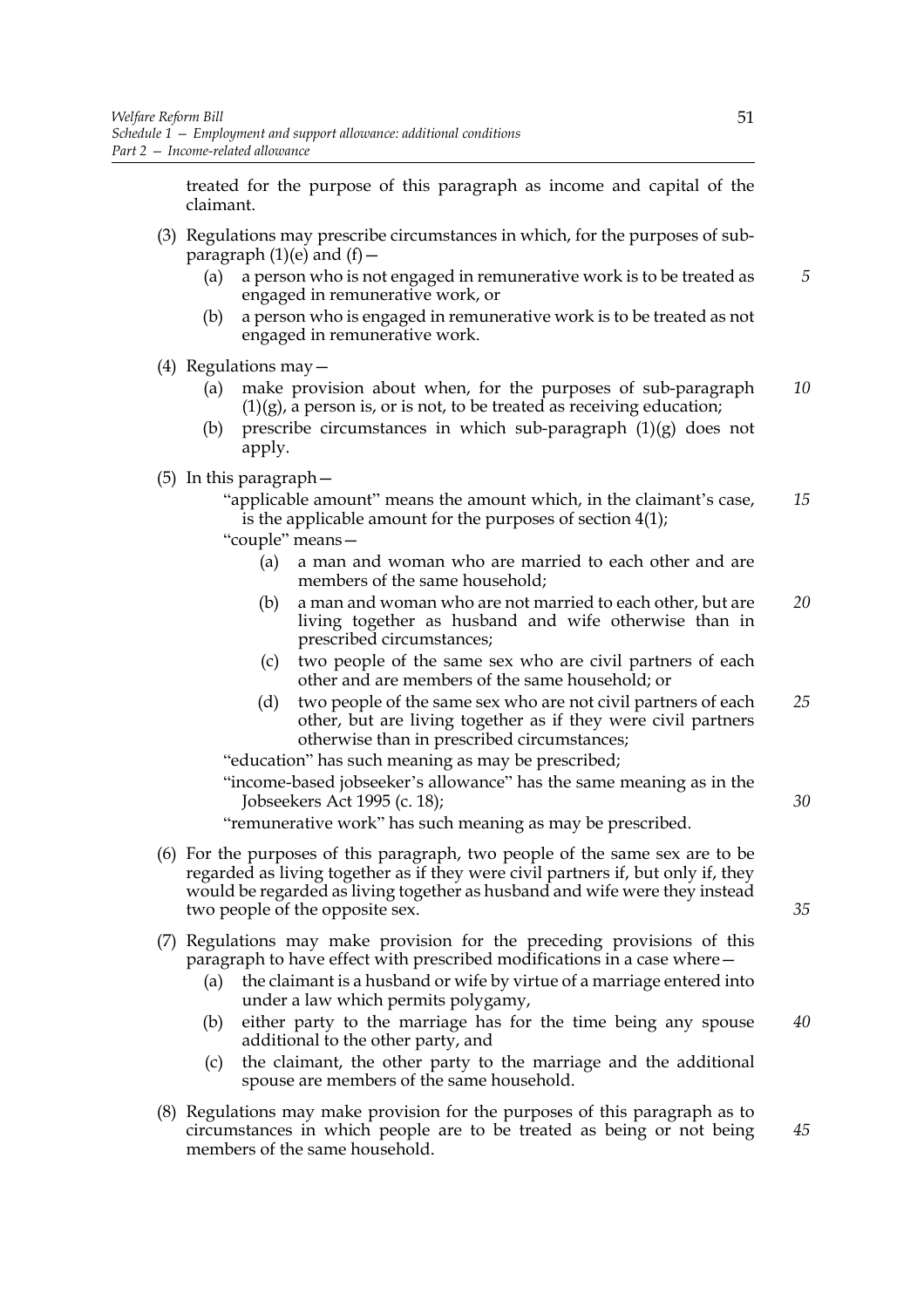treated for the purpose of this paragraph as income and capital of the claimant.

- (3) Regulations may prescribe circumstances in which, for the purposes of subparagraph  $(1)(e)$  and  $(f)$  –
	- (a) a person who is not engaged in remunerative work is to be treated as engaged in remunerative work, or
	- (b) a person who is engaged in remunerative work is to be treated as not engaged in remunerative work.
- (4) Regulations may—
	- (a) make provision about when, for the purposes of sub-paragraph  $(1)(g)$ , a person is, or is not, to be treated as receiving education; *10*
	- (b) prescribe circumstances in which sub-paragraph (1)(g) does not apply.
- (5) In this paragraph—

"applicable amount" means the amount which, in the claimant's case, is the applicable amount for the purposes of section 4(1); *15*

"couple" means—

- (a) a man and woman who are married to each other and are members of the same household;
- (b) a man and woman who are not married to each other, but are living together as husband and wife otherwise than in prescribed circumstances; *20*
- (c) two people of the same sex who are civil partners of each other and are members of the same household; or
- (d) two people of the same sex who are not civil partners of each other, but are living together as if they were civil partners otherwise than in prescribed circumstances; *25*
- "education" has such meaning as may be prescribed;
- "income-based jobseeker's allowance" has the same meaning as in the Jobseekers Act 1995 (c. 18);
- "remunerative work" has such meaning as may be prescribed.
- (6) For the purposes of this paragraph, two people of the same sex are to be regarded as living together as if they were civil partners if, but only if, they would be regarded as living together as husband and wife were they instead two people of the opposite sex.
- (7) Regulations may make provision for the preceding provisions of this paragraph to have effect with prescribed modifications in a case where—
	- (a) the claimant is a husband or wife by virtue of a marriage entered into under a law which permits polygamy,
	- (b) either party to the marriage has for the time being any spouse additional to the other party, and *40*
	- (c) the claimant, the other party to the marriage and the additional spouse are members of the same household.
- (8) Regulations may make provision for the purposes of this paragraph as to circumstances in which people are to be treated as being or not being members of the same household.

*5*

*35*

*45*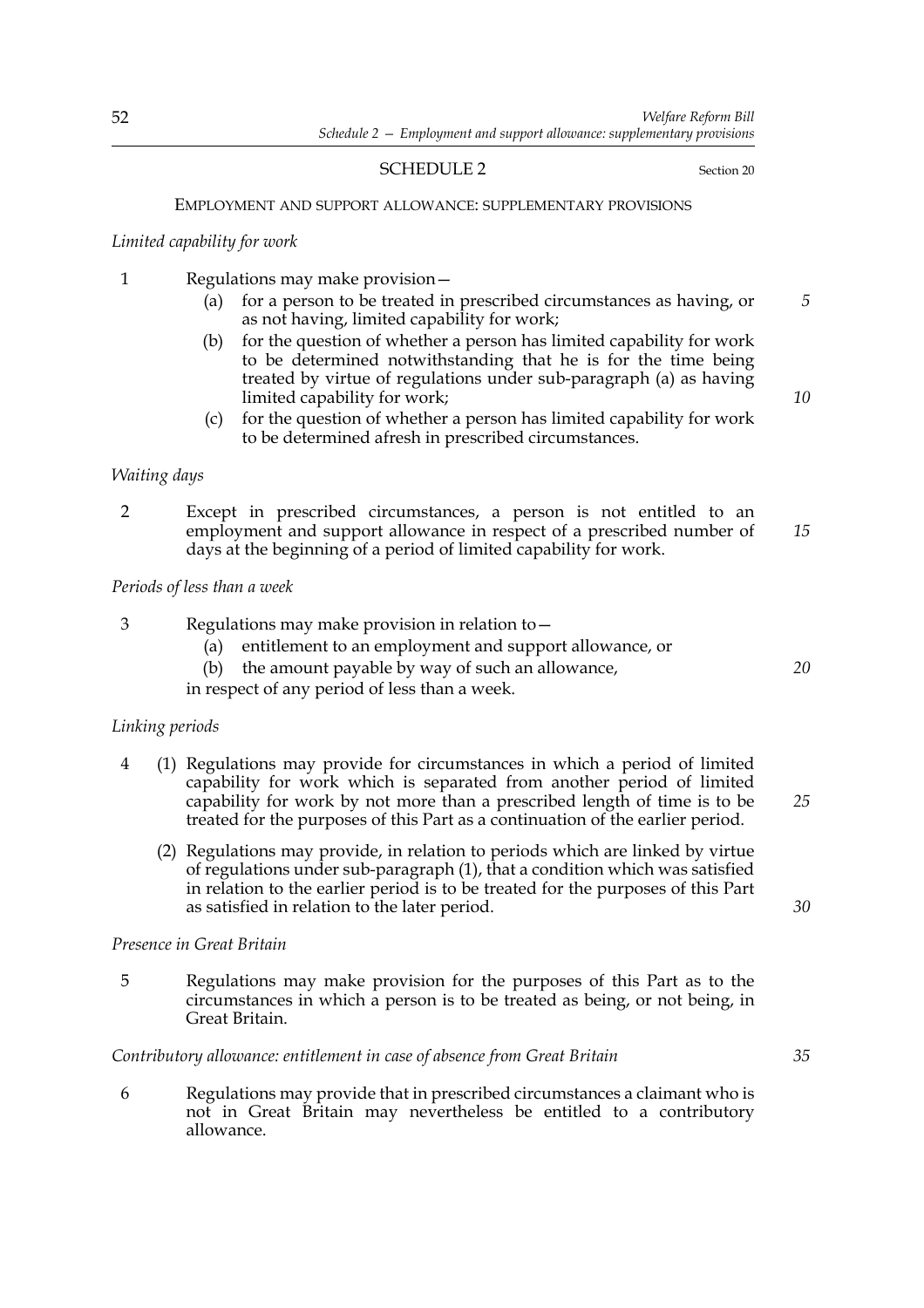# SCHEDULE 2 Section 20

# EMPLOYMENT AND SUPPORT ALLOWANCE: SUPPLEMENTARY PROVISIONS

# *Limited capability for work*

- 1 Regulations may make provision—
	- (a) for a person to be treated in prescribed circumstances as having, or as not having, limited capability for work; *5*
	- (b) for the question of whether a person has limited capability for work to be determined notwithstanding that he is for the time being treated by virtue of regulations under sub-paragraph (a) as having limited capability for work;
	- (c) for the question of whether a person has limited capability for work to be determined afresh in prescribed circumstances.

### *Waiting days*

2 Except in prescribed circumstances, a person is not entitled to an employment and support allowance in respect of a prescribed number of days at the beginning of a period of limited capability for work. *15*

# *Periods of less than a week*

- 3 Regulations may make provision in relation to—
	- (a) entitlement to an employment and support allowance, or
	- (b) the amount payable by way of such an allowance,

in respect of any period of less than a week.

#### *Linking periods*

- 4 (1) Regulations may provide for circumstances in which a period of limited capability for work which is separated from another period of limited capability for work by not more than a prescribed length of time is to be treated for the purposes of this Part as a continuation of the earlier period.
	- (2) Regulations may provide, in relation to periods which are linked by virtue of regulations under sub-paragraph (1), that a condition which was satisfied in relation to the earlier period is to be treated for the purposes of this Part as satisfied in relation to the later period.

# *Presence in Great Britain*

5 Regulations may make provision for the purposes of this Part as to the circumstances in which a person is to be treated as being, or not being, in Great Britain.

#### *Contributory allowance: entitlement in case of absence from Great Britain*

6 Regulations may provide that in prescribed circumstances a claimant who is not in Great Britain may nevertheless be entitled to a contributory allowance.

*20*

*10*

*25*

*30*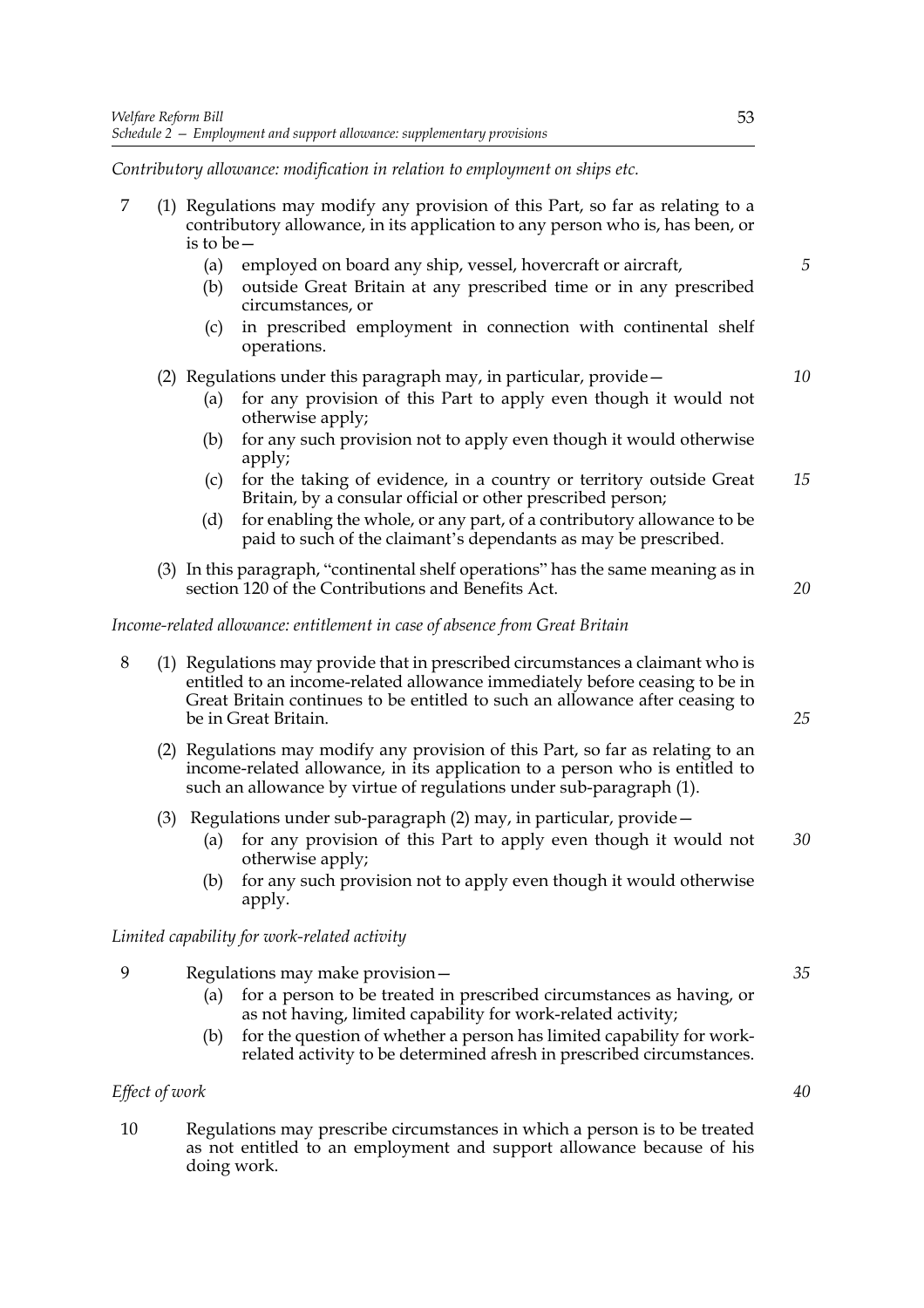*Contributory allowance: modification in relation to employment on ships etc.*

- 7 (1) Regulations may modify any provision of this Part, so far as relating to a contributory allowance, in its application to any person who is, has been, or is to be—
	- (a) employed on board any ship, vessel, hovercraft or aircraft,
	- (b) outside Great Britain at any prescribed time or in any prescribed circumstances, or
	- (c) in prescribed employment in connection with continental shelf operations.

# (2) Regulations under this paragraph may, in particular, provide—

- (a) for any provision of this Part to apply even though it would not otherwise apply;
- (b) for any such provision not to apply even though it would otherwise apply;
- (c) for the taking of evidence, in a country or territory outside Great Britain, by a consular official or other prescribed person; *15*
- (d) for enabling the whole, or any part, of a contributory allowance to be paid to such of the claimant's dependants as may be prescribed.
- (3) In this paragraph, "continental shelf operations" has the same meaning as in section 120 of the Contributions and Benefits Act.

# *Income-related allowance: entitlement in case of absence from Great Britain*

- 8 (1) Regulations may provide that in prescribed circumstances a claimant who is entitled to an income-related allowance immediately before ceasing to be in Great Britain continues to be entitled to such an allowance after ceasing to be in Great Britain.
	- (2) Regulations may modify any provision of this Part, so far as relating to an income-related allowance, in its application to a person who is entitled to such an allowance by virtue of regulations under sub-paragraph (1).
	- (3) Regulations under sub-paragraph (2) may, in particular, provide—
		- (a) for any provision of this Part to apply even though it would not otherwise apply; *30*
		- (b) for any such provision not to apply even though it would otherwise apply.

#### *Limited capability for work-related activity*

|  | Regulations may make provision –                                                            | $\beta$ |
|--|---------------------------------------------------------------------------------------------|---------|
|  | for a person to be treated in prescribed circumstances as having, or                        |         |
|  | as not having, limited capability for work-related activity;                                |         |
|  | والمحدود فيحك بطنا نواحظهم والمطنومين وجوار ويعموهم والمعطيم وأربوكم اسمندم ومعروره والرسوك |         |

(b) for the question of whether a person has limited capability for workrelated activity to be determined afresh in prescribed circumstances.

# *Effect of work*

10 Regulations may prescribe circumstances in which a person is to be treated as not entitled to an employment and support allowance because of his doing work.

*5*

*10*

*25*

*20*

*35*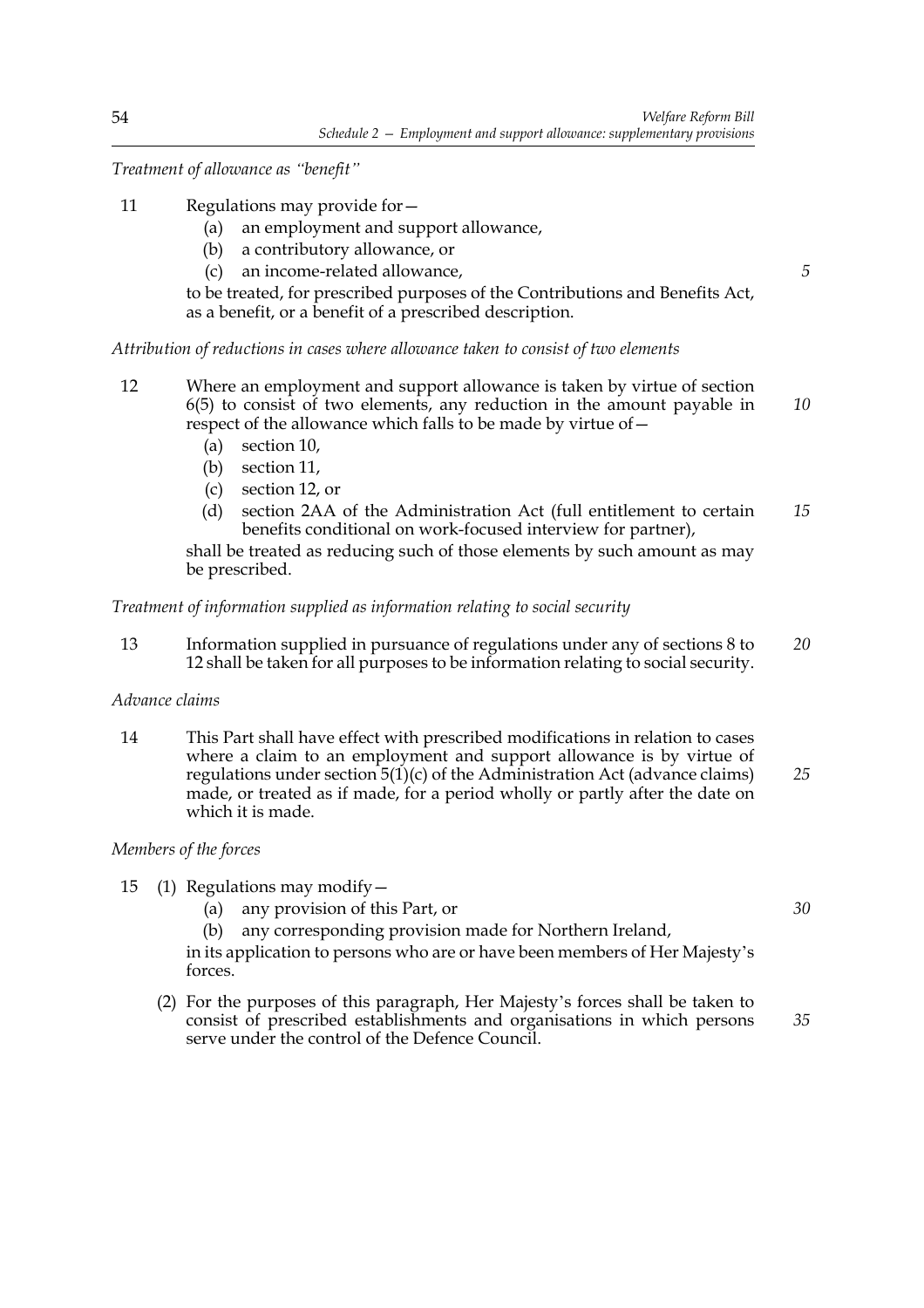*Treatment of allowance as "benefit"*

- 11 Regulations may provide for—
	- (a) an employment and support allowance,
	- (b) a contributory allowance, or
	- (c) an income-related allowance,

to be treated, for prescribed purposes of the Contributions and Benefits Act, as a benefit, or a benefit of a prescribed description.

*Attribution of reductions in cases where allowance taken to consist of two elements*

- 12 Where an employment and support allowance is taken by virtue of section 6(5) to consist of two elements, any reduction in the amount payable in respect of the allowance which falls to be made by virtue of—
	- (a) section 10,
	- (b) section 11,
	- (c) section 12, or
	- (d) section 2AA of the Administration Act (full entitlement to certain benefits conditional on work-focused interview for partner), *15*

shall be treated as reducing such of those elements by such amount as may be prescribed.

*Treatment of information supplied as information relating to social security*

13 Information supplied in pursuance of regulations under any of sections 8 to 12 shall be taken for all purposes to be information relating to social security. *20*

#### *Advance claims*

14 This Part shall have effect with prescribed modifications in relation to cases where a claim to an employment and support allowance is by virtue of regulations under section  $5(1)(c)$  of the Administration Act (advance claims) made, or treated as if made, for a period wholly or partly after the date on which it is made. *25*

# *Members of the forces*

- 15 (1) Regulations may modify—
	- (a) any provision of this Part, or
	- (b) any corresponding provision made for Northern Ireland,

in its application to persons who are or have been members of Her Majesty's forces.

(2) For the purposes of this paragraph, Her Majesty's forces shall be taken to consist of prescribed establishments and organisations in which persons serve under the control of the Defence Council. *35*

*30*

*5*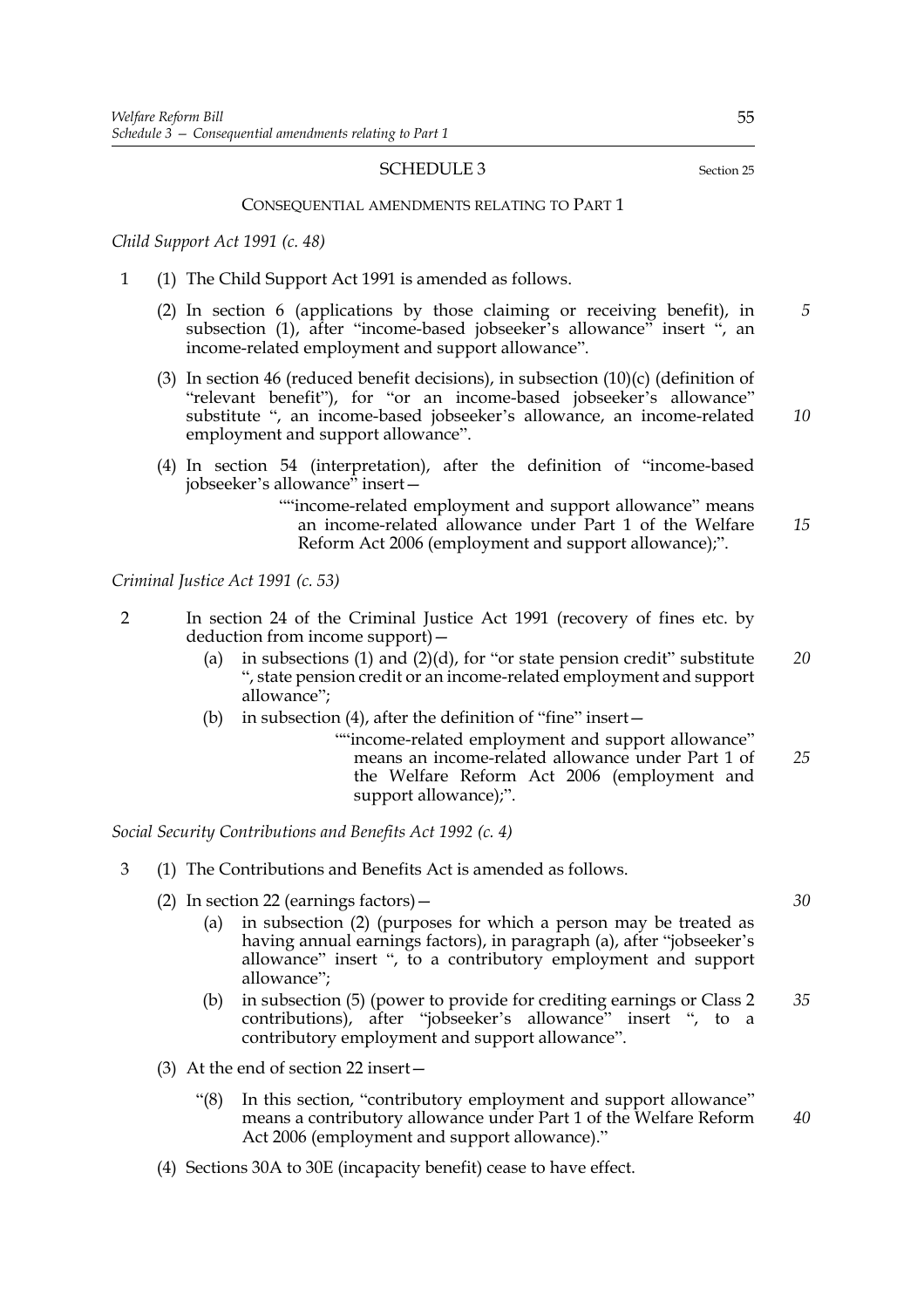#### SCHEDULE 3 Section 25

#### CONSEQUENTIAL AMENDMENTS RELATING TO PART 1

*Child Support Act 1991 (c. 48)*

- 1 (1) The Child Support Act 1991 is amended as follows.
	- (2) In section 6 (applications by those claiming or receiving benefit), in subsection (1), after "income-based jobseeker's allowance" insert ", an income-related employment and support allowance".
	- (3) In section 46 (reduced benefit decisions), in subsection  $(10)(c)$  (definition of "relevant benefit"), for "or an income-based jobseeker's allowance" substitute ", an income-based jobseeker's allowance, an income-related employment and support allowance".
	- (4) In section 54 (interpretation), after the definition of "income-based jobseeker's allowance" insert-

""income-related employment and support allowance" means an income-related allowance under Part 1 of the Welfare Reform Act 2006 (employment and support allowance);".

*Criminal Justice Act 1991 (c. 53)*

- 2 In section 24 of the Criminal Justice Act 1991 (recovery of fines etc. by deduction from income support)—
	- (a) in subsections (1) and (2)(d), for "or state pension credit" substitute ", state pension credit or an income-related employment and support allowance"; *20*
	- (b) in subsection (4), after the definition of "fine" insert—
		- ""income-related employment and support allowance" means an income-related allowance under Part 1 of the Welfare Reform Act 2006 (employment and support allowance);".

*Social Security Contributions and Benefits Act 1992 (c. 4)*

3 (1) The Contributions and Benefits Act is amended as follows.

(2) In section 22 (earnings factors)—

- (a) in subsection (2) (purposes for which a person may be treated as having annual earnings factors), in paragraph (a), after "jobseeker's allowance" insert ", to a contributory employment and support allowance";
- (b) in subsection (5) (power to provide for crediting earnings or Class 2 contributions), after "jobseeker's allowance" insert ", to a contributory employment and support allowance". *35*
- (3) At the end of section 22 insert—
	- "(8) In this section, "contributory employment and support allowance" means a contributory allowance under Part 1 of the Welfare Reform Act 2006 (employment and support allowance)." *40*
- (4) Sections 30A to 30E (incapacity benefit) cease to have effect.

55

*10*

*5*

*15*

*25*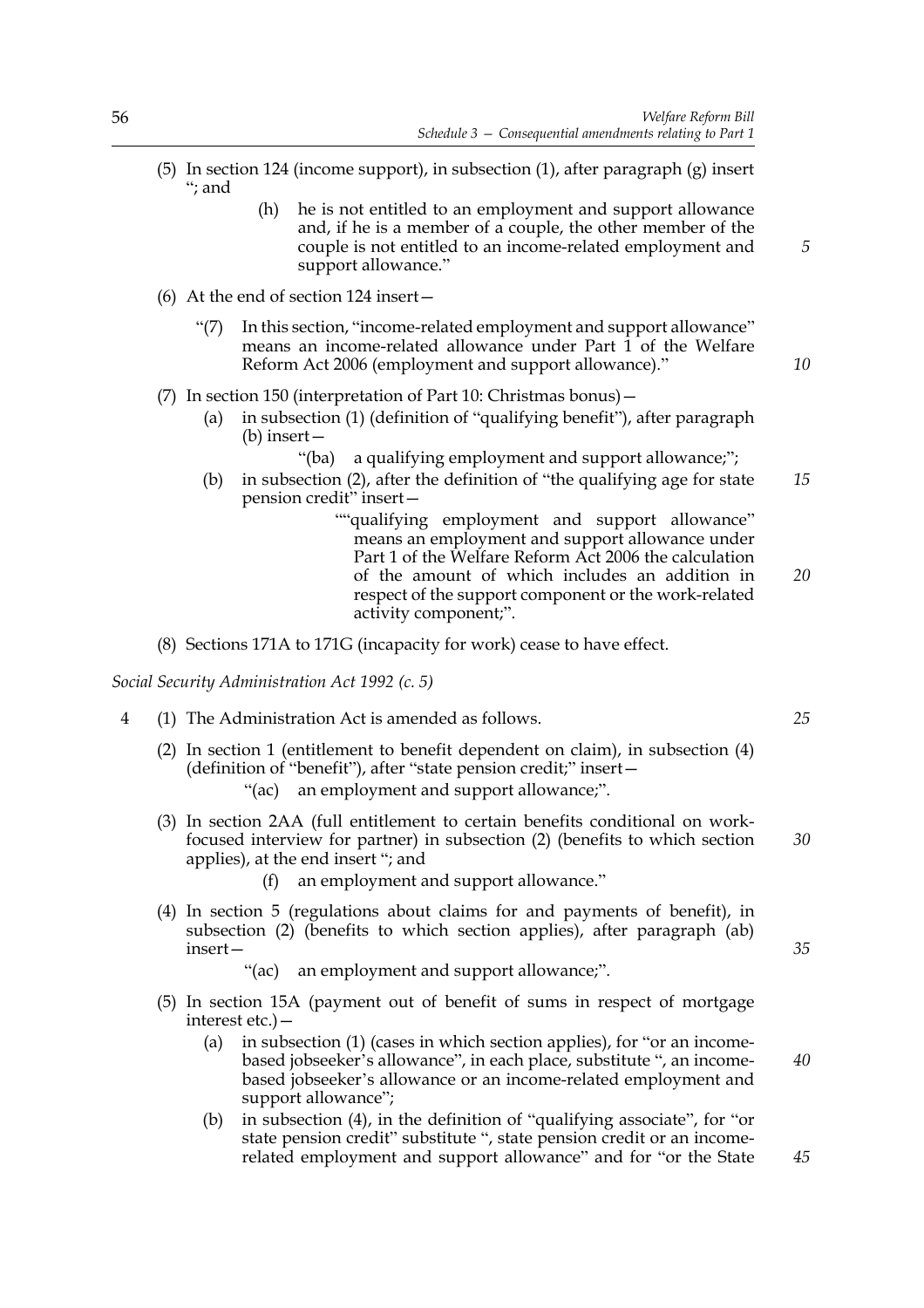- (5) In section 124 (income support), in subsection (1), after paragraph (g) insert "; and
	- (h) he is not entitled to an employment and support allowance and, if he is a member of a couple, the other member of the couple is not entitled to an income-related employment and support allowance."
- (6) At the end of section 124 insert—
	- "(7) In this section, "income-related employment and support allowance" means an income-related allowance under Part 1 of the Welfare Reform Act 2006 (employment and support allowance)."
- (7) In section 150 (interpretation of Part 10: Christmas bonus)—
	- (a) in subsection (1) (definition of "qualifying benefit"), after paragraph (b) insert—
		- "(ba) a qualifying employment and support allowance;";
	- (b) in subsection (2), after the definition of "the qualifying age for state pension credit" insert— *15*
		- ""qualifying employment and support allowance" means an employment and support allowance under Part 1 of the Welfare Reform Act 2006 the calculation of the amount of which includes an addition in respect of the support component or the work-related activity component;". *20*
- (8) Sections 171A to 171G (incapacity for work) cease to have effect.

*Social Security Administration Act 1992 (c. 5)*

| 4 (1) The Administration Act is amended as follows. |  |
|-----------------------------------------------------|--|
|-----------------------------------------------------|--|

- (2) In section 1 (entitlement to benefit dependent on claim), in subsection (4) (definition of "benefit"), after "state pension credit;" insert— "(ac) an employment and support allowance;".
- (3) In section 2AA (full entitlement to certain benefits conditional on workfocused interview for partner) in subsection (2) (benefits to which section applies), at the end insert "; and *30*
	- (f) an employment and support allowance."
- (4) In section 5 (regulations about claims for and payments of benefit), in subsection  $(2)$  (benefits to which section applies), after paragraph  $(ab)$ insert—
	- "(ac) an employment and support allowance;".
- (5) In section 15A (payment out of benefit of sums in respect of mortgage interest etc.)—
	- (a) in subsection (1) (cases in which section applies), for "or an incomebased jobseeker's allowance", in each place, substitute ", an incomebased jobseeker's allowance or an income-related employment and support allowance";
	- (b) in subsection (4), in the definition of "qualifying associate", for "or state pension credit" substitute ", state pension credit or an incomerelated employment and support allowance" and for "or the State

*25*

*5*

*10*

*35*

*40*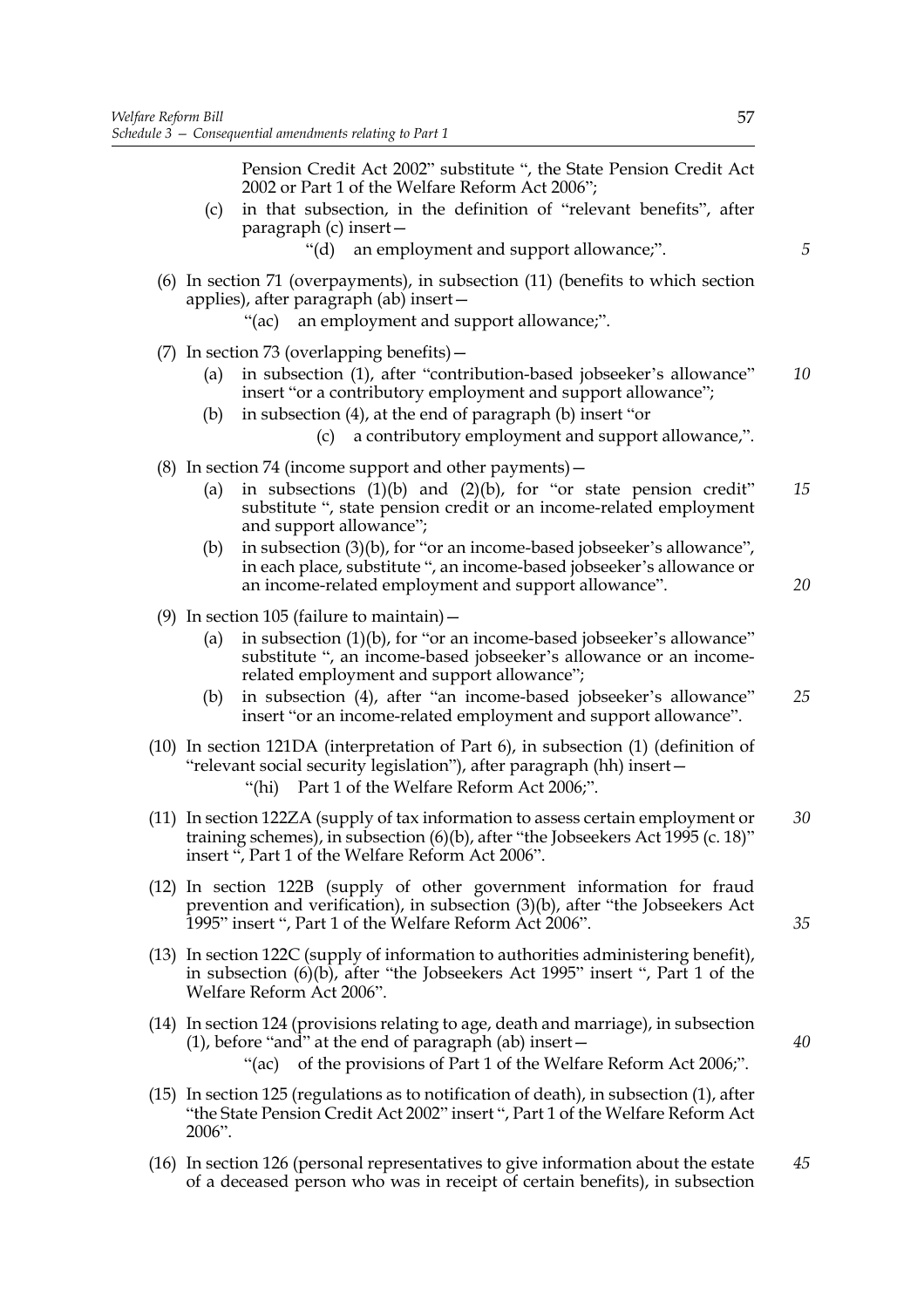Pension Credit Act 2002" substitute ", the State Pension Credit Act 2002 or Part 1 of the Welfare Reform Act 2006";

- (c) in that subsection, in the definition of "relevant benefits", after paragraph (c) insert—
	- "(d) an employment and support allowance;".
- (6) In section 71 (overpayments), in subsection (11) (benefits to which section applies), after paragraph (ab) insert—
	- "(ac) an employment and support allowance;".
- (7) In section 73 (overlapping benefits)—
	- (a) in subsection (1), after "contribution-based jobseeker's allowance" insert "or a contributory employment and support allowance"; *10*
	- (b) in subsection (4), at the end of paragraph (b) insert "or
		- (c) a contributory employment and support allowance,".
- (8) In section 74 (income support and other payments)—
	- (a) in subsections  $(1)(b)$  and  $(2)(b)$ , for "or state pension credit" substitute ", state pension credit or an income-related employment and support allowance"; *15*
	- (b) in subsection (3)(b), for "or an income-based jobseeker's allowance", in each place, substitute ", an income-based jobseeker's allowance or an income-related employment and support allowance".
- (9) In section 105 (failure to maintain)  $-$ 
	- (a) in subsection (1)(b), for "or an income-based jobseeker's allowance" substitute ", an income-based jobseeker's allowance or an incomerelated employment and support allowance";
	- (b) in subsection (4), after "an income-based jobseeker's allowance" insert "or an income-related employment and support allowance". *25*
- (10) In section 121DA (interpretation of Part 6), in subsection (1) (definition of "relevant social security legislation"), after paragraph (hh) insert— "(hi) Part 1 of the Welfare Reform Act 2006;".
- (11) In section 122ZA (supply of tax information to assess certain employment or training schemes), in subsection (6)(b), after "the Jobseekers Act 1995 (c. 18)" insert ", Part 1 of the Welfare Reform Act 2006". *30*
- (12) In section 122B (supply of other government information for fraud prevention and verification), in subsection (3)(b), after "the Jobseekers Act 1995" insert ", Part 1 of the Welfare Reform Act 2006".
- (13) In section 122C (supply of information to authorities administering benefit), in subsection (6)(b), after "the Jobseekers Act 1995" insert ", Part 1 of the Welfare Reform Act 2006".
- (14) In section 124 (provisions relating to age, death and marriage), in subsection (1), before "and" at the end of paragraph (ab) insert—

"(ac) of the provisions of Part 1 of the Welfare Reform Act 2006;".

- (15) In section 125 (regulations as to notification of death), in subsection (1), after "the State Pension Credit Act 2002" insert ", Part 1 of the Welfare Reform Act 2006".
- (16) In section 126 (personal representatives to give information about the estate of a deceased person who was in receipt of certain benefits), in subsection *45*

*5*

*20*

*40*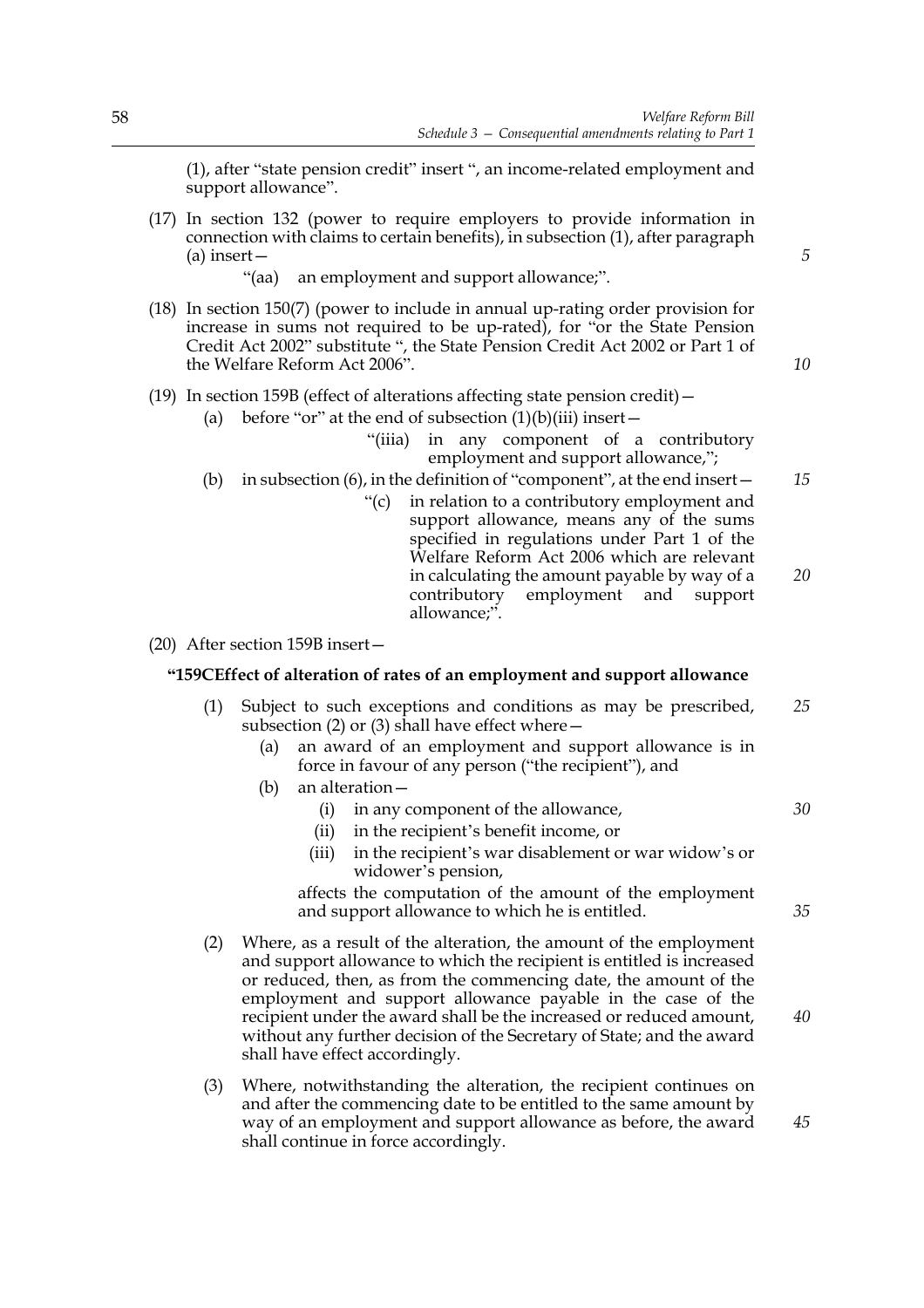(1), after "state pension credit" insert ", an income-related employment and support allowance".

- (17) In section 132 (power to require employers to provide information in connection with claims to certain benefits), in subsection (1), after paragraph (a) insert—
	- "(aa) an employment and support allowance;".
- (18) In section 150(7) (power to include in annual up-rating order provision for increase in sums not required to be up-rated), for "or the State Pension Credit Act 2002" substitute ", the State Pension Credit Act 2002 or Part 1 of the Welfare Reform Act 2006".
- (19) In section 159B (effect of alterations affecting state pension credit)—
	- (a) before "or" at the end of subsection  $(1)(b)(iii)$  insert
		- "(iiia) in any component of a contributory employment and support allowance,";
	- (b) in subsection (6), in the definition of "component", at the end insert— *15*
		- "(c) in relation to a contributory employment and support allowance, means any of the sums specified in regulations under Part 1 of the Welfare Reform Act 2006 which are relevant in calculating the amount payable by way of a contributory employment and support allowance;". *20*
- (20) After section 159B insert—

#### **"159CEffect of alteration of rates of an employment and support allowance**

- (1) Subject to such exceptions and conditions as may be prescribed, subsection (2) or (3) shall have effect where  $-$ *25*
	- (a) an award of an employment and support allowance is in force in favour of any person ("the recipient"), and
	- (b) an alteration—
		- (i) in any component of the allowance,
		- (ii) in the recipient's benefit income, or
		- (iii) in the recipient's war disablement or war widow's or widower's pension,

affects the computation of the amount of the employment and support allowance to which he is entitled.

- (2) Where, as a result of the alteration, the amount of the employment and support allowance to which the recipient is entitled is increased or reduced, then, as from the commencing date, the amount of the employment and support allowance payable in the case of the recipient under the award shall be the increased or reduced amount, without any further decision of the Secretary of State; and the award shall have effect accordingly.
- (3) Where, notwithstanding the alteration, the recipient continues on and after the commencing date to be entitled to the same amount by way of an employment and support allowance as before, the award shall continue in force accordingly.

*35*

*30*

*45*

*5*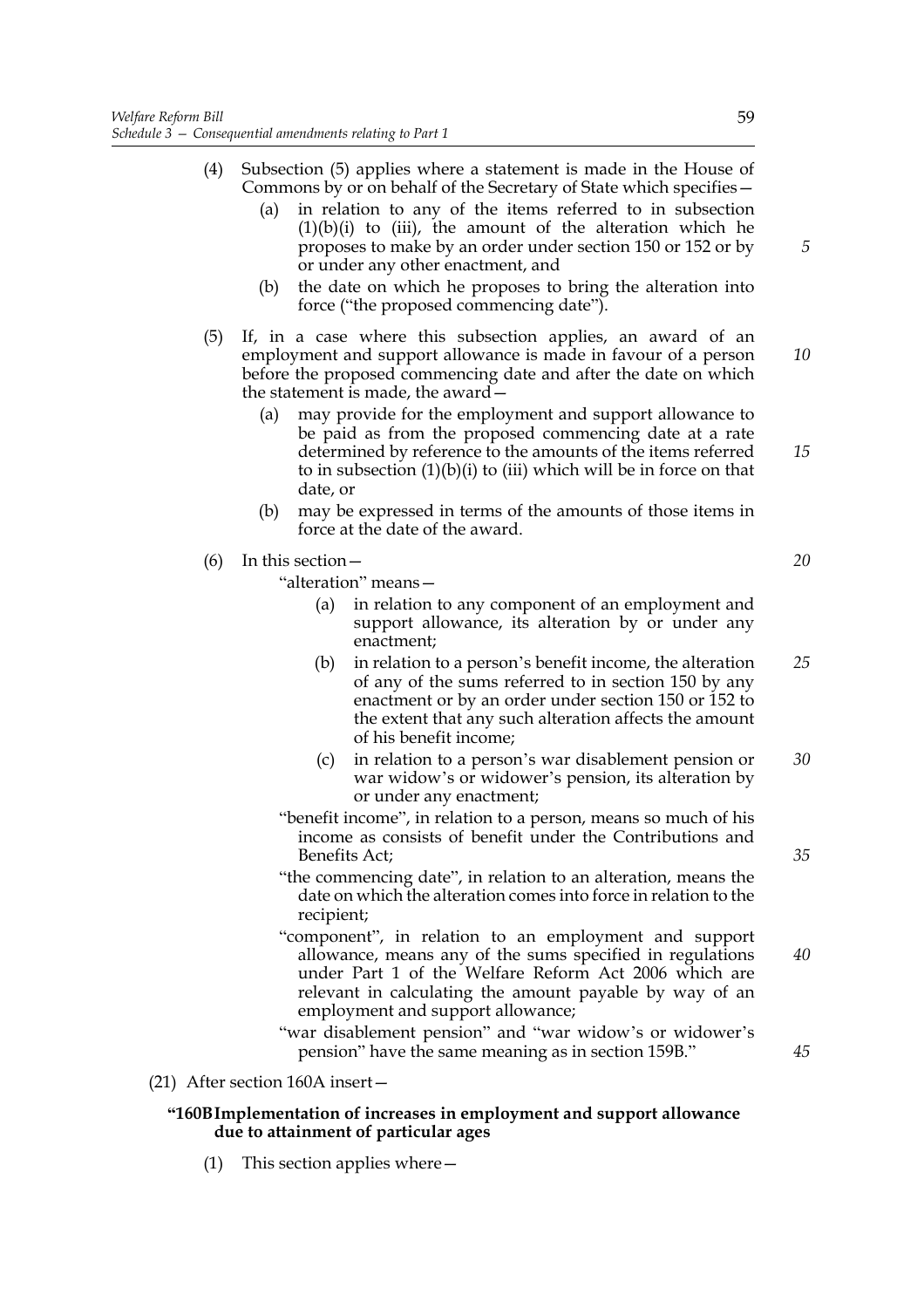- (4) Subsection (5) applies where a statement is made in the House of Commons by or on behalf of the Secretary of State which specifies—
	- (a) in relation to any of the items referred to in subsection  $(1)(b)(i)$  to  $(iii)$ , the amount of the alteration which he proposes to make by an order under section 150 or 152 or by or under any other enactment, and
	- (b) the date on which he proposes to bring the alteration into force ("the proposed commencing date").
- (5) If, in a case where this subsection applies, an award of an employment and support allowance is made in favour of a person before the proposed commencing date and after the date on which the statement is made, the award— *10*
	- (a) may provide for the employment and support allowance to be paid as from the proposed commencing date at a rate determined by reference to the amounts of the items referred to in subsection  $(1)(b)(i)$  to  $(iii)$  which will be in force on that date, or
	- (b) may be expressed in terms of the amounts of those items in force at the date of the award.
- (6) In this section—

"alteration" means—

- (a) in relation to any component of an employment and support allowance, its alteration by or under any enactment;
- (b) in relation to a person's benefit income, the alteration of any of the sums referred to in section 150 by any enactment or by an order under section 150 or 152 to the extent that any such alteration affects the amount of his benefit income; *25*
- (c) in relation to a person's war disablement pension or war widow's or widower's pension, its alteration by or under any enactment; *30*
- "benefit income", in relation to a person, means so much of his income as consists of benefit under the Contributions and Benefits Act;
- "the commencing date", in relation to an alteration, means the date on which the alteration comes into force in relation to the recipient;
- "component", in relation to an employment and support allowance, means any of the sums specified in regulations under Part 1 of the Welfare Reform Act 2006 which are relevant in calculating the amount payable by way of an employment and support allowance;
- "war disablement pension" and "war widow's or widower's pension" have the same meaning as in section 159B."
- (21) After section 160A insert—

# **"160BImplementation of increases in employment and support allowance due to attainment of particular ages**

(1) This section applies where—

*20*

*15*

*5*

*35*

*40*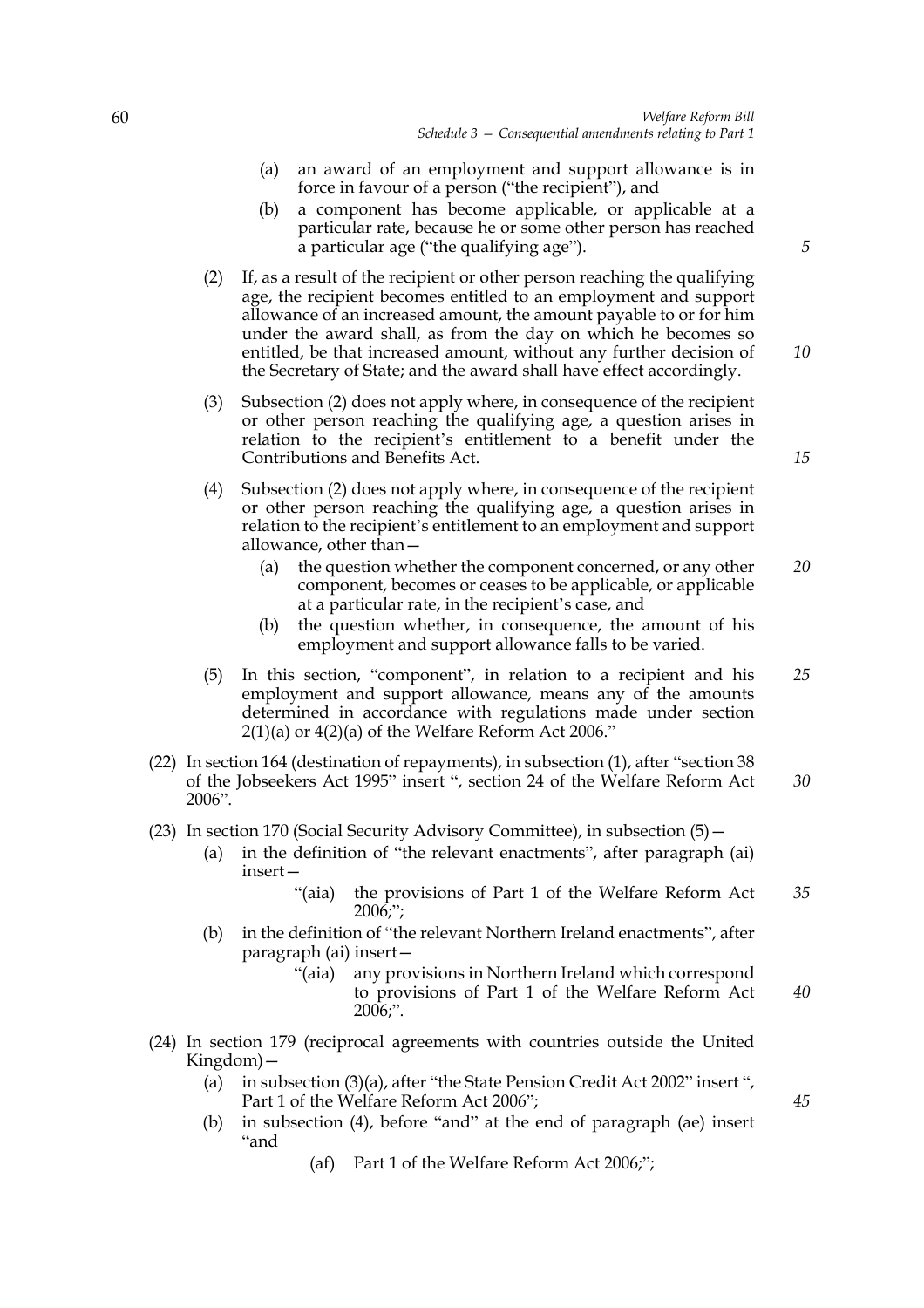- (a) an award of an employment and support allowance is in force in favour of a person ("the recipient"), and
- (b) a component has become applicable, or applicable at a particular rate, because he or some other person has reached a particular age ("the qualifying age").
- (2) If, as a result of the recipient or other person reaching the qualifying age, the recipient becomes entitled to an employment and support allowance of an increased amount, the amount payable to or for him under the award shall, as from the day on which he becomes so entitled, be that increased amount, without any further decision of the Secretary of State; and the award shall have effect accordingly.
- (3) Subsection (2) does not apply where, in consequence of the recipient or other person reaching the qualifying age, a question arises in relation to the recipient's entitlement to a benefit under the Contributions and Benefits Act.
- (4) Subsection (2) does not apply where, in consequence of the recipient or other person reaching the qualifying age, a question arises in relation to the recipient's entitlement to an employment and support allowance, other than—
	- (a) the question whether the component concerned, or any other component, becomes or ceases to be applicable, or applicable at a particular rate, in the recipient's case, and *20*
	- (b) the question whether, in consequence, the amount of his employment and support allowance falls to be varied.
- (5) In this section, "component", in relation to a recipient and his employment and support allowance, means any of the amounts determined in accordance with regulations made under section  $2(1)(a)$  or  $4(2)(a)$  of the Welfare Reform Act 2006." *25*
- (22) In section 164 (destination of repayments), in subsection (1), after "section 38 of the Jobseekers Act 1995" insert ", section 24 of the Welfare Reform Act 2006". *30*
- (23) In section 170 (Social Security Advisory Committee), in subsection (5)—
	- (a) in the definition of "the relevant enactments", after paragraph (ai) insert—
		- "(aia) the provisions of Part 1 of the Welfare Reform Act  $2006$ :": *35*
	- (b) in the definition of "the relevant Northern Ireland enactments", after paragraph (ai) insert—
		- "(aia) any provisions in Northern Ireland which correspond to provisions of Part 1 of the Welfare Reform Act 2006;". *40*
- (24) In section 179 (reciprocal agreements with countries outside the United Kingdom)—
	- (a) in subsection (3)(a), after "the State Pension Credit Act 2002" insert ", Part 1 of the Welfare Reform Act 2006";
	- (b) in subsection (4), before "and" at the end of paragraph (ae) insert "and
		- (af) Part 1 of the Welfare Reform Act 2006;";

*15*

*45*

*5*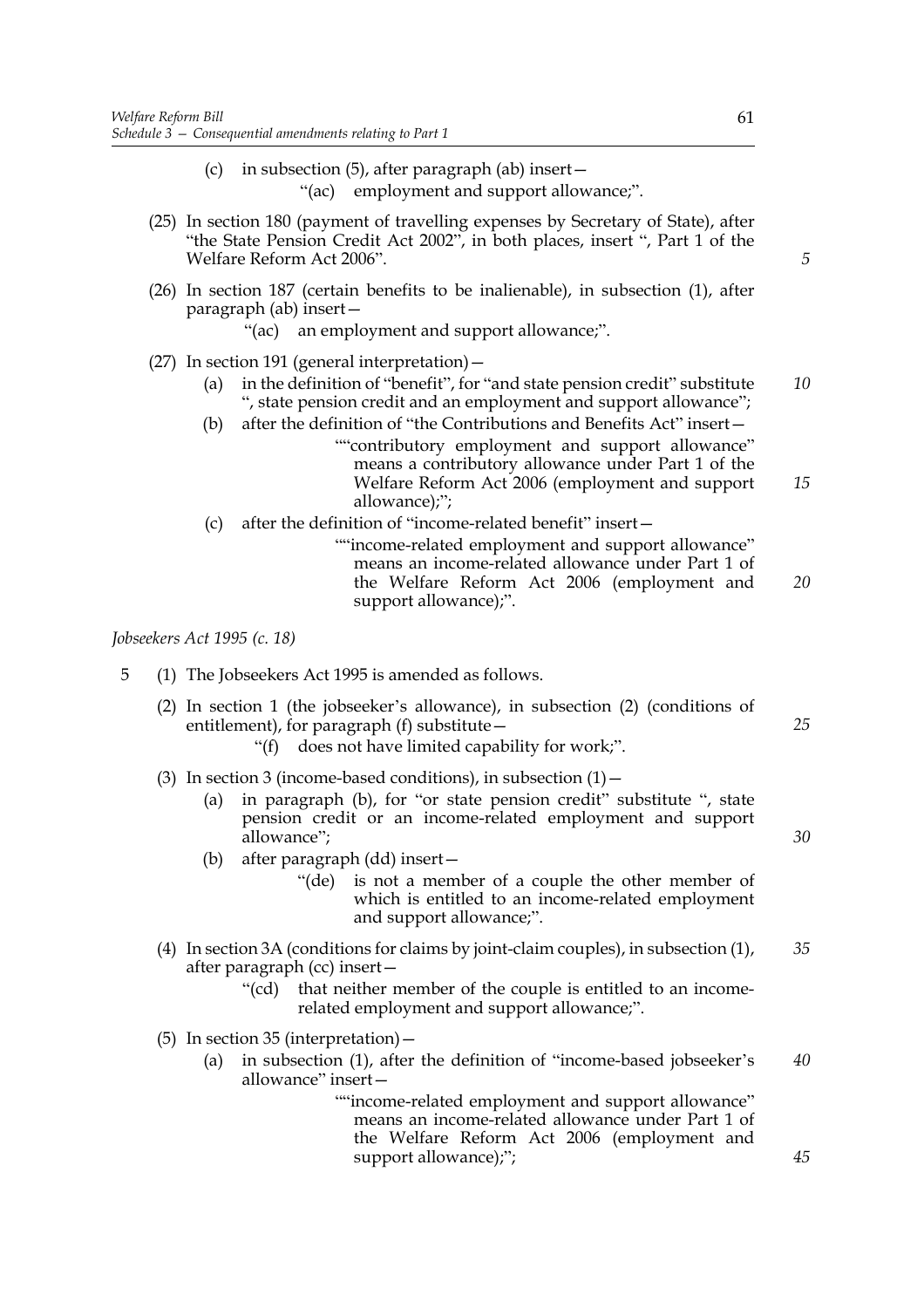- (c) in subsection  $(5)$ , after paragraph (ab) insert "(ac) employment and support allowance;".
- (25) In section 180 (payment of travelling expenses by Secretary of State), after "the State Pension Credit Act 2002", in both places, insert ", Part 1 of the Welfare Reform Act 2006".
- (26) In section 187 (certain benefits to be inalienable), in subsection (1), after paragraph (ab) insert—
	- "(ac) an employment and support allowance;".
- (27) In section 191 (general interpretation)—
	- (a) in the definition of "benefit", for "and state pension credit" substitute ", state pension credit and an employment and support allowance"; *10*
	- (b) after the definition of "the Contributions and Benefits Act" insert— ""contributory employment and support allowance" means a contributory allowance under Part 1 of the Welfare Reform Act 2006 (employment and support allowance);"; *15*
	- (c) after the definition of "income-related benefit" insert—
		- ""income-related employment and support allowance" means an income-related allowance under Part 1 of the Welfare Reform Act 2006 (employment and support allowance);". *20*

*Jobseekers Act 1995 (c. 18)*

- 5 (1) The Jobseekers Act 1995 is amended as follows.
	- (2) In section 1 (the jobseeker's allowance), in subsection (2) (conditions of entitlement), for paragraph (f) substitute—
		- "(f) does not have limited capability for work;".
	- (3) In section 3 (income-based conditions), in subsection  $(1)$  -
		- (a) in paragraph (b), for "or state pension credit" substitute ", state pension credit or an income-related employment and support allowance";
		- (b) after paragraph (dd) insert—
			- "(de) is not a member of a couple the other member of which is entitled to an income-related employment and support allowance;".
	- (4) In section 3A (conditions for claims by joint-claim couples), in subsection (1), after paragraph (cc) insert— *35*
		- "(cd) that neither member of the couple is entitled to an incomerelated employment and support allowance;".
	- (5) In section 35 (interpretation)—
		- (a) in subsection (1), after the definition of "income-based jobseeker's allowance" insert— *40*

""income-related employment and support allowance" means an income-related allowance under Part 1 of the Welfare Reform Act 2006 (employment and support allowance);";

*5*

*30*

*25*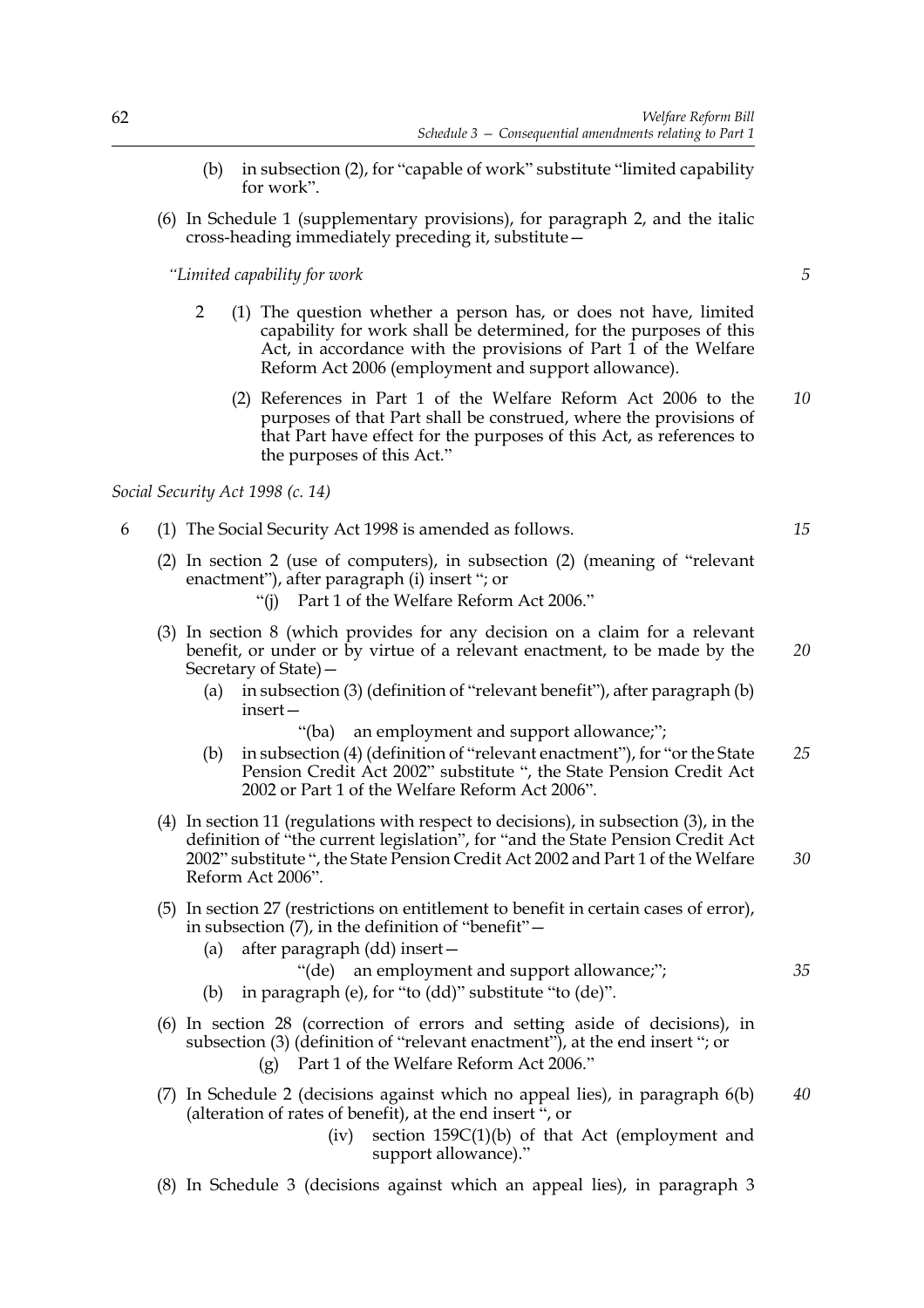- (b) in subsection (2), for "capable of work" substitute "limited capability for work".
- (6) In Schedule 1 (supplementary provisions), for paragraph 2, and the italic cross-heading immediately preceding it, substitute—

*"Limited capability for work*

- 2 (1) The question whether a person has, or does not have, limited capability for work shall be determined, for the purposes of this Act, in accordance with the provisions of Part  $\hat{1}$  of the Welfare Reform Act 2006 (employment and support allowance).
	- (2) References in Part 1 of the Welfare Reform Act 2006 to the purposes of that Part shall be construed, where the provisions of that Part have effect for the purposes of this Act, as references to the purposes of this Act." *10*

*Social Security Act 1998 (c. 14)*

- 6 (1) The Social Security Act 1998 is amended as follows. *15*
	- (2) In section 2 (use of computers), in subsection (2) (meaning of "relevant enactment"), after paragraph (i) insert "; or
		- "(j) Part 1 of the Welfare Reform Act 2006."
	- (3) In section 8 (which provides for any decision on a claim for a relevant benefit, or under or by virtue of a relevant enactment, to be made by the Secretary of State)— *20*
		- (a) in subsection (3) (definition of "relevant benefit"), after paragraph (b) insert—

"(ba) an employment and support allowance;";

- (b) in subsection (4) (definition of "relevant enactment"), for "or the State Pension Credit Act 2002" substitute ", the State Pension Credit Act 2002 or Part 1 of the Welfare Reform Act 2006". *25*
- (4) In section 11 (regulations with respect to decisions), in subsection (3), in the definition of "the current legislation", for "and the State Pension Credit Act 2002" substitute ", the State Pension Credit Act 2002 and Part 1 of the Welfare Reform Act 2006".
- (5) In section 27 (restrictions on entitlement to benefit in certain cases of error), in subsection (7), in the definition of "benefit"—
	- (a) after paragraph (dd) insert—
		- "(de) an employment and support allowance;";
	- (b) in paragraph (e), for "to (dd)" substitute "to (de)".
- (6) In section 28 (correction of errors and setting aside of decisions), in subsection (3) (definition of "relevant enactment"), at the end insert "; or (g) Part 1 of the Welfare Reform Act 2006."
- (7) In Schedule 2 (decisions against which no appeal lies), in paragraph 6(b) (alteration of rates of benefit), at the end insert ", or

(iv) section  $159C(1)(b)$  of that Act (employment and support allowance)."

(8) In Schedule 3 (decisions against which an appeal lies), in paragraph 3

*30*

*35*

*40*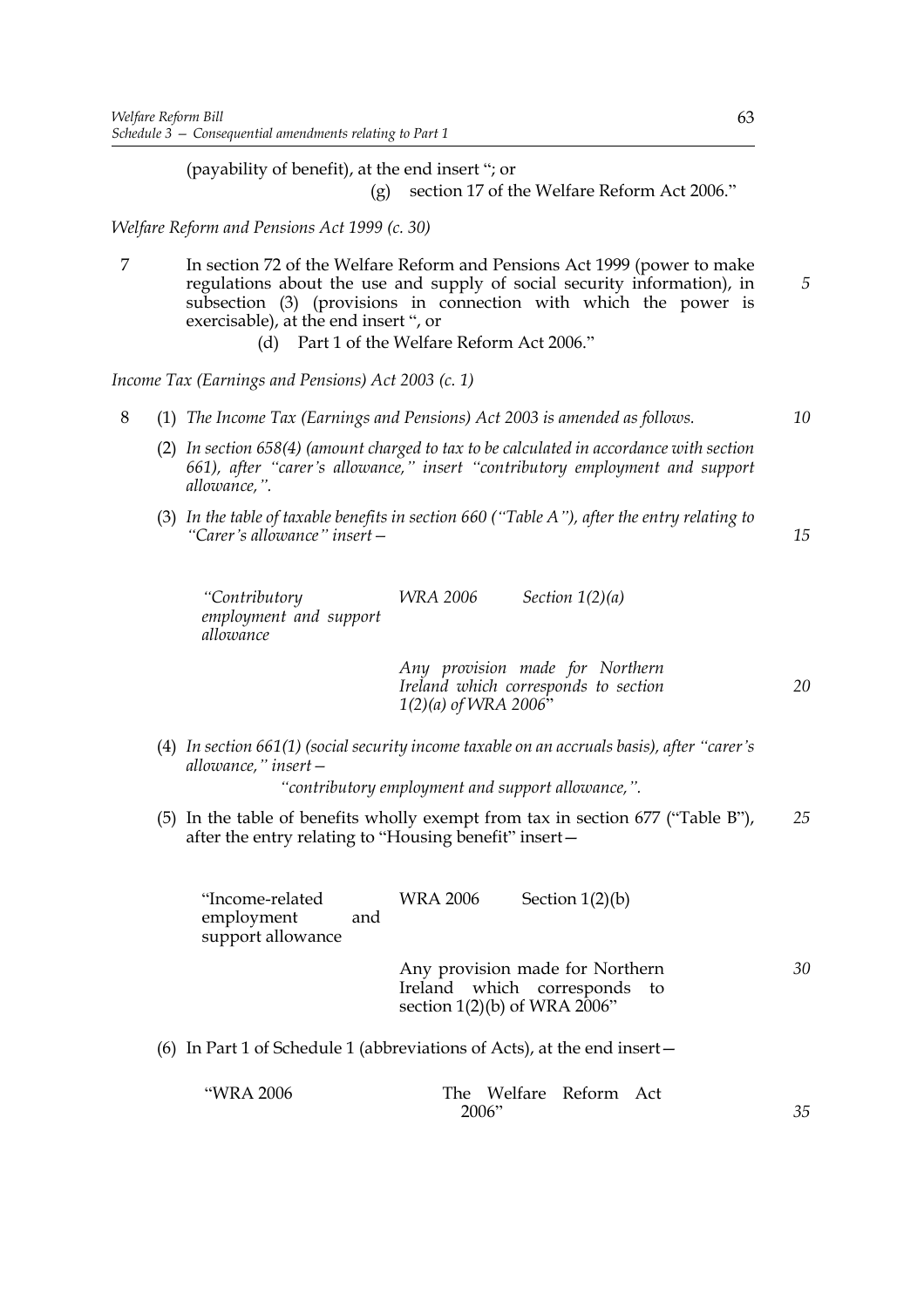(payability of benefit), at the end insert "; or

(g) section 17 of the Welfare Reform Act 2006."

*Welfare Reform and Pensions Act 1999 (c. 30)*

- 7 In section 72 of the Welfare Reform and Pensions Act 1999 (power to make regulations about the use and supply of social security information), in subsection (3) (provisions in connection with which the power is exercisable), at the end insert ", or
	- (d) Part 1 of the Welfare Reform Act 2006."

*Income Tax (Earnings and Pensions) Act 2003 (c. 1)*

- 8 (1) *The Income Tax (Earnings and Pensions) Act 2003 is amended as follows. 10*
	- (2) *In section 658(4) (amount charged to tax to be calculated in accordance with section 661), after "carer's allowance," insert "contributory employment and support allowance,".*
	- (3) *In the table of taxable benefits in section 660 ("Table A"), after the entry relating to "Carer's allowance" insert—*

*"Contributory employment and support allowance WRA 2006 Section 1(2)(a)*

> *Any provision made for Northern Ireland which corresponds to section 1(2)(a) of WRA 2006*"

(4) *In section 661(1) (social security income taxable on an accruals basis), after "carer's allowance," insert—*

*"contributory employment and support allowance,".*

(5) In the table of benefits wholly exempt from tax in section 677 ("Table B"), after the entry relating to "Housing benefit" insert— *25*

|  | "Income-related<br>employment<br>support allowance | and | <b>WRA 2006</b> | Section $1(2)(b)$                                                                                 |    |
|--|----------------------------------------------------|-----|-----------------|---------------------------------------------------------------------------------------------------|----|
|  |                                                    |     |                 | Any provision made for Northern<br>Ireland which corresponds to<br>section $1(2)(b)$ of WRA 2006" | 30 |
|  |                                                    |     |                 | (6) In Part 1 of Schedule 1 (abbreviations of Acts), at the end insert $-$                        |    |

| "WRA 2006 | The Welfare Reform Act |  |
|-----------|------------------------|--|
|           | 2006"                  |  |

*5*

*15*

*20*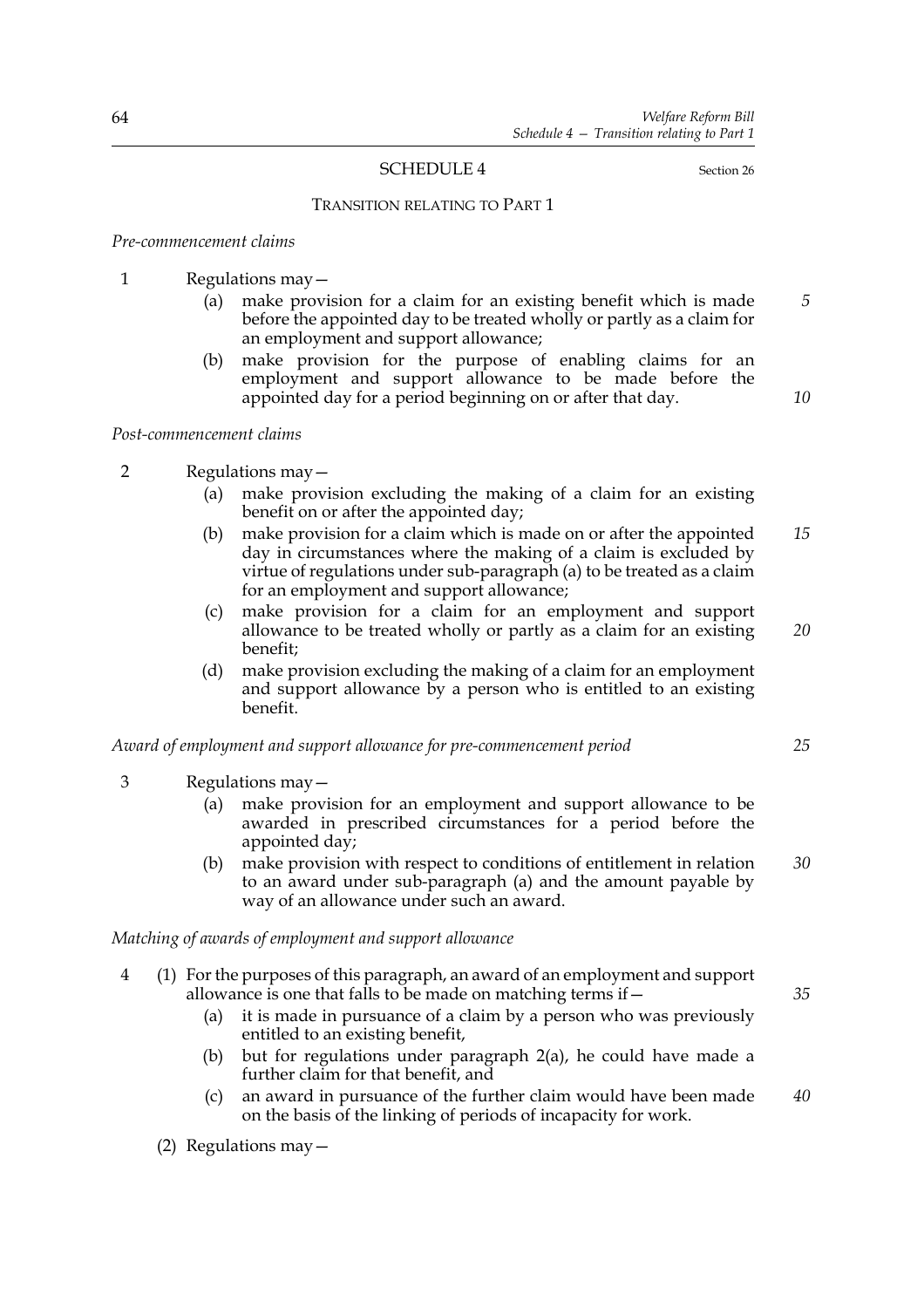# SCHEDULE 4 Section 26

# TRANSITION RELATING TO PART 1

*Pre-commencement claims*

# 1 Regulations may—

- (a) make provision for a claim for an existing benefit which is made before the appointed day to be treated wholly or partly as a claim for an employment and support allowance;
- (b) make provision for the purpose of enabling claims for an employment and support allowance to be made before the appointed day for a period beginning on or after that day.

*10*

*5*

# *Post-commencement claims*

- 2 Regulations may—
	- (a) make provision excluding the making of a claim for an existing benefit on or after the appointed day;
	- (b) make provision for a claim which is made on or after the appointed day in circumstances where the making of a claim is excluded by virtue of regulations under sub-paragraph (a) to be treated as a claim for an employment and support allowance; *15*
	- (c) make provision for a claim for an employment and support allowance to be treated wholly or partly as a claim for an existing benefit; *20*
	- (d) make provision excluding the making of a claim for an employment and support allowance by a person who is entitled to an existing benefit.

### *Award of employment and support allowance for pre-commencement period*

- 3 Regulations may—
	- (a) make provision for an employment and support allowance to be awarded in prescribed circumstances for a period before the appointed day;
	- (b) make provision with respect to conditions of entitlement in relation to an award under sub-paragraph (a) and the amount payable by way of an allowance under such an award. *30*

# *Matching of awards of employment and support allowance*

- 4 (1) For the purposes of this paragraph, an award of an employment and support allowance is one that falls to be made on matching terms if—
	- (a) it is made in pursuance of a claim by a person who was previously entitled to an existing benefit,
	- (b) but for regulations under paragraph 2(a), he could have made a further claim for that benefit, and
	- (c) an award in pursuance of the further claim would have been made on the basis of the linking of periods of incapacity for work.
	- (2) Regulations may—

*25*

*35*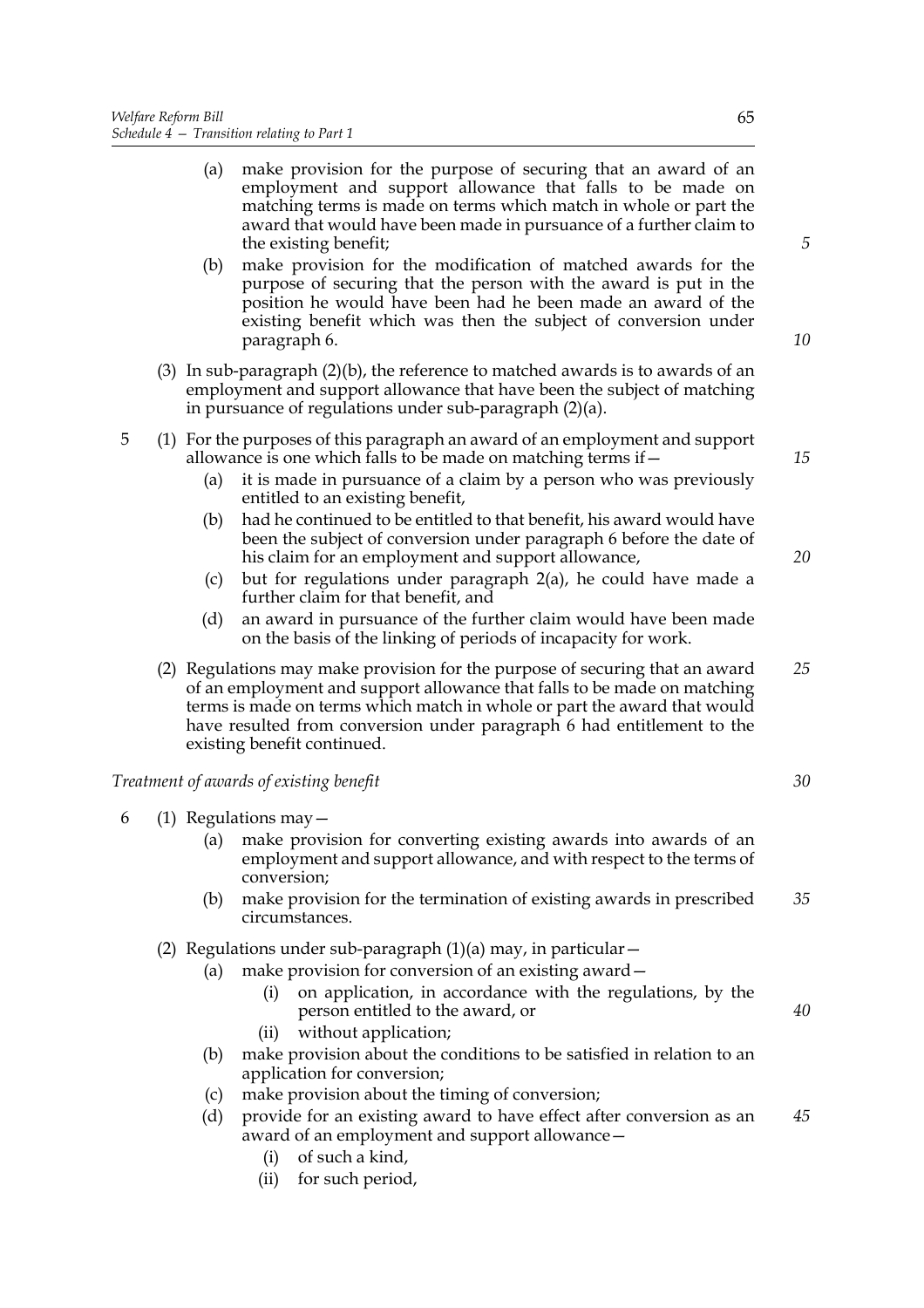- (a) make provision for the purpose of securing that an award of an employment and support allowance that falls to be made on matching terms is made on terms which match in whole or part the award that would have been made in pursuance of a further claim to the existing benefit;
- (b) make provision for the modification of matched awards for the purpose of securing that the person with the award is put in the position he would have been had he been made an award of the existing benefit which was then the subject of conversion under paragraph 6.
- (3) In sub-paragraph  $(2)(b)$ , the reference to matched awards is to awards of an employment and support allowance that have been the subject of matching in pursuance of regulations under sub-paragraph (2)(a).
- 5 (1) For the purposes of this paragraph an award of an employment and support allowance is one which falls to be made on matching terms if—
	- (a) it is made in pursuance of a claim by a person who was previously entitled to an existing benefit,
	- (b) had he continued to be entitled to that benefit, his award would have been the subject of conversion under paragraph 6 before the date of his claim for an employment and support allowance,
	- (c) but for regulations under paragraph 2(a), he could have made a further claim for that benefit, and
	- (d) an award in pursuance of the further claim would have been made on the basis of the linking of periods of incapacity for work.
	- (2) Regulations may make provision for the purpose of securing that an award of an employment and support allowance that falls to be made on matching terms is made on terms which match in whole or part the award that would have resulted from conversion under paragraph 6 had entitlement to the existing benefit continued. *25*

# *Treatment of awards of existing benefit*

- 6 (1) Regulations may—
	- (a) make provision for converting existing awards into awards of an employment and support allowance, and with respect to the terms of conversion;
	- (b) make provision for the termination of existing awards in prescribed circumstances. *35*

# (2) Regulations under sub-paragraph  $(1)(a)$  may, in particular  $-$

- (a) make provision for conversion of an existing award—
	- (i) on application, in accordance with the regulations, by the person entitled to the award, or
	- (ii) without application;
- (b) make provision about the conditions to be satisfied in relation to an application for conversion;
- (c) make provision about the timing of conversion;
- (d) provide for an existing award to have effect after conversion as an award of an employment and support allowance— *45*
	- (i) of such a kind,
	- (ii) for such period,

*5*

*10*

*15*

*20*

*30*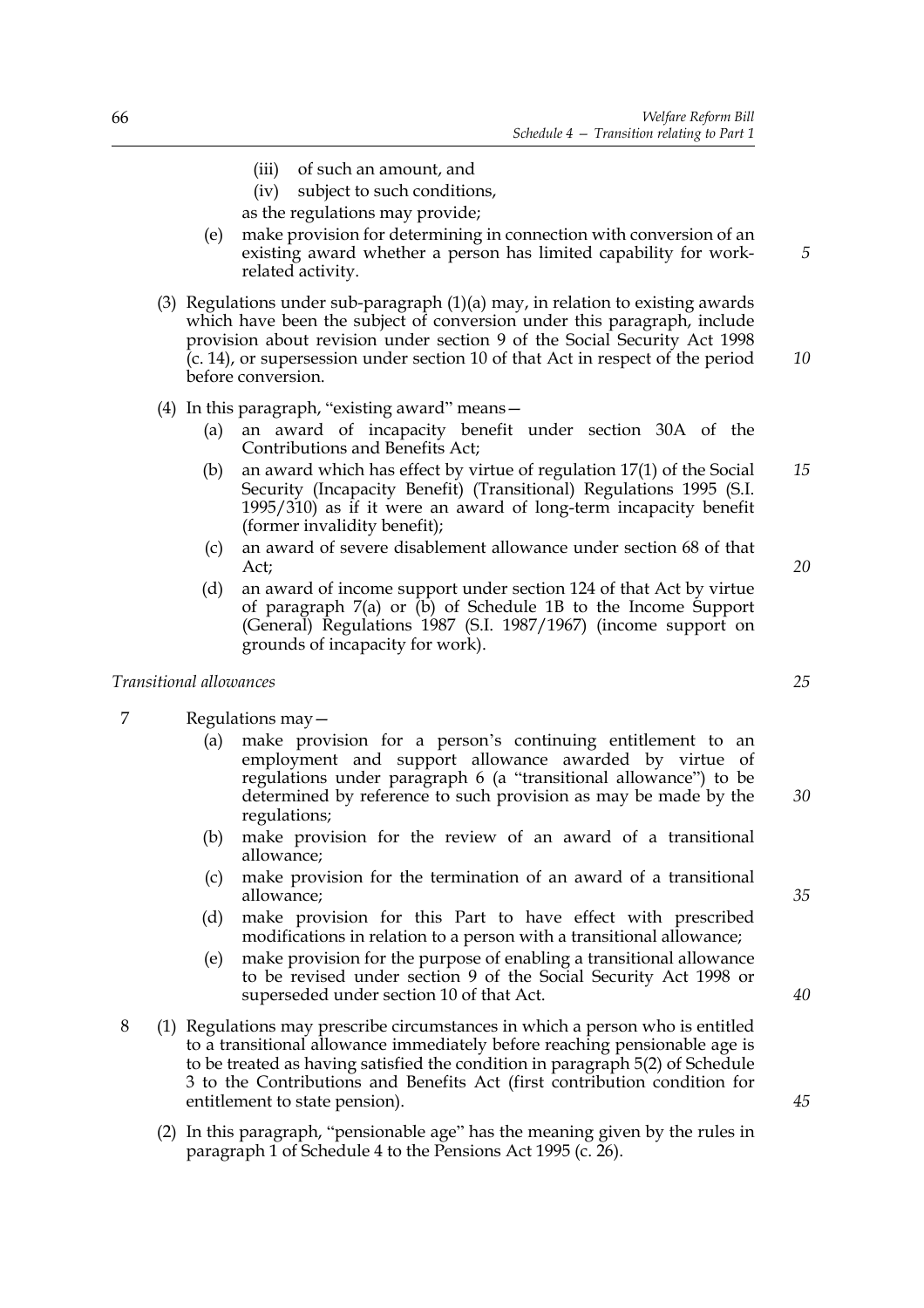- (iii) of such an amount, and
- (iv) subject to such conditions,
- as the regulations may provide;
- (e) make provision for determining in connection with conversion of an existing award whether a person has limited capability for workrelated activity.
- (3) Regulations under sub-paragraph (1)(a) may, in relation to existing awards which have been the subject of conversion under this paragraph, include provision about revision under section 9 of the Social Security Act 1998 (c. 14), or supersession under section 10 of that Act in respect of the period before conversion. *10*
- (4) In this paragraph, "existing award" means—
	- (a) an award of incapacity benefit under section 30A of the Contributions and Benefits Act;
	- (b) an award which has effect by virtue of regulation 17(1) of the Social Security (Incapacity Benefit) (Transitional) Regulations 1995 (S.I. 1995/310) as if it were an award of long-term incapacity benefit (former invalidity benefit); *15*
	- (c) an award of severe disablement allowance under section 68 of that Act;
	- (d) an award of income support under section 124 of that Act by virtue of paragraph  $7(a)$  or  $(b)$  of Schedule 1B to the Income Support (General) Regulations 1987 (S.I. 1987/1967) (income support on grounds of incapacity for work).

#### *Transitional allowances*

- 7 Regulations may—
	- (a) make provision for a person's continuing entitlement to an employment and support allowance awarded by virtue of regulations under paragraph 6 (a "transitional allowance") to be determined by reference to such provision as may be made by the regulations;
	- (b) make provision for the review of an award of a transitional allowance;
	- (c) make provision for the termination of an award of a transitional allowance;
	- (d) make provision for this Part to have effect with prescribed modifications in relation to a person with a transitional allowance;
	- (e) make provision for the purpose of enabling a transitional allowance to be revised under section 9 of the Social Security Act 1998 or superseded under section 10 of that Act.
- 8 (1) Regulations may prescribe circumstances in which a person who is entitled to a transitional allowance immediately before reaching pensionable age is to be treated as having satisfied the condition in paragraph 5(2) of Schedule 3 to the Contributions and Benefits Act (first contribution condition for entitlement to state pension).
	- (2) In this paragraph, "pensionable age" has the meaning given by the rules in paragraph 1 of Schedule 4 to the Pensions Act 1995 (c. 26).

*25*

*20*

*5*

*30*

*40*

*45*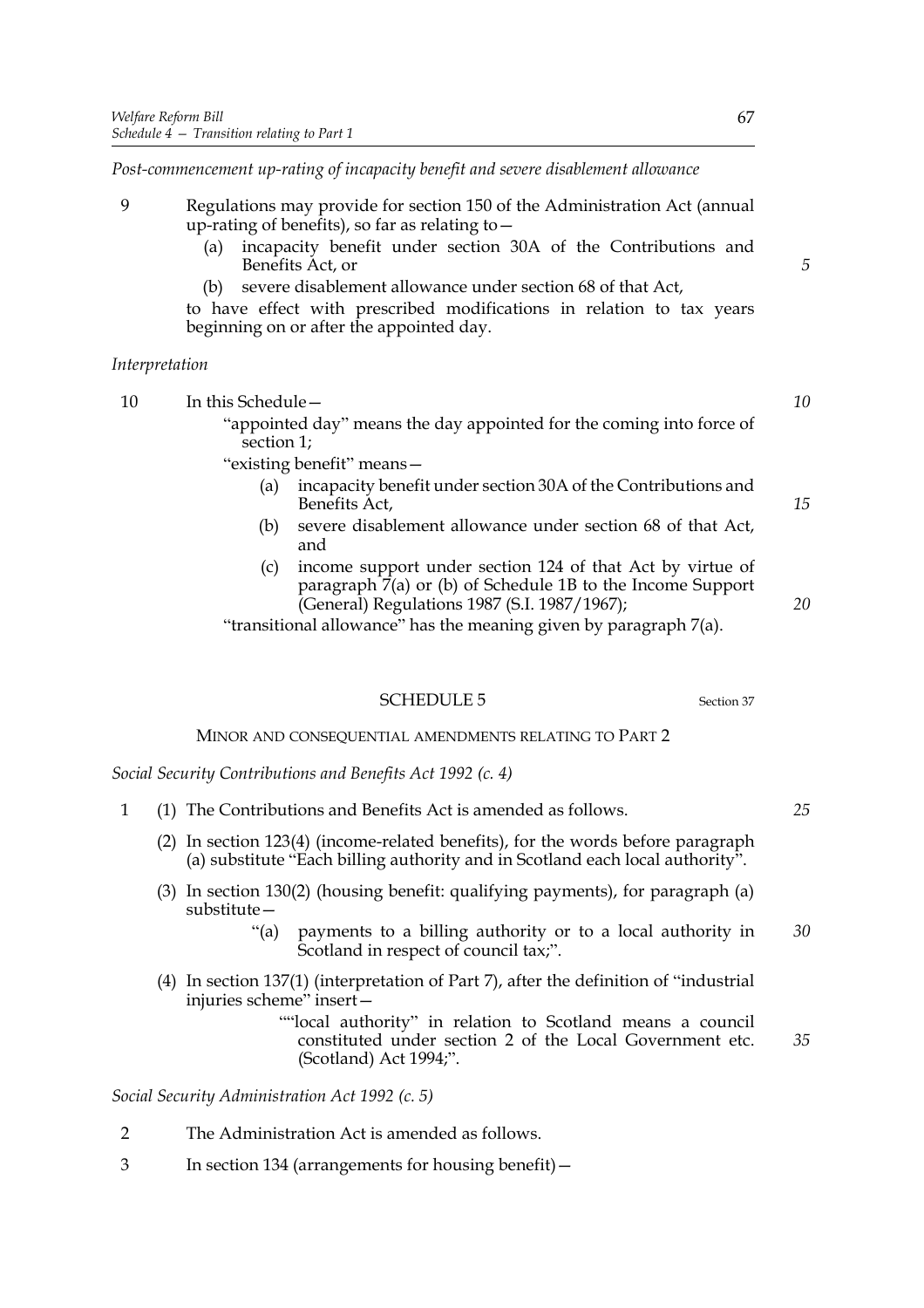*Post-commencement up-rating of incapacity benefit and severe disablement allowance*

- 9 Regulations may provide for section 150 of the Administration Act (annual up-rating of benefits), so far as relating to  $-$ 
	- (a) incapacity benefit under section 30A of the Contributions and Benefits Act, or
	- (b) severe disablement allowance under section 68 of that Act,

to have effect with prescribed modifications in relation to tax years beginning on or after the appointed day.

# *Interpretation*

10 In this Schedule—

"appointed day" means the day appointed for the coming into force of section 1;

"existing benefit" means—

- (a) incapacity benefit under section 30A of the Contributions and Benefits Act,
- (b) severe disablement allowance under section 68 of that Act, and
- (c) income support under section 124 of that Act by virtue of paragraph  $\overline{7}$ (a) or (b) of Schedule 1B to the Income Support (General) Regulations 1987 (S.I. 1987/1967);

"transitional allowance" has the meaning given by paragraph 7(a).

# SCHEDULE 5 Section 37

MINOR AND CONSEQUENTIAL AMENDMENTS RELATING TO PART 2

*Social Security Contributions and Benefits Act 1992 (c. 4)*

- 1 (1) The Contributions and Benefits Act is amended as follows.
	- (2) In section 123(4) (income-related benefits), for the words before paragraph (a) substitute "Each billing authority and in Scotland each local authority".
	- (3) In section 130(2) (housing benefit: qualifying payments), for paragraph (a) substitute—
		- "(a) payments to a billing authority or to a local authority in Scotland in respect of council tax;". *30*
	- (4) In section 137(1) (interpretation of Part 7), after the definition of "industrial injuries scheme" insert-
		- ""local authority" in relation to Scotland means a council constituted under section 2 of the Local Government etc. (Scotland) Act 1994;".

*Social Security Administration Act 1992 (c. 5)*

- 2 The Administration Act is amended as follows.
- 3 In section 134 (arrangements for housing benefit)—

*35*

*5*

*15*

*20*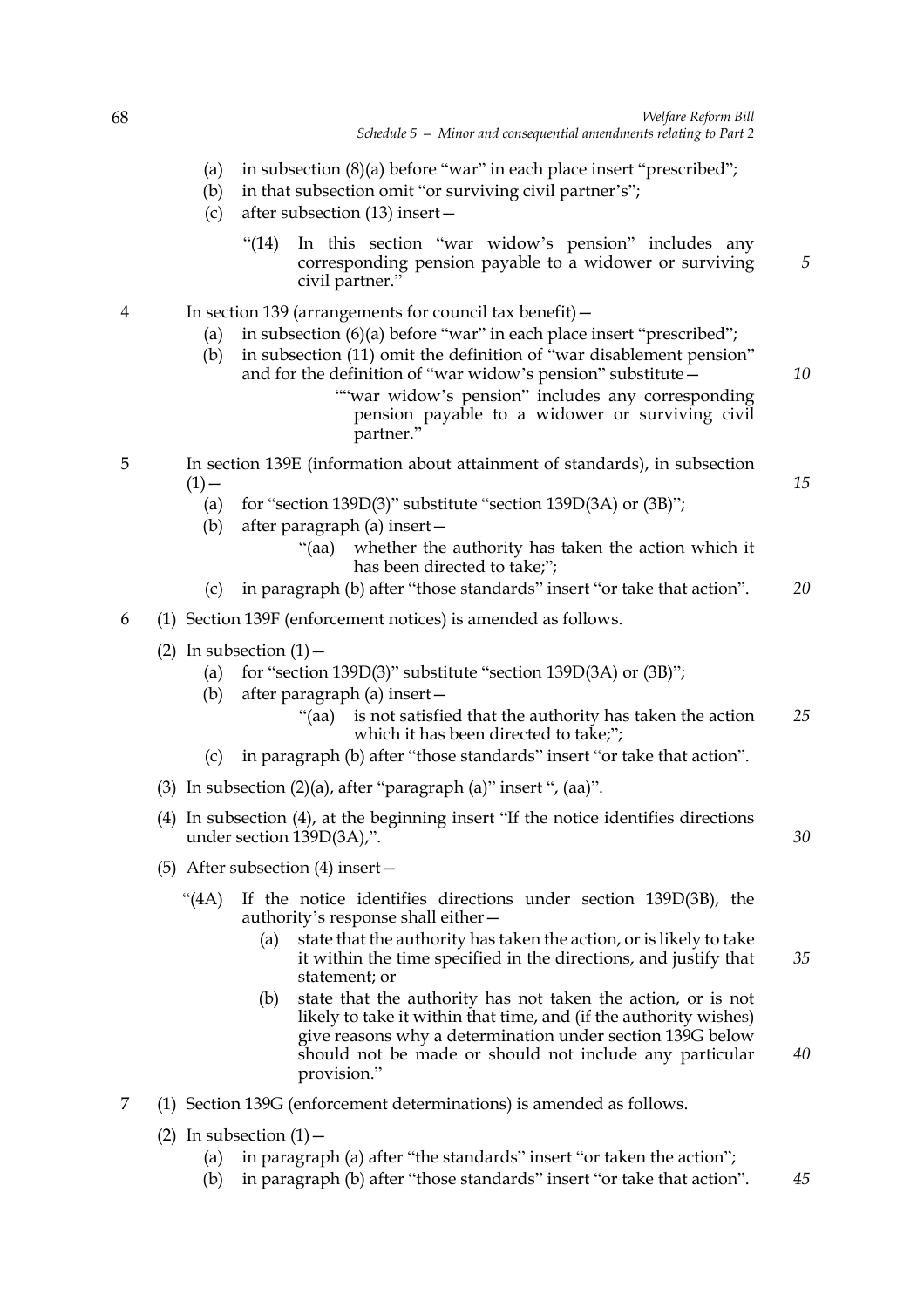- (a) in subsection (8)(a) before "war" in each place insert "prescribed";
- (b) in that subsection omit "or surviving civil partner's";
- (c) after subsection (13) insert—
	- "(14) In this section "war widow's pension" includes any corresponding pension payable to a widower or surviving civil partner."
- 4 In section 139 (arrangements for council tax benefit)—
	- (a) in subsection (6)(a) before "war" in each place insert "prescribed";
	- (b) in subsection (11) omit the definition of "war disablement pension" and for the definition of "war widow's pension" substitute— ""war widow's pension" includes any corresponding
		- pension payable to a widower or surviving civil partner."
- 5 In section 139E (information about attainment of standards), in subsection  $(1)$  —
	- (a) for "section 139D(3)" substitute "section 139D(3A) or  $(3B)$ ";
	- (b) after paragraph (a) insert—
		- "(aa) whether the authority has taken the action which it has been directed to take;";
	- (c) in paragraph (b) after "those standards" insert "or take that action". *20*
- 6 (1) Section 139F (enforcement notices) is amended as follows.
	- (2) In subsection  $(1)$ 
		- (a) for "section 139D(3)" substitute "section 139D(3A) or (3B)";
		- (b) after paragraph (a) insert—
			- "(aa) is not satisfied that the authority has taken the action which it has been directed to take;"; *25*
		- (c) in paragraph (b) after "those standards" insert "or take that action".
	- (3) In subsection  $(2)(a)$ , after "paragraph  $(a)$ " insert ",  $(aa)$ ".
	- (4) In subsection (4), at the beginning insert "If the notice identifies directions under section 139D(3A),".
	- (5) After subsection (4) insert—
		- "(4A) If the notice identifies directions under section 139D(3B), the authority's response shall either—
			- (a) state that the authority has taken the action, or is likely to take it within the time specified in the directions, and justify that statement; or *35*
			- (b) state that the authority has not taken the action, or is not likely to take it within that time, and (if the authority wishes) give reasons why a determination under section 139G below should not be made or should not include any particular provision."
- 7 (1) Section 139G (enforcement determinations) is amended as follows.
	- (2) In subsection  $(1)$  -
		- (a) in paragraph (a) after "the standards" insert "or taken the action";
		- (b) in paragraph (b) after "those standards" insert "or take that action".

*45*

*40*

*30*

*5*

*10*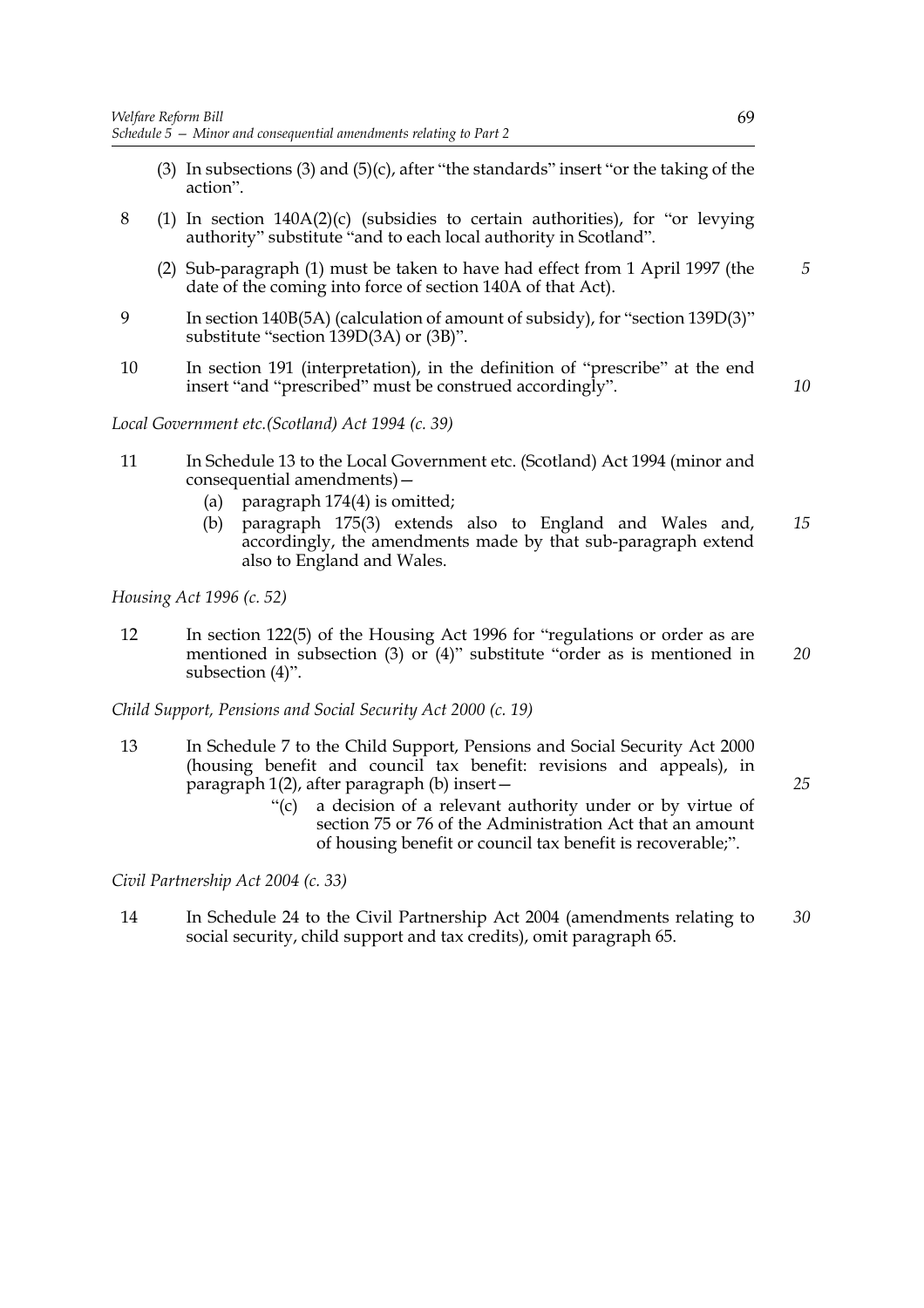- (3) In subsections (3) and (5)(c), after "the standards" insert "or the taking of the action".
- 8 (1) In section 140A(2)(c) (subsidies to certain authorities), for "or levying authority" substitute "and to each local authority in Scotland".
	- (2) Sub-paragraph (1) must be taken to have had effect from 1 April 1997 (the date of the coming into force of section 140A of that Act). *5*
- 9 In section 140B(5A) (calculation of amount of subsidy), for "section 139D(3)" substitute "section 139D(3A) or (3B)".
- 10 In section 191 (interpretation), in the definition of "prescribe" at the end insert "and "prescribed" must be construed accordingly".

*Local Government etc.(Scotland) Act 1994 (c. 39)*

- 11 In Schedule 13 to the Local Government etc. (Scotland) Act 1994 (minor and consequential amendments)—
	- (a) paragraph 174(4) is omitted;
	- (b) paragraph 175(3) extends also to England and Wales and, accordingly, the amendments made by that sub-paragraph extend also to England and Wales. *15*

*Housing Act 1996 (c. 52)*

12 In section 122(5) of the Housing Act 1996 for "regulations or order as are mentioned in subsection (3) or (4)" substitute "order as is mentioned in subsection (4)". *20*

*Child Support, Pensions and Social Security Act 2000 (c. 19)*

- 13 In Schedule 7 to the Child Support, Pensions and Social Security Act 2000 (housing benefit and council tax benefit: revisions and appeals), in paragraph 1(2), after paragraph (b) insert—
	- "(c) a decision of a relevant authority under or by virtue of section 75 or 76 of the Administration Act that an amount of housing benefit or council tax benefit is recoverable;".

*Civil Partnership Act 2004 (c. 33)*

14 In Schedule 24 to the Civil Partnership Act 2004 (amendments relating to social security, child support and tax credits), omit paragraph 65. *30*

*10*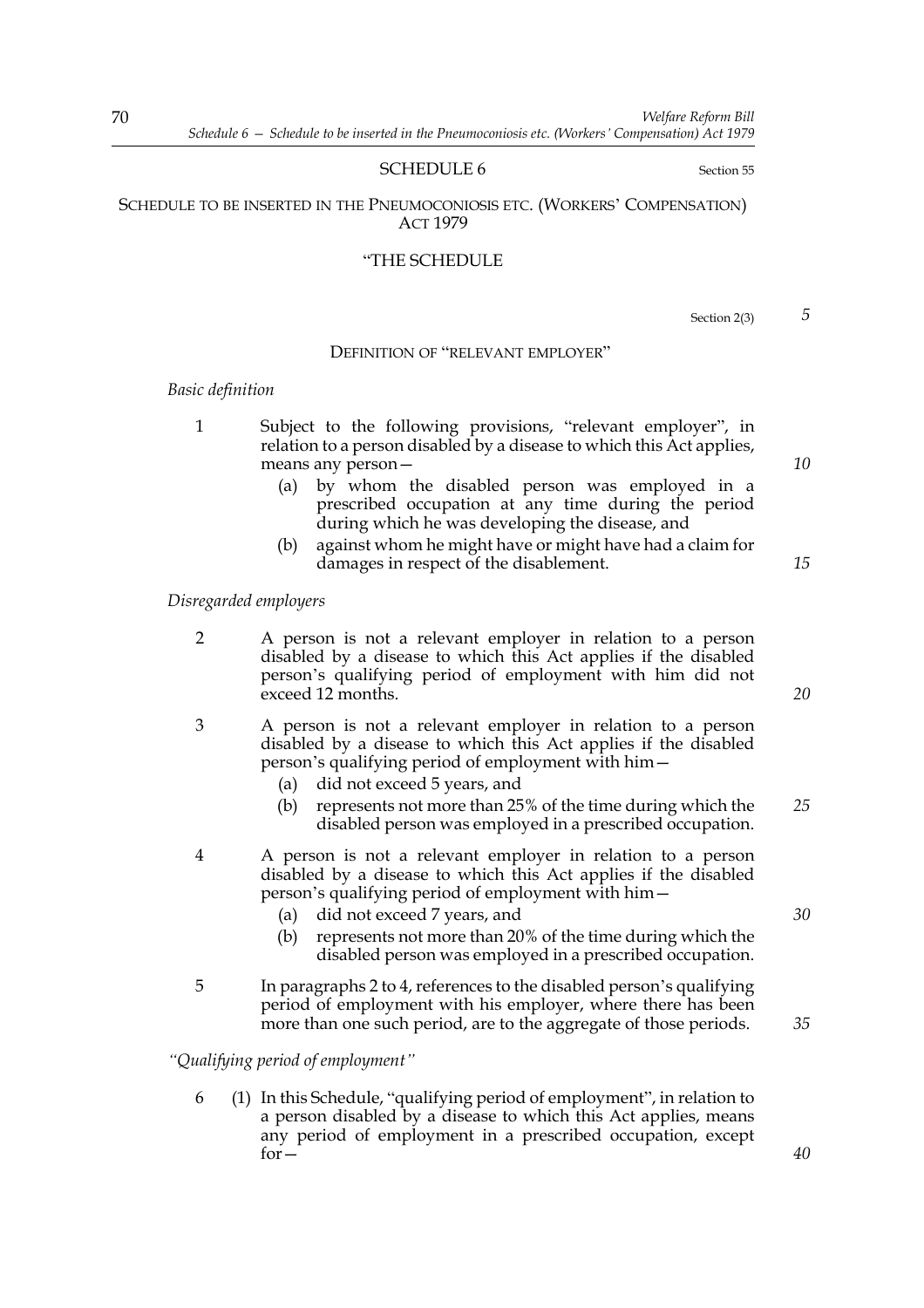#### SCHEDULE 6 Section 55

SCHEDULE TO BE INSERTED IN THE PNEUMOCONIOSIS ETC. (WORKERS' COMPENSATION) ACT 1979

#### "THE SCHEDULE

Section 2(3) *5*

#### DEFINITION OF "RELEVANT EMPLOYER"

*Basic definition*

- 1 Subject to the following provisions, "relevant employer", in relation to a person disabled by a disease to which this Act applies, means any person—
	- (a) by whom the disabled person was employed in a prescribed occupation at any time during the period during which he was developing the disease, and
	- (b) against whom he might have or might have had a claim for damages in respect of the disablement.

*Disregarded employers*

- 2 A person is not a relevant employer in relation to a person disabled by a disease to which this Act applies if the disabled person's qualifying period of employment with him did not exceed 12 months.
- 3 A person is not a relevant employer in relation to a person disabled by a disease to which this Act applies if the disabled person's qualifying period of employment with him—
	- (a) did not exceed 5 years, and
	- (b) represents not more than 25% of the time during which the disabled person was employed in a prescribed occupation. *25*
- 4 A person is not a relevant employer in relation to a person disabled by a disease to which this Act applies if the disabled person's qualifying period of employment with him—
	- (a) did not exceed 7 years, and
	- (b) represents not more than 20% of the time during which the disabled person was employed in a prescribed occupation.
- 5 In paragraphs 2 to 4, references to the disabled person's qualifying period of employment with his employer, where there has been more than one such period, are to the aggregate of those periods.

*"Qualifying period of employment"*

6 (1) In this Schedule, "qualifying period of employment", in relation to a person disabled by a disease to which this Act applies, means any period of employment in a prescribed occupation, except  $for -$ 

*10*

*15*

*20*

*30*

*35*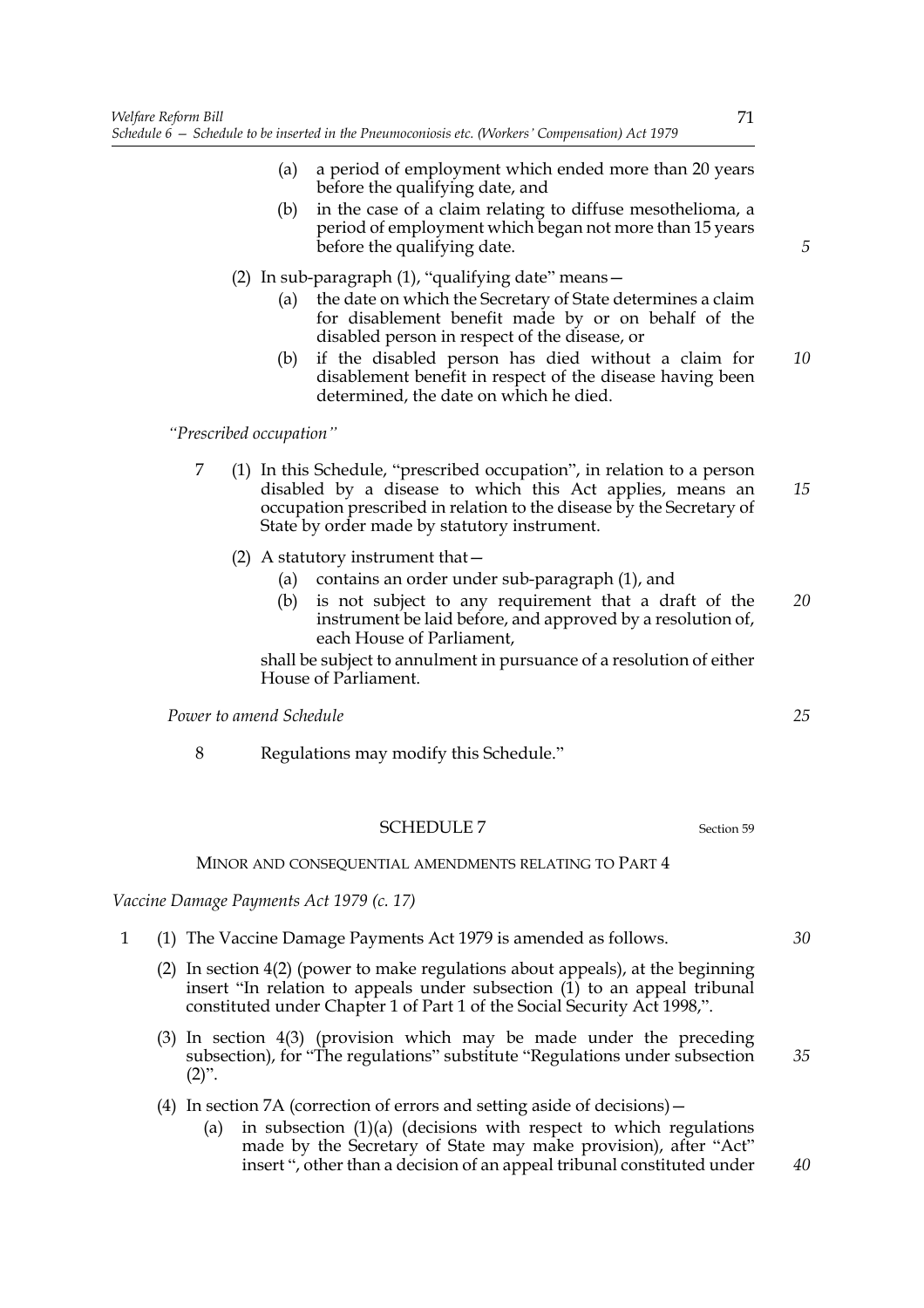- (a) a period of employment which ended more than 20 years before the qualifying date, and
- (b) in the case of a claim relating to diffuse mesothelioma, a period of employment which began not more than 15 years before the qualifying date.
- (2) In sub-paragraph (1), "qualifying date" means—
	- (a) the date on which the Secretary of State determines a claim for disablement benefit made by or on behalf of the disabled person in respect of the disease, or
	- (b) if the disabled person has died without a claim for disablement benefit in respect of the disease having been determined, the date on which he died. *10*

### *"Prescribed occupation"*

- 7 (1) In this Schedule, "prescribed occupation", in relation to a person disabled by a disease to which this Act applies, means an occupation prescribed in relation to the disease by the Secretary of State by order made by statutory instrument.
	- (2) A statutory instrument that—
		- (a) contains an order under sub-paragraph (1), and
		- (b) is not subject to any requirement that a draft of the instrument be laid before, and approved by a resolution of, each House of Parliament, *20*

shall be subject to annulment in pursuance of a resolution of either House of Parliament.

*Power to amend Schedule*

8 Regulations may modify this Schedule."

### SCHEDULE 7 Section 59

MINOR AND CONSEQUENTIAL AMENDMENTS RELATING TO PART 4

*Vaccine Damage Payments Act 1979 (c. 17)*

- 1 (1) The Vaccine Damage Payments Act 1979 is amended as follows.
	- (2) In section 4(2) (power to make regulations about appeals), at the beginning insert "In relation to appeals under subsection (1) to an appeal tribunal constituted under Chapter 1 of Part 1 of the Social Security Act 1998,".
	- (3) In section 4(3) (provision which may be made under the preceding subsection), for "The regulations" substitute "Regulations under subsection  $(2)$ ".
	- (4) In section 7A (correction of errors and setting aside of decisions)—
		- (a) in subsection  $(1)(a)$  (decisions with respect to which regulations made by the Secretary of State may make provision), after "Act" insert ", other than a decision of an appeal tribunal constituted under

*5*

*15*

*25*

*30*

*35*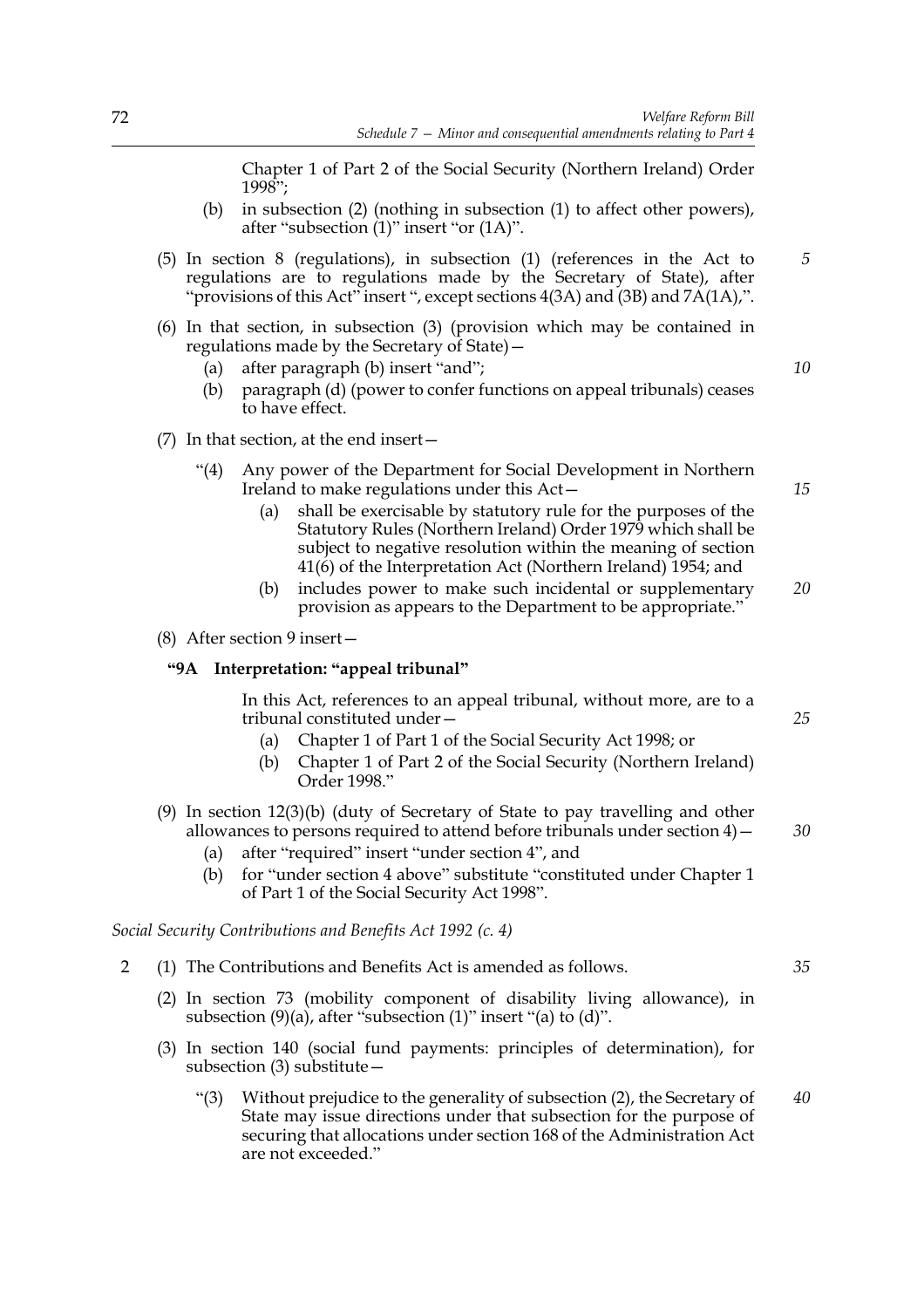Chapter 1 of Part 2 of the Social Security (Northern Ireland) Order  $1998$ ";

- (b) in subsection (2) (nothing in subsection (1) to affect other powers), after "subsection (1)" insert "or (1A)".
- (5) In section 8 (regulations), in subsection (1) (references in the Act to regulations are to regulations made by the Secretary of State), after "provisions of this Act" insert ", except sections  $4(3A)$  and  $(3B)$  and  $7A(1A)$ ,".
- (6) In that section, in subsection (3) (provision which may be contained in regulations made by the Secretary of State)—
	- (a) after paragraph (b) insert "and";
	- (b) paragraph (d) (power to confer functions on appeal tribunals) ceases to have effect.
- (7) In that section, at the end insert—
	- "(4) Any power of the Department for Social Development in Northern Ireland to make regulations under this Act—
		- (a) shall be exercisable by statutory rule for the purposes of the Statutory Rules (Northern Ireland) Order 1979 which shall be subject to negative resolution within the meaning of section 41(6) of the Interpretation Act (Northern Ireland) 1954; and
		- (b) includes power to make such incidental or supplementary provision as appears to the Department to be appropriate." *20*
- (8) After section 9 insert—

### **"9A Interpretation: "appeal tribunal"**

 In this Act, references to an appeal tribunal, without more, are to a tribunal constituted under—

- (a) Chapter 1 of Part 1 of the Social Security Act 1998; or
- (b) Chapter 1 of Part 2 of the Social Security (Northern Ireland) Order 1998."
- (9) In section 12(3)(b) (duty of Secretary of State to pay travelling and other allowances to persons required to attend before tribunals under section  $4$ ) –
	- (a) after "required" insert "under section 4", and
	- (b) for "under section 4 above" substitute "constituted under Chapter 1 of Part 1 of the Social Security Act 1998".

*Social Security Contributions and Benefits Act 1992 (c. 4)*

- 2 (1) The Contributions and Benefits Act is amended as follows.
	- (2) In section 73 (mobility component of disability living allowance), in subsection (9)(a), after "subsection (1)" insert "(a) to (d)".
	- (3) In section 140 (social fund payments: principles of determination), for subsection (3) substitute—
		- "(3) Without prejudice to the generality of subsection (2), the Secretary of State may issue directions under that subsection for the purpose of securing that allocations under section 168 of the Administration Act are not exceeded." *40*

*10*

*5*

*15*

*25*

*35*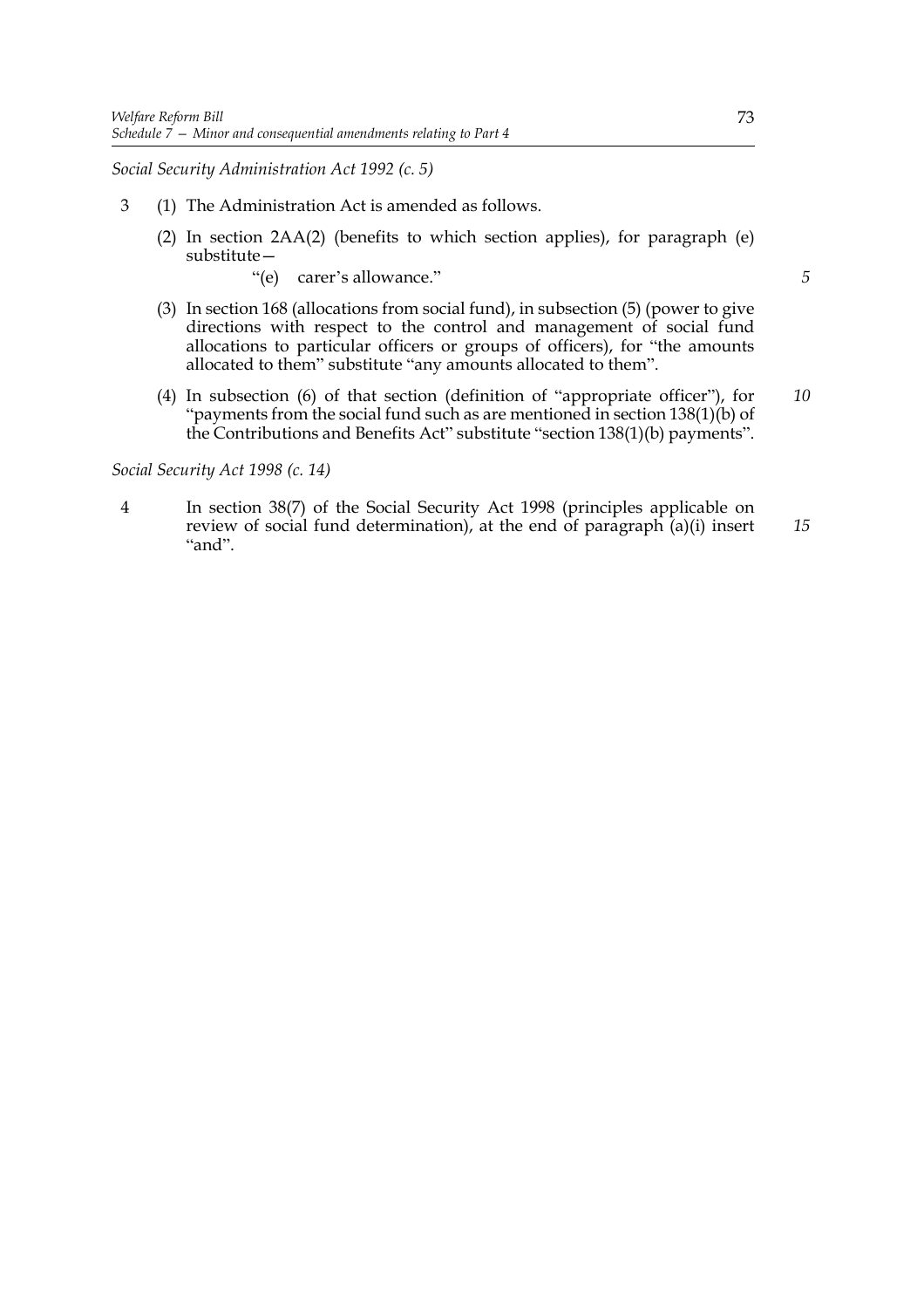*Social Security Administration Act 1992 (c. 5)*

- 3 (1) The Administration Act is amended as follows.
	- (2) In section 2AA(2) (benefits to which section applies), for paragraph (e) substitute—
		- "(e) carer's allowance."
	- (3) In section 168 (allocations from social fund), in subsection (5) (power to give directions with respect to the control and management of social fund allocations to particular officers or groups of officers), for "the amounts allocated to them" substitute "any amounts allocated to them".
	- (4) In subsection (6) of that section (definition of "appropriate officer"), for "payments from the social fund such as are mentioned in section 138(1)(b) of the Contributions and Benefits Act" substitute "section 138(1)(b) payments". *10*

*Social Security Act 1998 (c. 14)*

4 In section 38(7) of the Social Security Act 1998 (principles applicable on review of social fund determination), at the end of paragraph (a)(i) insert "and". *15*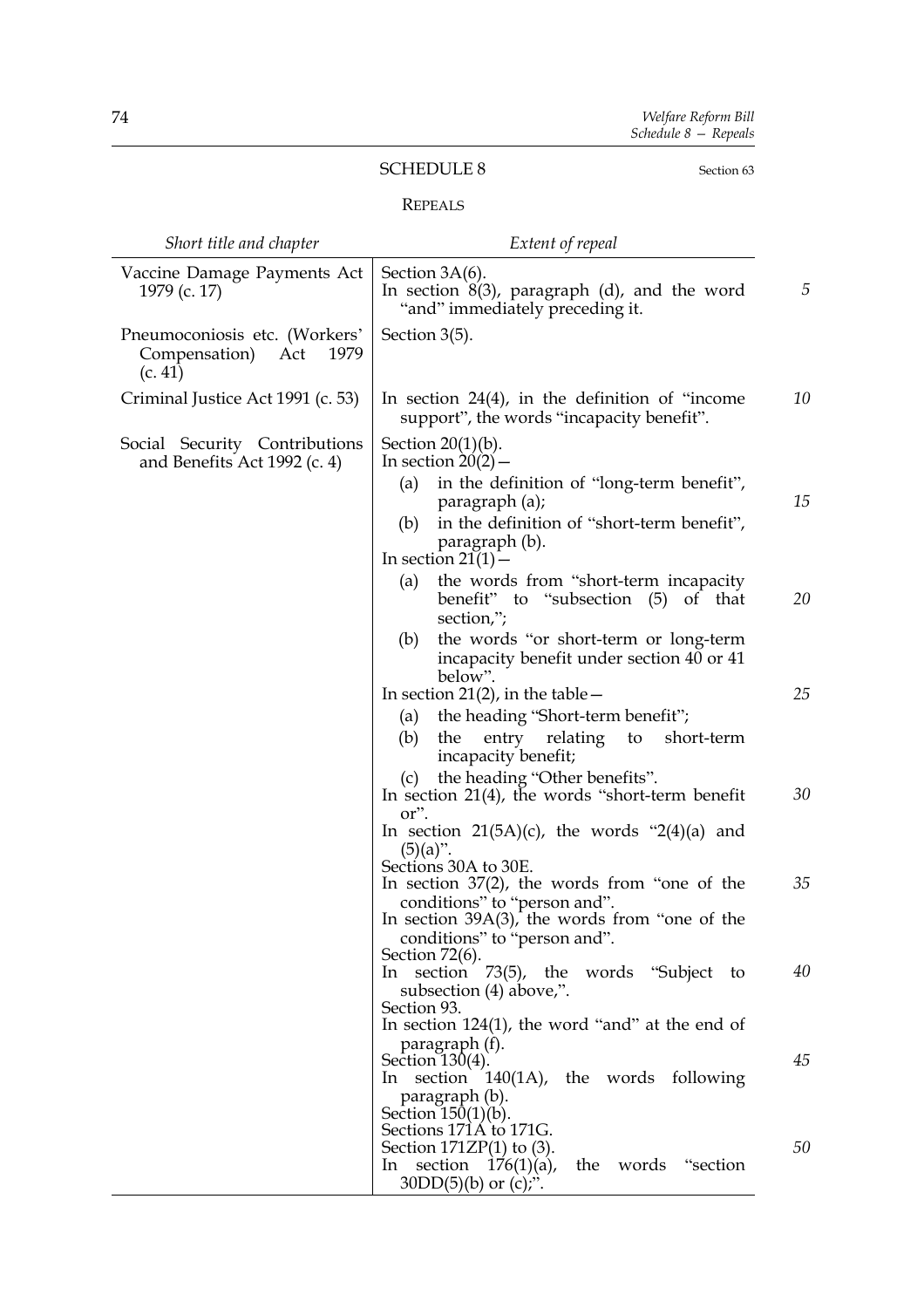## SCHEDULE 8 Section 63

| Short title and chapter                                               | Extent of repeal                                                                                                                                                                                                                    |    |
|-----------------------------------------------------------------------|-------------------------------------------------------------------------------------------------------------------------------------------------------------------------------------------------------------------------------------|----|
| Vaccine Damage Payments Act<br>1979 (c. 17)                           | Section 3A(6).<br>In section $8(3)$ , paragraph $(d)$ , and the word<br>"and" immediately preceding it.                                                                                                                             | 5  |
| Pneumoconiosis etc. (Workers'<br>1979<br>Compensation) Act<br>(c. 41) | Section $3(5)$ .                                                                                                                                                                                                                    |    |
| Criminal Justice Act 1991 (c. 53)                                     | In section $24(4)$ , in the definition of "income"<br>support", the words "incapacity benefit".                                                                                                                                     | 10 |
| Social Security Contributions<br>and Benefits Act 1992 (c. 4)         | Section $20(1)(b)$ .<br>In section $20(2)$ –                                                                                                                                                                                        |    |
|                                                                       | in the definition of "long-term benefit",<br>(a)<br>paragraph (a);<br>in the definition of "short-term benefit",<br>(b)<br>paragraph (b).<br>In section $21(1)$ –                                                                   | 15 |
|                                                                       | the words from "short-term incapacity"<br>(a)<br>benefit" to "subsection<br>$(5)$ of that<br>section,";                                                                                                                             | 20 |
|                                                                       | the words "or short-term or long-term<br>(b)<br>incapacity benefit under section 40 or 41<br>below".<br>In section 21(2), in the table $-$<br>the heading "Short-term benefit";<br>(a)                                              | 25 |
|                                                                       | entry<br>relating<br>(b)<br>to<br>short-term<br>the<br>incapacity benefit;<br>the heading "Other benefits".<br>(c)<br>In section $21(4)$ , the words "short-term benefit<br>or".<br>In section $21(5A)(c)$ , the words "2(4)(a) and | 30 |
|                                                                       | $(5)(a)$ ".<br>Sections 30A to 30E.<br>In section $37(2)$ , the words from "one of the<br>conditions" to "person and".<br>In section 39A(3), the words from "one of the<br>conditions" to "person and".                             | 35 |
|                                                                       | Section $72(6)$ .<br>In section 73(5), the words "Subject to<br>subsection (4) above,".                                                                                                                                             | 40 |
|                                                                       | Section 93.<br>In section $124(1)$ , the word "and" at the end of<br>paragraph (f).<br>Section 130(4).<br>In section $140(1A)$ , the words following<br>paragraph (b).                                                              | 45 |
|                                                                       | Section $150(1)(b)$ .<br>Sections 171A to 171G.<br>Section $171ZP(1)$ to (3).<br>In section $176(1)(a)$ ,<br>the words "section<br>$30DD(5)(b)$ or (c);".                                                                           | 50 |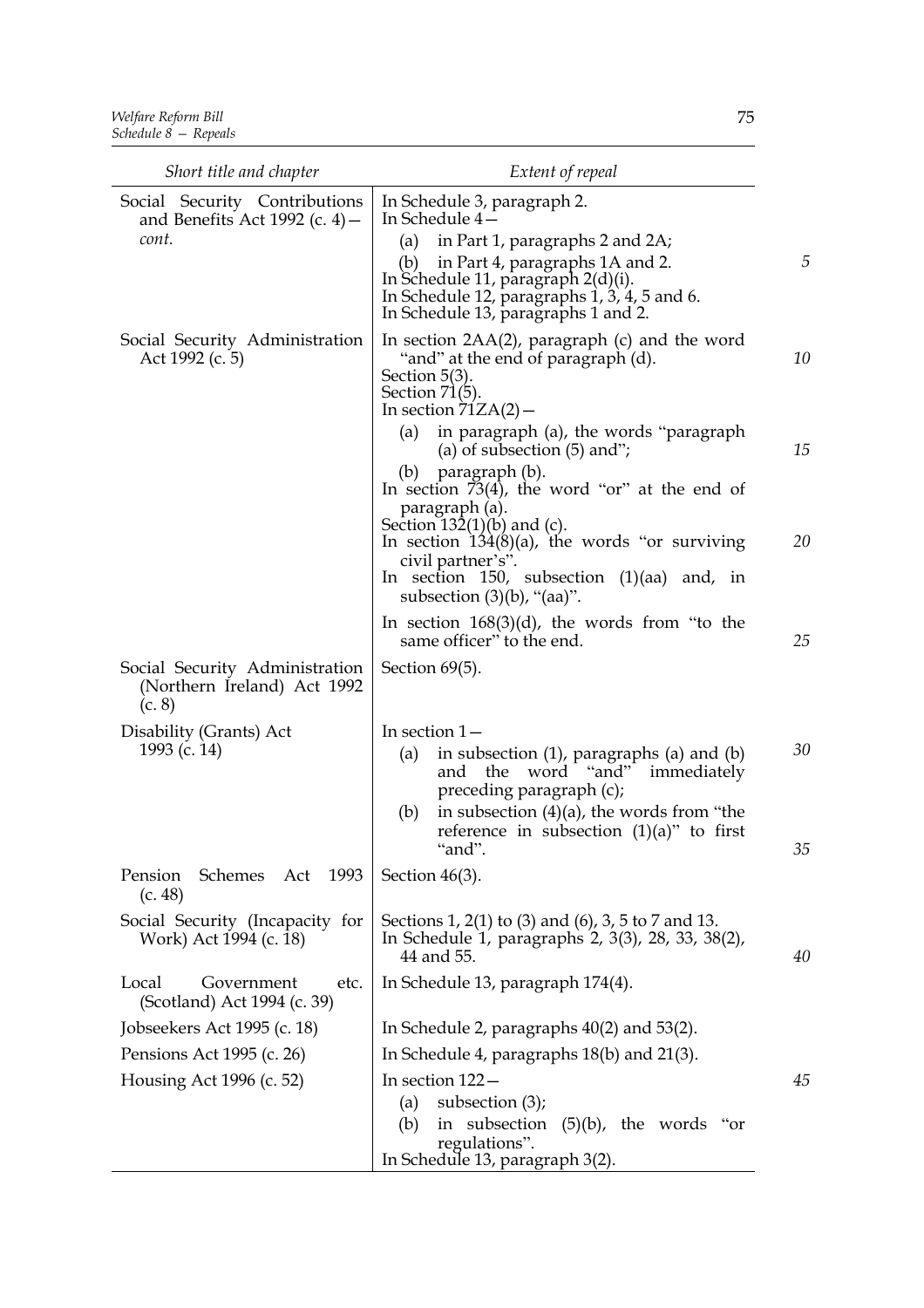| Short title and chapter                                                 | Extent of repeal                                                                                                                                                                                              |    |
|-------------------------------------------------------------------------|---------------------------------------------------------------------------------------------------------------------------------------------------------------------------------------------------------------|----|
| Social Security Contributions<br>and Benefits Act 1992 (c. 4) $-$       | In Schedule 3, paragraph 2.<br>In Schedule $4-$                                                                                                                                                               |    |
| cont.                                                                   | in Part 1, paragraphs 2 and 2A;<br>(a)<br>(b)<br>in Part 4, paragraphs 1A and 2.<br>In Schedule 11, paragraph 2(d)(i).<br>In Schedule 12, paragraphs 1, 3, 4, 5 and 6.<br>In Schedule 13, paragraphs 1 and 2. | 5  |
| Social Security Administration<br>Act 1992 (c. 5)                       | In section $2AA(2)$ , paragraph (c) and the word<br>"and" at the end of paragraph (d).<br>Section 5(3).<br>Section 71(5).<br>In section $71ZA(2)$ –                                                           | 10 |
|                                                                         | in paragraph (a), the words "paragraph"<br>(a)<br>(a) of subsection $(5)$ and";                                                                                                                               | 15 |
|                                                                         | paragraph (b).<br>(b)<br>In section $73(4)$ , the word "or" at the end of<br>paragraph (a).<br>Section $132(1)(b)$ and (c).<br>In section $134(8)(a)$ , the words "or surviving                               | 20 |
|                                                                         | civil partner's".<br>In section 150, subsection $(1)(aa)$ and, in<br>subsection $(3)(b)$ , " $(aa)$ ".                                                                                                        |    |
|                                                                         | In section $168(3)(d)$ , the words from "to the<br>same officer" to the end.                                                                                                                                  | 25 |
| Social Security Administration<br>(Northern Ireland) Act 1992<br>(c. 8) | Section $69(5)$ .                                                                                                                                                                                             |    |
| Disability (Grants) Act<br>1993 (c. 14)                                 | In section $1-$<br>in subsection $(1)$ , paragraphs $(a)$ and $(b)$<br>(a)<br>and the word "and" immediately<br>preceding paragraph (c);                                                                      | 30 |
|                                                                         | in subsection $(4)(a)$ , the words from "the<br>(b)<br>reference in subsection $(1)(a)$ " to first<br>"and".                                                                                                  | 35 |
| Pension<br>Schemes<br>Act<br>1993<br>(c. 48)                            | Section $46(3)$ .                                                                                                                                                                                             |    |
| Social Security (Incapacity for<br>Work) Act 1994 (c. 18)               | Sections 1, 2(1) to (3) and (6), 3, 5 to 7 and 13.<br>In Schedule 1, paragraphs 2, 3(3), 28, 33, 38(2),<br>44 and 55.                                                                                         | 40 |
| Local<br>Government<br>etc.<br>(Scotland) Act 1994 (c. 39)              | In Schedule 13, paragraph 174(4).                                                                                                                                                                             |    |
| Jobseekers Act 1995 (c. 18)                                             | In Schedule 2, paragraphs $40(2)$ and $53(2)$ .                                                                                                                                                               |    |
| Pensions Act 1995 (c. 26)                                               | In Schedule 4, paragraphs $18(b)$ and $21(3)$ .                                                                                                                                                               |    |
| Housing Act 1996 (c. 52)                                                | In section 122-                                                                                                                                                                                               | 45 |
|                                                                         | subsection $(3)$ ;<br>(a)                                                                                                                                                                                     |    |
|                                                                         | in subsection<br>$(5)(b)$ , the words "or<br>(b)<br>regulations".<br>In Schedule 13, paragraph 3(2).                                                                                                          |    |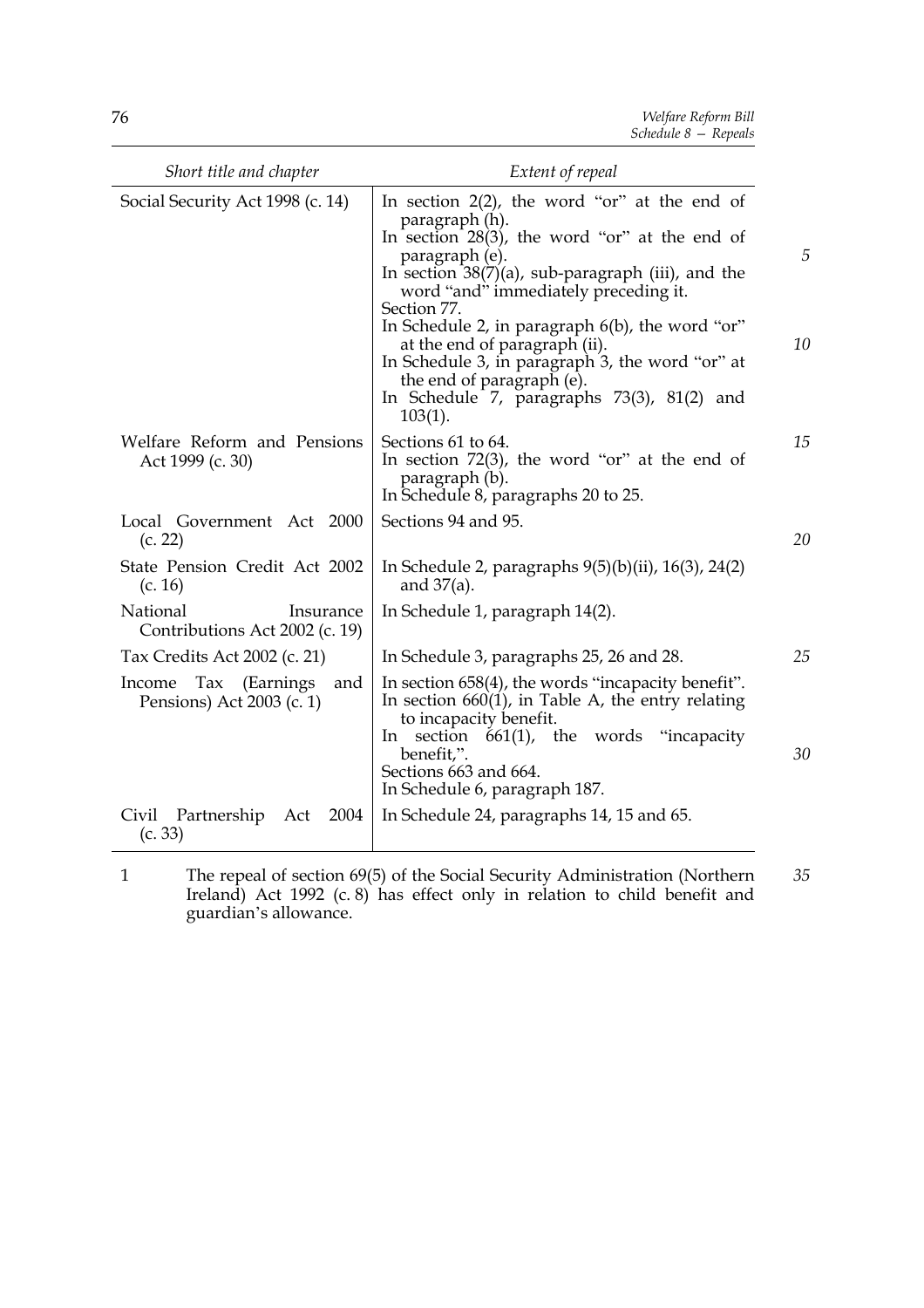| Short title and chapter                                     | Extent of repeal                                                                                                                                                                                                                                                                                                                                                                                                                                                                               |         |
|-------------------------------------------------------------|------------------------------------------------------------------------------------------------------------------------------------------------------------------------------------------------------------------------------------------------------------------------------------------------------------------------------------------------------------------------------------------------------------------------------------------------------------------------------------------------|---------|
| Social Security Act 1998 (c. 14)                            | In section $2(2)$ , the word "or" at the end of<br>paragraph (h).<br>In section $28(3)$ , the word "or" at the end of<br>paragraph (e).<br>In section $38(7)(a)$ , sub-paragraph (iii), and the<br>word "and" immediately preceding it.<br>Section 77.<br>In Schedule 2, in paragraph $6(b)$ , the word "or"<br>at the end of paragraph (ii).<br>In Schedule 3, in paragraph 3, the word "or" at<br>the end of paragraph (e).<br>In Schedule 7, paragraphs $73(3)$ , $81(2)$ and<br>$103(1)$ . | 5<br>10 |
| Welfare Reform and Pensions<br>Act 1999 (c. 30)             | Sections 61 to 64.<br>In section $72(3)$ , the word "or" at the end of<br>paragraph (b).<br>In Schedule 8, paragraphs 20 to 25.                                                                                                                                                                                                                                                                                                                                                                | 15      |
| Local Government Act 2000<br>(c. 22)                        | Sections 94 and 95.                                                                                                                                                                                                                                                                                                                                                                                                                                                                            | 20      |
| State Pension Credit Act 2002<br>(c. 16)                    | In Schedule 2, paragraphs $9(5)(b)(ii)$ , 16(3), 24(2)<br>and $37(a)$ .                                                                                                                                                                                                                                                                                                                                                                                                                        |         |
| National<br>Insurance<br>Contributions Act 2002 (c. 19)     | In Schedule 1, paragraph 14(2).                                                                                                                                                                                                                                                                                                                                                                                                                                                                |         |
| Tax Credits Act 2002 (c. 21)                                | In Schedule 3, paragraphs 25, 26 and 28.                                                                                                                                                                                                                                                                                                                                                                                                                                                       | 25      |
| Tax (Earnings<br>Income<br>and<br>Pensions) Act 2003 (c. 1) | In section 658(4), the words "incapacity benefit".<br>In section $660(1)$ , in Table A, the entry relating<br>to incapacity benefit.<br>section $661(1)$ , the words "incapacity"<br>ln<br>benefit,".<br>Sections 663 and 664.<br>In Schedule 6, paragraph 187.                                                                                                                                                                                                                                | 30      |
| Partnership<br>2004<br>Civil<br>Act<br>(c. 33)              | In Schedule 24, paragraphs 14, 15 and 65.                                                                                                                                                                                                                                                                                                                                                                                                                                                      |         |

1 The repeal of section 69(5) of the Social Security Administration (Northern Ireland) Act 1992 (c. 8) has effect only in relation to child benefit and guardian's allowance. *35*